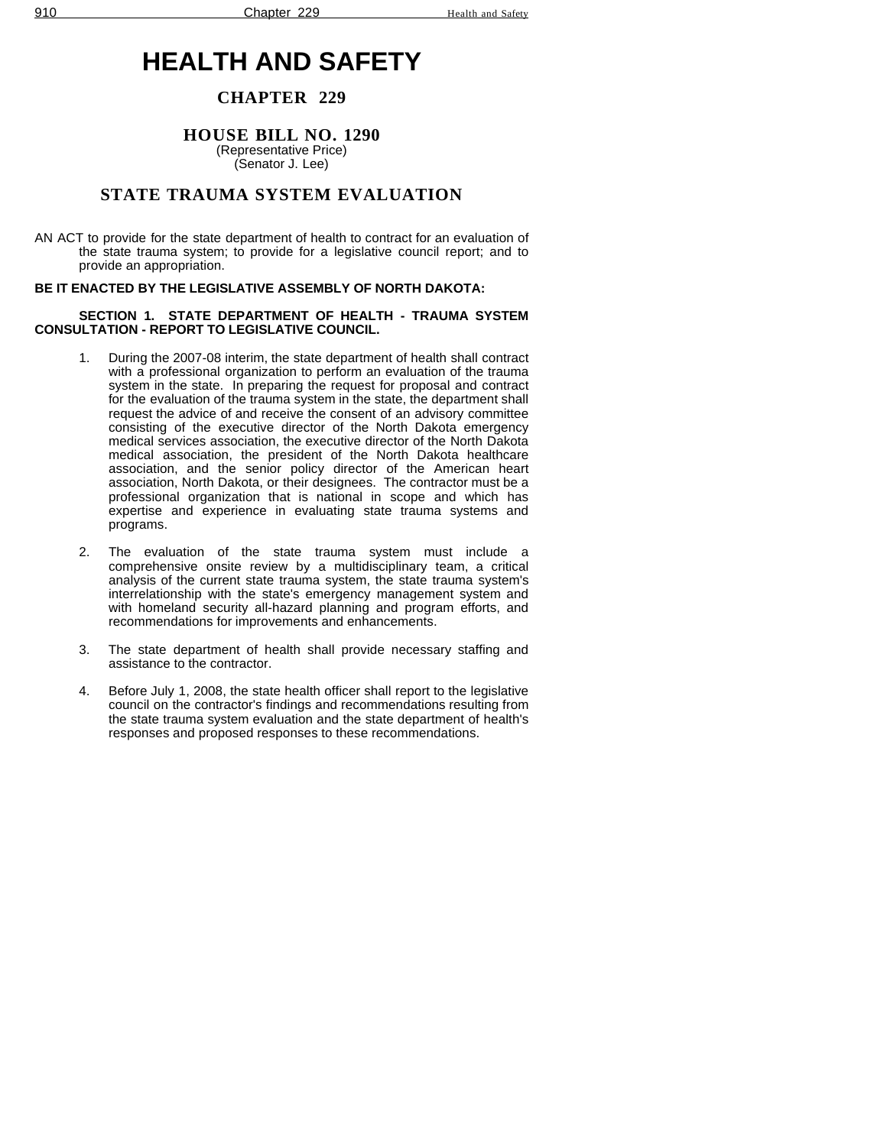# **HEALTH AND SAFETY**

# **CHAPTER 229**

# **HOUSE BILL NO. 1290**

(Representative Price) (Senator J. Lee)

# **STATE TRAUMA SYSTEM EVALUATION**

AN ACT to provide for the state department of health to contract for an evaluation of the state trauma system; to provide for a legislative council report; and to provide an appropriation.

### **BE IT ENACTED BY THE LEGISLATIVE ASSEMBLY OF NORTH DAKOTA:**

#### **SECTION 1. STATE DEPARTMENT OF HEALTH - TRAUMA SYSTEM CONSULTATION - REPORT TO LEGISLATIVE COUNCIL.**

- 1. During the 2007-08 interim, the state department of health shall contract with a professional organization to perform an evaluation of the trauma system in the state. In preparing the request for proposal and contract for the evaluation of the trauma system in the state, the department shall request the advice of and receive the consent of an advisory committee consisting of the executive director of the North Dakota emergency medical services association, the executive director of the North Dakota medical association, the president of the North Dakota healthcare association, and the senior policy director of the American heart association, North Dakota, or their designees. The contractor must be a professional organization that is national in scope and which has expertise and experience in evaluating state trauma systems and programs.
- 2. The evaluation of the state trauma system must include a comprehensive onsite review by a multidisciplinary team, a critical analysis of the current state trauma system, the state trauma system's interrelationship with the state's emergency management system and with homeland security all-hazard planning and program efforts, and recommendations for improvements and enhancements.
- 3. The state department of health shall provide necessary staffing and assistance to the contractor.
- 4. Before July 1, 2008, the state health officer shall report to the legislative council on the contractor's findings and recommendations resulting from the state trauma system evaluation and the state department of health's responses and proposed responses to these recommendations.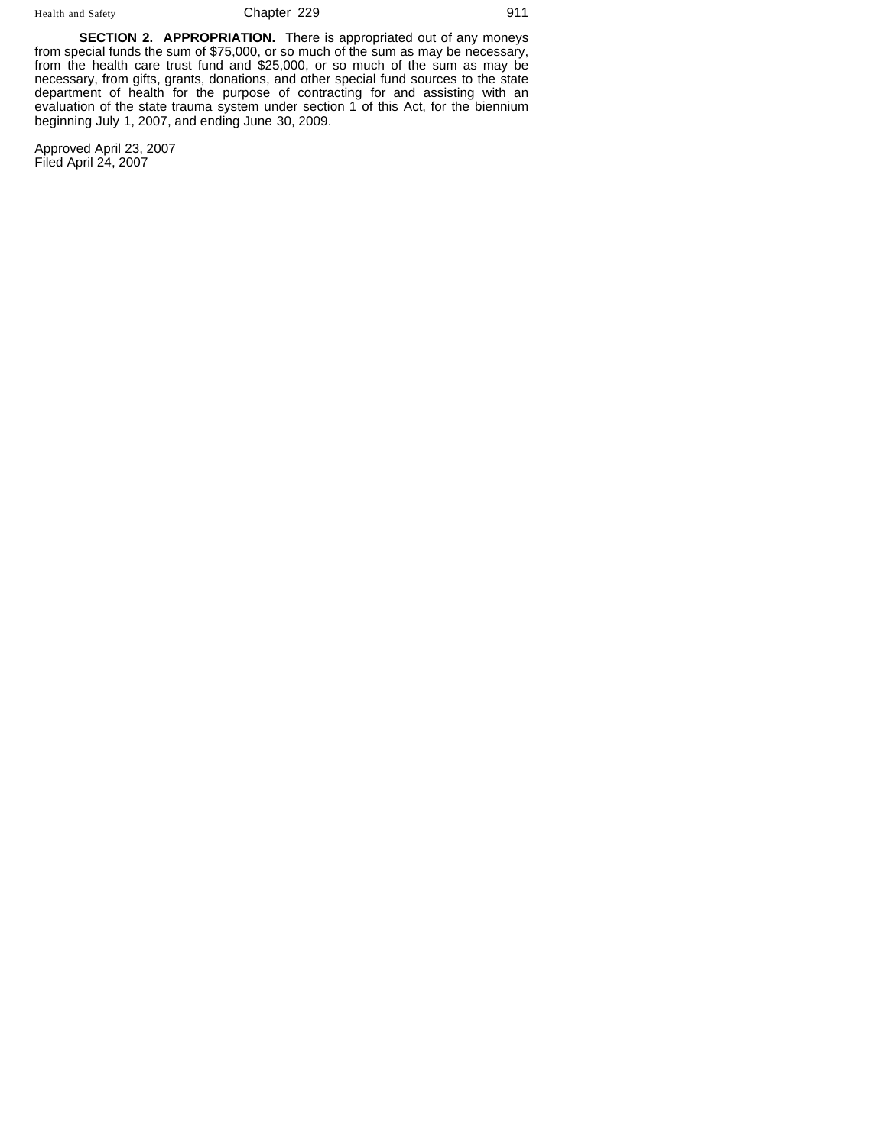**SECTION 2. APPROPRIATION.** There is appropriated out of any moneys from special funds the sum of \$75,000, or so much of the sum as may be necessary, from the health care trust fund and \$25,000, or so much of the sum as may be necessary, from gifts, grants, donations, and other special fund sources to the state department of health for the purpose of contracting for and assisting with an evaluation of the state trauma system under section 1 of this Act, for the biennium beginning July 1, 2007, and ending June 30, 2009.

Approved April 23, 2007 Filed April 24, 2007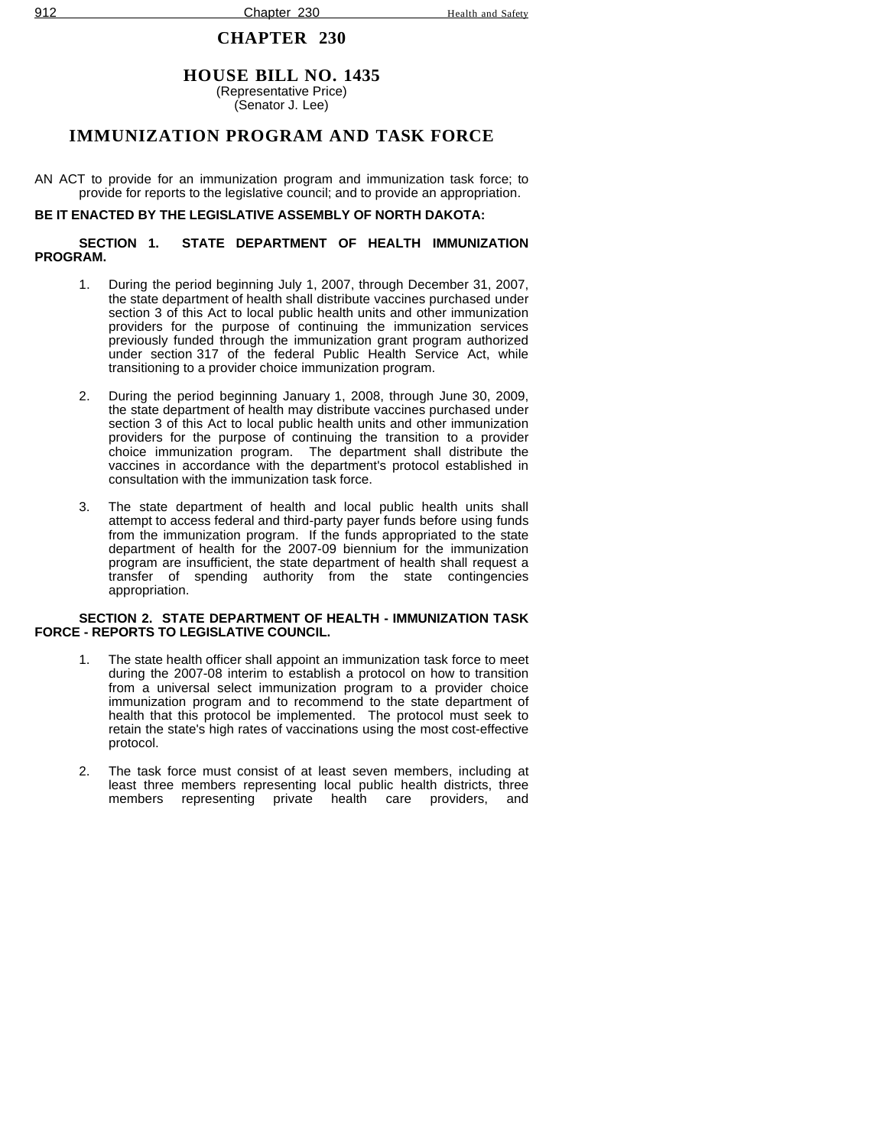# **HOUSE BILL NO. 1435**

(Representative Price) (Senator J. Lee)

# **IMMUNIZATION PROGRAM AND TASK FORCE**

AN ACT to provide for an immunization program and immunization task force; to provide for reports to the legislative council; and to provide an appropriation.

### **BE IT ENACTED BY THE LEGISLATIVE ASSEMBLY OF NORTH DAKOTA:**

**SECTION 1. STATE DEPARTMENT OF HEALTH IMMUNIZATION PROGRAM.**

- 1. During the period beginning July 1, 2007, through December 31, 2007, the state department of health shall distribute vaccines purchased under section 3 of this Act to local public health units and other immunization providers for the purpose of continuing the immunization services previously funded through the immunization grant program authorized under section 317 of the federal Public Health Service Act, while transitioning to a provider choice immunization program.
- 2. During the period beginning January 1, 2008, through June 30, 2009, the state department of health may distribute vaccines purchased under section 3 of this Act to local public health units and other immunization providers for the purpose of continuing the transition to a provider choice immunization program. The department shall distribute the vaccines in accordance with the department's protocol established in consultation with the immunization task force.
- 3. The state department of health and local public health units shall attempt to access federal and third-party payer funds before using funds from the immunization program. If the funds appropriated to the state department of health for the 2007-09 biennium for the immunization program are insufficient, the state department of health shall request a transfer of spending authority from the state contingencies appropriation.

#### **SECTION 2. STATE DEPARTMENT OF HEALTH - IMMUNIZATION TASK FORCE - REPORTS TO LEGISLATIVE COUNCIL.**

- 1. The state health officer shall appoint an immunization task force to meet during the 2007-08 interim to establish a protocol on how to transition from a universal select immunization program to a provider choice immunization program and to recommend to the state department of health that this protocol be implemented. The protocol must seek to retain the state's high rates of vaccinations using the most cost-effective protocol.
- 2. The task force must consist of at least seven members, including at least three members representing local public health districts, three members representing private health care providers, and members representing private health care providers,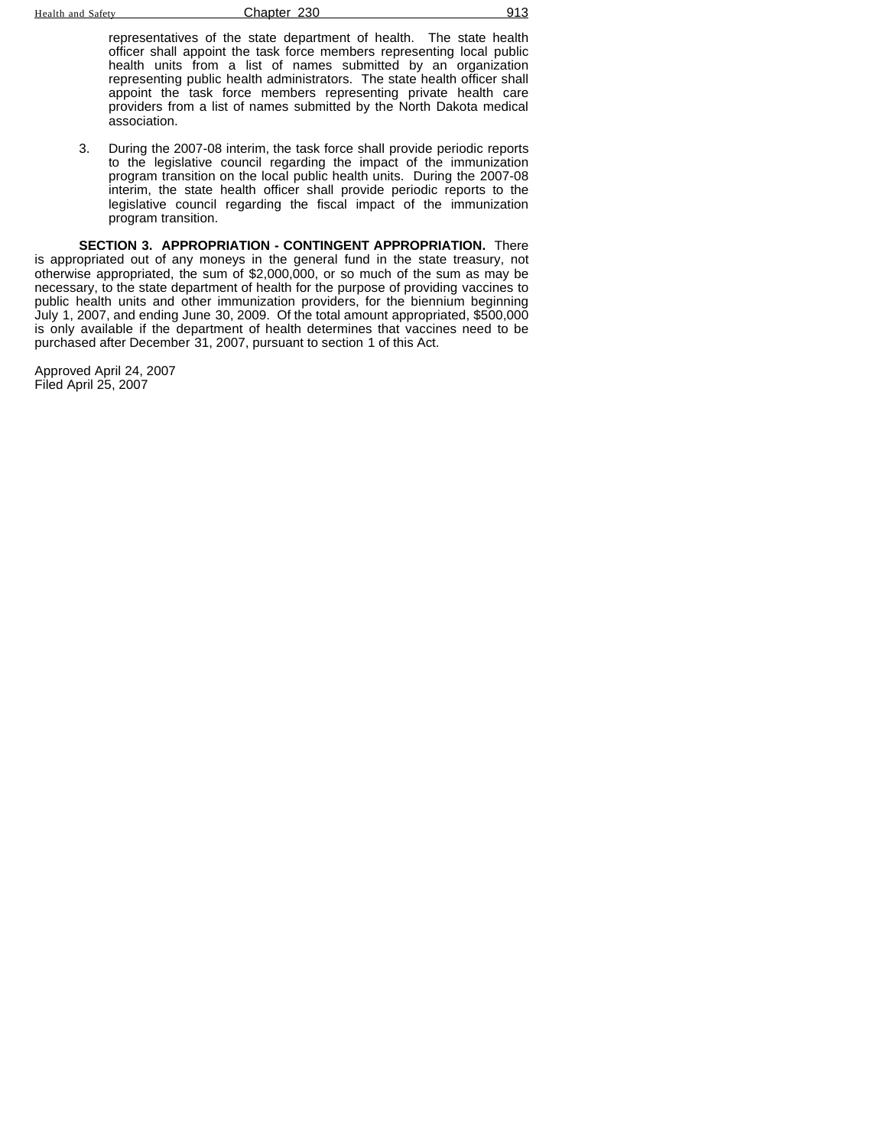representatives of the state department of health. The state health officer shall appoint the task force members representing local public health units from a list of names submitted by an organization representing public health administrators. The state health officer shall appoint the task force members representing private health care providers from a list of names submitted by the North Dakota medical association.

3. During the 2007-08 interim, the task force shall provide periodic reports to the legislative council regarding the impact of the immunization program transition on the local public health units. During the 2007-08 interim, the state health officer shall provide periodic reports to the legislative council regarding the fiscal impact of the immunization program transition.

**SECTION 3. APPROPRIATION - CONTINGENT APPROPRIATION.** There is appropriated out of any moneys in the general fund in the state treasury, not otherwise appropriated, the sum of \$2,000,000, or so much of the sum as may be necessary, to the state department of health for the purpose of providing vaccines to public health units and other immunization providers, for the biennium beginning July 1, 2007, and ending June 30, 2009. Of the total amount appropriated, \$500,000 is only available if the department of health determines that vaccines need to be purchased after December 31, 2007, pursuant to section 1 of this Act.

Approved April 24, 2007 Filed April 25, 2007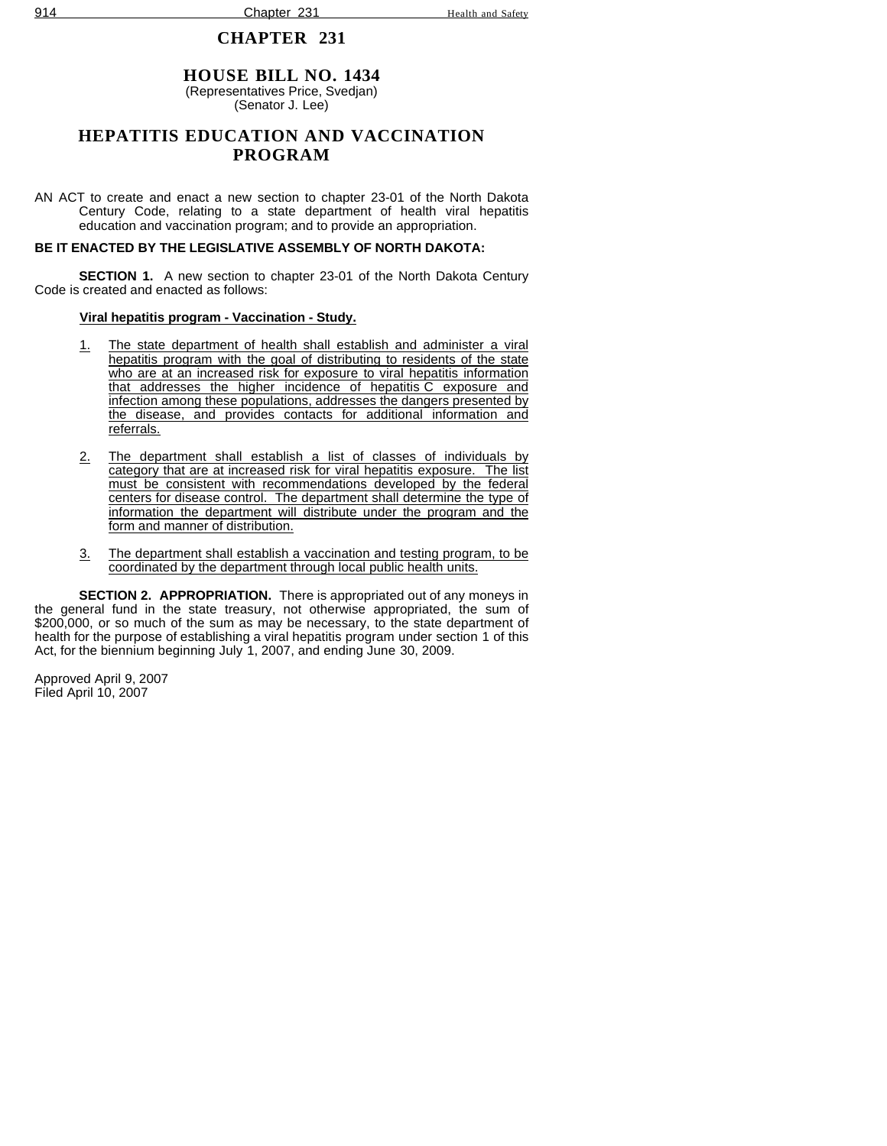#### **HOUSE BILL NO. 1434** (Representatives Price, Svedjan)

(Senator J. Lee)

# **HEPATITIS EDUCATION AND VACCINATION PROGRAM**

AN ACT to create and enact a new section to chapter 23-01 of the North Dakota Century Code, relating to a state department of health viral hepatitis education and vaccination program; and to provide an appropriation.

### **BE IT ENACTED BY THE LEGISLATIVE ASSEMBLY OF NORTH DAKOTA:**

**SECTION 1.** A new section to chapter 23-01 of the North Dakota Century Code is created and enacted as follows:

### **Viral hepatitis program - Vaccination - Study.**

- 1. The state department of health shall establish and administer a viral hepatitis program with the goal of distributing to residents of the state who are at an increased risk for exposure to viral hepatitis information that addresses the higher incidence of hepatitis C exposure and infection among these populations, addresses the dangers presented by the disease, and provides contacts for additional information and referrals.
- 2. The department shall establish a list of classes of individuals by category that are at increased risk for viral hepatitis exposure. The list must be consistent with recommendations developed by the federal centers for disease control. The department shall determine the type of information the department will distribute under the program and the form and manner of distribution.
- 3. The department shall establish a vaccination and testing program, to be coordinated by the department through local public health units.

**SECTION 2. APPROPRIATION.** There is appropriated out of any moneys in the general fund in the state treasury, not otherwise appropriated, the sum of \$200,000, or so much of the sum as may be necessary, to the state department of health for the purpose of establishing a viral hepatitis program under section 1 of this Act, for the biennium beginning July 1, 2007, and ending June 30, 2009.

Approved April 9, 2007 Filed April 10, 2007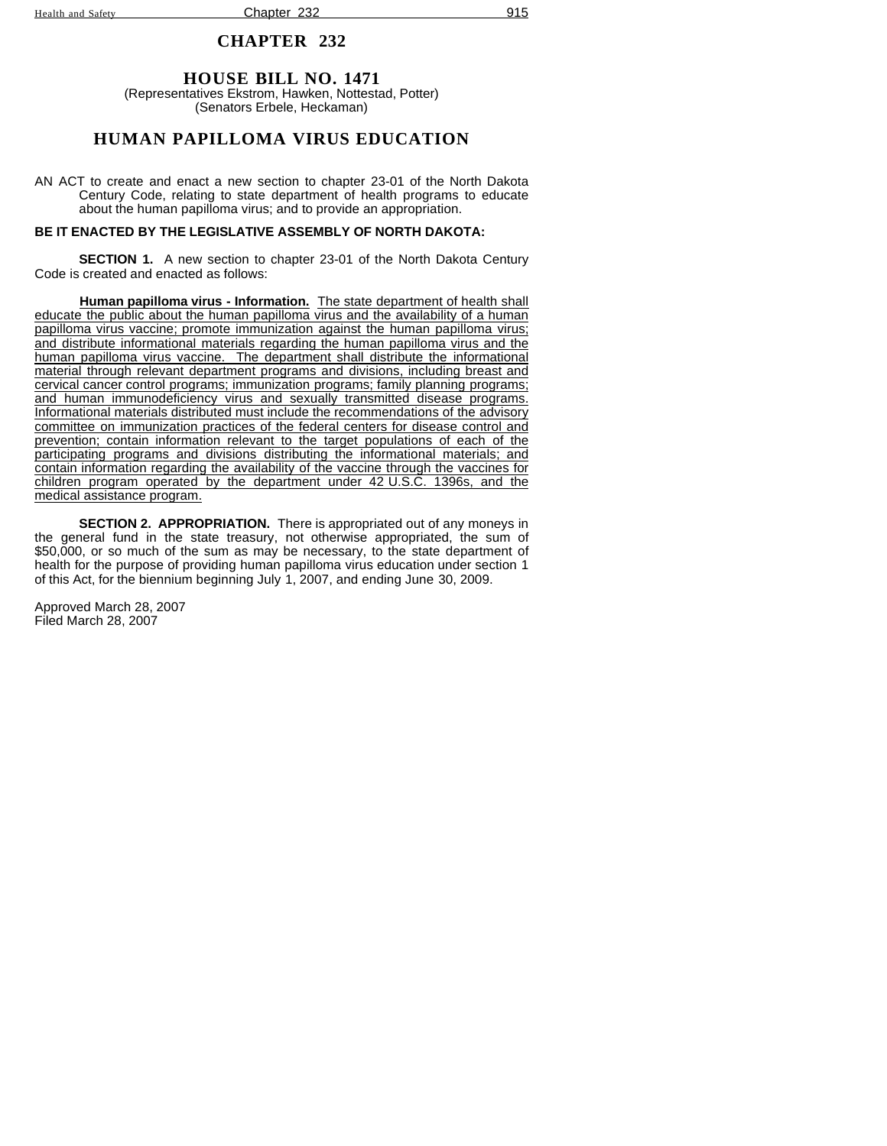#### **HOUSE BILL NO. 1471**

(Representatives Ekstrom, Hawken, Nottestad, Potter) (Senators Erbele, Heckaman)

# **HUMAN PAPILLOMA VIRUS EDUCATION**

AN ACT to create and enact a new section to chapter 23-01 of the North Dakota Century Code, relating to state department of health programs to educate about the human papilloma virus; and to provide an appropriation.

#### **BE IT ENACTED BY THE LEGISLATIVE ASSEMBLY OF NORTH DAKOTA:**

**SECTION 1.** A new section to chapter 23-01 of the North Dakota Century Code is created and enacted as follows:

**Human papilloma virus - Information.** The state department of health shall educate the public about the human papilloma virus and the availability of a human papilloma virus vaccine; promote immunization against the human papilloma virus; and distribute informational materials regarding the human papilloma virus and the human papilloma virus vaccine. The department shall distribute the informational material through relevant department programs and divisions, including breast and cervical cancer control programs; immunization programs; family planning programs; and human immunodeficiency virus and sexually transmitted disease programs. Informational materials distributed must include the recommendations of the advisory committee on immunization practices of the federal centers for disease control and prevention; contain information relevant to the target populations of each of the participating programs and divisions distributing the informational materials; and contain information regarding the availability of the vaccine through the vaccines for children program operated by the department under 42 U.S.C. 1396s, and the medical assistance program.

**SECTION 2. APPROPRIATION.** There is appropriated out of any moneys in the general fund in the state treasury, not otherwise appropriated, the sum of \$50,000, or so much of the sum as may be necessary, to the state department of health for the purpose of providing human papilloma virus education under section 1 of this Act, for the biennium beginning July 1, 2007, and ending June 30, 2009.

Approved March 28, 2007 Filed March 28, 2007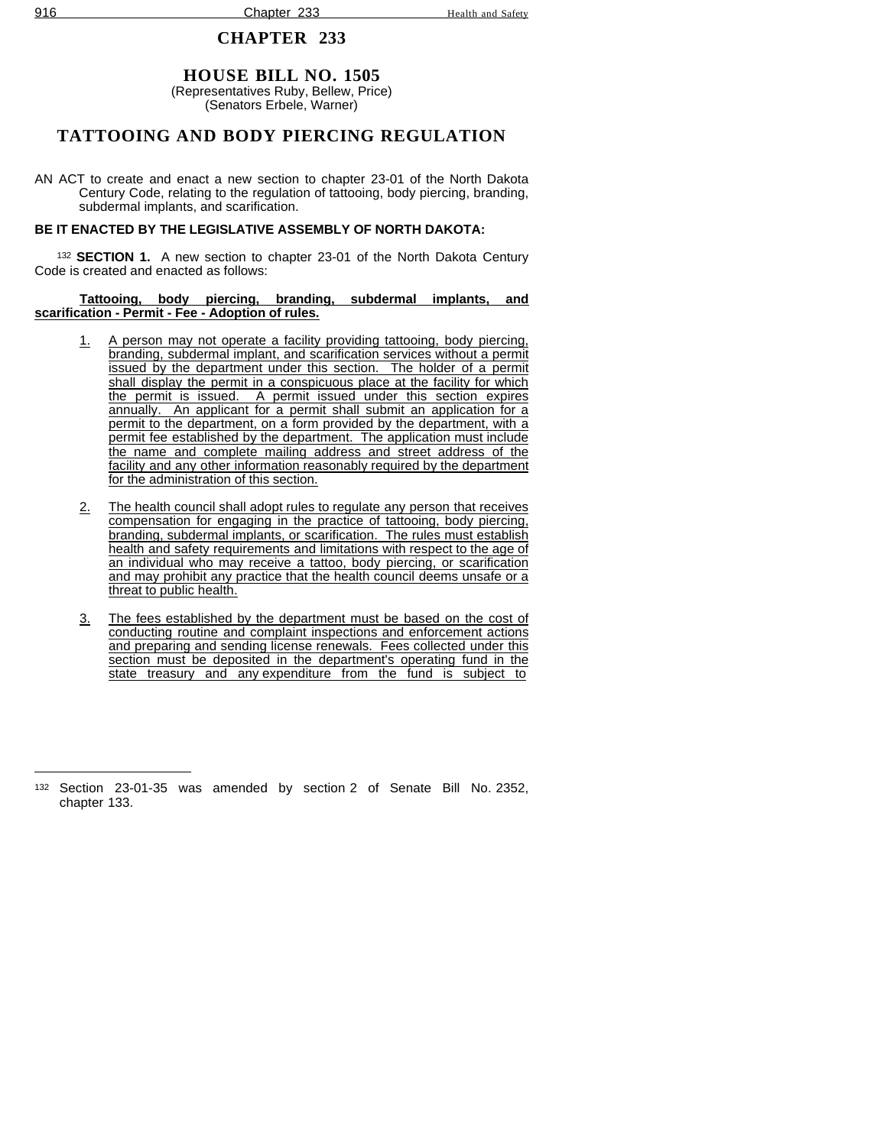# **HOUSE BILL NO. 1505**

(Representatives Ruby, Bellew, Price) (Senators Erbele, Warner)

# **TATTOOING AND BODY PIERCING REGULATION**

AN ACT to create and enact a new section to chapter 23-01 of the North Dakota Century Code, relating to the regulation of tattooing, body piercing, branding, subdermal implants, and scarification.

### **BE IT ENACTED BY THE LEGISLATIVE ASSEMBLY OF NORTH DAKOTA:**

<sup>132</sup> **SECTION 1.** A new section to chapter 23-01 of the North Dakota Century Code is created and enacted as follows:

#### **Tattooing, body piercing, branding, subdermal implants, and scarification - Permit - Fee - Adoption of rules.**

- 1. A person may not operate a facility providing tattooing, body piercing, branding, subdermal implant, and scarification services without a permit issued by the department under this section. The holder of a permit shall display the permit in a conspicuous place at the facility for which the permit is issued. A permit issued under this section expires annually. An applicant for a permit shall submit an application for a permit to the department, on a form provided by the department, with a permit fee established by the department. The application must include the name and complete mailing address and street address of the facility and any other information reasonably required by the department for the administration of this section.
- 2. The health council shall adopt rules to regulate any person that receives compensation for engaging in the practice of tattooing, body piercing, branding, subdermal implants, or scarification. The rules must establish health and safety requirements and limitations with respect to the age of an individual who may receive a tattoo, body piercing, or scarification and may prohibit any practice that the health council deems unsafe or a threat to public health.
- 3. The fees established by the department must be based on the cost of conducting routine and complaint inspections and enforcement actions and preparing and sending license renewals. Fees collected under this section must be deposited in the department's operating fund in the state treasury and any expenditure from the fund is subject to

<sup>132</sup> Section 23-01-35 was amended by section 2 of Senate Bill No. 2352, chapter 133.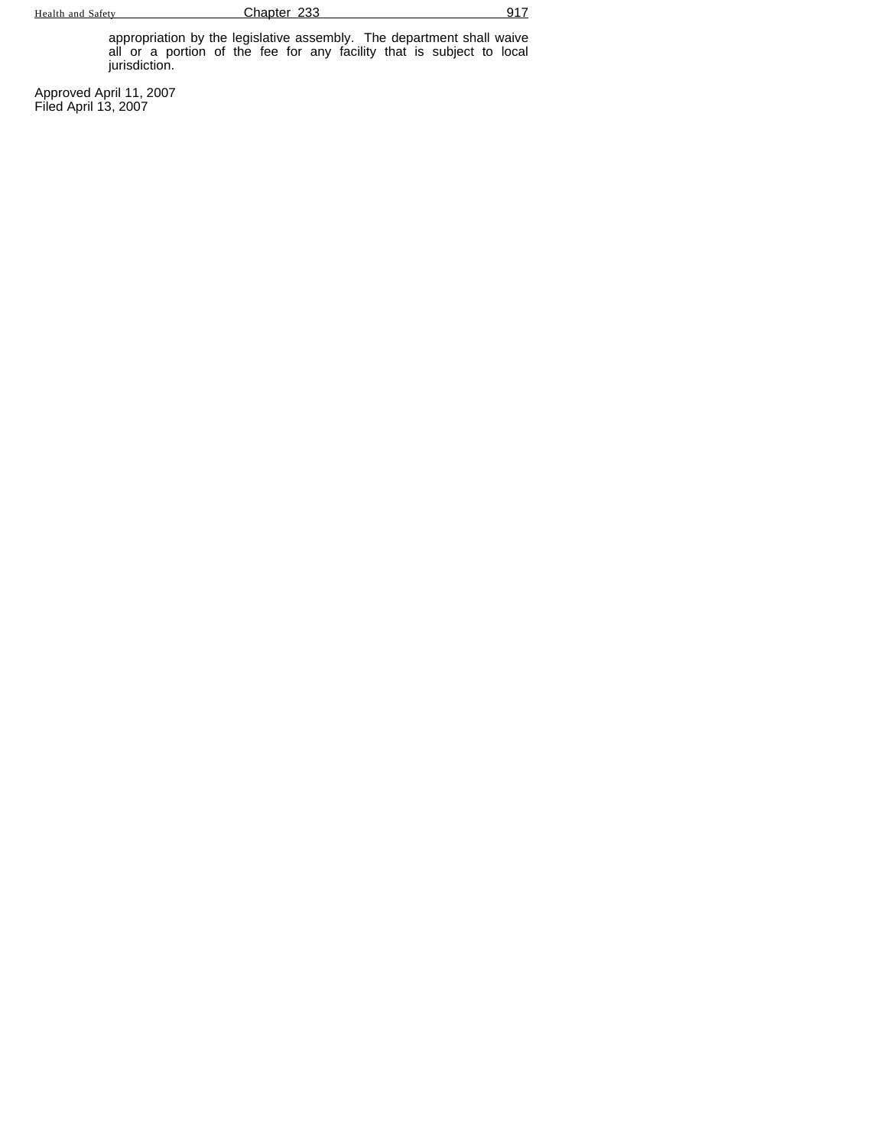appropriation by the legislative assembly. The department shall waive all or a portion of the fee for any facility that is subject to local jurisdiction.

Approved April 11, 2007 Filed April 13, 2007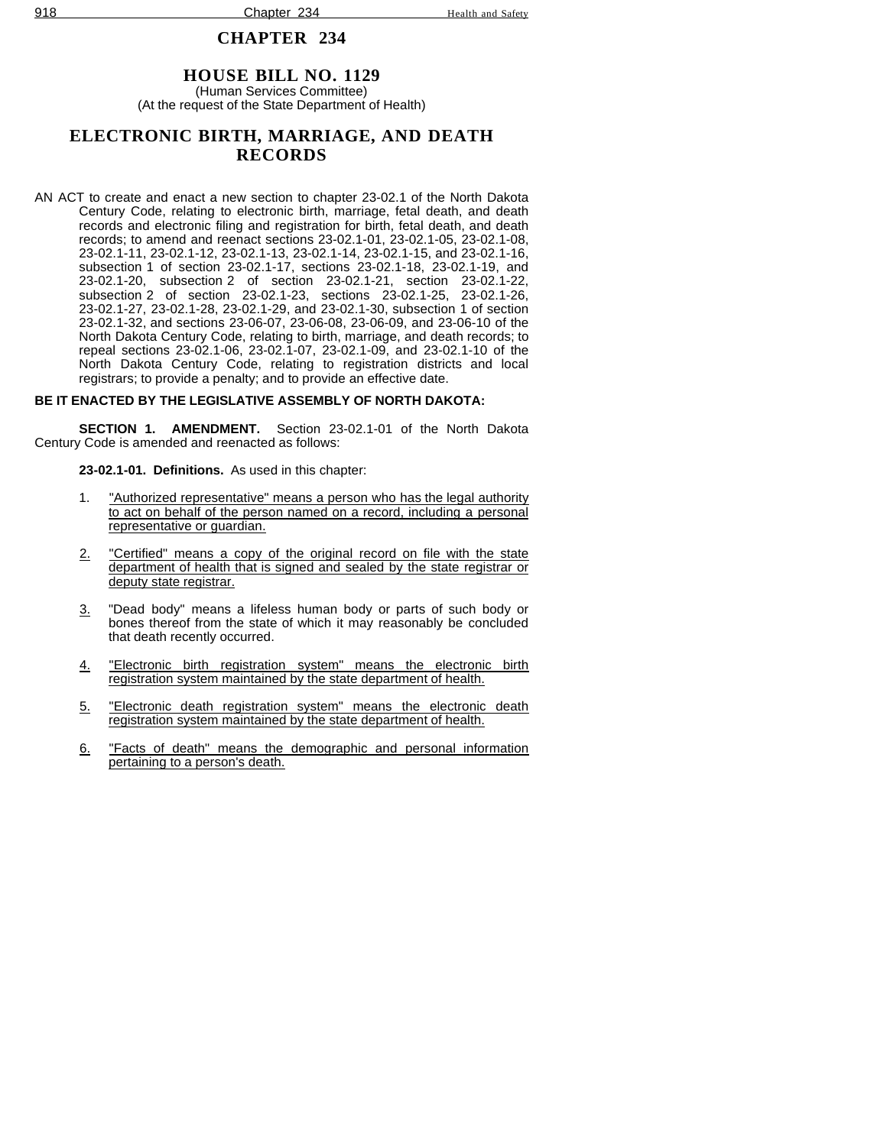# **HOUSE BILL NO. 1129**

(Human Services Committee) (At the request of the State Department of Health)

# **ELECTRONIC BIRTH, MARRIAGE, AND DEATH RECORDS**

AN ACT to create and enact a new section to chapter 23-02.1 of the North Dakota Century Code, relating to electronic birth, marriage, fetal death, and death records and electronic filing and registration for birth, fetal death, and death records; to amend and reenact sections 23-02.1-01, 23-02.1-05, 23-02.1-08, 23-02.1-11, 23-02.1-12, 23-02.1-13, 23-02.1-14, 23-02.1-15, and 23-02.1-16, subsection 1 of section 23-02.1-17, sections 23-02.1-18, 23-02.1-19, and 23-02.1-20, subsection 2 of section 23-02.1-21, section 23-02.1-22, subsection 2 of section 23-02.1-23, sections 23-02.1-25, 23-02.1-26, 23-02.1-27, 23-02.1-28, 23-02.1-29, and 23-02.1-30, subsection 1 of section 23-02.1-32, and sections 23-06-07, 23-06-08, 23-06-09, and 23-06-10 of the North Dakota Century Code, relating to birth, marriage, and death records; to repeal sections 23-02.1-06, 23-02.1-07, 23-02.1-09, and 23-02.1-10 of the North Dakota Century Code, relating to registration districts and local registrars; to provide a penalty; and to provide an effective date.

### **BE IT ENACTED BY THE LEGISLATIVE ASSEMBLY OF NORTH DAKOTA:**

**SECTION 1. AMENDMENT.** Section 23-02.1-01 of the North Dakota Century Code is amended and reenacted as follows:

**23-02.1-01. Definitions.** As used in this chapter:

- 1. "Authorized representative" means a person who has the legal authority to act on behalf of the person named on a record, including a personal representative or guardian.
- 2. "Certified" means a copy of the original record on file with the state department of health that is signed and sealed by the state registrar or deputy state registrar.
- 3. "Dead body" means a lifeless human body or parts of such body or bones thereof from the state of which it may reasonably be concluded that death recently occurred.
- 4. "Electronic birth registration system" means the electronic birth registration system maintained by the state department of health.
- 5. "Electronic death registration system" means the electronic death registration system maintained by the state department of health.
- 6. "Facts of death" means the demographic and personal information pertaining to a person's death.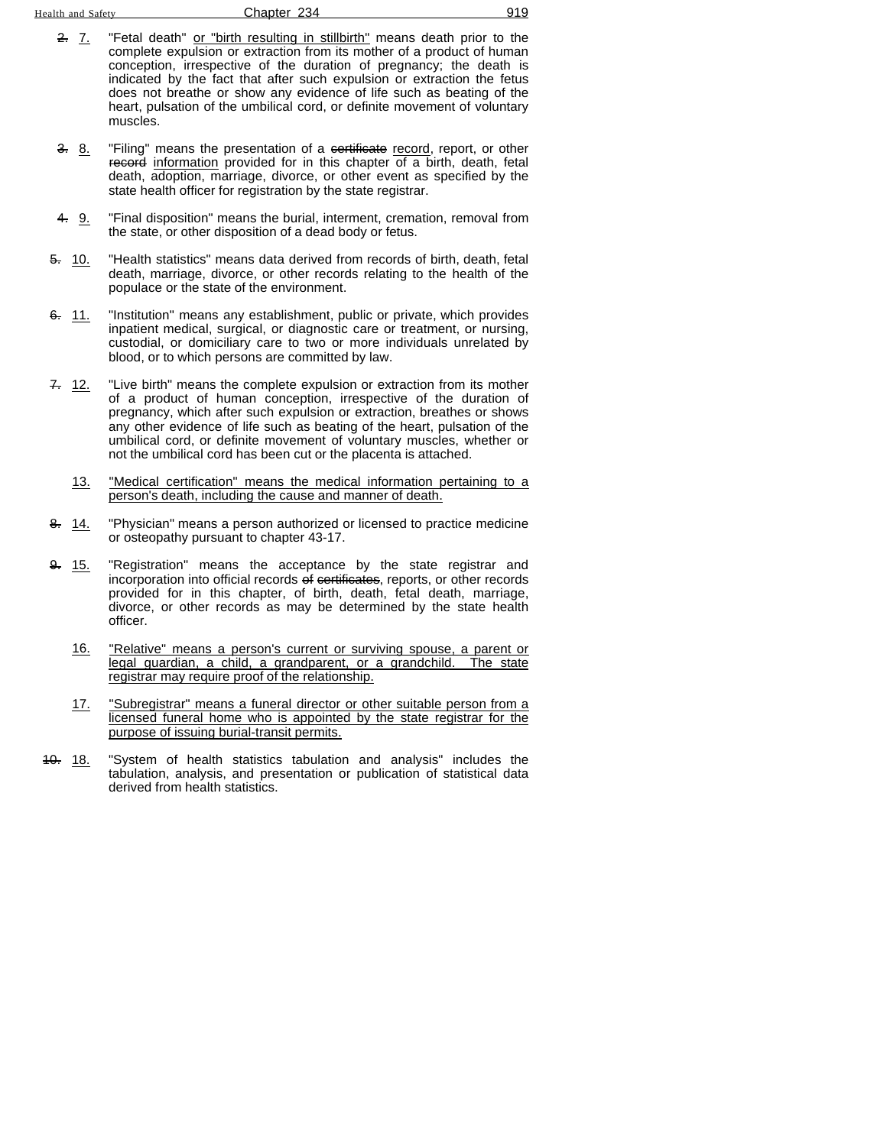- 2. 7. "Fetal death" or "birth resulting in stillbirth" means death prior to the complete expulsion or extraction from its mother of a product of human conception, irrespective of the duration of pregnancy; the death is indicated by the fact that after such expulsion or extraction the fetus does not breathe or show any evidence of life such as beating of the heart, pulsation of the umbilical cord, or definite movement of voluntary muscles.
- 3. 8. "Filing" means the presentation of a certificate record, report, or other record information provided for in this chapter  $\overline{of}$  a birth, death, fetal death, adoption, marriage, divorce, or other event as specified by the state health officer for registration by the state registrar.
- 4. 9. "Final disposition" means the burial, interment, cremation, removal from the state, or other disposition of a dead body or fetus.
- 5. 10. "Health statistics" means data derived from records of birth, death, fetal death, marriage, divorce, or other records relating to the health of the populace or the state of the environment.
- 6. 11. "Institution" means any establishment, public or private, which provides inpatient medical, surgical, or diagnostic care or treatment, or nursing, custodial, or domiciliary care to two or more individuals unrelated by blood, or to which persons are committed by law.
- 7.  $12.$  "Live birth" means the complete expulsion or extraction from its mother of a product of human conception, irrespective of the duration of pregnancy, which after such expulsion or extraction, breathes or shows any other evidence of life such as beating of the heart, pulsation of the umbilical cord, or definite movement of voluntary muscles, whether or not the umbilical cord has been cut or the placenta is attached.
	- 13. "Medical certification" means the medical information pertaining to a person's death, including the cause and manner of death.
- 8. 14. "Physician" means a person authorized or licensed to practice medicine or osteopathy pursuant to chapter 43-17.
- 9. 15. "Registration" means the acceptance by the state registrar and incorporation into official records of certificates, reports, or other records provided for in this chapter, of birth, death, fetal death, marriage, divorce, or other records as may be determined by the state health officer.
	- 16. "Relative" means a person's current or surviving spouse, a parent or legal guardian, a child, a grandparent, or a grandchild. The state registrar may require proof of the relationship.
	- 17. "Subregistrar" means a funeral director or other suitable person from a licensed funeral home who is appointed by the state registrar for the purpose of issuing burial-transit permits.
- 10. 18. "System of health statistics tabulation and analysis" includes the tabulation, analysis, and presentation or publication of statistical data derived from health statistics.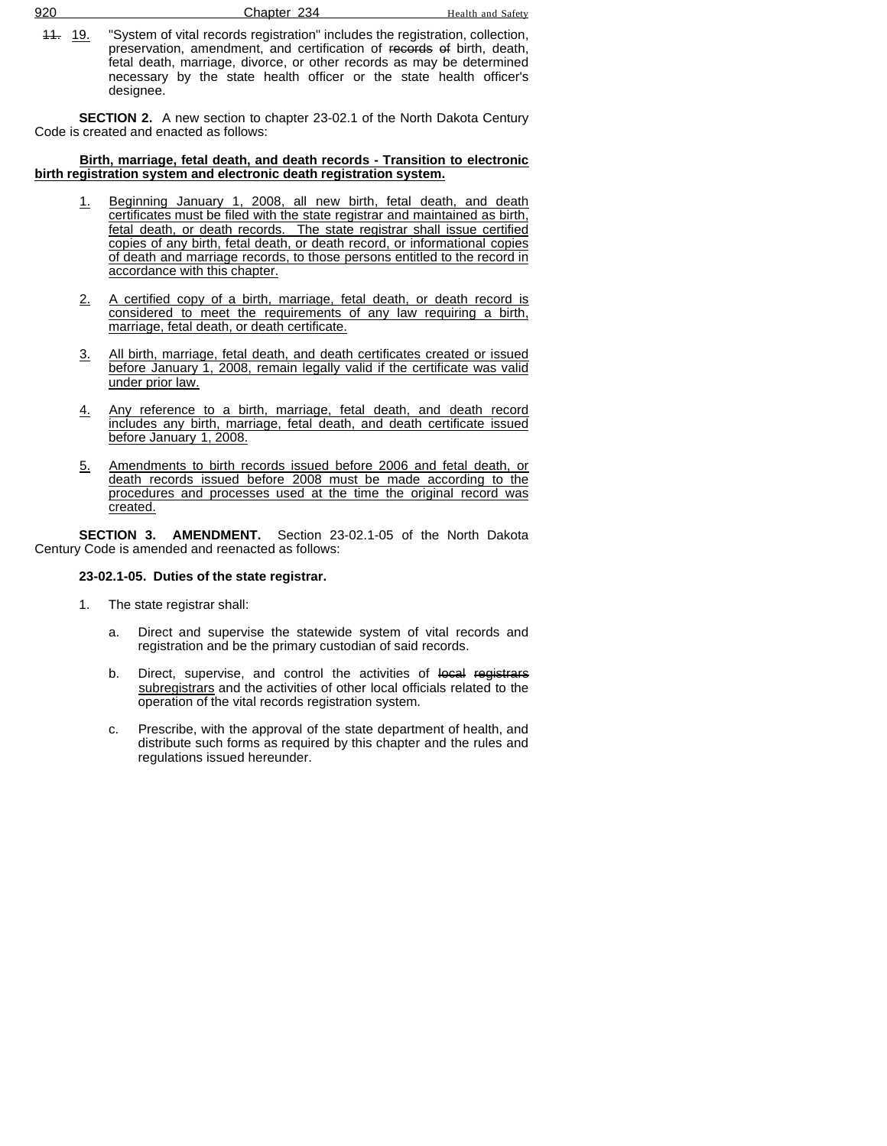| 920                | Chapter 234                                                                                                                                                                                                                                                                                                          | Health and Safety |
|--------------------|----------------------------------------------------------------------------------------------------------------------------------------------------------------------------------------------------------------------------------------------------------------------------------------------------------------------|-------------------|
| <del>11.</del> 19. | "System of vital records registration" includes the registration, collection,<br>preservation, amendment, and certification of records of birth, death,<br>fetal death, marriage, divorce, or other records as may be determined<br>necessary by the state health officer or the state health officer's<br>designee. |                   |

**SECTION 2.** A new section to chapter 23-02.1 of the North Dakota Century Code is created and enacted as follows:

#### **Birth, marriage, fetal death, and death records - Transition to electronic birth registration system and electronic death registration system.**

- 1. Beginning January 1, 2008, all new birth, fetal death, and death certificates must be filed with the state registrar and maintained as birth, fetal death, or death records. The state registrar shall issue certified copies of any birth, fetal death, or death record, or informational copies of death and marriage records, to those persons entitled to the record in accordance with this chapter.
- 2. A certified copy of a birth, marriage, fetal death, or death record is considered to meet the requirements of any law requiring a birth, marriage, fetal death, or death certificate.
- 3. All birth, marriage, fetal death, and death certificates created or issued before January 1, 2008, remain legally valid if the certificate was valid under prior law.
- 4. Any reference to a birth, marriage, fetal death, and death record includes any birth, marriage, fetal death, and death certificate issued before January 1, 2008.
- 5. Amendments to birth records issued before 2006 and fetal death, or death records issued before 2008 must be made according to the procedures and processes used at the time the original record was created.

**SECTION 3. AMENDMENT.** Section 23-02.1-05 of the North Dakota Century Code is amended and reenacted as follows:

#### **23-02.1-05. Duties of the state registrar.**

- 1. The state registrar shall:
	- a. Direct and supervise the statewide system of vital records and registration and be the primary custodian of said records.
	- b. Direct, supervise, and control the activities of local registrars subregistrars and the activities of other local officials related to the operation of the vital records registration system.
	- c. Prescribe, with the approval of the state department of health, and distribute such forms as required by this chapter and the rules and regulations issued hereunder.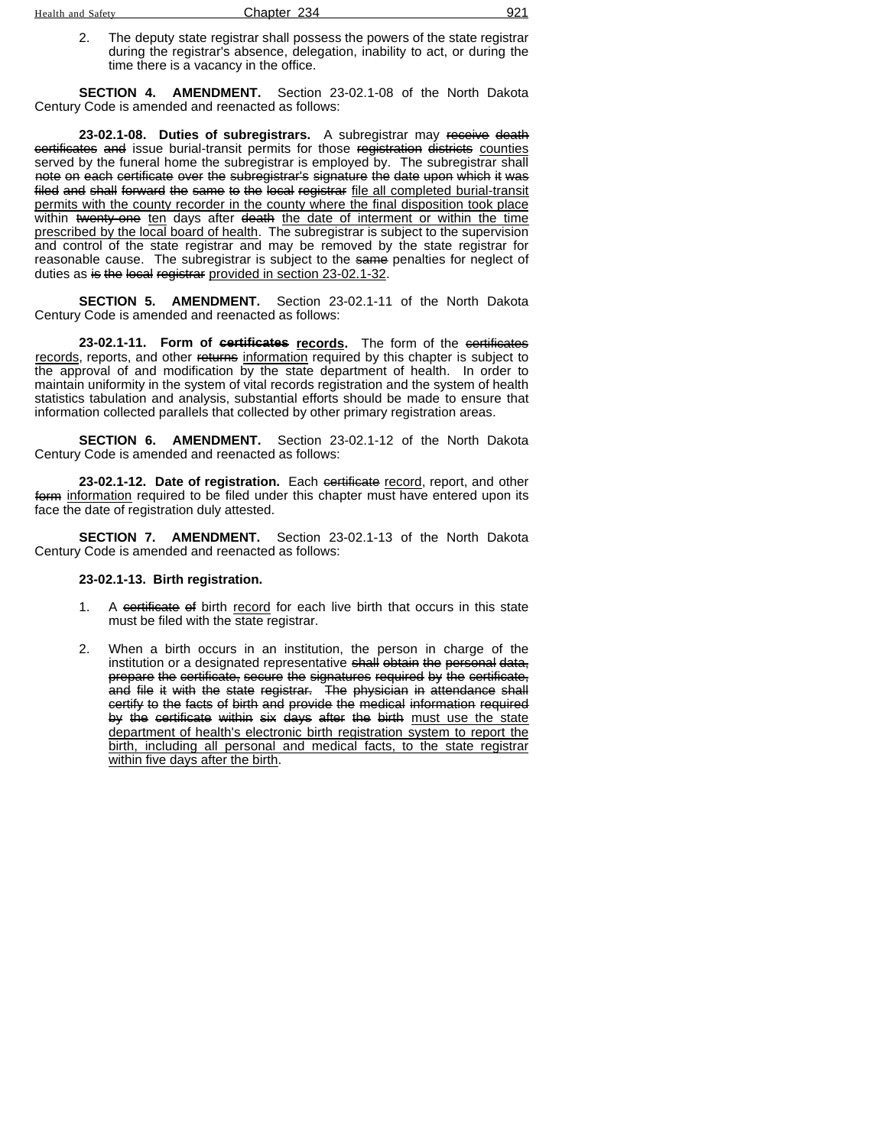2. The deputy state registrar shall possess the powers of the state registrar during the registrar's absence, delegation, inability to act, or during the time there is a vacancy in the office.

**SECTION 4. AMENDMENT.** Section 23-02.1-08 of the North Dakota Century Code is amended and reenacted as follows:

**23-02.1-08. Duties of subregistrars.** A subregistrar may receive death certificates and issue burial-transit permits for those registration districts counties served by the funeral home the subregistrar is employed by. The subregistrar shall note on each certificate over the subregistrar's signature the date upon which it was filed and shall forward the same to the local registrar file all completed burial-transit permits with the county recorder in the county where the final disposition took place within twenty-one ten days after death the date of interment or within the time prescribed by the local board of health. The subregistrar is subject to the supervision and control of the state registrar and may be removed by the state registrar for reasonable cause. The subregistrar is subject to the same penalties for neglect of duties as is the local registrar provided in section 23-02.1-32.

**SECTION 5. AMENDMENT.** Section 23-02.1-11 of the North Dakota Century Code is amended and reenacted as follows:

23-02.1-11. Form of certificates records. The form of the certificates records, reports, and other returns information required by this chapter is subject to the approval of and modification by the state department of health. In order to maintain uniformity in the system of vital records registration and the system of health statistics tabulation and analysis, substantial efforts should be made to ensure that information collected parallels that collected by other primary registration areas.

**SECTION 6. AMENDMENT.** Section 23-02.1-12 of the North Dakota Century Code is amended and reenacted as follows:

23-02.1-12. Date of registration. Each eertificate record, report, and other form information required to be filed under this chapter must have entered upon its face the date of registration duly attested.

**SECTION 7. AMENDMENT.** Section 23-02.1-13 of the North Dakota Century Code is amended and reenacted as follows:

#### **23-02.1-13. Birth registration.**

- 1. A certificate of birth record for each live birth that occurs in this state must be filed with the state registrar.
- 2. When a birth occurs in an institution, the person in charge of the institution or a designated representative shall obtain the personal data, prepare the certificate, secure the signatures required by the certificate, and file it with the state registrar. The physician in attendance shall certify to the facts of birth and provide the medical information required by the certificate within six days after the birth must use the state department of health's electronic birth registration system to report the birth, including all personal and medical facts, to the state registrar within five days after the birth.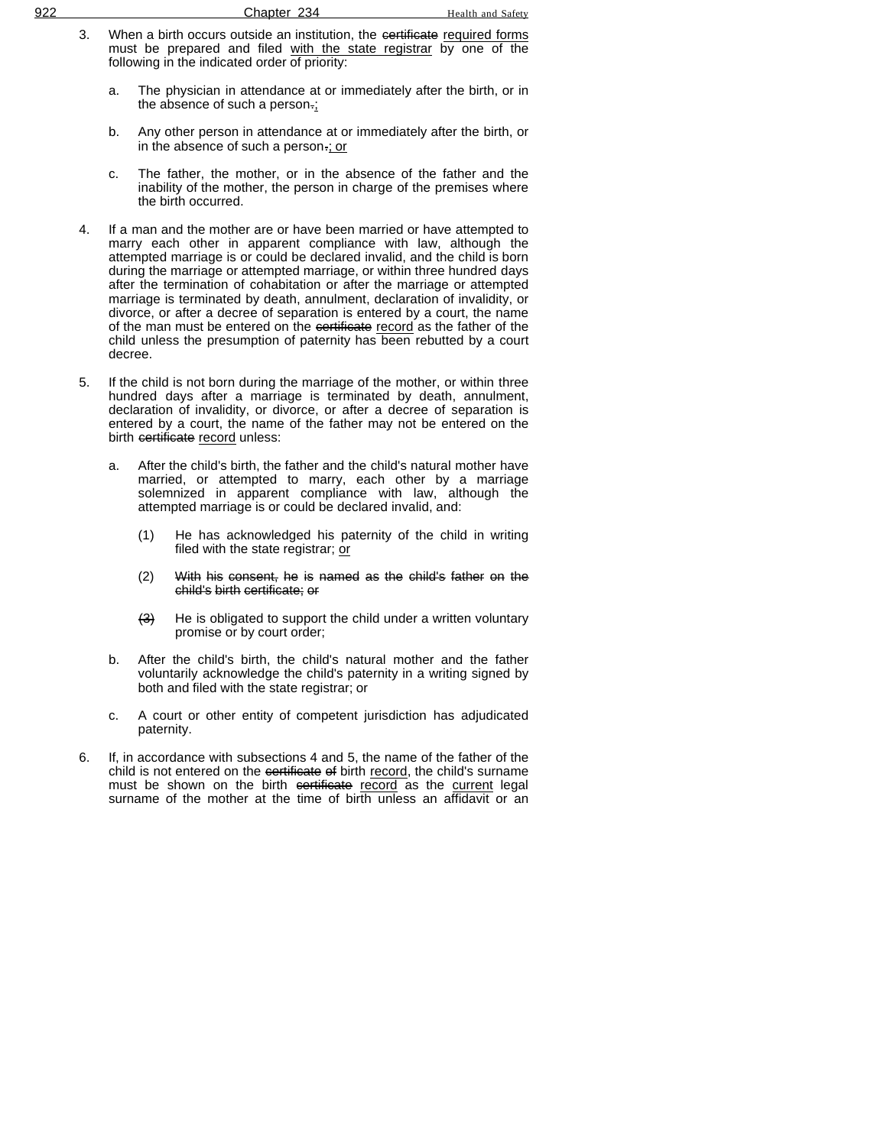- 3. When a birth occurs outside an institution, the entitlerigned forms must be prepared and filed with the state registrar by one of the following in the indicated order of priority:
	- a. The physician in attendance at or immediately after the birth, or in the absence of such a person-;
	- b. Any other person in attendance at or immediately after the birth, or in the absence of such a person.; or
	- c. The father, the mother, or in the absence of the father and the inability of the mother, the person in charge of the premises where the birth occurred.
- 4. If a man and the mother are or have been married or have attempted to marry each other in apparent compliance with law, although the attempted marriage is or could be declared invalid, and the child is born during the marriage or attempted marriage, or within three hundred days after the termination of cohabitation or after the marriage or attempted marriage is terminated by death, annulment, declaration of invalidity, or divorce, or after a decree of separation is entered by a court, the name of the man must be entered on the certificate record as the father of the child unless the presumption of paternity has been rebutted by a court decree.
- 5. If the child is not born during the marriage of the mother, or within three hundred days after a marriage is terminated by death, annulment, declaration of invalidity, or divorce, or after a decree of separation is entered by a court, the name of the father may not be entered on the birth certificate record unless:
	- a. After the child's birth, the father and the child's natural mother have married, or attempted to marry, each other by a marriage solemnized in apparent compliance with law, although the attempted marriage is or could be declared invalid, and:
		- (1) He has acknowledged his paternity of the child in writing filed with the state registrar; or
		- (2) With his consent, he is named as the child's father on the child's birth certificate; or
		- $\left\langle 3 \right\rangle$  He is obligated to support the child under a written voluntary promise or by court order;
	- b. After the child's birth, the child's natural mother and the father voluntarily acknowledge the child's paternity in a writing signed by both and filed with the state registrar; or
	- c. A court or other entity of competent jurisdiction has adjudicated paternity.
- 6. If, in accordance with subsections 4 and 5, the name of the father of the child is not entered on the certificate of birth record, the child's surname must be shown on the birth certificate record as the current legal surname of the mother at the time of birth unless an affidavit or an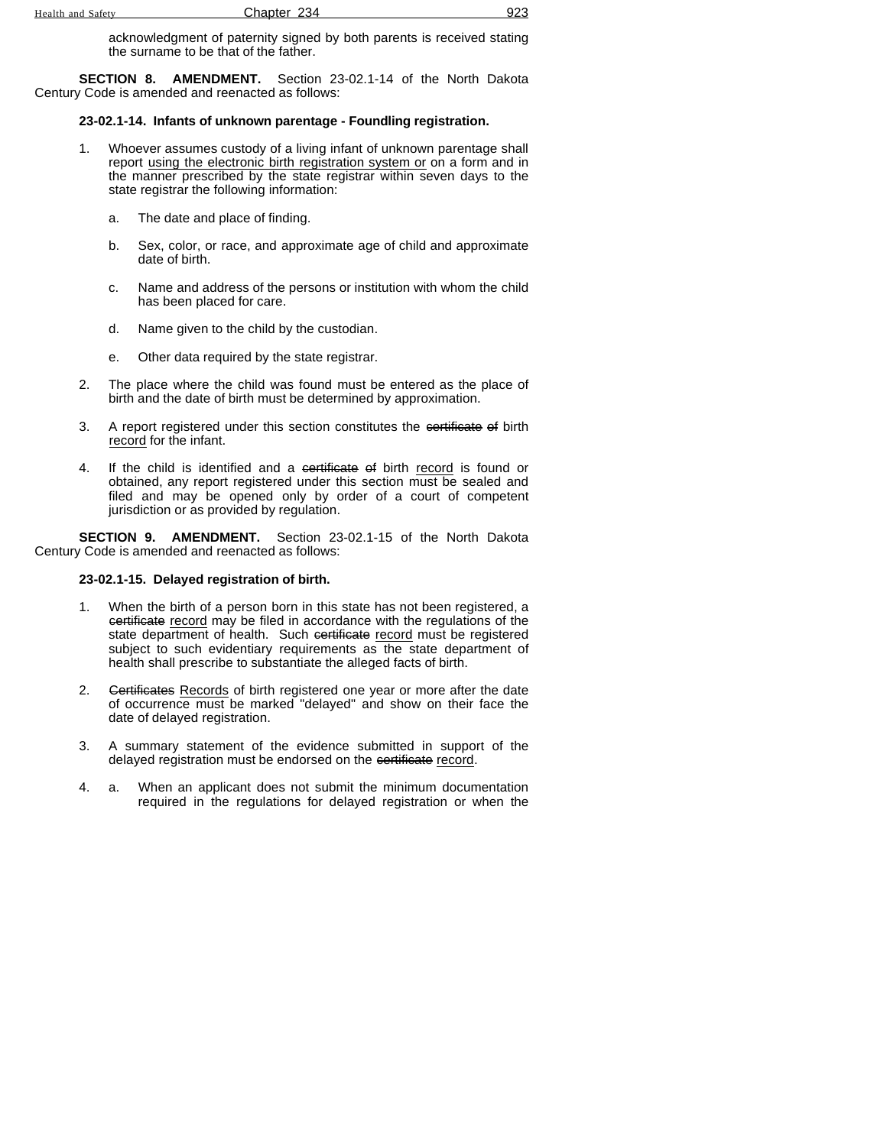acknowledgment of paternity signed by both parents is received stating the surname to be that of the father.

**SECTION 8. AMENDMENT.** Section 23-02.1-14 of the North Dakota Century Code is amended and reenacted as follows:

### **23-02.1-14. Infants of unknown parentage - Foundling registration.**

- 1. Whoever assumes custody of a living infant of unknown parentage shall report using the electronic birth registration system or on a form and in the manner prescribed by the state registrar within seven days to the state registrar the following information:
	- a. The date and place of finding.
	- b. Sex, color, or race, and approximate age of child and approximate date of birth.
	- c. Name and address of the persons or institution with whom the child has been placed for care.
	- d. Name given to the child by the custodian.
	- e. Other data required by the state registrar.
- 2. The place where the child was found must be entered as the place of birth and the date of birth must be determined by approximation.
- 3. A report registered under this section constitutes the certificate of birth record for the infant.
- 4. If the child is identified and a certificate of birth record is found or obtained, any report registered under this section must be sealed and filed and may be opened only by order of a court of competent jurisdiction or as provided by regulation.

**SECTION 9. AMENDMENT.** Section 23-02.1-15 of the North Dakota Century Code is amended and reenacted as follows:

### **23-02.1-15. Delayed registration of birth.**

- 1. When the birth of a person born in this state has not been registered, a eertificate record may be filed in accordance with the regulations of the state department of health. Such certificate record must be registered subject to such evidentiary requirements as the state department of health shall prescribe to substantiate the alleged facts of birth.
- 2. <del>Certificates</del> Records of birth registered one year or more after the date of occurrence must be marked "delayed" and show on their face the date of delayed registration.
- 3. A summary statement of the evidence submitted in support of the delayed registration must be endorsed on the certificate record.
- 4. a. When an applicant does not submit the minimum documentation required in the regulations for delayed registration or when the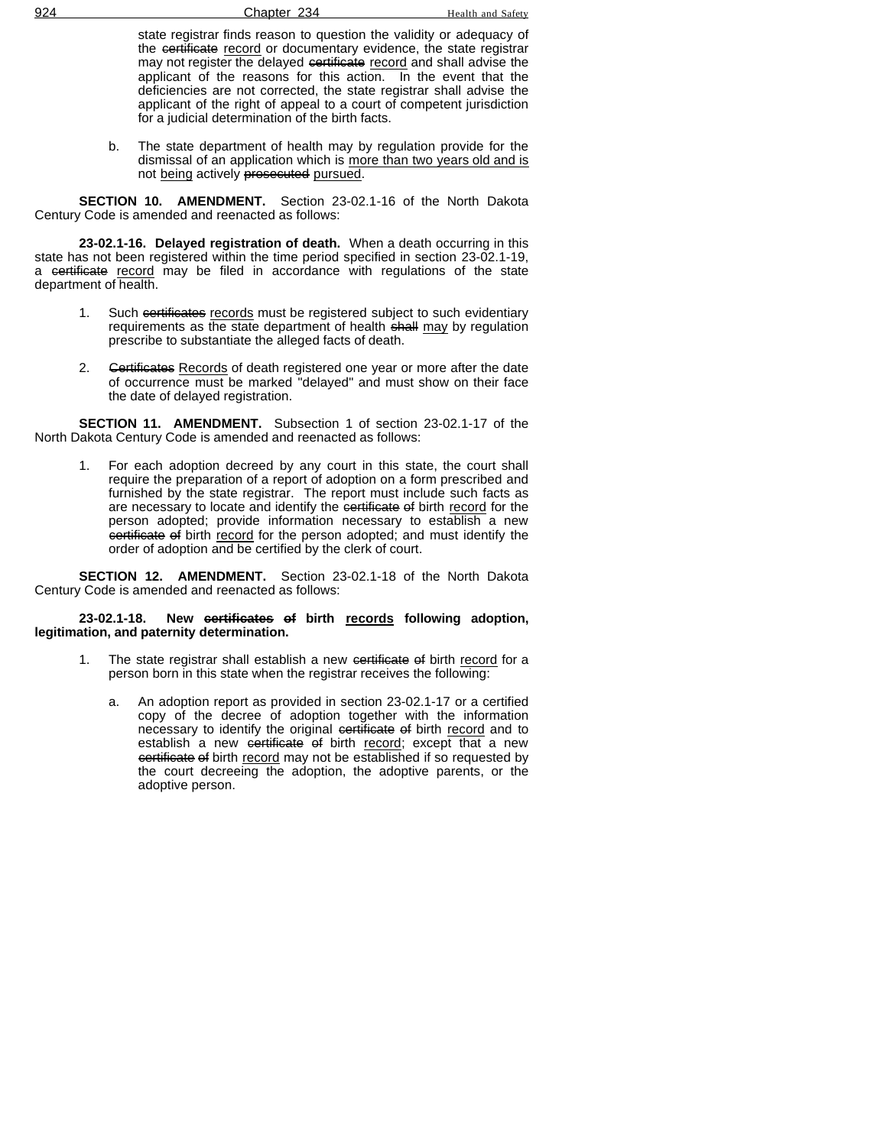state registrar finds reason to question the validity or adequacy of the certificate record or documentary evidence, the state registrar may not register the delayed certificate record and shall advise the applicant of the reasons for this action. In the event that the deficiencies are not corrected, the state registrar shall advise the applicant of the right of appeal to a court of competent jurisdiction for a judicial determination of the birth facts.

b. The state department of health may by regulation provide for the dismissal of an application which is more than two years old and is not being actively prosecuted pursued.

**SECTION 10. AMENDMENT.** Section 23-02.1-16 of the North Dakota Century Code is amended and reenacted as follows:

**23-02.1-16. Delayed registration of death.** When a death occurring in this state has not been registered within the time period specified in section 23-02.1-19, a certificate record may be filed in accordance with regulations of the state department of health.

- Such certificates records must be registered subject to such evidentiary requirements as the state department of health shall may by regulation prescribe to substantiate the alleged facts of death.
- 2. Gertificates Records of death registered one year or more after the date of occurrence must be marked "delayed" and must show on their face the date of delayed registration.

**SECTION 11. AMENDMENT.** Subsection 1 of section 23-02.1-17 of the North Dakota Century Code is amended and reenacted as follows:

For each adoption decreed by any court in this state, the court shall require the preparation of a report of adoption on a form prescribed and furnished by the state registrar. The report must include such facts as are necessary to locate and identify the certificate of birth record for the person adopted; provide information necessary to establish a new certificate of birth record for the person adopted; and must identify the order of adoption and be certified by the clerk of court.

**SECTION 12. AMENDMENT.** Section 23-02.1-18 of the North Dakota Century Code is amended and reenacted as follows:

#### **23-02.1-18. New certificates of birth records following adoption, legitimation, and paternity determination.**

- 1. The state registrar shall establish a new eertificate of birth record for a person born in this state when the registrar receives the following:
	- An adoption report as provided in section 23-02.1-17 or a certified copy of the decree of adoption together with the information necessary to identify the original certificate of birth record and to establish a new certificate of birth record; except that a new eertificate of birth record may not be established if so requested by the court decreeing the adoption, the adoptive parents, or the adoptive person.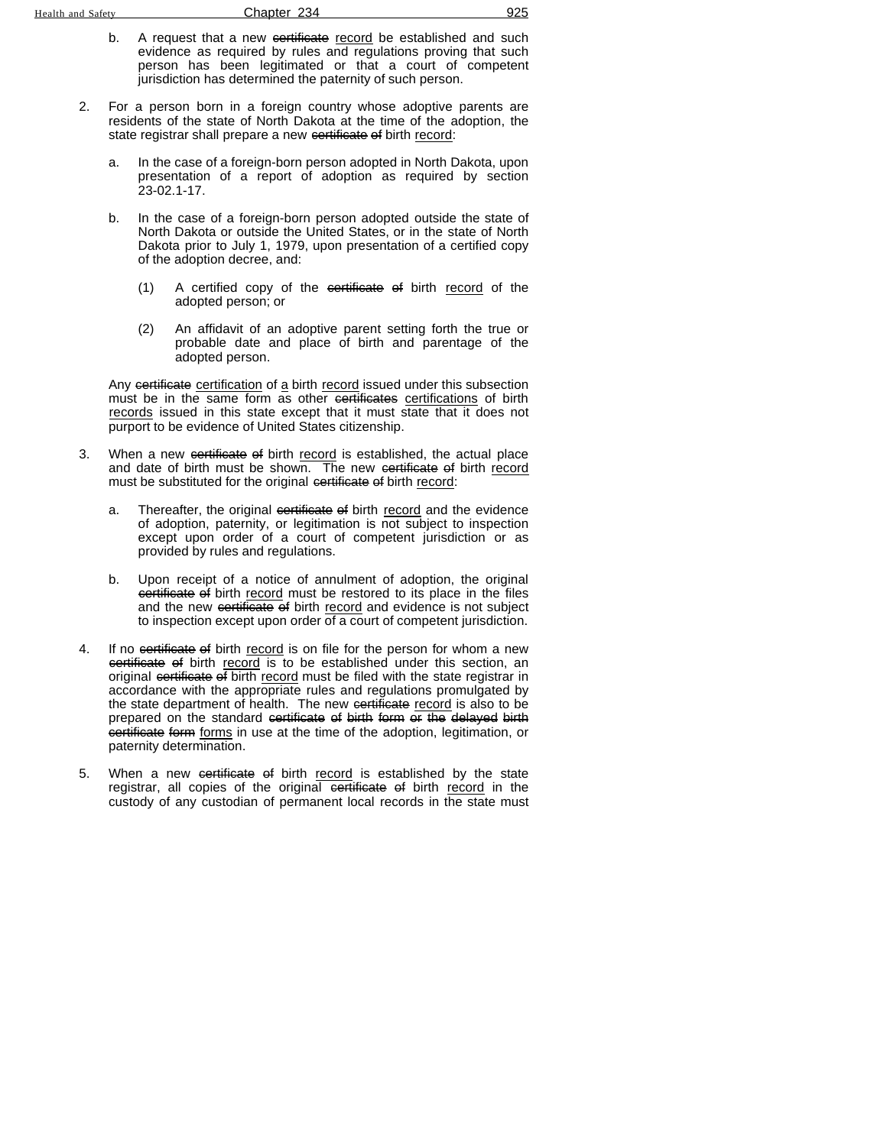- b. A request that a new contificate record be established and such evidence as required by rules and regulations proving that such person has been legitimated or that a court of competent jurisdiction has determined the paternity of such person.
- 2. For a person born in a foreign country whose adoptive parents are residents of the state of North Dakota at the time of the adoption, the state registrar shall prepare a new certificate of birth record:
	- a. In the case of a foreign-born person adopted in North Dakota, upon presentation of a report of adoption as required by section 23-02.1-17.
	- b. In the case of a foreign-born person adopted outside the state of North Dakota or outside the United States, or in the state of North Dakota prior to July 1, 1979, upon presentation of a certified copy of the adoption decree, and:
		- (1) A certified copy of the certificate of birth record of the adopted person; or
		- (2) An affidavit of an adoptive parent setting forth the true or probable date and place of birth and parentage of the adopted person.

Any certificate certification of a birth record issued under this subsection must be in the same form as other certificates certifications of birth records issued in this state except that it must state that it does not purport to be evidence of United States citizenship.

- When a new contificate of birth record is established, the actual place and date of birth must be shown. The new certificate of birth record must be substituted for the original certificate of birth record:
	- a. Thereafter, the original certificate of birth record and the evidence of adoption, paternity, or legitimation is not subject to inspection except upon order of a court of competent jurisdiction or as provided by rules and regulations.
	- b. Upon receipt of a notice of annulment of adoption, the original certificate of birth record must be restored to its place in the files and the new certificate of birth record and evidence is not subject to inspection except upon order of a court of competent jurisdiction.
- 4. If no certificate of birth record is on file for the person for whom a new certificate of birth record is to be established under this section, an original certificate  $e\bar{f}$  birth record must be filed with the state registrar in accordance with the appropriate rules and regulations promulgated by the state department of health. The new certificate record is also to be prepared on the standard certificate of birth form or the delayed birth certificate form forms in use at the time of the adoption, legitimation, or paternity determination.
- 5. When a new certificate of birth record is established by the state registrar, all copies of the original certificate of birth record in the custody of any custodian of permanent local records in the state must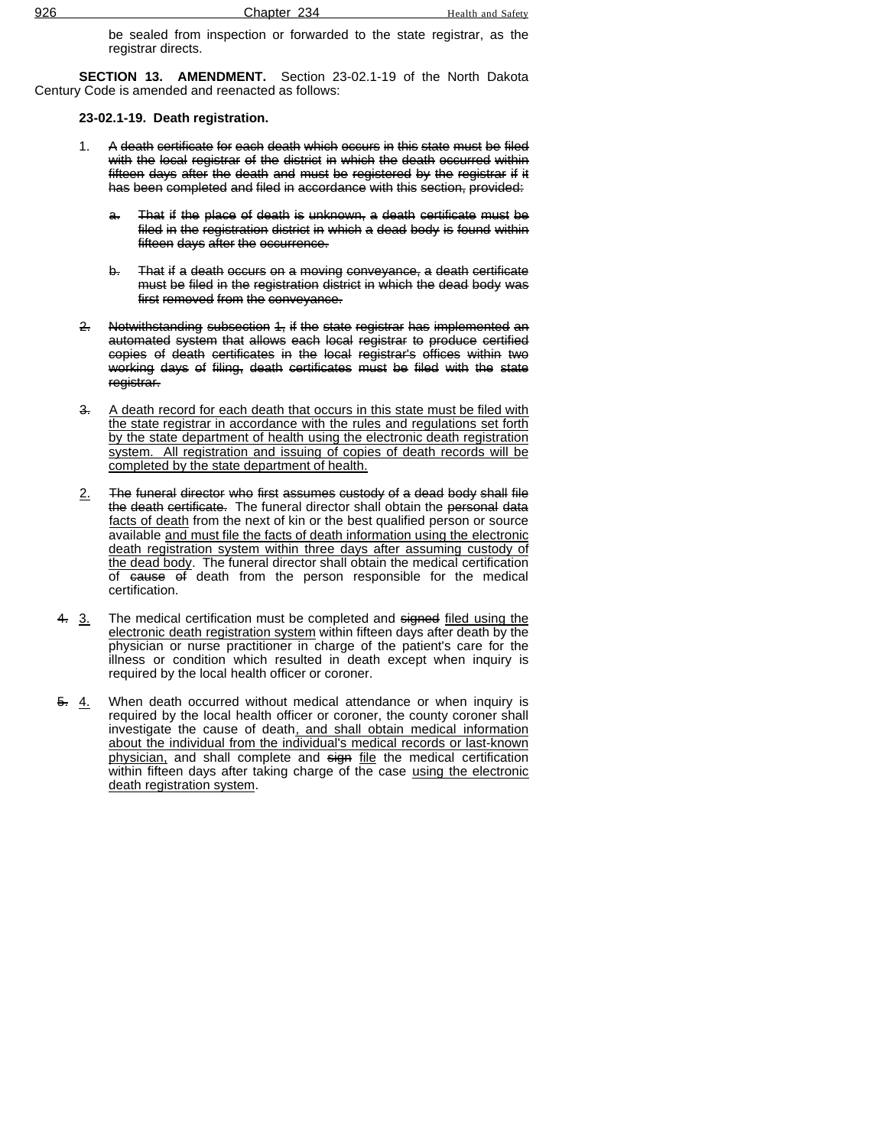be sealed from inspection or forwarded to the state registrar, as the registrar directs.

**SECTION 13. AMENDMENT.** Section 23-02.1-19 of the North Dakota Century Code is amended and reenacted as follows:

**23-02.1-19. Death registration.**

- 1. A death certificate for each death which occurs in this state must be filed with the local registrar of the district in which the death occurred within fifteen days after the death and must be registered by the registrar if it has been completed and filed in accordance with this section, provided:
	- a. That if the place of death is unknown, a death certificate must be filed in the registration district in which a dead body is found within fifteen days after the occurrence.
	- b. That if a death occurs on a moving conveyance, a death certificate must be filed in the registration district in which the dead body was first removed from the conveyance.
- 2. Notwithstanding subsection 1, if the state registrar has implemented an automated system that allows each local registrar to produce certified copies of death certificates in the local registrar's offices within two working days of filing, death certificates must be filed with the state registrar.
- 3. A death record for each death that occurs in this state must be filed with the state registrar in accordance with the rules and regulations set forth by the state department of health using the electronic death registration system. All registration and issuing of copies of death records will be completed by the state department of health.
- 2. The funeral director who first assumes custody of a dead body shall file the death certificate. The funeral director shall obtain the personal data facts of death from the next of kin or the best qualified person or source available and must file the facts of death information using the electronic death registration system within three days after assuming custody of the dead body. The funeral director shall obtain the medical certification of cause of death from the person responsible for the medical certification.
- 4.  $3.$  The medical certification must be completed and signed filed using the electronic death registration system within fifteen days after death by the physician or nurse practitioner in charge of the patient's care for the illness or condition which resulted in death except when inquiry is required by the local health officer or coroner.
- 5. 4. When death occurred without medical attendance or when inquiry is required by the local health officer or coroner, the county coroner shall investigate the cause of death, and shall obtain medical information about the individual from the individual's medical records or last-known physician, and shall complete and sign file the medical certification within fifteen days after taking charge of the case using the electronic death registration system.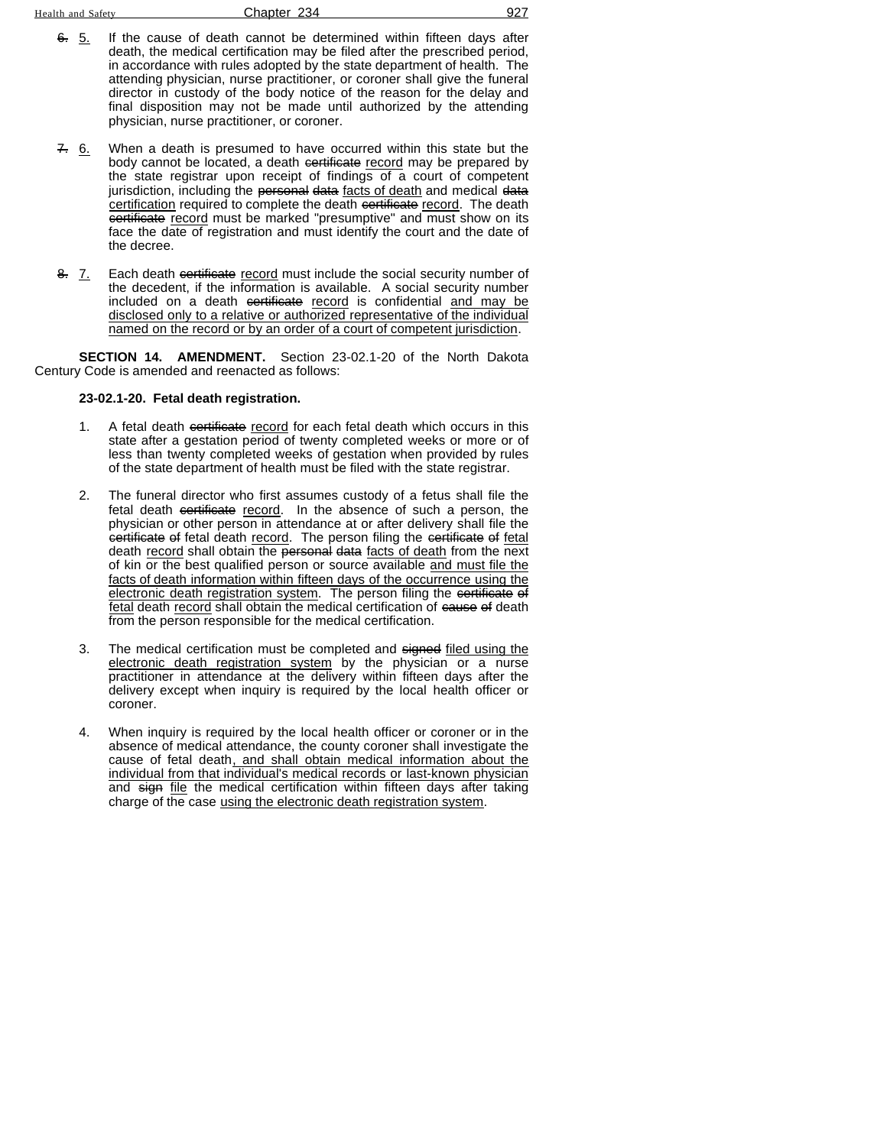- 6. 5. If the cause of death cannot be determined within fifteen days after death, the medical certification may be filed after the prescribed period, in accordance with rules adopted by the state department of health. The attending physician, nurse practitioner, or coroner shall give the funeral director in custody of the body notice of the reason for the delay and final disposition may not be made until authorized by the attending physician, nurse practitioner, or coroner.
- 7. 6. When a death is presumed to have occurred within this state but the body cannot be located, a death certificate record may be prepared by the state registrar upon receipt of findings of a court of competent jurisdiction, including the personal data facts of death and medical data certification required to complete the death certificate record. The death certificate record must be marked "presumptive" and must show on its face the date of registration and must identify the court and the date of the decree.
- 8. 7. Each death eertificate record must include the social security number of the decedent, if the information is available. A social security number included on a death certificate record is confidential and may be disclosed only to a relative or authorized representative of the individual named on the record or by an order of a court of competent jurisdiction.

**SECTION 14. AMENDMENT.** Section 23-02.1-20 of the North Dakota Century Code is amended and reenacted as follows:

#### **23-02.1-20. Fetal death registration.**

- A fetal death certificate record for each fetal death which occurs in this state after a gestation period of twenty completed weeks or more or of less than twenty completed weeks of gestation when provided by rules of the state department of health must be filed with the state registrar.
- 2. The funeral director who first assumes custody of a fetus shall file the fetal death certificate record. In the absence of such a person, the physician or other person in attendance at or after delivery shall file the eertificate of fetal death record. The person filing the certificate of fetal death record shall obtain the personal data facts of death from the next of kin or the best qualified person or source available and must file the facts of death information within fifteen days of the occurrence using the electronic death registration system. The person filing the certificate of fetal death record shall obtain the medical certification of cause of death from the person responsible for the medical certification.
- 3. The medical certification must be completed and signed filed using the electronic death registration system by the physician or a nurse practitioner in attendance at the delivery within fifteen days after the delivery except when inquiry is required by the local health officer or coroner.
- 4. When inquiry is required by the local health officer or coroner or in the absence of medical attendance, the county coroner shall investigate the cause of fetal death, and shall obtain medical information about the individual from that individual's medical records or last-known physician and sign file the medical certification within fifteen days after taking charge of the case using the electronic death registration system.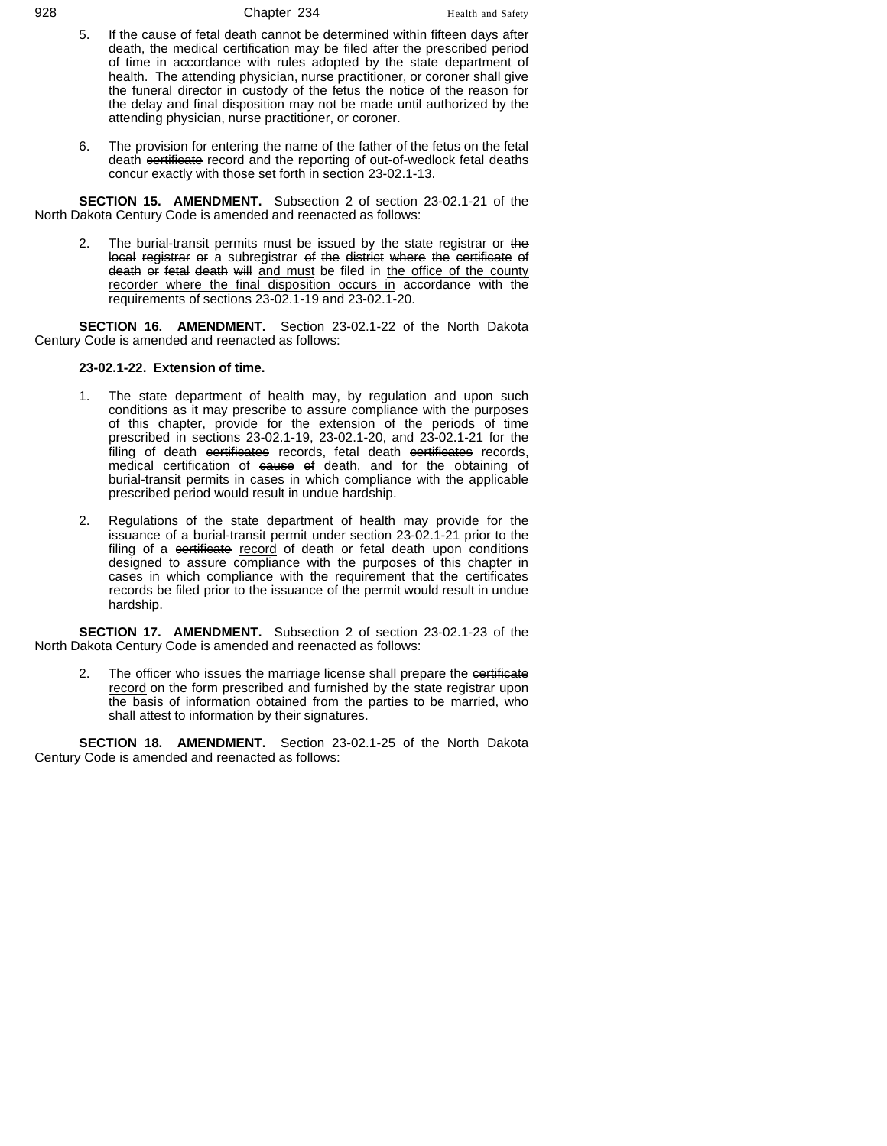- 5. If the cause of fetal death cannot be determined within fifteen days after death, the medical certification may be filed after the prescribed period of time in accordance with rules adopted by the state department of health. The attending physician, nurse practitioner, or coroner shall give the funeral director in custody of the fetus the notice of the reason for the delay and final disposition may not be made until authorized by the attending physician, nurse practitioner, or coroner.
- 6. The provision for entering the name of the father of the fetus on the fetal death certificate record and the reporting of out-of-wedlock fetal deaths concur exactly with those set forth in section 23-02.1-13.

**SECTION 15. AMENDMENT.** Subsection 2 of section 23-02.1-21 of the North Dakota Century Code is amended and reenacted as follows:

2. The burial-transit permits must be issued by the state registrar or the local registrar or a subregistrar of the district where the certificate of death or fetal death will and must be filed in the office of the county recorder where the final disposition occurs in accordance with the requirements of sections 23-02.1-19 and 23-02.1-20.

**SECTION 16. AMENDMENT.** Section 23-02.1-22 of the North Dakota Century Code is amended and reenacted as follows:

#### **23-02.1-22. Extension of time.**

- 1. The state department of health may, by regulation and upon such conditions as it may prescribe to assure compliance with the purposes of this chapter, provide for the extension of the periods of time prescribed in sections 23-02.1-19, 23-02.1-20, and 23-02.1-21 for the filing of death <del>certificates</del> records, fetal death <del>certificates</del> records, medical certification of <del>cause</del> <del>of</del> death, and for the obtaining of burial-transit permits in cases in which compliance with the applicable prescribed period would result in undue hardship.
- 2. Regulations of the state department of health may provide for the issuance of a burial-transit permit under section 23-02.1-21 prior to the filing of a certificate record of death or fetal death upon conditions designed to assure compliance with the purposes of this chapter in cases in which compliance with the requirement that the certificates records be filed prior to the issuance of the permit would result in undue hardship.

**SECTION 17. AMENDMENT.** Subsection 2 of section 23-02.1-23 of the North Dakota Century Code is amended and reenacted as follows:

2. The officer who issues the marriage license shall prepare the certificate record on the form prescribed and furnished by the state registrar upon the basis of information obtained from the parties to be married, who shall attest to information by their signatures.

**SECTION 18. AMENDMENT.** Section 23-02.1-25 of the North Dakota Century Code is amended and reenacted as follows: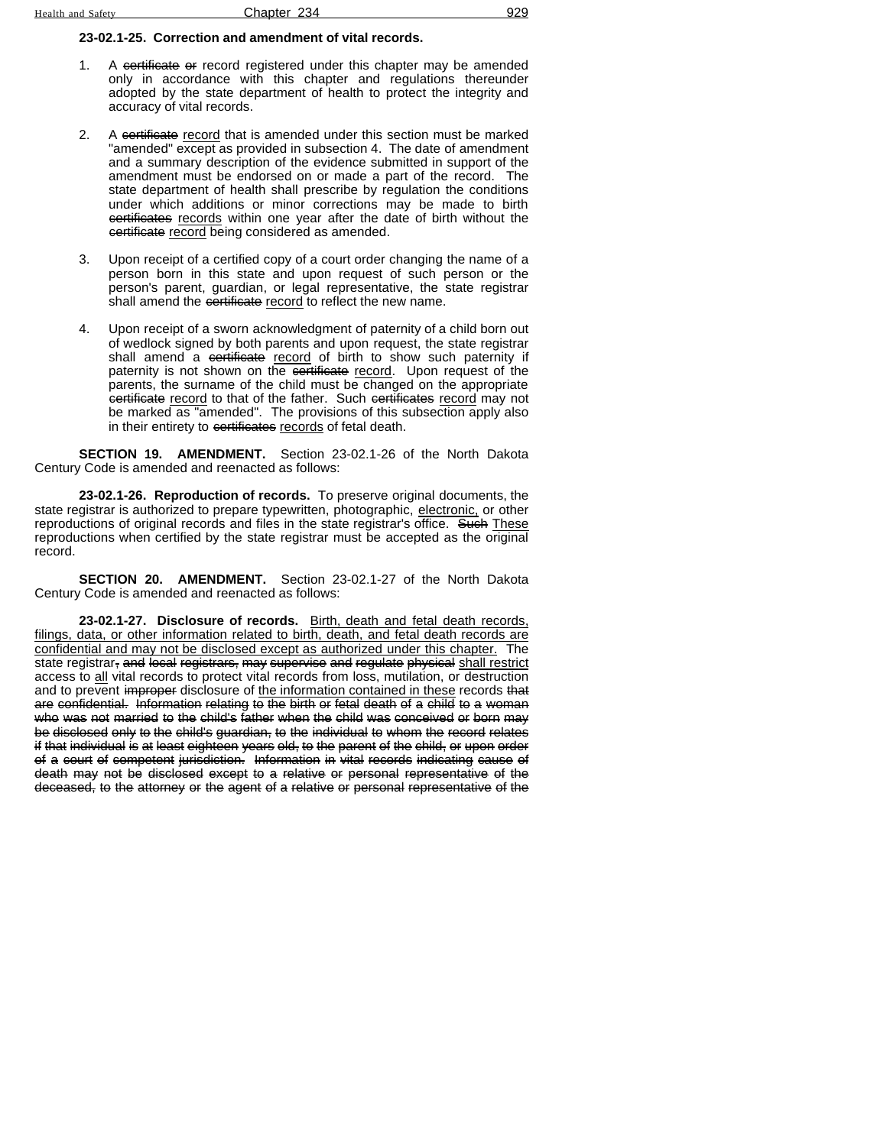#### **23-02.1-25. Correction and amendment of vital records.**

- 1. A certificate or record registered under this chapter may be amended only in accordance with this chapter and regulations thereunder adopted by the state department of health to protect the integrity and accuracy of vital records.
- 2. A certificate record that is amended under this section must be marked "amended" except as provided in subsection 4. The date of amendment and a summary description of the evidence submitted in support of the amendment must be endorsed on or made a part of the record. The state department of health shall prescribe by regulation the conditions under which additions or minor corrections may be made to birth certificates records within one year after the date of birth without the certificate record being considered as amended.
- 3. Upon receipt of a certified copy of a court order changing the name of a person born in this state and upon request of such person or the person's parent, guardian, or legal representative, the state registrar shall amend the certificate record to reflect the new name.
- 4. Upon receipt of a sworn acknowledgment of paternity of a child born out of wedlock signed by both parents and upon request, the state registrar shall amend a certificate record of birth to show such paternity if paternity is not shown on the certificate record. Upon request of the parents, the surname of the child must be changed on the appropriate certificate record to that of the father. Such certificates record may not be marked as "amended". The provisions of this subsection apply also in their entirety to certificates records of fetal death.

**SECTION 19. AMENDMENT.** Section 23-02.1-26 of the North Dakota Century Code is amended and reenacted as follows:

**23-02.1-26. Reproduction of records.** To preserve original documents, the state registrar is authorized to prepare typewritten, photographic, electronic, or other reproductions of original records and files in the state registrar's office. Such These reproductions when certified by the state registrar must be accepted as the original record.

**SECTION 20. AMENDMENT.** Section 23-02.1-27 of the North Dakota Century Code is amended and reenacted as follows:

**23-02.1-27. Disclosure of records.** Birth, death and fetal death records, filings, data, or other information related to birth, death, and fetal death records are confidential and may not be disclosed except as authorized under this chapter. The state registrar, and local registrars, may supervise and regulate physical shall restrict access to all vital records to protect vital records from loss, mutilation, or destruction and to prevent improper disclosure of the information contained in these records that are confidential. Information relating to the birth or fetal death of a child to a woman who was not married to the child's father when the child was conceived or born may be disclosed only to the child's guardian, to the individual to whom the record relates if that individual is at least eighteen years old, to the parent of the child, or upon order of a court of competent jurisdiction. Information in vital records indicating cause of death may not be disclosed except to a relative or personal representative of the deceased, to the attorney or the agent of a relative or personal representative of the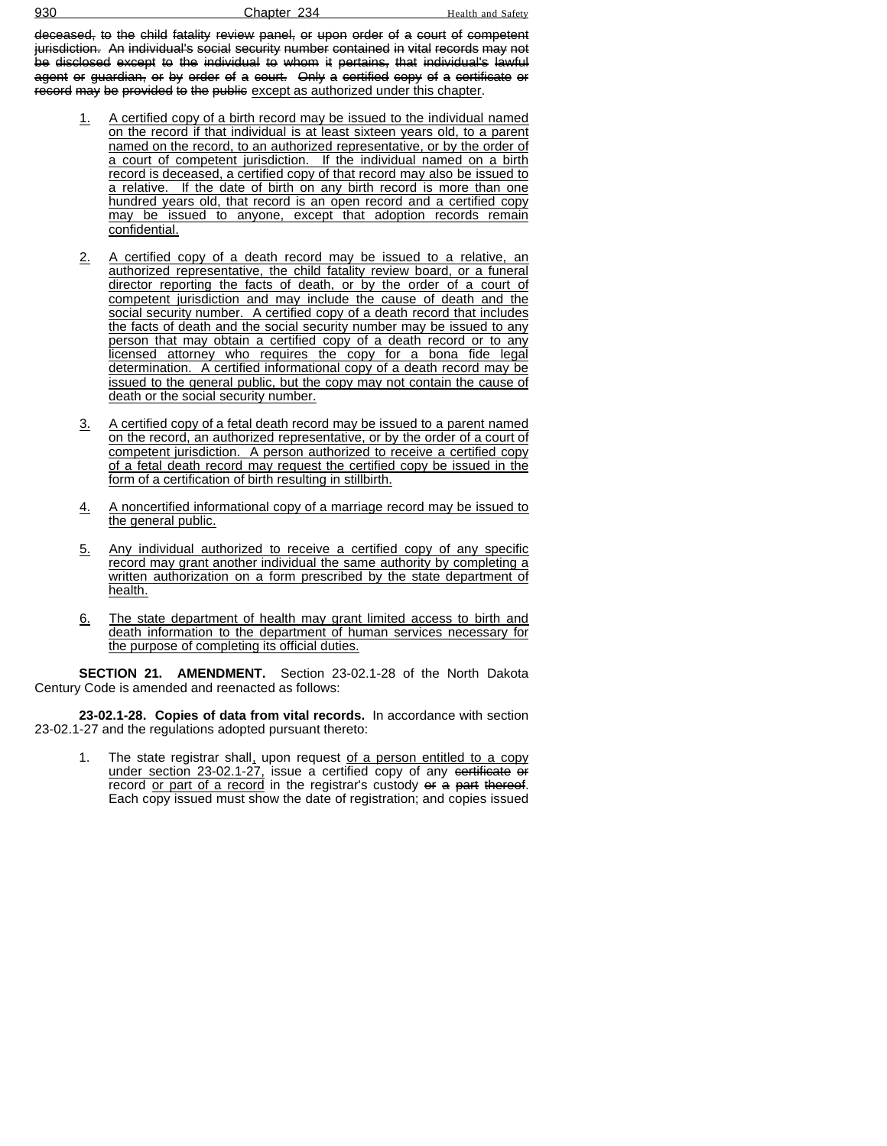deceased, to the child fatality review panel, or upon order of a court of competent jurisdiction. An individual's social security number contained in vital records may not be disclosed except to the individual to whom it pertains, that individual's lawful agent or guardian, or by order of a court. Only a certified copy of a certificate or record may be provided to the public except as authorized under this chapter.

- 1. A certified copy of a birth record may be issued to the individual named on the record if that individual is at least sixteen years old, to a parent named on the record, to an authorized representative, or by the order of a court of competent jurisdiction. If the individual named on a birth record is deceased, a certified copy of that record may also be issued to a relative. If the date of birth on any birth record is more than one hundred years old, that record is an open record and a certified copy may be issued to anyone, except that adoption records remain confidential.
- 2. A certified copy of a death record may be issued to a relative, an authorized representative, the child fatality review board, or a funeral director reporting the facts of death, or by the order of a court of competent jurisdiction and may include the cause of death and the social security number. A certified copy of a death record that includes the facts of death and the social security number may be issued to any person that may obtain a certified copy of a death record or to any licensed attorney who requires the copy for a bona fide legal determination. A certified informational copy of a death record may be issued to the general public, but the copy may not contain the cause of death or the social security number.
- 3. A certified copy of a fetal death record may be issued to a parent named on the record, an authorized representative, or by the order of a court of competent jurisdiction. A person authorized to receive a certified copy of a fetal death record may request the certified copy be issued in the form of a certification of birth resulting in stillbirth.
- 4. A noncertified informational copy of a marriage record may be issued to the general public.
- 5. Any individual authorized to receive a certified copy of any specific record may grant another individual the same authority by completing a written authorization on a form prescribed by the state department of health.
- 6. The state department of health may grant limited access to birth and death information to the department of human services necessary for the purpose of completing its official duties.

**SECTION 21. AMENDMENT.** Section 23-02.1-28 of the North Dakota Century Code is amended and reenacted as follows:

**23-02.1-28. Copies of data from vital records.** In accordance with section 23-02.1-27 and the regulations adopted pursuant thereto:

1. The state registrar shall, upon request of a person entitled to a copy under section 23-02.1-27, issue a certified copy of any certificate er record or part of a record in the registrar's custody or a part thereof. Each copy issued must show the date of registration; and copies issued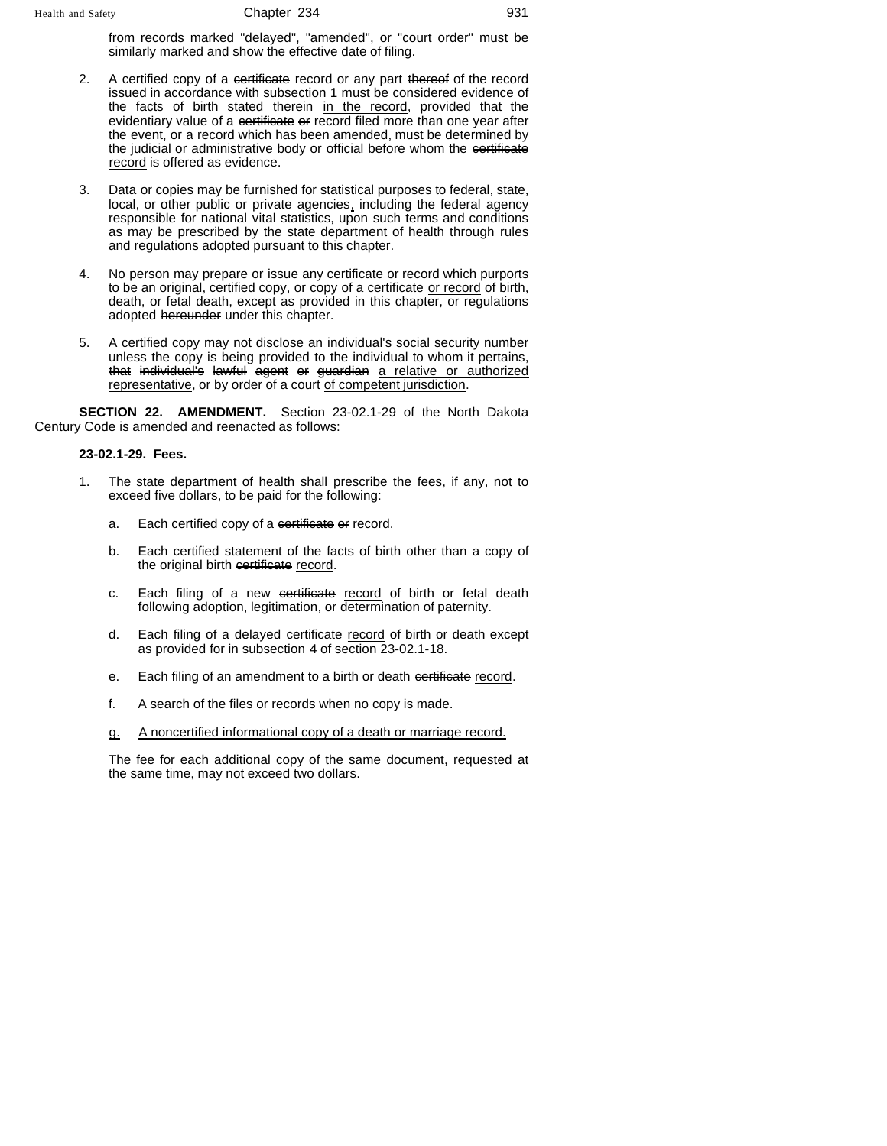from records marked "delayed", "amended", or "court order" must be similarly marked and show the effective date of filing.

- 2. A certified copy of a certificate record or any part thereof of the record issued in accordance with subsection 1 must be considered evidence of the facts of birth stated therein in the record, provided that the evidentiary value of a certificate or record filed more than one year after the event, or a record which has been amended, must be determined by the judicial or administrative body or official before whom the certificate record is offered as evidence.
- 3. Data or copies may be furnished for statistical purposes to federal, state, local, or other public or private agencies, including the federal agency responsible for national vital statistics, upon such terms and conditions as may be prescribed by the state department of health through rules and regulations adopted pursuant to this chapter.
- 4. No person may prepare or issue any certificate or record which purports to be an original, certified copy, or copy of a certificate or record of birth, death, or fetal death, except as provided in this chapter, or regulations adopted hereunder under this chapter.
- 5. A certified copy may not disclose an individual's social security number unless the copy is being provided to the individual to whom it pertains, that individual's lawful agent or guardian a relative or authorized representative, or by order of a court of competent jurisdiction.

**SECTION 22. AMENDMENT.** Section 23-02.1-29 of the North Dakota Century Code is amended and reenacted as follows:

#### **23-02.1-29. Fees.**

- 1. The state department of health shall prescribe the fees, if any, not to exceed five dollars, to be paid for the following:
	- a. Each certified copy of a certificate of record.
	- b. Each certified statement of the facts of birth other than a copy of the original birth certificate record.
	- c. Each filing of a new certificate record of birth or fetal death following adoption, legitimation, or determination of paternity.
	- d. Each filing of a delayed certificate record of birth or death except as provided for in subsection 4 of section 23-02.1-18.
	- e. Each filing of an amendment to a birth or death certificate record.
	- f. A search of the files or records when no copy is made.
	- g. A noncertified informational copy of a death or marriage record.

The fee for each additional copy of the same document, requested at the same time, may not exceed two dollars.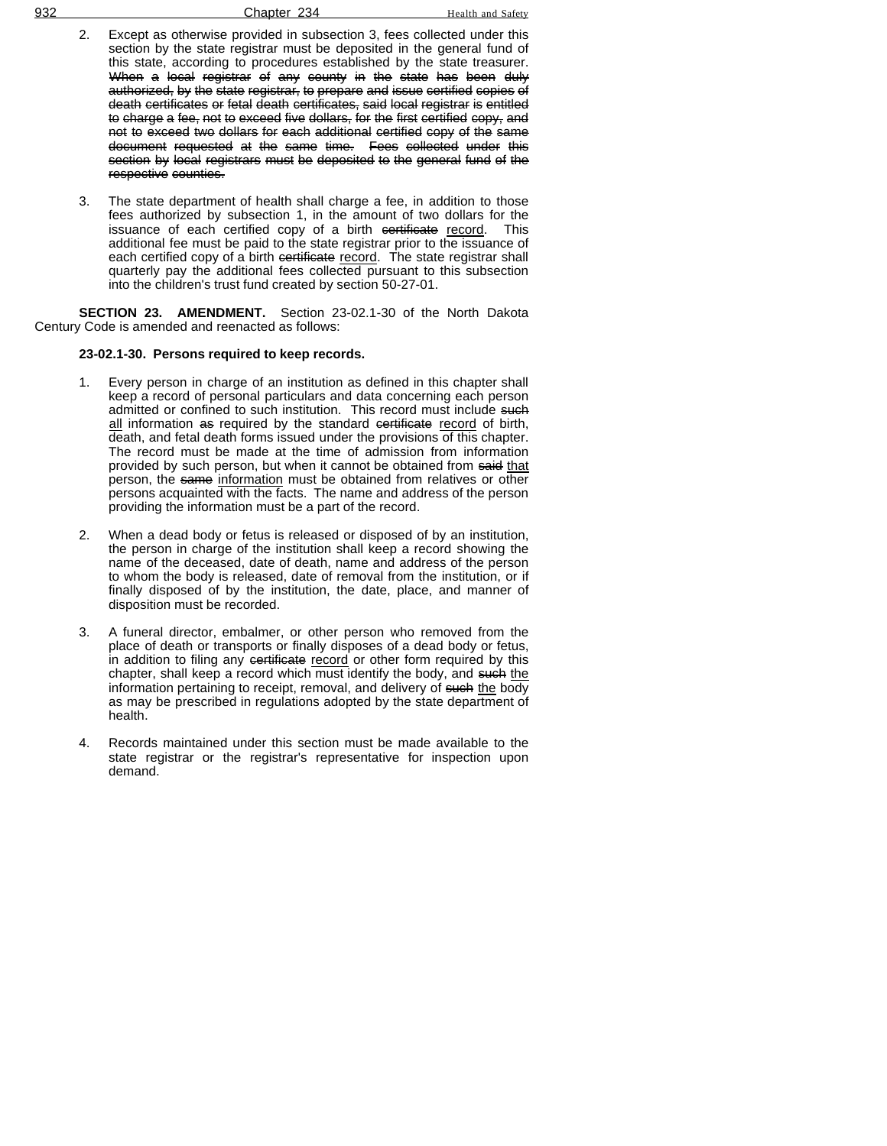- 2. Except as otherwise provided in subsection 3, fees collected under this section by the state registrar must be deposited in the general fund of this state, according to procedures established by the state treasurer. When a local registrar of any county in the state has been duly authorized, by the state registrar, to prepare and issue certified copies of death certificates or fetal death certificates, said local registrar is entitled to charge a fee, not to exceed five dollars, for the first certified copy, and not to exceed two dollars for each additional certified copy of the same document requested at the same time. Fees collected under this section by local registrars must be deposited to the general fund of the respective counties.
- 3. The state department of health shall charge a fee, in addition to those fees authorized by subsection 1, in the amount of two dollars for the issuance of each certified copy of a birth <del>certificate</del> record. This additional fee must be paid to the state registrar prior to the issuance of each certified copy of a birth certificate record. The state registrar shall quarterly pay the additional fees collected pursuant to this subsection into the children's trust fund created by section 50-27-01.

**SECTION 23. AMENDMENT.** Section 23-02.1-30 of the North Dakota Century Code is amended and reenacted as follows:

#### **23-02.1-30. Persons required to keep records.**

- 1. Every person in charge of an institution as defined in this chapter shall keep a record of personal particulars and data concerning each person admitted or confined to such institution. This record must include such all information as required by the standard certificate record of birth, death, and fetal death forms issued under the provisions of this chapter. The record must be made at the time of admission from information provided by such person, but when it cannot be obtained from said that person, the same information must be obtained from relatives or other persons acquainted with the facts. The name and address of the person providing the information must be a part of the record.
- 2. When a dead body or fetus is released or disposed of by an institution, the person in charge of the institution shall keep a record showing the name of the deceased, date of death, name and address of the person to whom the body is released, date of removal from the institution, or if finally disposed of by the institution, the date, place, and manner of disposition must be recorded.
- 3. A funeral director, embalmer, or other person who removed from the place of death or transports or finally disposes of a dead body or fetus, in addition to filing any certificate record or other form required by this chapter, shall keep a record which must identify the body, and such the information pertaining to receipt, removal, and delivery of such the body as may be prescribed in regulations adopted by the state department of health.
- 4. Records maintained under this section must be made available to the state registrar or the registrar's representative for inspection upon demand.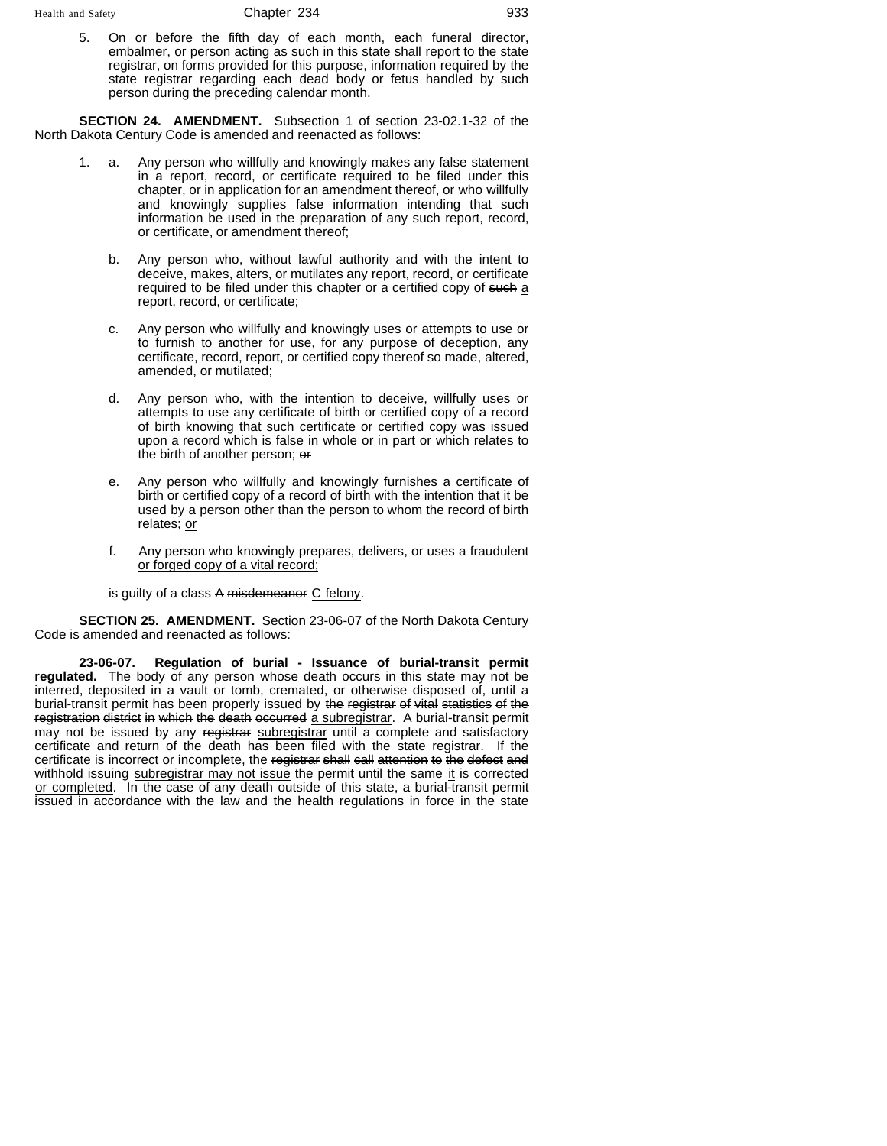5. On or before the fifth day of each month, each funeral director, embalmer, or person acting as such in this state shall report to the state registrar, on forms provided for this purpose, information required by the state registrar regarding each dead body or fetus handled by such person during the preceding calendar month.

**SECTION 24. AMENDMENT.** Subsection 1 of section 23-02.1-32 of the North Dakota Century Code is amended and reenacted as follows:

- 1. a. Any person who willfully and knowingly makes any false statement in a report, record, or certificate required to be filed under this chapter, or in application for an amendment thereof, or who willfully and knowingly supplies false information intending that such information be used in the preparation of any such report, record, or certificate, or amendment thereof;
	- b. Any person who, without lawful authority and with the intent to deceive, makes, alters, or mutilates any report, record, or certificate required to be filed under this chapter or a certified copy of such a report, record, or certificate;
	- c. Any person who willfully and knowingly uses or attempts to use or to furnish to another for use, for any purpose of deception, any certificate, record, report, or certified copy thereof so made, altered, amended, or mutilated;
	- d. Any person who, with the intention to deceive, willfully uses or attempts to use any certificate of birth or certified copy of a record of birth knowing that such certificate or certified copy was issued upon a record which is false in whole or in part or which relates to the birth of another person; or
	- e. Any person who willfully and knowingly furnishes a certificate of birth or certified copy of a record of birth with the intention that it be used by a person other than the person to whom the record of birth relates; or
	- f. Any person who knowingly prepares, delivers, or uses a fraudulent or forged copy of a vital record;

is guilty of a class A misdemeanor C felony.

**SECTION 25. AMENDMENT.** Section 23-06-07 of the North Dakota Century Code is amended and reenacted as follows:

**23-06-07. Regulation of burial - Issuance of burial-transit permit regulated.** The body of any person whose death occurs in this state may not be interred, deposited in a vault or tomb, cremated, or otherwise disposed of, until a burial-transit permit has been properly issued by the registrar of vital statistics of the registration district in which the death occurred a subregistrar. A burial-transit permit may not be issued by any registrar subregistrar until a complete and satisfactory certificate and return of the death has been filed with the state registrar. If the certificate is incorrect or incomplete, the registrar shall call attention to the defect and withhold issuing subregistrar may not issue the permit until the same it is corrected or completed. In the case of any death outside of this state, a burial-transit permit issued in accordance with the law and the health regulations in force in the state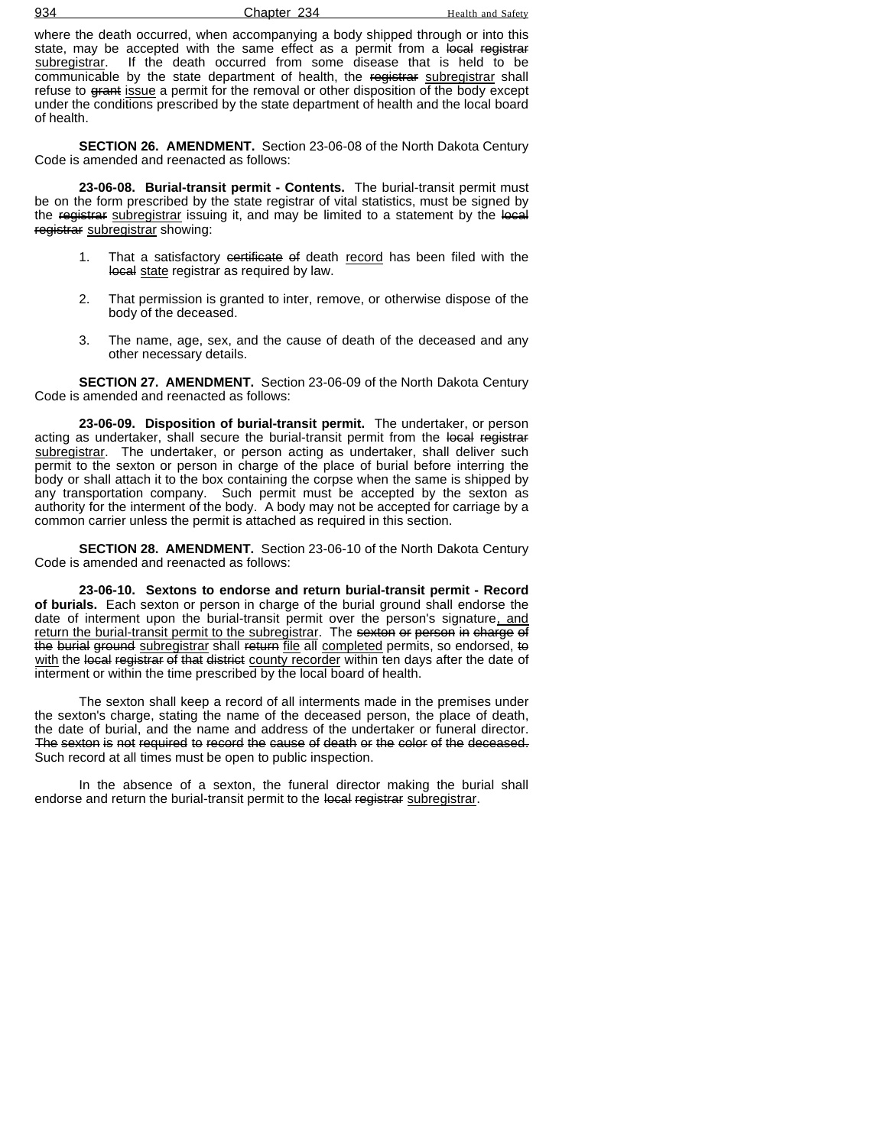where the death occurred, when accompanying a body shipped through or into this state, may be accepted with the same effect as a permit from a local registrar<br>subregistrar. If the death occurred from some disease that is held to be If the death occurred from some disease that is held to be communicable by the state department of health, the registrar subregistrar shall refuse to grant issue a permit for the removal or other disposition of the body except under the conditions prescribed by the state department of health and the local board of health.

**SECTION 26. AMENDMENT.** Section 23-06-08 of the North Dakota Century Code is amended and reenacted as follows:

**23-06-08. Burial-transit permit - Contents.** The burial-transit permit must be on the form prescribed by the state registrar of vital statistics, must be signed by the registrar subregistrar issuing it, and may be limited to a statement by the local registrar subregistrar showing:

- 1. That a satisfactory contificate of death record has been filed with the local state registrar as required by law.
- 2. That permission is granted to inter, remove, or otherwise dispose of the body of the deceased.
- 3. The name, age, sex, and the cause of death of the deceased and any other necessary details.

**SECTION 27. AMENDMENT.** Section 23-06-09 of the North Dakota Century Code is amended and reenacted as follows:

**23-06-09. Disposition of burial-transit permit.** The undertaker, or person acting as undertaker, shall secure the burial-transit permit from the local registrar subregistrar. The undertaker, or person acting as undertaker, shall deliver such permit to the sexton or person in charge of the place of burial before interring the body or shall attach it to the box containing the corpse when the same is shipped by any transportation company. Such permit must be accepted by the sexton as authority for the interment of the body. A body may not be accepted for carriage by a common carrier unless the permit is attached as required in this section.

**SECTION 28. AMENDMENT.** Section 23-06-10 of the North Dakota Century Code is amended and reenacted as follows:

**23-06-10. Sextons to endorse and return burial-transit permit - Record of burials.** Each sexton or person in charge of the burial ground shall endorse the date of interment upon the burial-transit permit over the person's signature, and return the burial-transit permit to the subregistrar. The sexton or person in charge of the burial ground subregistrar shall return file all completed permits, so endorsed, to with the local registrar of that district county recorder within ten days after the date of interment or within the time prescribed by the local board of health.

The sexton shall keep a record of all interments made in the premises under the sexton's charge, stating the name of the deceased person, the place of death, the date of burial, and the name and address of the undertaker or funeral director. The sexton is not required to record the cause of death or the color of the deceased. Such record at all times must be open to public inspection.

In the absence of a sexton, the funeral director making the burial shall endorse and return the burial-transit permit to the local registrar subregistrar.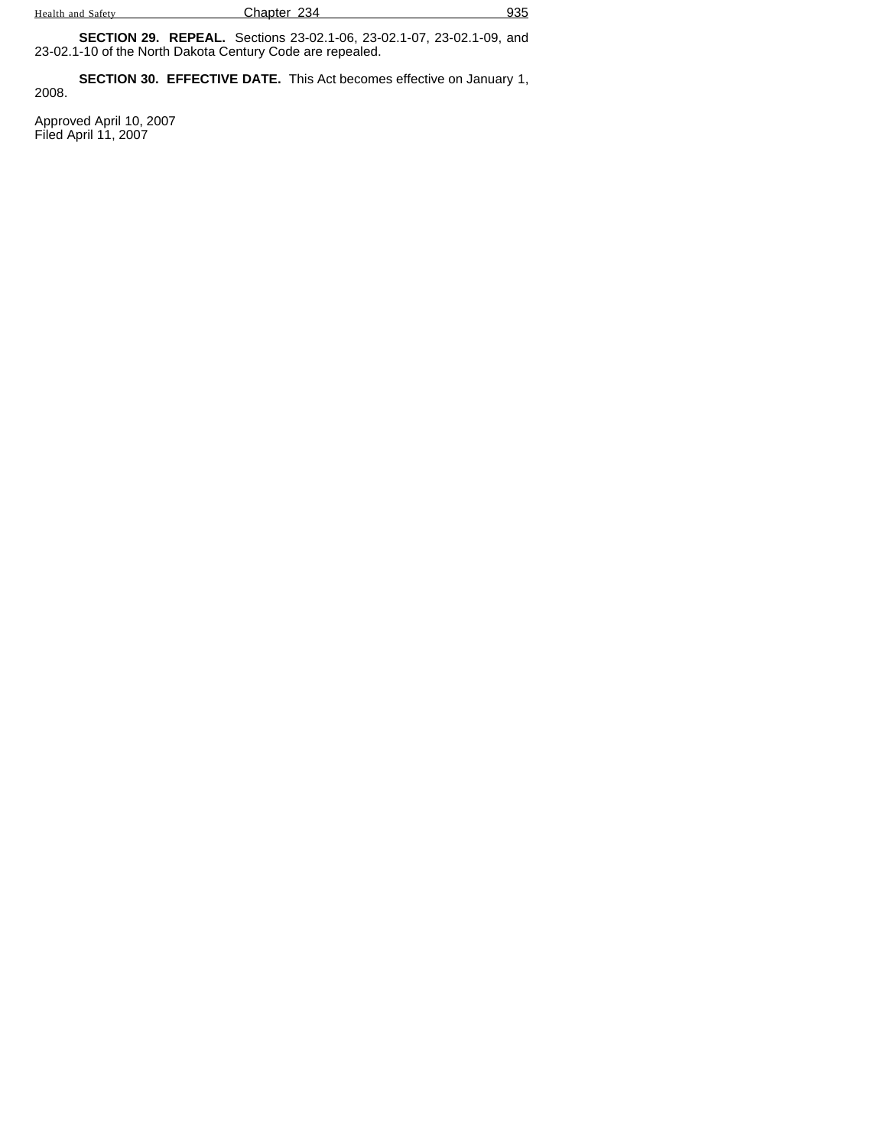**SECTION 29. REPEAL.** Sections 23-02.1-06, 23-02.1-07, 23-02.1-09, and 23-02.1-10 of the North Dakota Century Code are repealed.

**SECTION 30. EFFECTIVE DATE.** This Act becomes effective on January 1, 2008.

Approved April 10, 2007 Filed April 11, 2007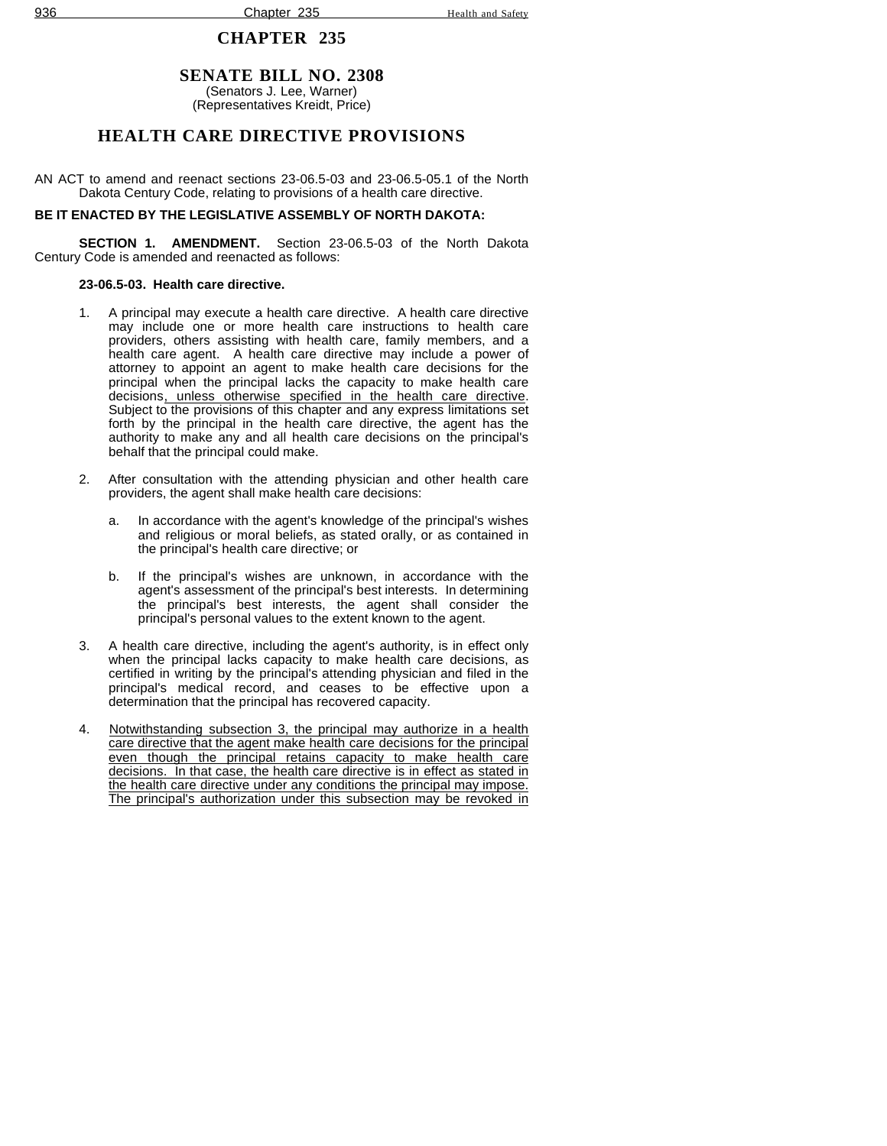### **SENATE BILL NO. 2308** (Senators J. Lee, Warner)

(Representatives Kreidt, Price)

# **HEALTH CARE DIRECTIVE PROVISIONS**

AN ACT to amend and reenact sections 23-06.5-03 and 23-06.5-05.1 of the North Dakota Century Code, relating to provisions of a health care directive.

### **BE IT ENACTED BY THE LEGISLATIVE ASSEMBLY OF NORTH DAKOTA:**

**SECTION 1. AMENDMENT.** Section 23-06.5-03 of the North Dakota Century Code is amended and reenacted as follows:

### **23-06.5-03. Health care directive.**

- 1. A principal may execute a health care directive. A health care directive may include one or more health care instructions to health care providers, others assisting with health care, family members, and a health care agent. A health care directive may include a power of attorney to appoint an agent to make health care decisions for the principal when the principal lacks the capacity to make health care decisions, unless otherwise specified in the health care directive. Subject to the provisions of this chapter and any express limitations set forth by the principal in the health care directive, the agent has the authority to make any and all health care decisions on the principal's behalf that the principal could make.
- 2. After consultation with the attending physician and other health care providers, the agent shall make health care decisions:
	- a. In accordance with the agent's knowledge of the principal's wishes and religious or moral beliefs, as stated orally, or as contained in the principal's health care directive; or
	- b. If the principal's wishes are unknown, in accordance with the agent's assessment of the principal's best interests. In determining the principal's best interests, the agent shall consider the principal's personal values to the extent known to the agent.
- 3. A health care directive, including the agent's authority, is in effect only when the principal lacks capacity to make health care decisions, as certified in writing by the principal's attending physician and filed in the principal's medical record, and ceases to be effective upon a determination that the principal has recovered capacity.
- Notwithstanding subsection 3, the principal may authorize in a health care directive that the agent make health care decisions for the principal even though the principal retains capacity to make health care decisions. In that case, the health care directive is in effect as stated in the health care directive under any conditions the principal may impose. The principal's authorization under this subsection may be revoked in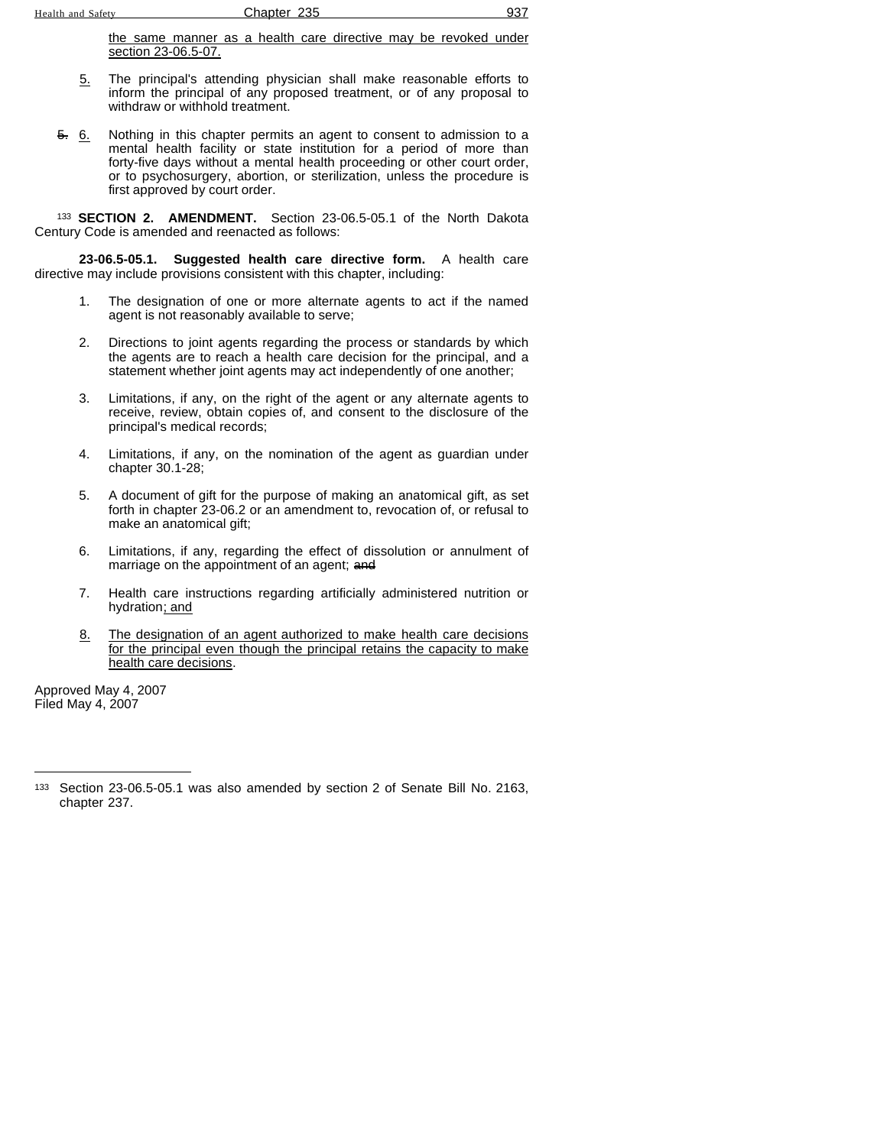the same manner as a health care directive may be revoked under section 23-06.5-07.

- 5. The principal's attending physician shall make reasonable efforts to inform the principal of any proposed treatment, or of any proposal to withdraw or withhold treatment.
- 5. 6. Nothing in this chapter permits an agent to consent to admission to a mental health facility or state institution for a period of more than forty-five days without a mental health proceeding or other court order, or to psychosurgery, abortion, or sterilization, unless the procedure is first approved by court order.

<sup>133</sup> **SECTION 2. AMENDMENT.** Section 23-06.5-05.1 of the North Dakota Century Code is amended and reenacted as follows:

**23-06.5-05.1. Suggested health care directive form.** A health care directive may include provisions consistent with this chapter, including:

- 1. The designation of one or more alternate agents to act if the named agent is not reasonably available to serve;
- 2. Directions to joint agents regarding the process or standards by which the agents are to reach a health care decision for the principal, and a statement whether joint agents may act independently of one another;
- 3. Limitations, if any, on the right of the agent or any alternate agents to receive, review, obtain copies of, and consent to the disclosure of the principal's medical records;
- 4. Limitations, if any, on the nomination of the agent as guardian under chapter 30.1-28;
- 5. A document of gift for the purpose of making an anatomical gift, as set forth in chapter 23-06.2 or an amendment to, revocation of, or refusal to make an anatomical gift;
- 6. Limitations, if any, regarding the effect of dissolution or annulment of marriage on the appointment of an agent; and
- 7. Health care instructions regarding artificially administered nutrition or hydration; and
- 8. The designation of an agent authorized to make health care decisions for the principal even though the principal retains the capacity to make health care decisions.

Approved May 4, 2007 Filed May 4, 2007

<sup>133</sup> Section 23-06.5-05.1 was also amended by section 2 of Senate Bill No. 2163, chapter 237.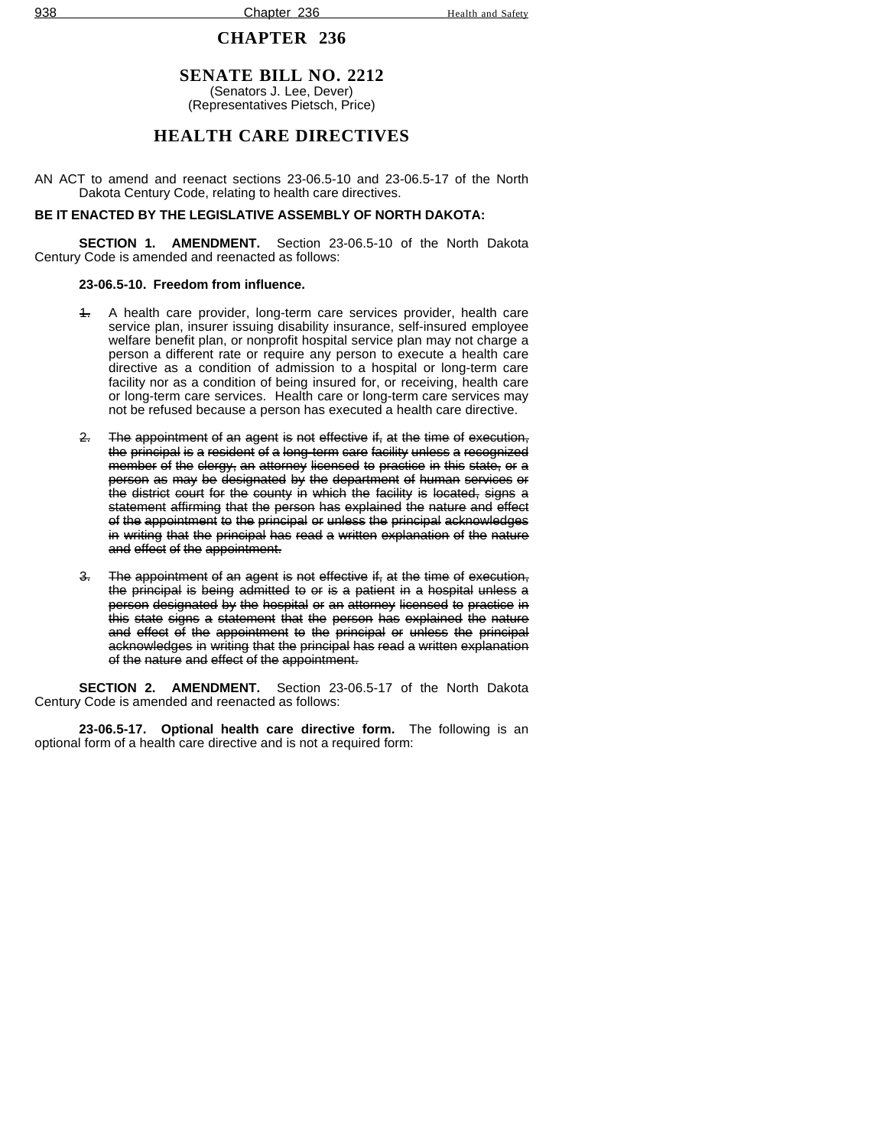### **SENATE BILL NO. 2212** (Senators J. Lee, Dever)

(Representatives Pietsch, Price)

# **HEALTH CARE DIRECTIVES**

AN ACT to amend and reenact sections 23-06.5-10 and 23-06.5-17 of the North Dakota Century Code, relating to health care directives.

### **BE IT ENACTED BY THE LEGISLATIVE ASSEMBLY OF NORTH DAKOTA:**

**SECTION 1. AMENDMENT.** Section 23-06.5-10 of the North Dakota Century Code is amended and reenacted as follows:

### **23-06.5-10. Freedom from influence.**

- 1. A health care provider, long-term care services provider, health care service plan, insurer issuing disability insurance, self-insured employee welfare benefit plan, or nonprofit hospital service plan may not charge a person a different rate or require any person to execute a health care directive as a condition of admission to a hospital or long-term care facility nor as a condition of being insured for, or receiving, health care or long-term care services. Health care or long-term care services may not be refused because a person has executed a health care directive.
- 2. The appointment of an agent is not effective if, at the time of execution, the principal is a resident of a long-term care facility unless a recognized member of the clergy, an attorney licensed to practice in this state, or a person as may be designated by the department of human services or the district court for the county in which the facility is located, signs a statement affirming that the person has explained the nature and effect of the appointment to the principal or unless the principal acknowledges in writing that the principal has read a written explanation of the nature and effect of the appointment.
- 3. The appointment of an agent is not effective if, at the time of execution, the principal is being admitted to or is a patient in a hospital unless a person designated by the hospital or an attorney licensed to practice in this state signs a statement that the person has explained the nature and effect of the appointment to the principal or unless the principal acknowledges in writing that the principal has read a written explanation of the nature and effect of the appointment.

**SECTION 2. AMENDMENT.** Section 23-06.5-17 of the North Dakota Century Code is amended and reenacted as follows:

**23-06.5-17. Optional health care directive form.** The following is an optional form of a health care directive and is not a required form: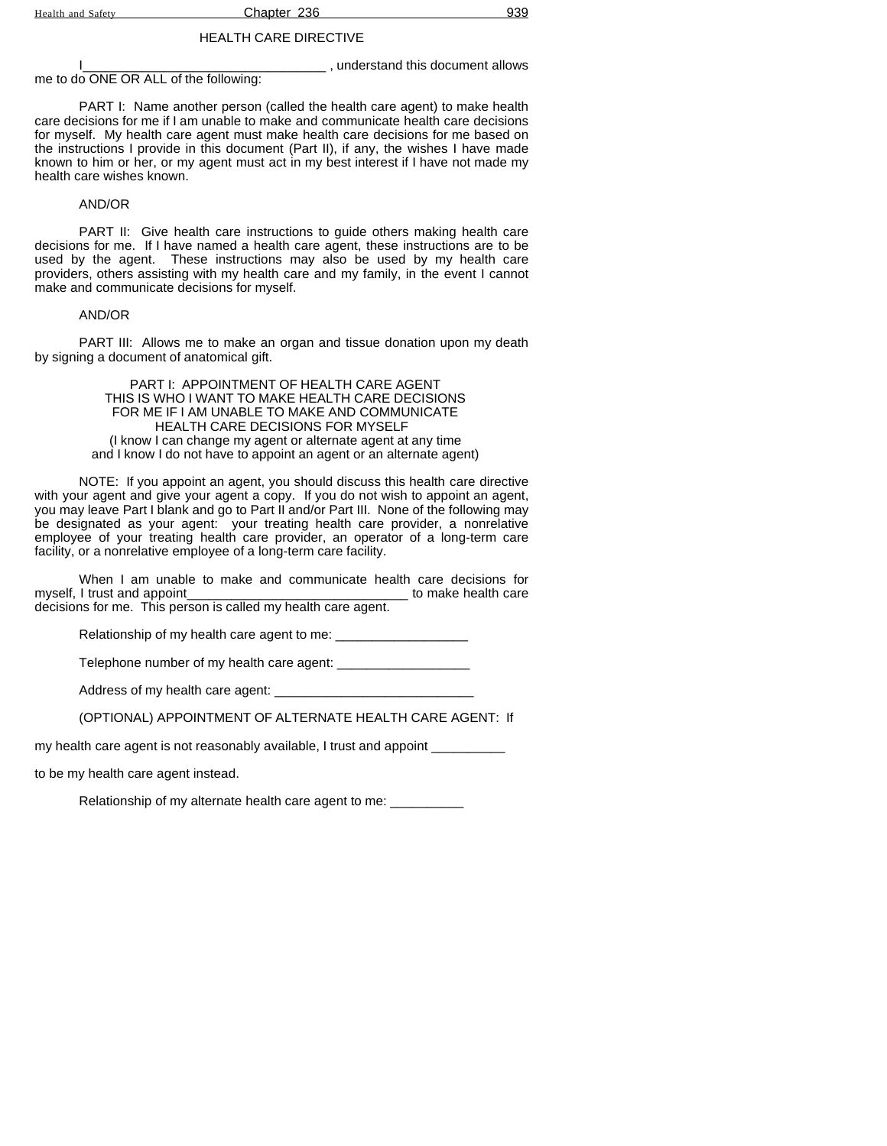#### HEALTH CARE DIRECTIVE

**ILCCC**, understand this document allows

me to do ONE OR ALL of the following:

PART I: Name another person (called the health care agent) to make health care decisions for me if I am unable to make and communicate health care decisions for myself. My health care agent must make health care decisions for me based on the instructions I provide in this document (Part II), if any, the wishes I have made known to him or her, or my agent must act in my best interest if I have not made my health care wishes known.

#### AND/OR

PART II: Give health care instructions to guide others making health care decisions for me. If I have named a health care agent, these instructions are to be used by the agent. These instructions may also be used by my health care providers, others assisting with my health care and my family, in the event I cannot make and communicate decisions for myself.

#### AND/OR

PART III: Allows me to make an organ and tissue donation upon my death by signing a document of anatomical gift.

> PART I: APPOINTMENT OF HEALTH CARE AGENT THIS IS WHO I WANT TO MAKE HEALTH CARE DECISIONS FOR ME IF I AM UNABLE TO MAKE AND COMMUNICATE HEALTH CARE DECISIONS FOR MYSELF (I know I can change my agent or alternate agent at any time and I know I do not have to appoint an agent or an alternate agent)

NOTE: If you appoint an agent, you should discuss this health care directive with your agent and give your agent a copy. If you do not wish to appoint an agent, you may leave Part I blank and go to Part II and/or Part III. None of the following may be designated as your agent: your treating health care provider, a nonrelative employee of your treating health care provider, an operator of a long-term care facility, or a nonrelative employee of a long-term care facility.

When I am unable to make and communicate health care decisions for myself, I trust and appoint decisions for me. This person is called my health care agent.

Relationship of my health care agent to me: \_\_\_\_\_\_\_\_\_\_\_\_

Telephone number of my health care agent: \_\_\_\_\_\_\_\_\_\_\_\_\_\_\_\_\_\_

Address of my health care agent: \_

(OPTIONAL) APPOINTMENT OF ALTERNATE HEALTH CARE AGENT: If

my health care agent is not reasonably available, I trust and appoint \_\_\_\_\_

to be my health care agent instead.

Relationship of my alternate health care agent to me: \_\_\_\_\_\_\_\_\_\_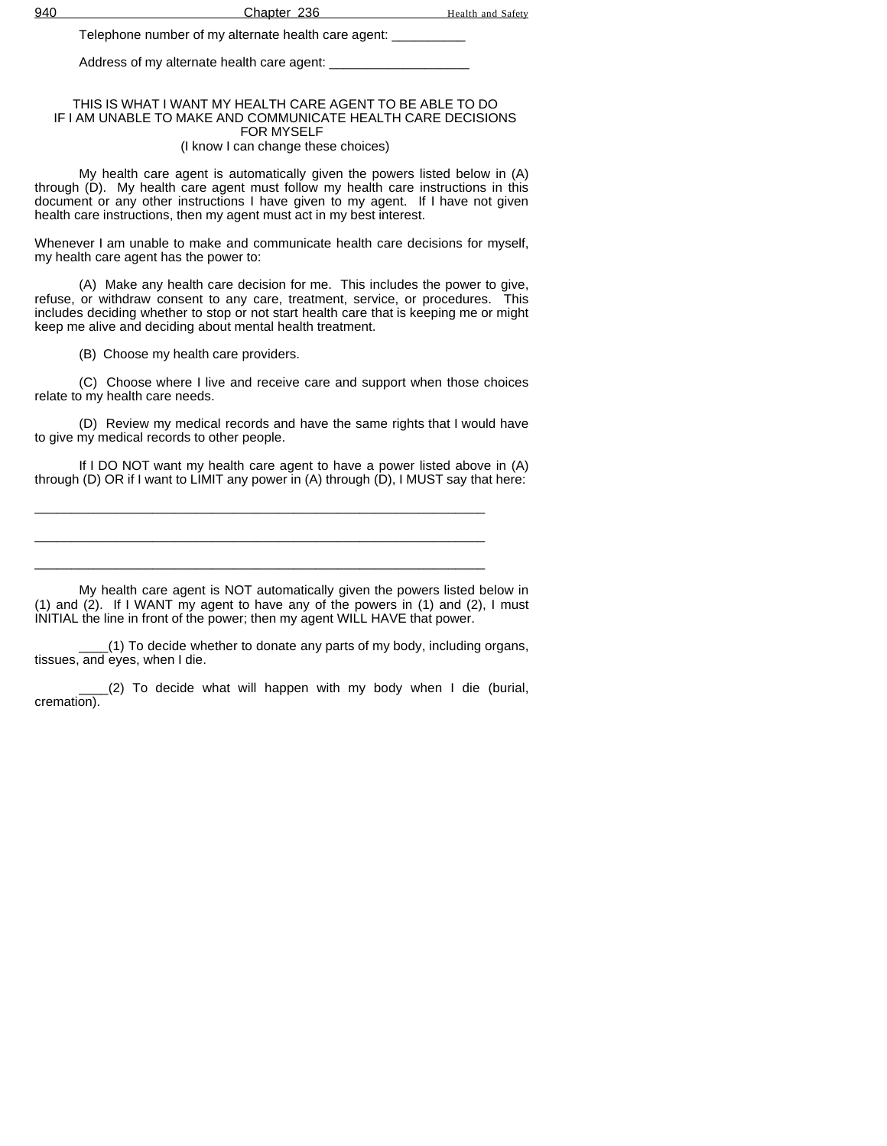Telephone number of my alternate health care agent: \_\_\_\_\_\_\_\_\_\_

Address of my alternate health care agent: \_

#### THIS IS WHAT I WANT MY HEALTH CARE AGENT TO BE ABLE TO DO IF I AM UNABLE TO MAKE AND COMMUNICATE HEALTH CARE DECISIONS FOR MYSELF (I know I can change these choices)

My health care agent is automatically given the powers listed below in (A) through (D). My health care agent must follow my health care instructions in this document or any other instructions I have given to my agent. If I have not given health care instructions, then my agent must act in my best interest.

Whenever I am unable to make and communicate health care decisions for myself, my health care agent has the power to:

(A) Make any health care decision for me. This includes the power to give, refuse, or withdraw consent to any care, treatment, service, or procedures. This includes deciding whether to stop or not start health care that is keeping me or might keep me alive and deciding about mental health treatment.

(B) Choose my health care providers.

(C) Choose where I live and receive care and support when those choices relate to my health care needs.

(D) Review my medical records and have the same rights that I would have to give my medical records to other people.

If I DO NOT want my health care agent to have a power listed above in (A) through (D) OR if I want to LIMIT any power in (A) through (D), I MUST say that here:

\_\_\_\_\_\_\_\_\_\_\_\_\_\_\_\_\_\_\_\_\_\_\_\_\_\_\_\_\_\_\_\_\_\_\_\_\_\_\_\_\_\_\_\_\_\_\_\_\_\_\_\_\_\_\_\_\_\_\_\_\_ \_\_\_\_\_\_\_\_\_\_\_\_\_\_\_\_\_\_\_\_\_\_\_\_\_\_\_\_\_\_\_\_\_\_\_\_\_\_\_\_\_\_\_\_\_\_\_\_\_\_\_\_\_\_\_\_\_\_\_\_\_ \_\_\_\_\_\_\_\_\_\_\_\_\_\_\_\_\_\_\_\_\_\_\_\_\_\_\_\_\_\_\_\_\_\_\_\_\_\_\_\_\_\_\_\_\_\_\_\_\_\_\_\_\_\_\_\_\_\_\_\_\_

My health care agent is NOT automatically given the powers listed below in (1) and  $(2)$ . If I WANT my agent to have any of the powers in  $(1)$  and  $(2)$ , I must INITIAL the line in front of the power; then my agent WILL HAVE that power.

\_\_\_\_(1) To decide whether to donate any parts of my body, including organs, tissues, and eyes, when I die.

\_\_\_\_(2) To decide what will happen with my body when I die (burial, cremation).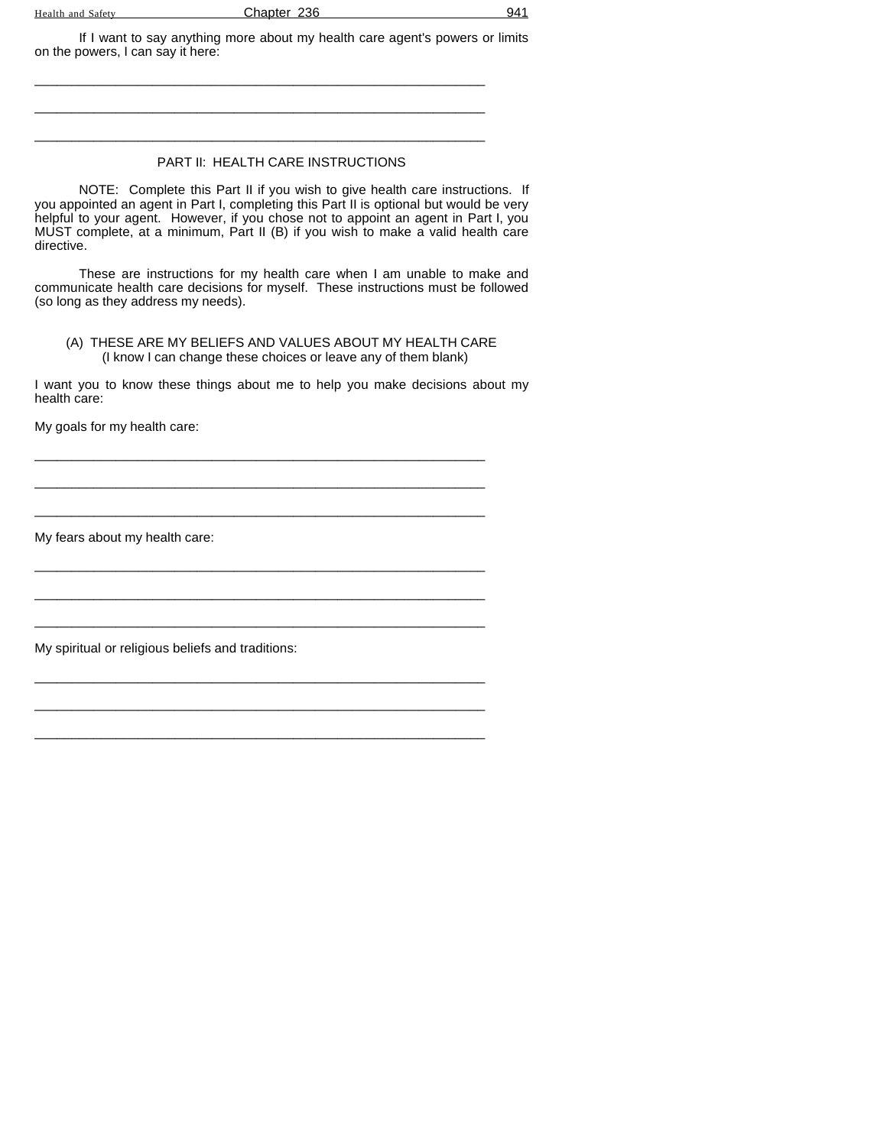| Health and Safety                 | Chapter 236 | 941                                                                          |
|-----------------------------------|-------------|------------------------------------------------------------------------------|
| on the powers, I can say it here: |             | If I want to say anything more about my health care agent's powers or limits |

\_\_\_\_\_\_\_\_\_\_\_\_\_\_\_\_\_\_\_\_\_\_\_\_\_\_\_\_\_\_\_\_\_\_\_\_\_\_\_\_\_\_\_\_\_\_\_\_\_\_\_\_\_\_\_\_\_\_\_\_\_ \_\_\_\_\_\_\_\_\_\_\_\_\_\_\_\_\_\_\_\_\_\_\_\_\_\_\_\_\_\_\_\_\_\_\_\_\_\_\_\_\_\_\_\_\_\_\_\_\_\_\_\_\_\_\_\_\_\_\_\_\_ \_\_\_\_\_\_\_\_\_\_\_\_\_\_\_\_\_\_\_\_\_\_\_\_\_\_\_\_\_\_\_\_\_\_\_\_\_\_\_\_\_\_\_\_\_\_\_\_\_\_\_\_\_\_\_\_\_\_\_\_\_

#### PART II: HEALTH CARE INSTRUCTIONS

NOTE: Complete this Part II if you wish to give health care instructions. If you appointed an agent in Part I, completing this Part II is optional but would be very helpful to your agent. However, if you chose not to appoint an agent in Part I, you MUST complete, at a minimum, Part II (B) if you wish to make a valid health care directive.

These are instructions for my health care when I am unable to make and communicate health care decisions for myself. These instructions must be followed (so long as they address my needs).

#### (A) THESE ARE MY BELIEFS AND VALUES ABOUT MY HEALTH CARE (I know I can change these choices or leave any of them blank)

I want you to know these things about me to help you make decisions about my health care:

\_\_\_\_\_\_\_\_\_\_\_\_\_\_\_\_\_\_\_\_\_\_\_\_\_\_\_\_\_\_\_\_\_\_\_\_\_\_\_\_\_\_\_\_\_\_\_\_\_\_\_\_\_\_\_\_\_\_\_\_\_ \_\_\_\_\_\_\_\_\_\_\_\_\_\_\_\_\_\_\_\_\_\_\_\_\_\_\_\_\_\_\_\_\_\_\_\_\_\_\_\_\_\_\_\_\_\_\_\_\_\_\_\_\_\_\_\_\_\_\_\_\_ \_\_\_\_\_\_\_\_\_\_\_\_\_\_\_\_\_\_\_\_\_\_\_\_\_\_\_\_\_\_\_\_\_\_\_\_\_\_\_\_\_\_\_\_\_\_\_\_\_\_\_\_\_\_\_\_\_\_\_\_\_

\_\_\_\_\_\_\_\_\_\_\_\_\_\_\_\_\_\_\_\_\_\_\_\_\_\_\_\_\_\_\_\_\_\_\_\_\_\_\_\_\_\_\_\_\_\_\_\_\_\_\_\_\_\_\_\_\_\_\_\_\_ \_\_\_\_\_\_\_\_\_\_\_\_\_\_\_\_\_\_\_\_\_\_\_\_\_\_\_\_\_\_\_\_\_\_\_\_\_\_\_\_\_\_\_\_\_\_\_\_\_\_\_\_\_\_\_\_\_\_\_\_\_ \_\_\_\_\_\_\_\_\_\_\_\_\_\_\_\_\_\_\_\_\_\_\_\_\_\_\_\_\_\_\_\_\_\_\_\_\_\_\_\_\_\_\_\_\_\_\_\_\_\_\_\_\_\_\_\_\_\_\_\_\_

\_\_\_\_\_\_\_\_\_\_\_\_\_\_\_\_\_\_\_\_\_\_\_\_\_\_\_\_\_\_\_\_\_\_\_\_\_\_\_\_\_\_\_\_\_\_\_\_\_\_\_\_\_\_\_\_\_\_\_\_\_ \_\_\_\_\_\_\_\_\_\_\_\_\_\_\_\_\_\_\_\_\_\_\_\_\_\_\_\_\_\_\_\_\_\_\_\_\_\_\_\_\_\_\_\_\_\_\_\_\_\_\_\_\_\_\_\_\_\_\_\_\_ \_\_\_\_\_\_\_\_\_\_\_\_\_\_\_\_\_\_\_\_\_\_\_\_\_\_\_\_\_\_\_\_\_\_\_\_\_\_\_\_\_\_\_\_\_\_\_\_\_\_\_\_\_\_\_\_\_\_\_\_\_

My goals for my health care:

My fears about my health care:

My spiritual or religious beliefs and traditions: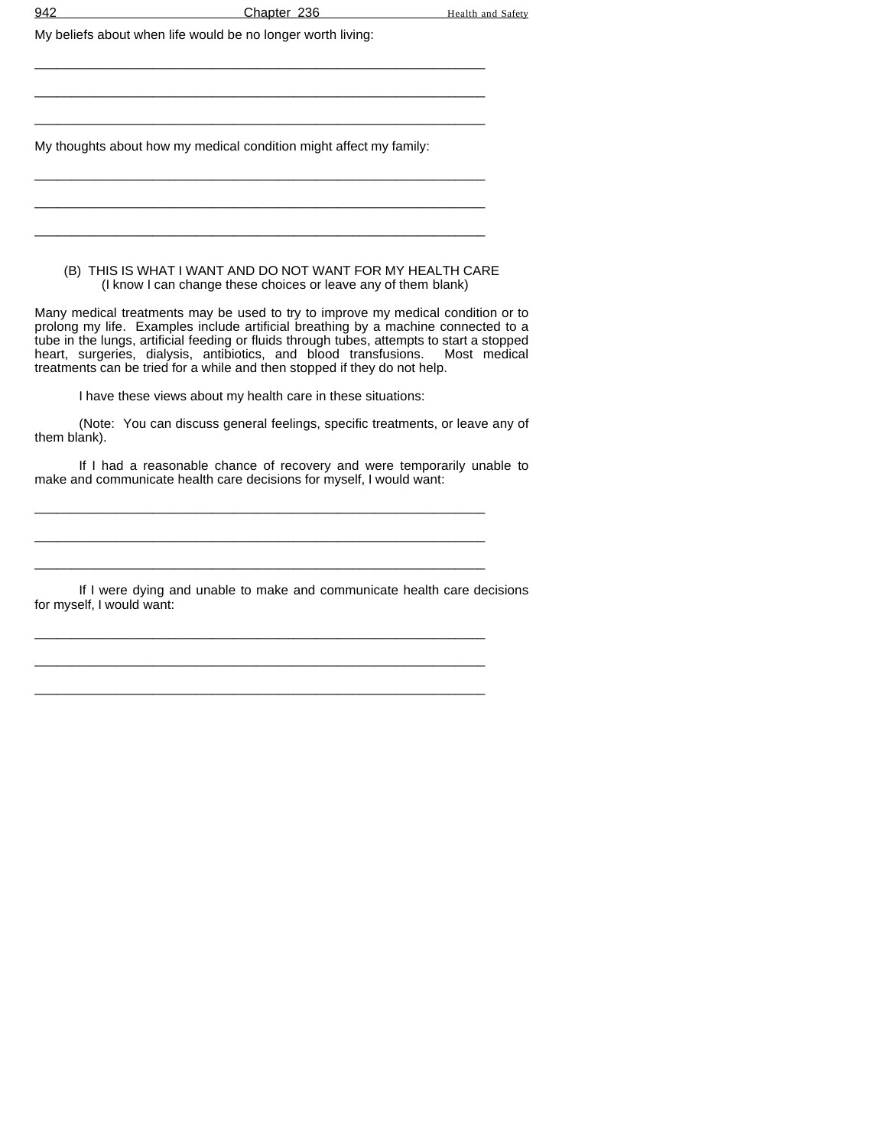| 942 | Chapter 236                                                 | Health and Safety |
|-----|-------------------------------------------------------------|-------------------|
|     | My beliefs about when life would be no longer worth living: |                   |

\_\_\_\_\_\_\_\_\_\_\_\_\_\_\_\_\_\_\_\_\_\_\_\_\_\_\_\_\_\_\_\_\_\_\_\_\_\_\_\_\_\_\_\_\_\_\_\_\_\_\_\_\_\_\_\_\_\_\_\_\_

\_\_\_\_\_\_\_\_\_\_\_\_\_\_\_\_\_\_\_\_\_\_\_\_\_\_\_\_\_\_\_\_\_\_\_\_\_\_\_\_\_\_\_\_\_\_\_\_\_\_\_\_\_\_\_\_\_\_\_\_\_ \_\_\_\_\_\_\_\_\_\_\_\_\_\_\_\_\_\_\_\_\_\_\_\_\_\_\_\_\_\_\_\_\_\_\_\_\_\_\_\_\_\_\_\_\_\_\_\_\_\_\_\_\_\_\_\_\_\_\_\_\_ \_\_\_\_\_\_\_\_\_\_\_\_\_\_\_\_\_\_\_\_\_\_\_\_\_\_\_\_\_\_\_\_\_\_\_\_\_\_\_\_\_\_\_\_\_\_\_\_\_\_\_\_\_\_\_\_\_\_\_\_\_

\_\_\_\_\_\_\_\_\_\_\_\_\_\_\_\_\_\_\_\_\_\_\_\_\_\_\_\_\_\_\_\_\_\_\_\_\_\_\_\_\_\_\_\_\_\_\_\_\_\_\_\_\_\_\_\_\_\_\_\_\_ \_\_\_\_\_\_\_\_\_\_\_\_\_\_\_\_\_\_\_\_\_\_\_\_\_\_\_\_\_\_\_\_\_\_\_\_\_\_\_\_\_\_\_\_\_\_\_\_\_\_\_\_\_\_\_\_\_\_\_\_\_

My thoughts about how my medical condition might affect my family:

(B) THIS IS WHAT I WANT AND DO NOT WANT FOR MY HEALTH CARE (I know I can change these choices or leave any of them blank)

Many medical treatments may be used to try to improve my medical condition or to prolong my life. Examples include artificial breathing by a machine connected to a tube in the lungs, artificial feeding or fluids through tubes, attempts to start a stopped heart, surgeries, dialysis, antibiotics, and blood transfusions. Most medical treatments can be tried for a while and then stopped if they do not help.

I have these views about my health care in these situations:

(Note: You can discuss general feelings, specific treatments, or leave any of them blank).

If I had a reasonable chance of recovery and were temporarily unable to make and communicate health care decisions for myself, I would want:

\_\_\_\_\_\_\_\_\_\_\_\_\_\_\_\_\_\_\_\_\_\_\_\_\_\_\_\_\_\_\_\_\_\_\_\_\_\_\_\_\_\_\_\_\_\_\_\_\_\_\_\_\_\_\_\_\_\_\_\_\_ \_\_\_\_\_\_\_\_\_\_\_\_\_\_\_\_\_\_\_\_\_\_\_\_\_\_\_\_\_\_\_\_\_\_\_\_\_\_\_\_\_\_\_\_\_\_\_\_\_\_\_\_\_\_\_\_\_\_\_\_\_ \_\_\_\_\_\_\_\_\_\_\_\_\_\_\_\_\_\_\_\_\_\_\_\_\_\_\_\_\_\_\_\_\_\_\_\_\_\_\_\_\_\_\_\_\_\_\_\_\_\_\_\_\_\_\_\_\_\_\_\_\_

\_\_\_\_\_\_\_\_\_\_\_\_\_\_\_\_\_\_\_\_\_\_\_\_\_\_\_\_\_\_\_\_\_\_\_\_\_\_\_\_\_\_\_\_\_\_\_\_\_\_\_\_\_\_\_\_\_\_\_\_\_ \_\_\_\_\_\_\_\_\_\_\_\_\_\_\_\_\_\_\_\_\_\_\_\_\_\_\_\_\_\_\_\_\_\_\_\_\_\_\_\_\_\_\_\_\_\_\_\_\_\_\_\_\_\_\_\_\_\_\_\_\_ \_\_\_\_\_\_\_\_\_\_\_\_\_\_\_\_\_\_\_\_\_\_\_\_\_\_\_\_\_\_\_\_\_\_\_\_\_\_\_\_\_\_\_\_\_\_\_\_\_\_\_\_\_\_\_\_\_\_\_\_\_

If I were dying and unable to make and communicate health care decisions for myself, I would want: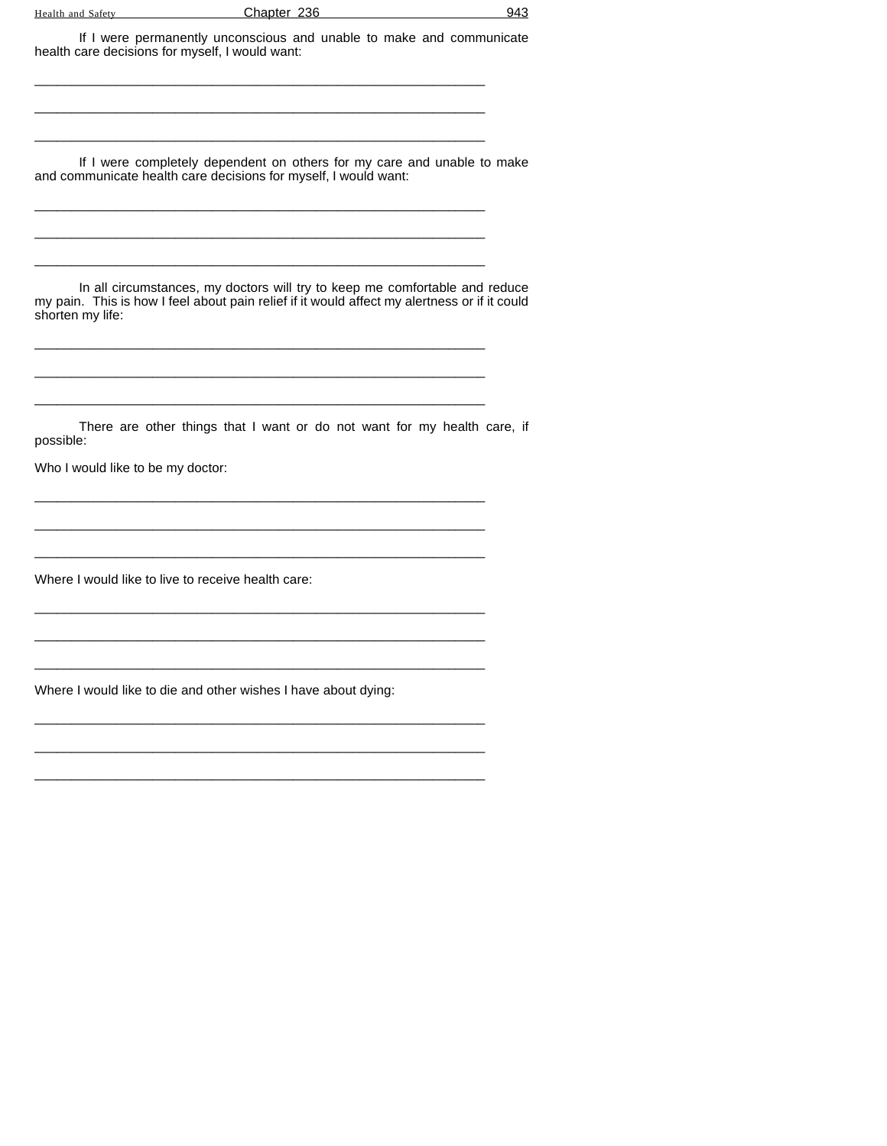| Health and Safety                                  | Chapter 236                                                                                                                                                                 | 943 |
|----------------------------------------------------|-----------------------------------------------------------------------------------------------------------------------------------------------------------------------------|-----|
| health care decisions for myself, I would want:    | If I were permanently unconscious and unable to make and communicate                                                                                                        |     |
|                                                    |                                                                                                                                                                             |     |
|                                                    | If I were completely dependent on others for my care and unable to make<br>and communicate health care decisions for myself, I would want:                                  |     |
|                                                    |                                                                                                                                                                             |     |
| shorten my life:                                   | In all circumstances, my doctors will try to keep me comfortable and reduce<br>my pain. This is how I feel about pain relief if it would affect my alertness or if it could |     |
|                                                    |                                                                                                                                                                             |     |
| possible:                                          | There are other things that I want or do not want for my health care, if                                                                                                    |     |
| Who I would like to be my doctor:                  |                                                                                                                                                                             |     |
|                                                    |                                                                                                                                                                             |     |
| Where I would like to live to receive health care: |                                                                                                                                                                             |     |
|                                                    |                                                                                                                                                                             |     |
|                                                    | Where I would like to die and other wishes I have about dying:                                                                                                              |     |
|                                                    |                                                                                                                                                                             |     |
|                                                    |                                                                                                                                                                             |     |
|                                                    |                                                                                                                                                                             |     |
|                                                    |                                                                                                                                                                             |     |
|                                                    |                                                                                                                                                                             |     |
|                                                    |                                                                                                                                                                             |     |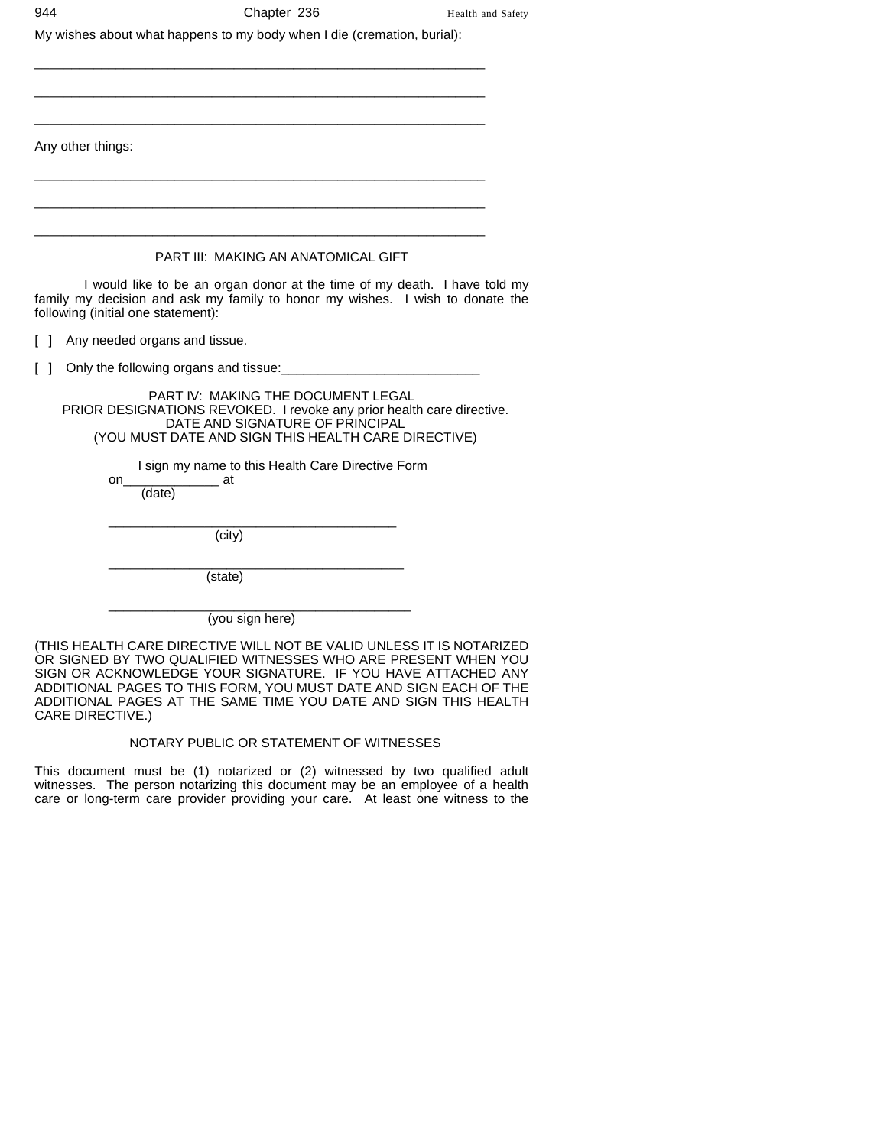| 944                             | Chapter 236                                                                                                                                                                                           | Health and Safety |
|---------------------------------|-------------------------------------------------------------------------------------------------------------------------------------------------------------------------------------------------------|-------------------|
|                                 | My wishes about what happens to my body when I die (cremation, burial):                                                                                                                               |                   |
|                                 |                                                                                                                                                                                                       |                   |
|                                 | Any other things:                                                                                                                                                                                     |                   |
|                                 |                                                                                                                                                                                                       |                   |
|                                 | <b>PART III: MAKING AN ANATOMICAL GIFT</b>                                                                                                                                                            |                   |
|                                 | I would like to be an organ donor at the time of my death. I have told my<br>family my decision and ask my family to honor my wishes. I wish to donate the<br>following (initial one statement):      |                   |
| $\begin{bmatrix} \end{bmatrix}$ | Any needed organs and tissue.                                                                                                                                                                         |                   |
| $\Box$                          |                                                                                                                                                                                                       |                   |
|                                 | PART IV: MAKING THE DOCUMENT LEGAL<br>PRIOR DESIGNATIONS REVOKED. I revoke any prior health care directive.<br>DATE AND SIGNATURE OF PRINCIPAL<br>(YOU MUST DATE AND SIGN THIS HEALTH CARE DIRECTIVE) |                   |
|                                 | I sign my name to this Health Care Directive Form<br>on at<br>(date)                                                                                                                                  |                   |
|                                 | (city)                                                                                                                                                                                                |                   |
|                                 | (state)                                                                                                                                                                                               |                   |
|                                 | (you sign here)                                                                                                                                                                                       |                   |
|                                 | (THIS HEALTH CARE DIRECTIVE WILL NOT BE VALID UNLESS IT IS NOTARIZED                                                                                                                                  |                   |

OR SIGNED BY TWO QUALIFIED WITNESSES WHO ARE PRESENT WHEN YOU SIGN OR ACKNOWLEDGE YOUR SIGNATURE. IF YOU HAVE ATTACHED ANY ADDITIONAL PAGES TO THIS FORM, YOU MUST DATE AND SIGN EACH OF THE ADDITIONAL PAGES AT THE SAME TIME YOU DATE AND SIGN THIS HEALTH CARE DIRECTIVE.)

### NOTARY PUBLIC OR STATEMENT OF WITNESSES

This document must be (1) notarized or (2) witnessed by two qualified adult witnesses. The person notarizing this document may be an employee of a health care or long-term care provider providing your care. At least one witness to the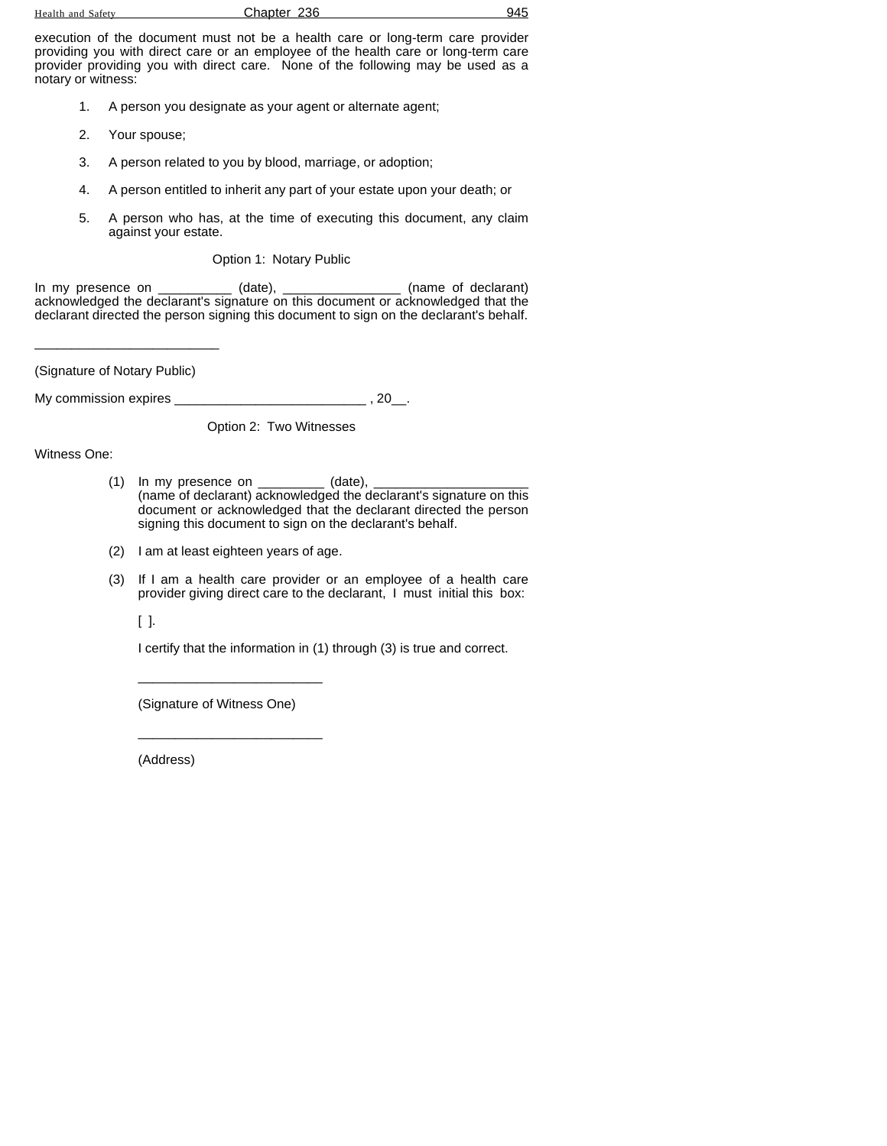| Health and Safety |
|-------------------|
|-------------------|

execution of the document must not be a health care or long-term care provider providing you with direct care or an employee of the health care or long-term care provider providing you with direct care. None of the following may be used as a notary or witness:

- 1. A person you designate as your agent or alternate agent;
- 2. Your spouse;
- 3. A person related to you by blood, marriage, or adoption;
- 4. A person entitled to inherit any part of your estate upon your death; or
- 5. A person who has, at the time of executing this document, any claim against your estate.

Option 1: Notary Public

In my presence on \_\_\_\_\_\_\_\_\_\_ (date), \_\_\_\_\_\_\_\_\_\_\_\_\_\_\_\_ (name of declarant) acknowledged the declarant's signature on this document or acknowledged that the declarant directed the person signing this document to sign on the declarant's behalf.

(Signature of Notary Public)

\_\_\_\_\_\_\_\_\_\_\_\_\_\_\_\_\_\_\_\_\_\_\_\_\_

My commission expires \_\_\_\_\_\_\_\_\_\_\_\_\_\_\_\_\_\_\_\_\_\_\_\_\_\_\_\_\_\_\_\_\_\_, 20\_\_.

Option 2: Two Witnesses

Witness One:

- (1) In my presence on  $\frac{1}{\sqrt{1-\frac{1}{2}}}\$  (date),  $\frac{1}{\sqrt{1-\frac{1}{2}}}\$ (name of declarant) acknowledged the declarant's signature on this document or acknowledged that the declarant directed the person signing this document to sign on the declarant's behalf.
- (2) I am at least eighteen years of age.
- (3) If I am a health care provider or an employee of a health care provider giving direct care to the declarant, I must initial this box:

[ ].

I certify that the information in (1) through (3) is true and correct.

(Signature of Witness One)

\_\_\_\_\_\_\_\_\_\_\_\_\_\_\_\_\_\_\_\_\_\_\_\_\_

\_\_\_\_\_\_\_\_\_\_\_\_\_\_\_\_\_\_\_\_\_\_\_\_\_

(Address)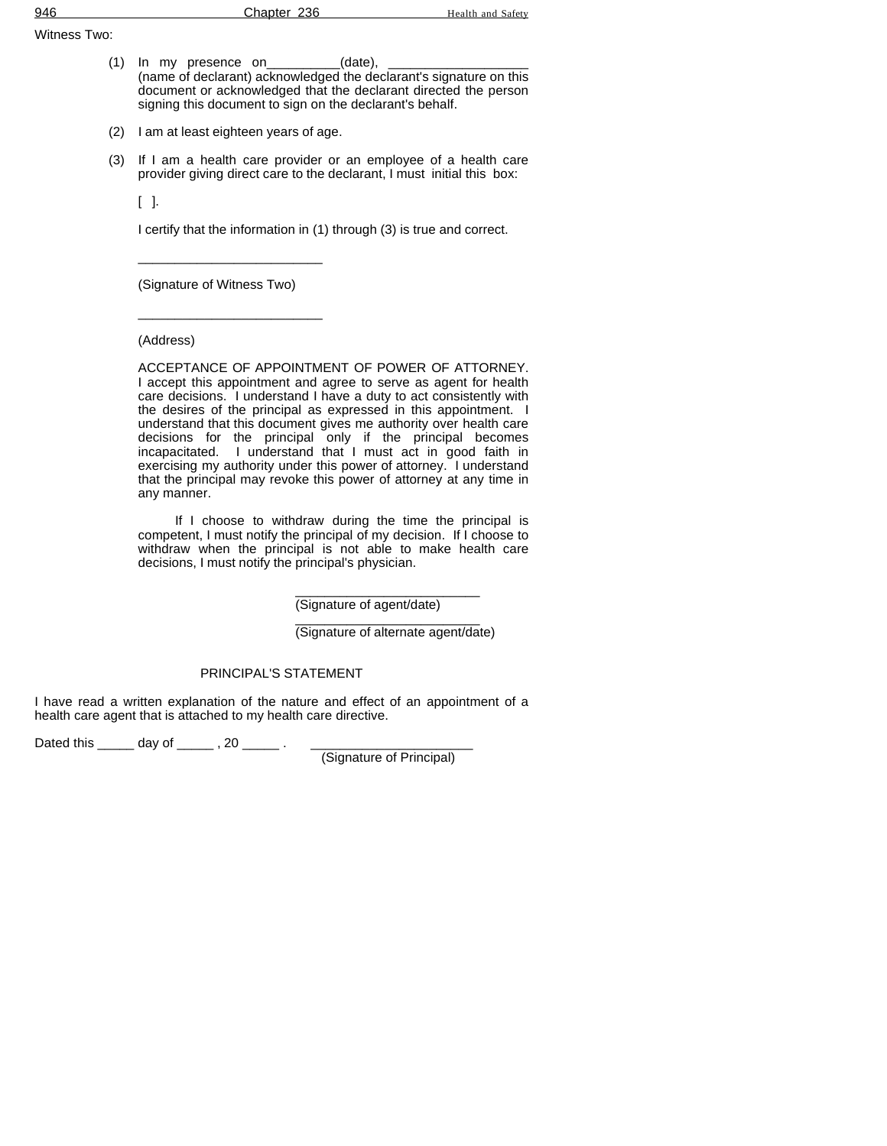- $(1)$  In my presence on  $(1)$ (name of declarant) acknowledged the declarant's signature on this document or acknowledged that the declarant directed the person signing this document to sign on the declarant's behalf.
- (2) I am at least eighteen years of age.
- (3) If I am a health care provider or an employee of a health care provider giving direct care to the declarant, I must initial this box:

[ ].

I certify that the information in (1) through (3) is true and correct.

(Signature of Witness Two)

\_\_\_\_\_\_\_\_\_\_\_\_\_\_\_\_\_\_\_\_\_\_\_\_\_

\_\_\_\_\_\_\_\_\_\_\_\_\_\_\_\_\_\_\_\_\_\_\_\_\_

(Address)

ACCEPTANCE OF APPOINTMENT OF POWER OF ATTORNEY. I accept this appointment and agree to serve as agent for health care decisions. I understand I have a duty to act consistently with the desires of the principal as expressed in this appointment. I understand that this document gives me authority over health care decisions for the principal only if the principal becomes incapacitated. I understand that I must act in good faith in exercising my authority under this power of attorney. I understand that the principal may revoke this power of attorney at any time in any manner.

If I choose to withdraw during the time the principal is competent, I must notify the principal of my decision. If I choose to withdraw when the principal is not able to make health care decisions, I must notify the principal's physician.

> \_\_\_\_\_\_\_\_\_\_\_\_\_\_\_\_\_\_\_\_\_\_\_\_\_ (Signature of agent/date)

\_\_\_\_\_\_\_\_\_\_\_\_\_\_\_\_\_\_\_\_\_\_\_\_\_ (Signature of alternate agent/date)

#### PRINCIPAL'S STATEMENT

I have read a written explanation of the nature and effect of an appointment of a health care agent that is attached to my health care directive.

Dated this \_\_\_\_\_ day of \_\_\_\_\_ , 20 \_\_\_\_\_ . \_\_\_\_\_\_\_\_\_\_\_\_\_\_\_\_\_\_\_\_\_\_

(Signature of Principal)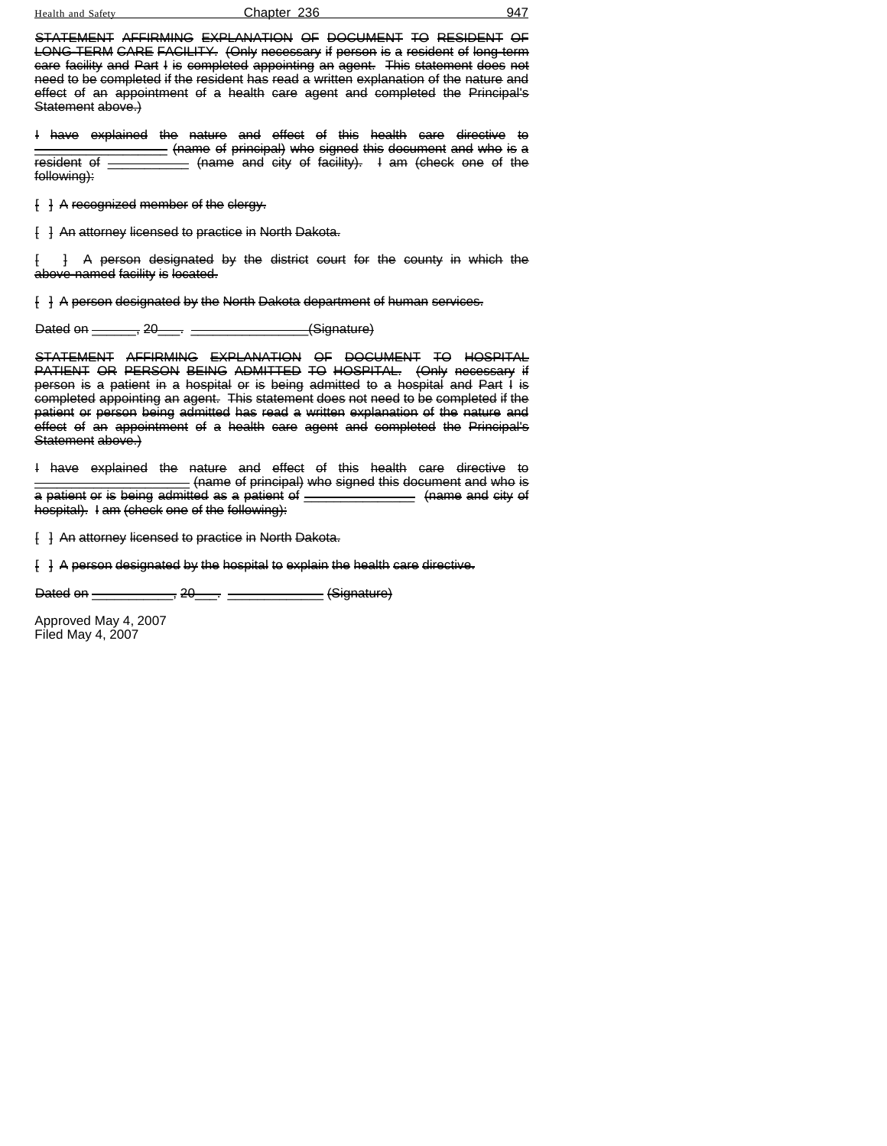| Health and Safety |  |  |
|-------------------|--|--|
|-------------------|--|--|

Chapter 236 947

STATEMENT AFFIRMING EXPLANATION OF DOCUMENT TO RESIDENT OF LONG-TERM CARE FACILITY. (Only necessary if person is a resident of long-term care facility and Part I is completed appointing an agent. This statement does not need to be completed if the resident has read a written explanation of the nature and effect of an appointment of a health care agent and completed the Principal's Statement above.)

I have explained the nature and effect of this health care directive to \_\_\_\_\_\_\_\_\_\_\_\_\_\_\_\_\_\_ (name of principal) who signed this document and who is a resident of \_\_\_\_\_\_\_\_\_\_\_ (name and city of facility). I am (check one of the following):

[ ] A recognized member of the clergy.

[ ] An attorney licensed to practice in North Dakota.

[ ] A person designated by the district court for the county in which the above-named facility is located.

[ ] A person designated by the North Dakota department of human services.

Dated on \_\_\_\_\_\_, 20\_\_\_. \_\_\_\_\_\_\_\_\_\_\_\_\_\_\_\_\_(Signature)

STATEMENT AFFIRMING EXPLANATION OF DOCUMENT TO HOSPITAL PATIENT OR PERSON BEING ADMITTED TO HOSPITAL. (Only necessary if person is a patient in a hospital or is being admitted to a hospital and Part I is completed appointing an agent. This statement does not need to be completed if the patient or person being admitted has read a written explanation of the nature and effect of an appointment of a health care agent and completed the Principal's Statement above.)

I have explained the nature and effect of this health care directive to \_\_\_\_\_\_\_\_\_\_\_\_\_\_\_\_\_\_\_\_\_ (name of principal) who signed this document and who is a patient or is being admitted as a patient of \_\_\_\_\_\_\_\_\_\_\_\_\_\_\_\_\_ (name and city of hospital). I am (check one of the following):

[ ] An attorney licensed to practice in North Dakota.

[ ] A person designated by the hospital to explain the health care directive.

Dated on \_\_\_\_\_\_\_\_\_\_\_\_, 20\_\_\_\_. \_\_\_\_\_\_\_\_\_\_\_\_\_\_\_\_\_\_ (Signature)

Approved May 4, 2007 Filed May 4, 2007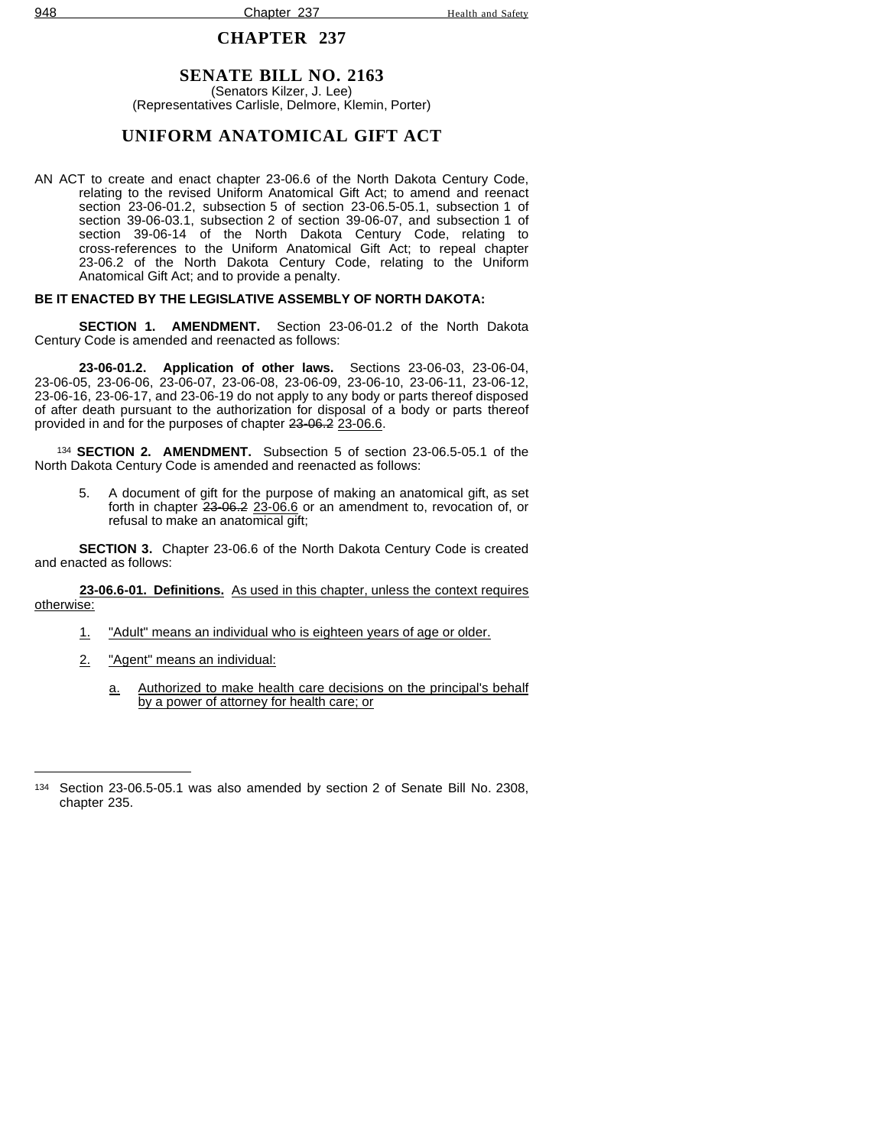# **SENATE BILL NO. 2163**

(Senators Kilzer, J. Lee) (Representatives Carlisle, Delmore, Klemin, Porter)

## **UNIFORM ANATOMICAL GIFT ACT**

AN ACT to create and enact chapter 23-06.6 of the North Dakota Century Code, relating to the revised Uniform Anatomical Gift Act; to amend and reenact section 23-06-01.2, subsection 5 of section 23-06.5-05.1, subsection 1 of section 39-06-03.1, subsection 2 of section 39-06-07, and subsection 1 of section 39-06-14 of the North Dakota Century Code, relating to cross-references to the Uniform Anatomical Gift Act; to repeal chapter 23-06.2 of the North Dakota Century Code, relating to the Uniform Anatomical Gift Act; and to provide a penalty.

### **BE IT ENACTED BY THE LEGISLATIVE ASSEMBLY OF NORTH DAKOTA:**

**SECTION 1. AMENDMENT.** Section 23-06-01.2 of the North Dakota Century Code is amended and reenacted as follows:

**23-06-01.2. Application of other laws.** Sections 23-06-03, 23-06-04, 23-06-05, 23-06-06, 23-06-07, 23-06-08, 23-06-09, 23-06-10, 23-06-11, 23-06-12, 23-06-16, 23-06-17, and 23-06-19 do not apply to any body or parts thereof disposed of after death pursuant to the authorization for disposal of a body or parts thereof provided in and for the purposes of chapter 23-06.2 23-06.6.

<sup>134</sup> **SECTION 2. AMENDMENT.** Subsection 5 of section 23-06.5-05.1 of the North Dakota Century Code is amended and reenacted as follows:

5. A document of gift for the purpose of making an anatomical gift, as set forth in chapter 23-06.2 23-06.6 or an amendment to, revocation of, or refusal to make an anatomical gift;

**SECTION 3.** Chapter 23-06.6 of the North Dakota Century Code is created and enacted as follows:

**23-06.6-01. Definitions.** As used in this chapter, unless the context requires otherwise:

- 1. "Adult" means an individual who is eighteen years of age or older.
- 2. "Agent" means an individual:
	- a. Authorized to make health care decisions on the principal's behalf by a power of attorney for health care; or

<sup>134</sup> Section 23-06.5-05.1 was also amended by section 2 of Senate Bill No. 2308, chapter 235.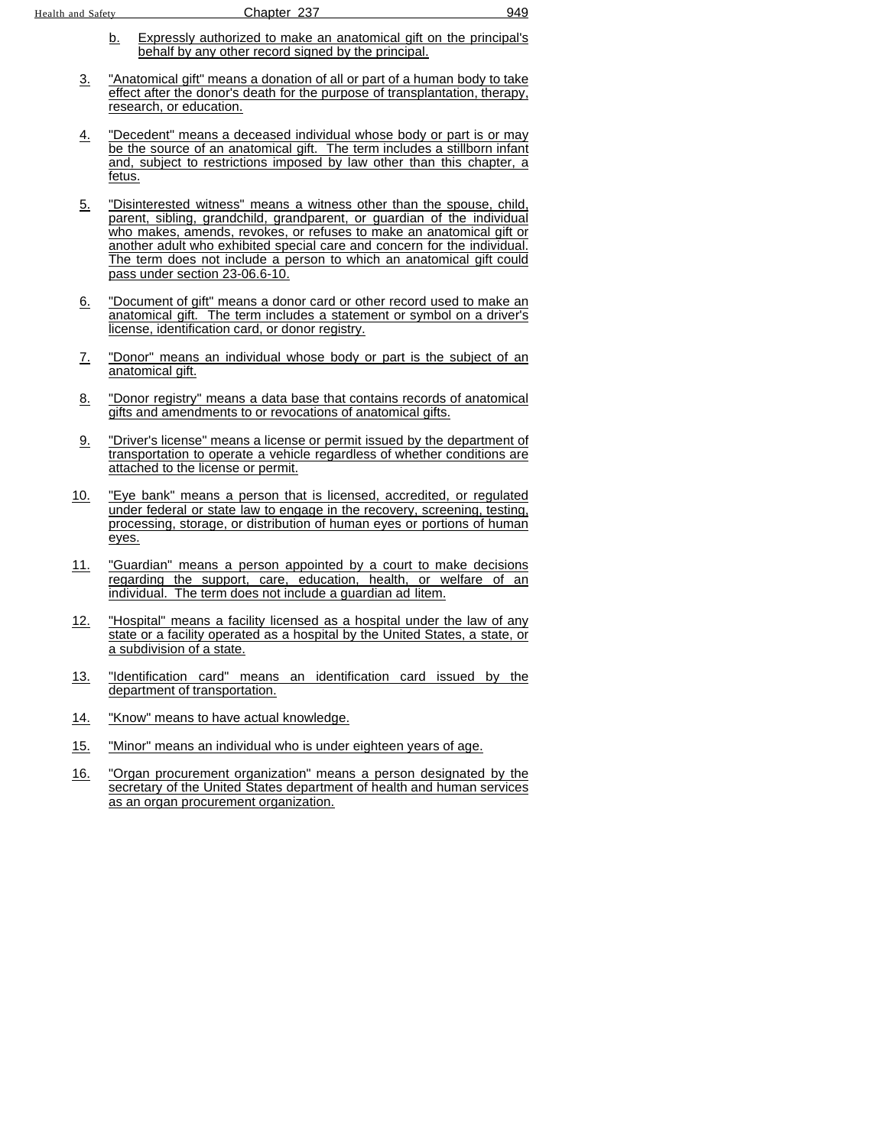- b. Expressly authorized to make an anatomical gift on the principal's behalf by any other record signed by the principal.
- 3. "Anatomical gift" means a donation of all or part of a human body to take effect after the donor's death for the purpose of transplantation, therapy, research, or education.
- 4. "Decedent" means a deceased individual whose body or part is or may be the source of an anatomical gift. The term includes a stillborn infant and, subject to restrictions imposed by law other than this chapter, a fetus.
- 5. "Disinterested witness" means a witness other than the spouse, child, parent, sibling, grandchild, grandparent, or guardian of the individual who makes, amends, revokes, or refuses to make an anatomical gift or another adult who exhibited special care and concern for the individual. The term does not include a person to which an anatomical gift could pass under section 23-06.6-10.
- 6. "Document of gift" means a donor card or other record used to make an anatomical gift. The term includes a statement or symbol on a driver's license, identification card, or donor registry.
- 7. "Donor" means an individual whose body or part is the subject of an anatomical gift.
- 8. "Donor registry" means a data base that contains records of anatomical gifts and amendments to or revocations of anatomical gifts.
- 9. "Driver's license" means a license or permit issued by the department of transportation to operate a vehicle regardless of whether conditions are attached to the license or permit.
- 10. "Eye bank" means a person that is licensed, accredited, or regulated under federal or state law to engage in the recovery, screening, testing, processing, storage, or distribution of human eyes or portions of human eyes.
- 11. "Guardian" means a person appointed by a court to make decisions regarding the support, care, education, health, or welfare of an individual. The term does not include a guardian ad litem.
- 12. "Hospital" means a facility licensed as a hospital under the law of any state or a facility operated as a hospital by the United States, a state, or a subdivision of a state.
- 13. "Identification card" means an identification card issued by the department of transportation.
- 14. "Know" means to have actual knowledge.
- 15. "Minor" means an individual who is under eighteen years of age.
- 16. "Organ procurement organization" means a person designated by the secretary of the United States department of health and human services as an organ procurement organization.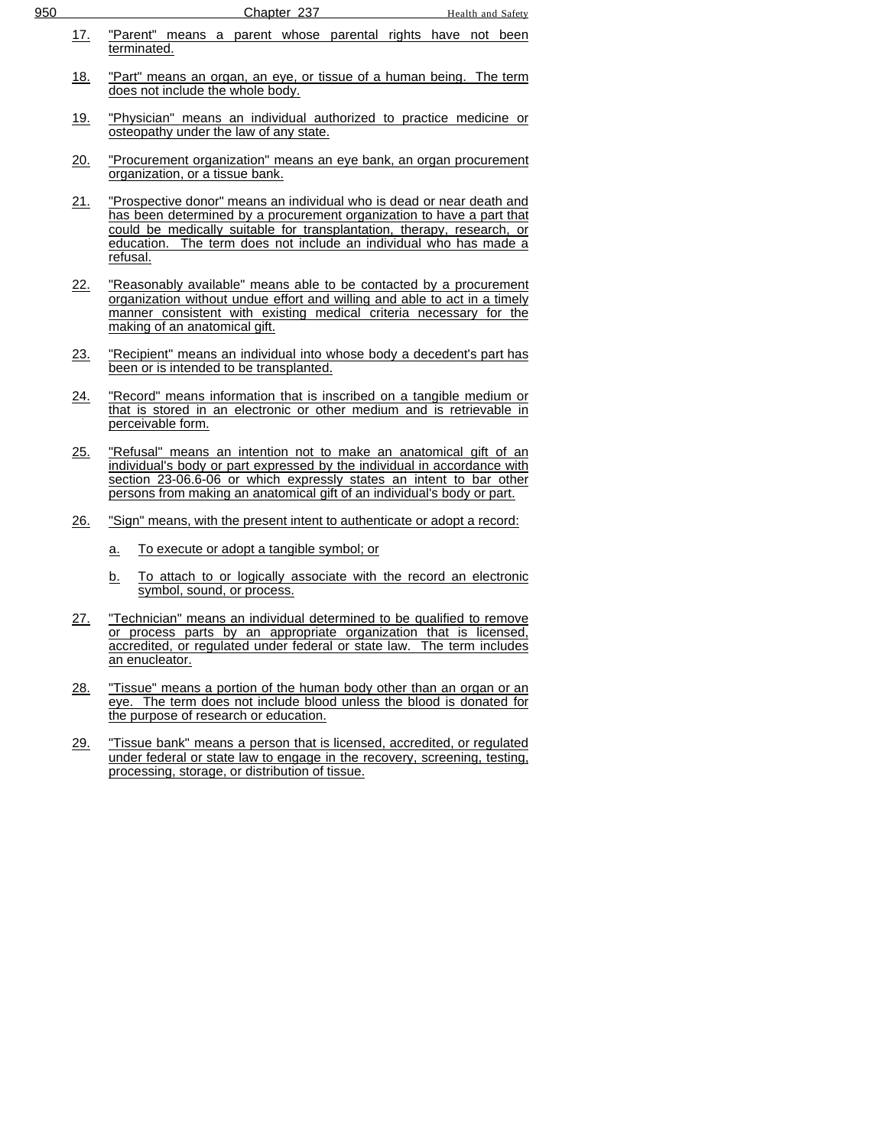| 950 | Chapter | 237 | Health and Safety |  |
|-----|---------|-----|-------------------|--|
|     |         |     |                   |  |

- 17. "Parent" means a parent whose parental rights have not been terminated.
- 18. "Part" means an organ, an eye, or tissue of a human being. The term does not include the whole body.
- 19. "Physician" means an individual authorized to practice medicine or osteopathy under the law of any state.
- 20. "Procurement organization" means an eye bank, an organ procurement organization, or a tissue bank.
- 21. "Prospective donor" means an individual who is dead or near death and has been determined by a procurement organization to have a part that could be medically suitable for transplantation, therapy, research, or education. The term does not include an individual who has made a refusal.
- 22. "Reasonably available" means able to be contacted by a procurement organization without undue effort and willing and able to act in a timely manner consistent with existing medical criteria necessary for the making of an anatomical gift.
- 23. "Recipient" means an individual into whose body a decedent's part has been or is intended to be transplanted.
- 24. "Record" means information that is inscribed on a tangible medium or that is stored in an electronic or other medium and is retrievable in perceivable form.
- 25. "Refusal" means an intention not to make an anatomical gift of an individual's body or part expressed by the individual in accordance with section 23-06.6-06 or which expressly states an intent to bar other persons from making an anatomical gift of an individual's body or part.
- 26. "Sign" means, with the present intent to authenticate or adopt a record:
	- a. To execute or adopt a tangible symbol; or
	- b. To attach to or logically associate with the record an electronic symbol, sound, or process.
- 27. "Technician" means an individual determined to be qualified to remove or process parts by an appropriate organization that is licensed, accredited, or regulated under federal or state law. The term includes an enucleator.
- 28. "Tissue" means a portion of the human body other than an organ or an eye. The term does not include blood unless the blood is donated for the purpose of research or education.
- 29. "Tissue bank" means a person that is licensed, accredited, or regulated under federal or state law to engage in the recovery, screening, testing, processing, storage, or distribution of tissue.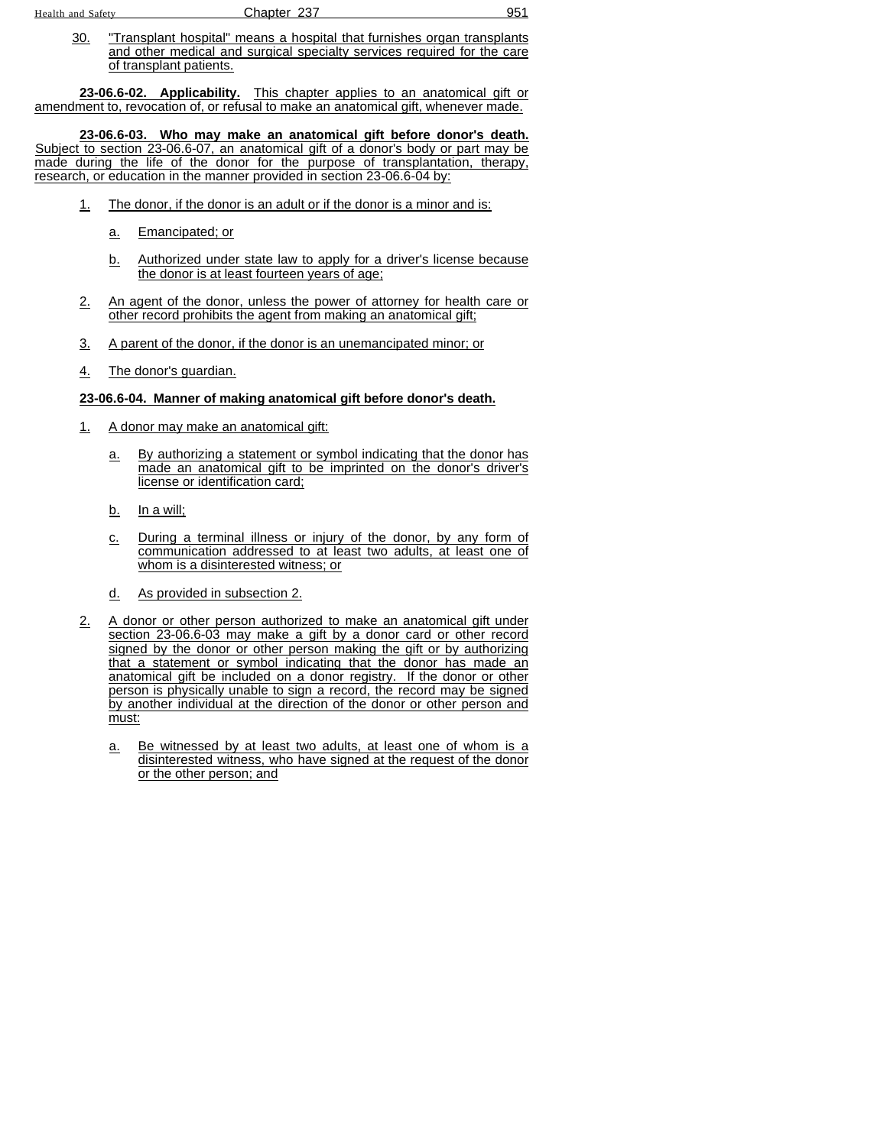30. "Transplant hospital" means a hospital that furnishes organ transplants and other medical and surgical specialty services required for the care of transplant patients.

**23-06.6-02. Applicability.** This chapter applies to an anatomical gift or amendment to, revocation of, or refusal to make an anatomical gift, whenever made.

**23-06.6-03. Who may make an anatomical gift before donor's death.** Subject to section 23-06.6-07, an anatomical gift of a donor's body or part may be made during the life of the donor for the purpose of transplantation, therapy, research, or education in the manner provided in section 23-06.6-04 by:

- 1. The donor, if the donor is an adult or if the donor is a minor and is:
	- a. Emancipated; or
	- b. Authorized under state law to apply for a driver's license because the donor is at least fourteen years of age;
- 2. An agent of the donor, unless the power of attorney for health care or other record prohibits the agent from making an anatomical gift;
- 3. A parent of the donor, if the donor is an unemancipated minor; or
- 4. The donor's guardian.

### **23-06.6-04. Manner of making anatomical gift before donor's death.**

- 1. A donor may make an anatomical gift:
	- a. By authorizing a statement or symbol indicating that the donor has made an anatomical gift to be imprinted on the donor's driver's license or identification card;
	- b. In a will;
	- c. During a terminal illness or injury of the donor, by any form of communication addressed to at least two adults, at least one of whom is a disinterested witness; or
	- d. As provided in subsection 2.
- 2. A donor or other person authorized to make an anatomical gift under section 23-06.6-03 may make a gift by a donor card or other record signed by the donor or other person making the gift or by authorizing that a statement or symbol indicating that the donor has made an anatomical gift be included on a donor registry. If the donor or other person is physically unable to sign a record, the record may be signed by another individual at the direction of the donor or other person and must:
	- a. Be witnessed by at least two adults, at least one of whom is a disinterested witness, who have signed at the request of the donor or the other person; and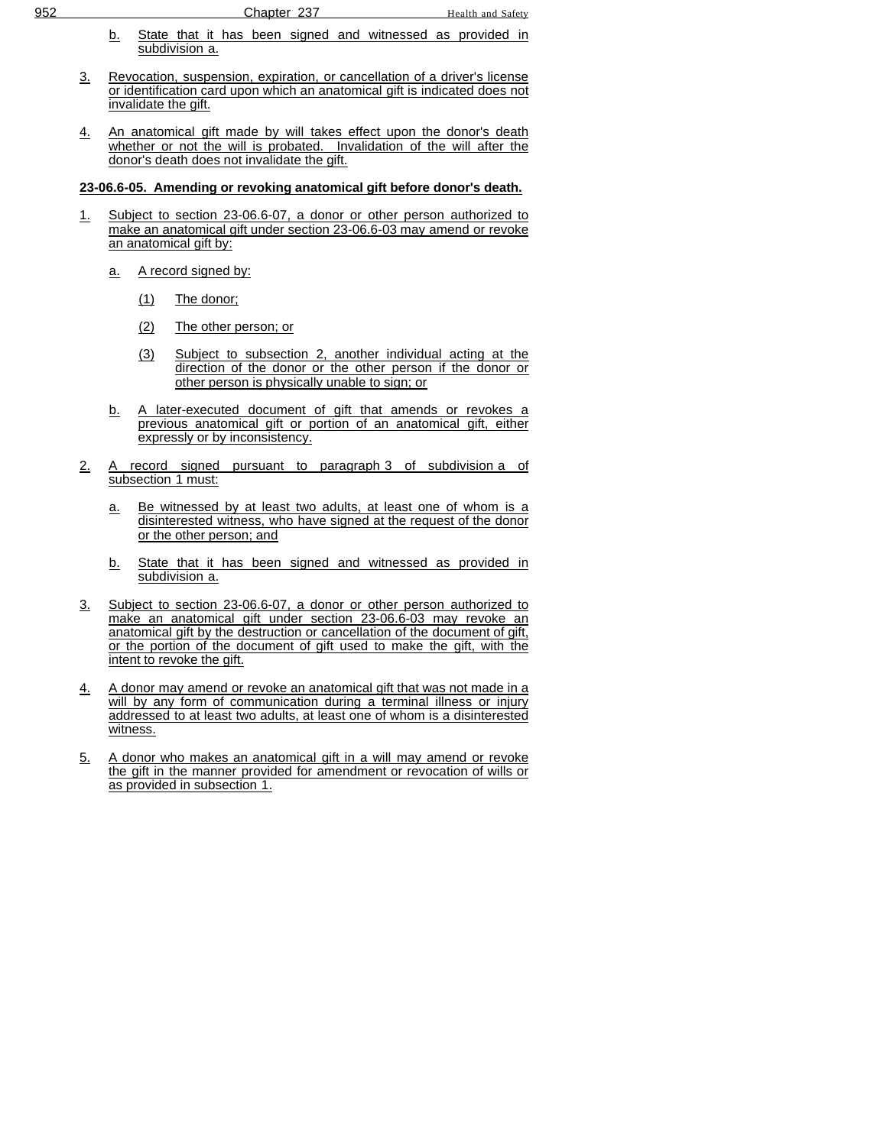- b. State that it has been signed and witnessed as provided in subdivision a.
- 3. Revocation, suspension, expiration, or cancellation of a driver's license or identification card upon which an anatomical gift is indicated does not invalidate the gift.
- 4. An anatomical gift made by will takes effect upon the donor's death whether or not the will is probated. Invalidation of the will after the donor's death does not invalidate the gift.

### **23-06.6-05. Amending or revoking anatomical gift before donor's death.**

- 1. Subject to section 23-06.6-07, a donor or other person authorized to make an anatomical gift under section 23-06.6-03 may amend or revoke an anatomical gift by:
	- a. A record signed by:
		- (1) The donor;
		- (2) The other person; or
		- (3) Subject to subsection 2, another individual acting at the direction of the donor or the other person if the donor or other person is physically unable to sign; or
	- b. A later-executed document of gift that amends or revokes a previous anatomical gift or portion of an anatomical gift, either expressly or by inconsistency.
- 2. A record signed pursuant to paragraph 3 of subdivision a of subsection 1 must:
	- a. Be witnessed by at least two adults, at least one of whom is a disinterested witness, who have signed at the request of the donor or the other person; and
	- b. State that it has been signed and witnessed as provided in subdivision a.
- 3. Subject to section 23-06.6-07, a donor or other person authorized to make an anatomical gift under section 23-06.6-03 may revoke an anatomical gift by the destruction or cancellation of the document of gift, or the portion of the document of gift used to make the gift, with the intent to revoke the gift.
- 4. A donor may amend or revoke an anatomical gift that was not made in a will by any form of communication during a terminal illness or injury addressed to at least two adults, at least one of whom is a disinterested witness.
- 5. A donor who makes an anatomical gift in a will may amend or revoke the gift in the manner provided for amendment or revocation of wills or as provided in subsection 1.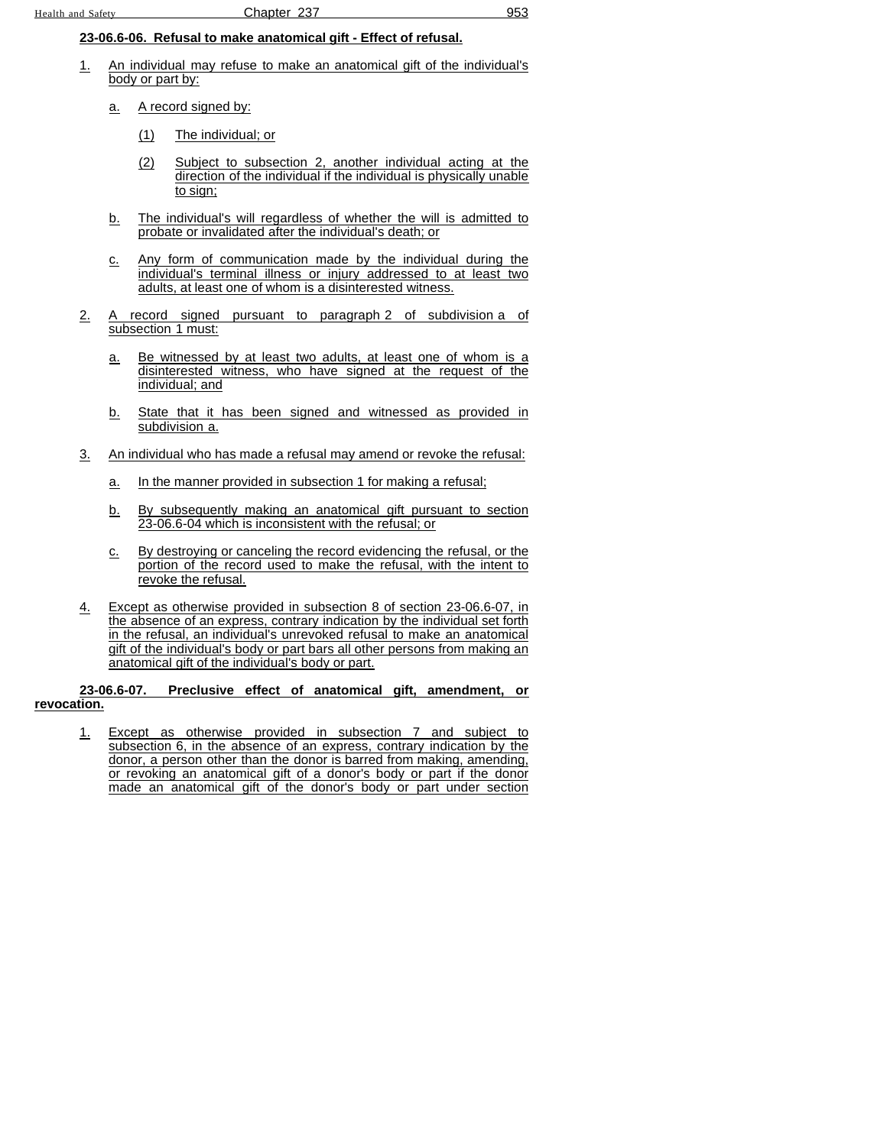#### **23-06.6-06. Refusal to make anatomical gift - Effect of refusal.**

- 1. An individual may refuse to make an anatomical gift of the individual's body or part by:
	- a. A record signed by:
		- (1) The individual; or
		- (2) Subject to subsection 2, another individual acting at the direction of the individual if the individual is physically unable to sign;
	- b. The individual's will regardless of whether the will is admitted to probate or invalidated after the individual's death; or
	- c. Any form of communication made by the individual during the individual's terminal illness or injury addressed to at least two adults, at least one of whom is a disinterested witness.
- 2. A record signed pursuant to paragraph 2 of subdivision a of subsection 1 must:
	- a. Be witnessed by at least two adults, at least one of whom is a disinterested witness, who have signed at the request of the individual; and
	- b. State that it has been signed and witnessed as provided in subdivision a.
- 3. An individual who has made a refusal may amend or revoke the refusal:
	- a. In the manner provided in subsection 1 for making a refusal;
	- b. By subsequently making an anatomical gift pursuant to section 23-06.6-04 which is inconsistent with the refusal; or
	- c. By destroying or canceling the record evidencing the refusal, or the portion of the record used to make the refusal, with the intent to revoke the refusal.
- 4. Except as otherwise provided in subsection 8 of section 23-06.6-07, in the absence of an express, contrary indication by the individual set forth in the refusal, an individual's unrevoked refusal to make an anatomical gift of the individual's body or part bars all other persons from making an anatomical gift of the individual's body or part.

**23-06.6-07. Preclusive effect of anatomical gift, amendment, or revocation.**

1. Except as otherwise provided in subsection 7 and subject to subsection 6, in the absence of an express, contrary indication by the donor, a person other than the donor is barred from making, amending, or revoking an anatomical gift of a donor's body or part if the donor made an anatomical gift of the donor's body or part under section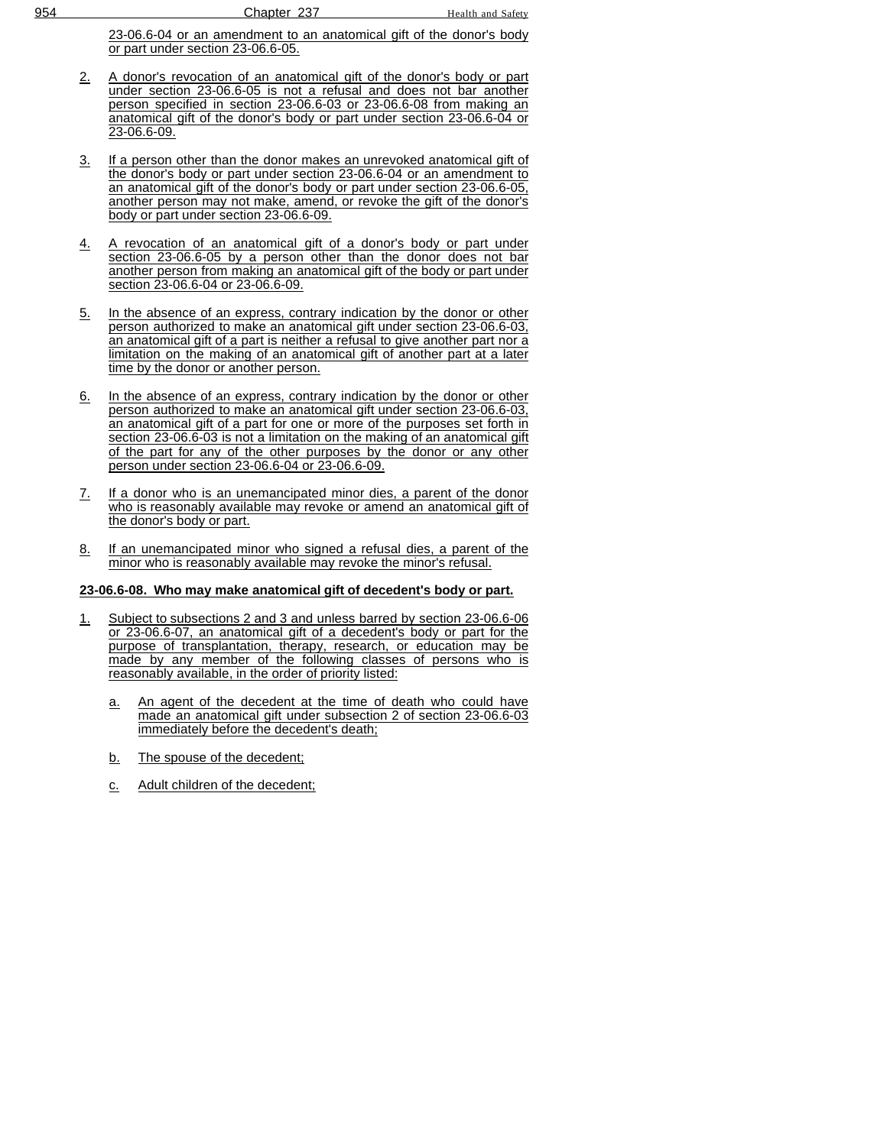23-06.6-04 or an amendment to an anatomical gift of the donor's body or part under section 23-06.6-05.

- 2. A donor's revocation of an anatomical gift of the donor's body or part under section 23-06.6-05 is not a refusal and does not bar another person specified in section 23-06.6-03 or 23-06.6-08 from making an anatomical gift of the donor's body or part under section 23-06.6-04 or 23-06.6-09.
- 3. If a person other than the donor makes an unrevoked anatomical gift of the donor's body or part under section 23-06.6-04 or an amendment to an anatomical gift of the donor's body or part under section 23-06.6-05, another person may not make, amend, or revoke the gift of the donor's body or part under section 23-06.6-09.
- 4. A revocation of an anatomical gift of a donor's body or part under section 23-06.6-05 by a person other than the donor does not bar another person from making an anatomical gift of the body or part under section 23-06.6-04 or 23-06.6-09.
- 5. In the absence of an express, contrary indication by the donor or other person authorized to make an anatomical gift under section 23-06.6-03, an anatomical gift of a part is neither a refusal to give another part nor a limitation on the making of an anatomical gift of another part at a later time by the donor or another person.
- 6. In the absence of an express, contrary indication by the donor or other person authorized to make an anatomical gift under section 23-06.6-03, an anatomical gift of a part for one or more of the purposes set forth in section 23-06.6-03 is not a limitation on the making of an anatomical gift of the part for any of the other purposes by the donor or any other person under section 23-06.6-04 or 23-06.6-09.
- 7. If a donor who is an unemancipated minor dies, a parent of the donor who is reasonably available may revoke or amend an anatomical gift of the donor's body or part.
- 8. If an unemancipated minor who signed a refusal dies, a parent of the minor who is reasonably available may revoke the minor's refusal.

### **23-06.6-08. Who may make anatomical gift of decedent's body or part.**

- 1. Subject to subsections 2 and 3 and unless barred by section 23-06.6-06 or 23-06.6-07, an anatomical gift of a decedent's body or part for the purpose of transplantation, therapy, research, or education may be made by any member of the following classes of persons who is reasonably available, in the order of priority listed:
	- a. An agent of the decedent at the time of death who could have made an anatomical gift under subsection 2 of section 23-06.6-03 immediately before the decedent's death;
	- b. The spouse of the decedent;
	- c. Adult children of the decedent;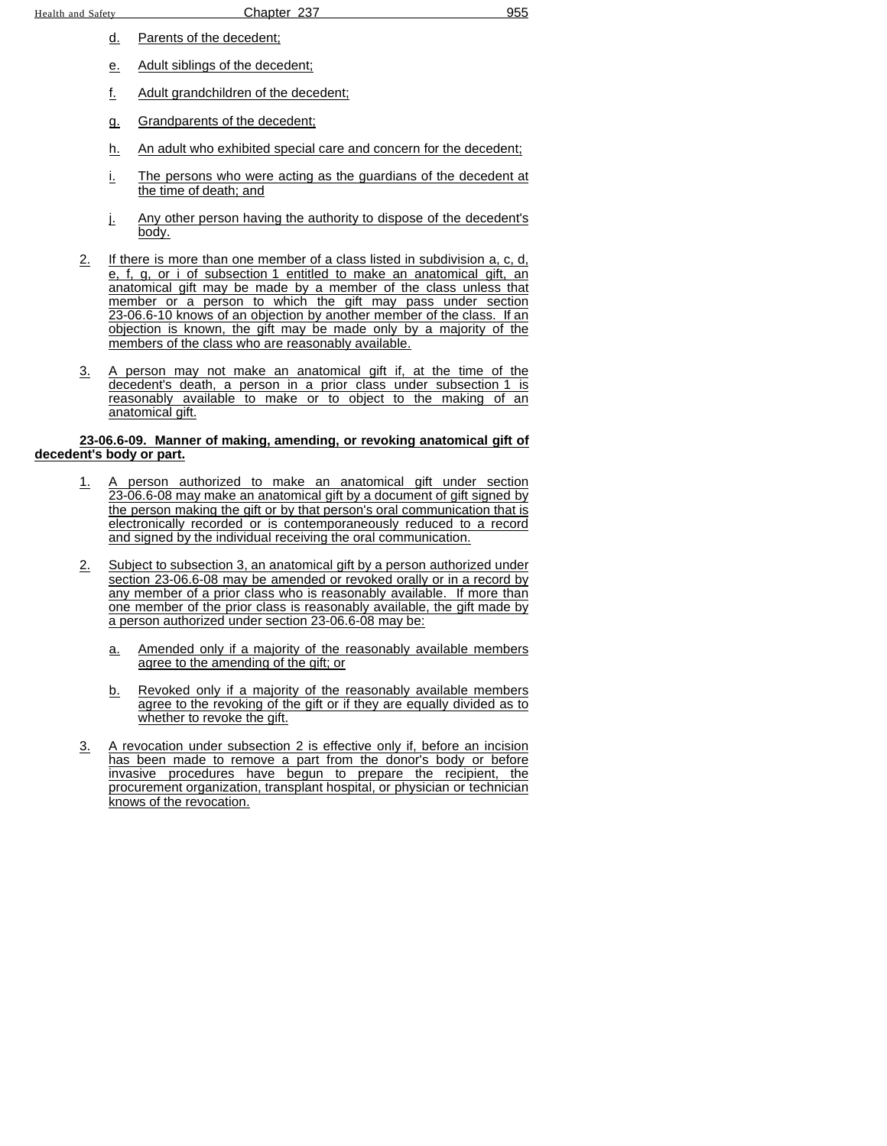- d. Parents of the decedent;
- e. Adult siblings of the decedent;
- f. Adult grandchildren of the decedent;
- g. Grandparents of the decedent;
- h. An adult who exhibited special care and concern for the decedent;
- i. The persons who were acting as the guardians of the decedent at the time of death; and
- j. Any other person having the authority to dispose of the decedent's body.
- $2.$  If there is more than one member of a class listed in subdivision  $a, c, d$ , e, f, g, or i of subsection 1 entitled to make an anatomical gift, an anatomical gift may be made by a member of the class unless that member or a person to which the gift may pass under section 23-06.6-10 knows of an objection by another member of the class. If an objection is known, the gift may be made only by a majority of the members of the class who are reasonably available.
- 3. A person may not make an anatomical gift if, at the time of the decedent's death, a person in a prior class under subsection 1 is reasonably available to make or to object to the making of an anatomical gift.

#### **23-06.6-09. Manner of making, amending, or revoking anatomical gift of decedent's body or part.**

- 1. A person authorized to make an anatomical gift under section 23-06.6-08 may make an anatomical gift by a document of gift signed by the person making the gift or by that person's oral communication that is electronically recorded or is contemporaneously reduced to a record and signed by the individual receiving the oral communication.
- 2. Subject to subsection 3, an anatomical gift by a person authorized under section 23-06.6-08 may be amended or revoked orally or in a record by any member of a prior class who is reasonably available. If more than one member of the prior class is reasonably available, the gift made by a person authorized under section 23-06.6-08 may be:
	- a. Amended only if a majority of the reasonably available members agree to the amending of the gift; or
	- b. Revoked only if a majority of the reasonably available members agree to the revoking of the gift or if they are equally divided as to whether to revoke the gift.
- 3. A revocation under subsection 2 is effective only if, before an incision has been made to remove a part from the donor's body or before invasive procedures have begun to prepare the recipient, the procurement organization, transplant hospital, or physician or technician knows of the revocation.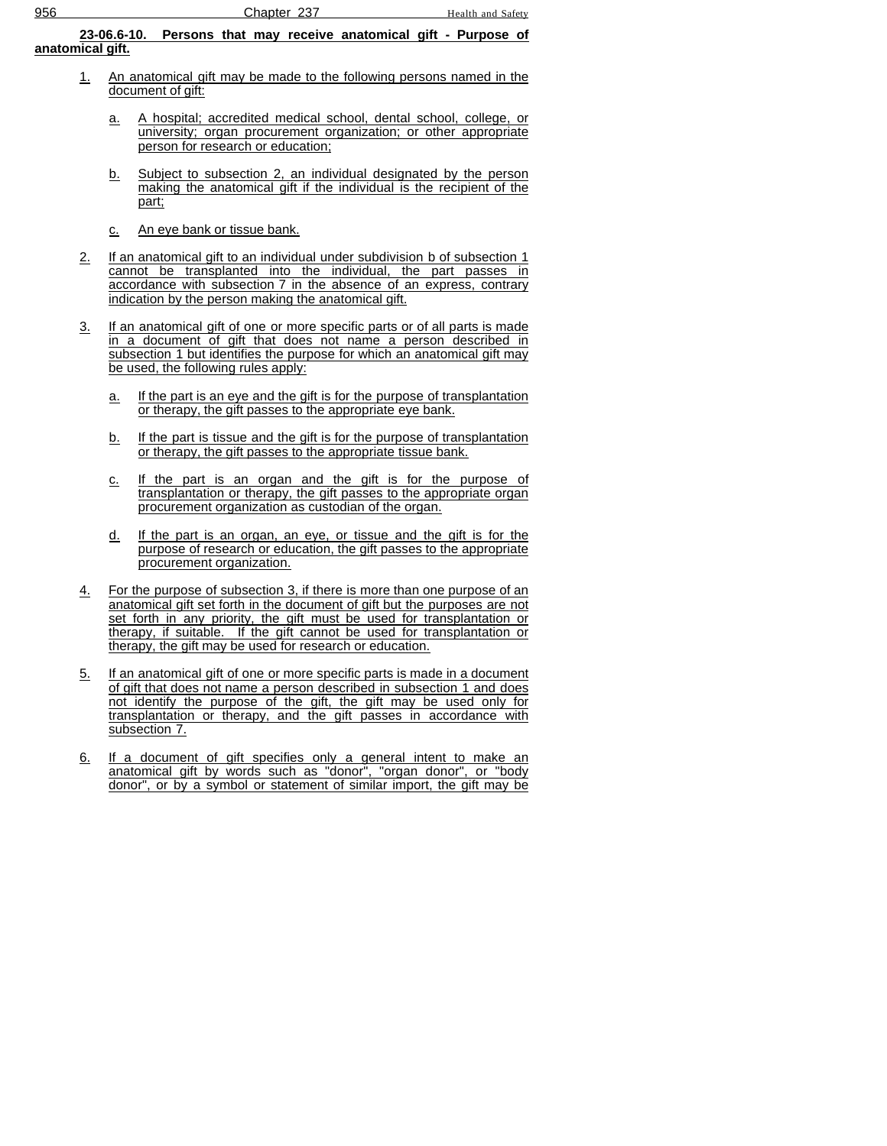#### **23-06.6-10. Persons that may receive anatomical gift - Purpose of anatomical gift.**

- 1. An anatomical gift may be made to the following persons named in the document of gift:
	- a. A hospital; accredited medical school, dental school, college, or university; organ procurement organization; or other appropriate person for research or education;
	- b. Subject to subsection 2, an individual designated by the person making the anatomical gift if the individual is the recipient of the part;
	- c. An eye bank or tissue bank.
- 2. If an anatomical gift to an individual under subdivision b of subsection 1 cannot be transplanted into the individual, the part passes in accordance with subsection 7 in the absence of an express, contrary indication by the person making the anatomical gift.
- 3. If an anatomical gift of one or more specific parts or of all parts is made in a document of gift that does not name a person described in subsection 1 but identifies the purpose for which an anatomical gift may be used, the following rules apply:
	- a. If the part is an eye and the gift is for the purpose of transplantation or therapy, the gift passes to the appropriate eye bank.
	- b. If the part is tissue and the gift is for the purpose of transplantation or therapy, the gift passes to the appropriate tissue bank.
	- c. If the part is an organ and the gift is for the purpose of transplantation or therapy, the gift passes to the appropriate organ procurement organization as custodian of the organ.
	- d. If the part is an organ, an eye, or tissue and the gift is for the purpose of research or education, the gift passes to the appropriate procurement organization.
- 4. For the purpose of subsection 3, if there is more than one purpose of an anatomical gift set forth in the document of gift but the purposes are not set forth in any priority, the gift must be used for transplantation or therapy, if suitable. If the gift cannot be used for transplantation or therapy, the gift may be used for research or education.
- 5. If an anatomical gift of one or more specific parts is made in a document of gift that does not name a person described in subsection 1 and does not identify the purpose of the gift, the gift may be used only for transplantation or therapy, and the gift passes in accordance with subsection 7.
- 6. If a document of gift specifies only a general intent to make an anatomical gift by words such as "donor", "organ donor", or "body donor", or by a symbol or statement of similar import, the gift may be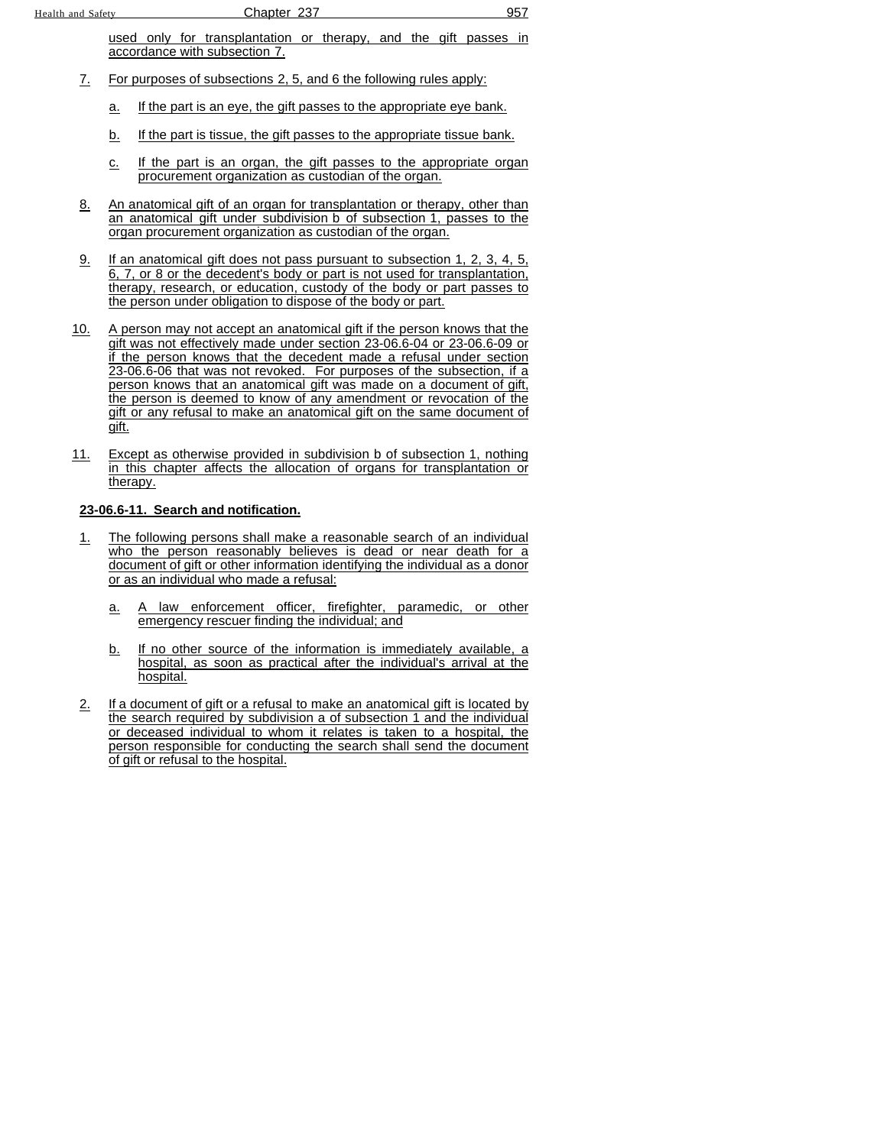used only for transplantation or therapy, and the gift passes in accordance with subsection 7.

- 7. For purposes of subsections 2, 5, and 6 the following rules apply:
	- a. If the part is an eye, the gift passes to the appropriate eye bank.
	- b. If the part is tissue, the gift passes to the appropriate tissue bank.
	- c. If the part is an organ, the gift passes to the appropriate organ procurement organization as custodian of the organ.
- 8. An anatomical gift of an organ for transplantation or therapy, other than an anatomical gift under subdivision b of subsection 1, passes to the organ procurement organization as custodian of the organ.
- 9. If an anatomical gift does not pass pursuant to subsection 1, 2, 3, 4, 5, 6, 7, or 8 or the decedent's body or part is not used for transplantation, therapy, research, or education, custody of the body or part passes to the person under obligation to dispose of the body or part.
- 10. A person may not accept an anatomical gift if the person knows that the gift was not effectively made under section 23-06.6-04 or 23-06.6-09 or if the person knows that the decedent made a refusal under section 23-06.6-06 that was not revoked. For purposes of the subsection, if a person knows that an anatomical gift was made on a document of gift, the person is deemed to know of any amendment or revocation of the gift or any refusal to make an anatomical gift on the same document of gift.
- 11. Except as otherwise provided in subdivision b of subsection 1, nothing in this chapter affects the allocation of organs for transplantation or therapy.

#### **23-06.6-11. Search and notification.**

- 1. The following persons shall make a reasonable search of an individual who the person reasonably believes is dead or near death for a document of gift or other information identifying the individual as a donor or as an individual who made a refusal:
	- a. A law enforcement officer, firefighter, paramedic, or other emergency rescuer finding the individual; and
	- b. If no other source of the information is immediately available, a hospital, as soon as practical after the individual's arrival at the hospital.
- 2. If a document of gift or a refusal to make an anatomical gift is located by the search required by subdivision a of subsection 1 and the individual or deceased individual to whom it relates is taken to a hospital, the person responsible for conducting the search shall send the document of gift or refusal to the hospital.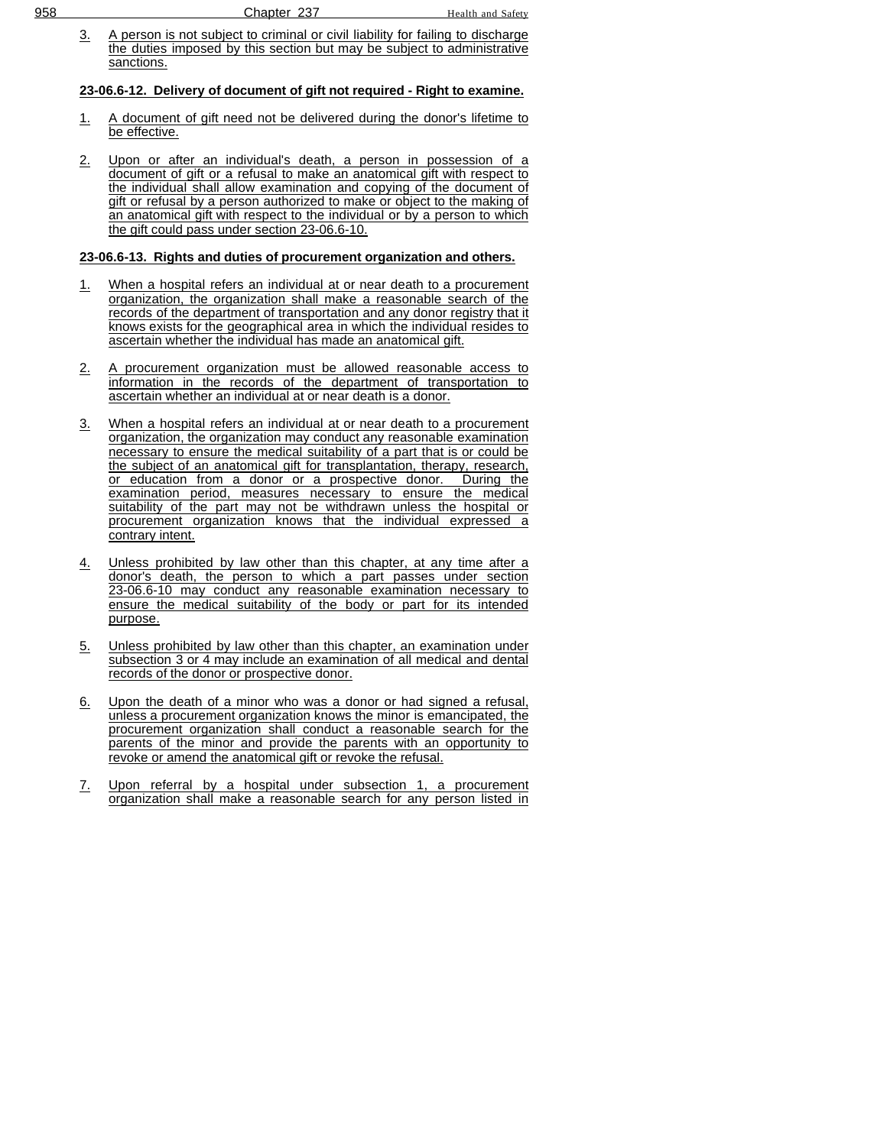3. A person is not subject to criminal or civil liability for failing to discharge the duties imposed by this section but may be subject to administrative sanctions.

### **23-06.6-12. Delivery of document of gift not required - Right to examine.**

- 1. A document of gift need not be delivered during the donor's lifetime to be effective.
- 2. Upon or after an individual's death, a person in possession of a document of gift or a refusal to make an anatomical gift with respect to the individual shall allow examination and copying of the document of gift or refusal by a person authorized to make or object to the making of an anatomical gift with respect to the individual or by a person to which the gift could pass under section 23-06.6-10.

#### **23-06.6-13. Rights and duties of procurement organization and others.**

- 1. When a hospital refers an individual at or near death to a procurement organization, the organization shall make a reasonable search of the records of the department of transportation and any donor registry that it knows exists for the geographical area in which the individual resides to ascertain whether the individual has made an anatomical gift.
- 2. A procurement organization must be allowed reasonable access to information in the records of the department of transportation to ascertain whether an individual at or near death is a donor.
- 3. When a hospital refers an individual at or near death to a procurement organization, the organization may conduct any reasonable examination necessary to ensure the medical suitability of a part that is or could be the subject of an anatomical gift for transplantation, therapy, research, or education from a donor or a prospective donor. During the examination period, measures necessary to ensure the medical suitability of the part may not be withdrawn unless the hospital or procurement organization knows that the individual expressed a contrary intent.
- 4. Unless prohibited by law other than this chapter, at any time after a donor's death, the person to which a part passes under section 23-06.6-10 may conduct any reasonable examination necessary to ensure the medical suitability of the body or part for its intended purpose.
- 5. Unless prohibited by law other than this chapter, an examination under subsection 3 or 4 may include an examination of all medical and dental records of the donor or prospective donor.
- 6. Upon the death of a minor who was a donor or had signed a refusal, unless a procurement organization knows the minor is emancipated, the procurement organization shall conduct a reasonable search for the parents of the minor and provide the parents with an opportunity to revoke or amend the anatomical gift or revoke the refusal.
- 7. Upon referral by a hospital under subsection 1, a procurement organization shall make a reasonable search for any person listed in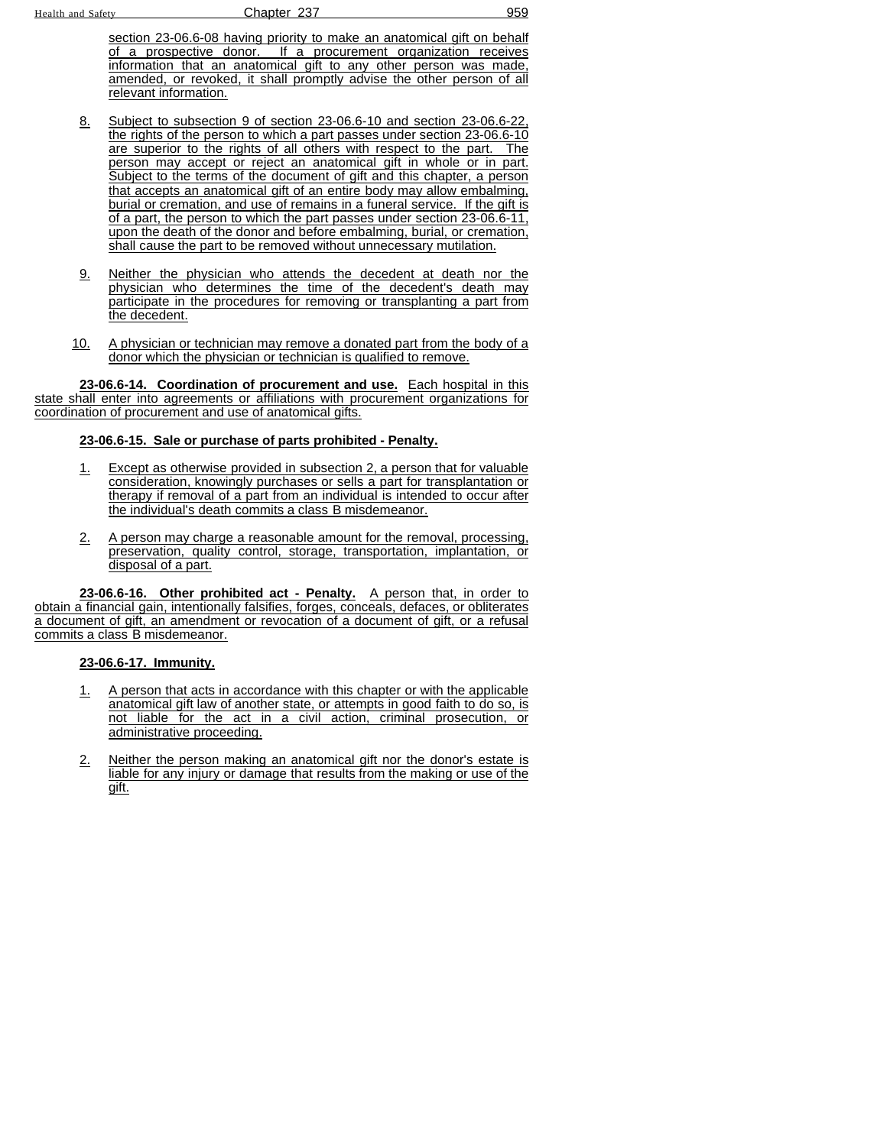section 23-06.6-08 having priority to make an anatomical gift on behalf of a prospective donor. If a procurement organization receives information that an anatomical gift to any other person was made, amended, or revoked, it shall promptly advise the other person of all relevant information.

- 8. Subject to subsection 9 of section 23-06.6-10 and section 23-06.6-22, the rights of the person to which a part passes under section 23-06.6-10 are superior to the rights of all others with respect to the part. The person may accept or reject an anatomical gift in whole or in part. Subject to the terms of the document of gift and this chapter, a person that accepts an anatomical gift of an entire body may allow embalming, burial or cremation, and use of remains in a funeral service. If the gift is of a part, the person to which the part passes under section 23-06.6-11, upon the death of the donor and before embalming, burial, or cremation, shall cause the part to be removed without unnecessary mutilation.
- 9. Neither the physician who attends the decedent at death nor the physician who determines the time of the decedent's death may participate in the procedures for removing or transplanting a part from the decedent.
- 10. A physician or technician may remove a donated part from the body of a donor which the physician or technician is qualified to remove.

**23-06.6-14. Coordination of procurement and use.** Each hospital in this state shall enter into agreements or affiliations with procurement organizations for coordination of procurement and use of anatomical gifts.

### **23-06.6-15. Sale or purchase of parts prohibited - Penalty.**

- Except as otherwise provided in subsection 2, a person that for valuable consideration, knowingly purchases or sells a part for transplantation or therapy if removal of a part from an individual is intended to occur after the individual's death commits a class B misdemeanor.
- 2. A person may charge a reasonable amount for the removal, processing, preservation, quality control, storage, transportation, implantation, or disposal of a part.

**23-06.6-16. Other prohibited act - Penalty.** A person that, in order to obtain a financial gain, intentionally falsifies, forges, conceals, defaces, or obliterates a document of gift, an amendment or revocation of a document of gift, or a refusal commits a class B misdemeanor.

### **23-06.6-17. Immunity.**

- 1. A person that acts in accordance with this chapter or with the applicable anatomical gift law of another state, or attempts in good faith to do so, is not liable for the act in a civil action, criminal prosecution, or administrative proceeding.
- 2. Neither the person making an anatomical gift nor the donor's estate is liable for any injury or damage that results from the making or use of the gift.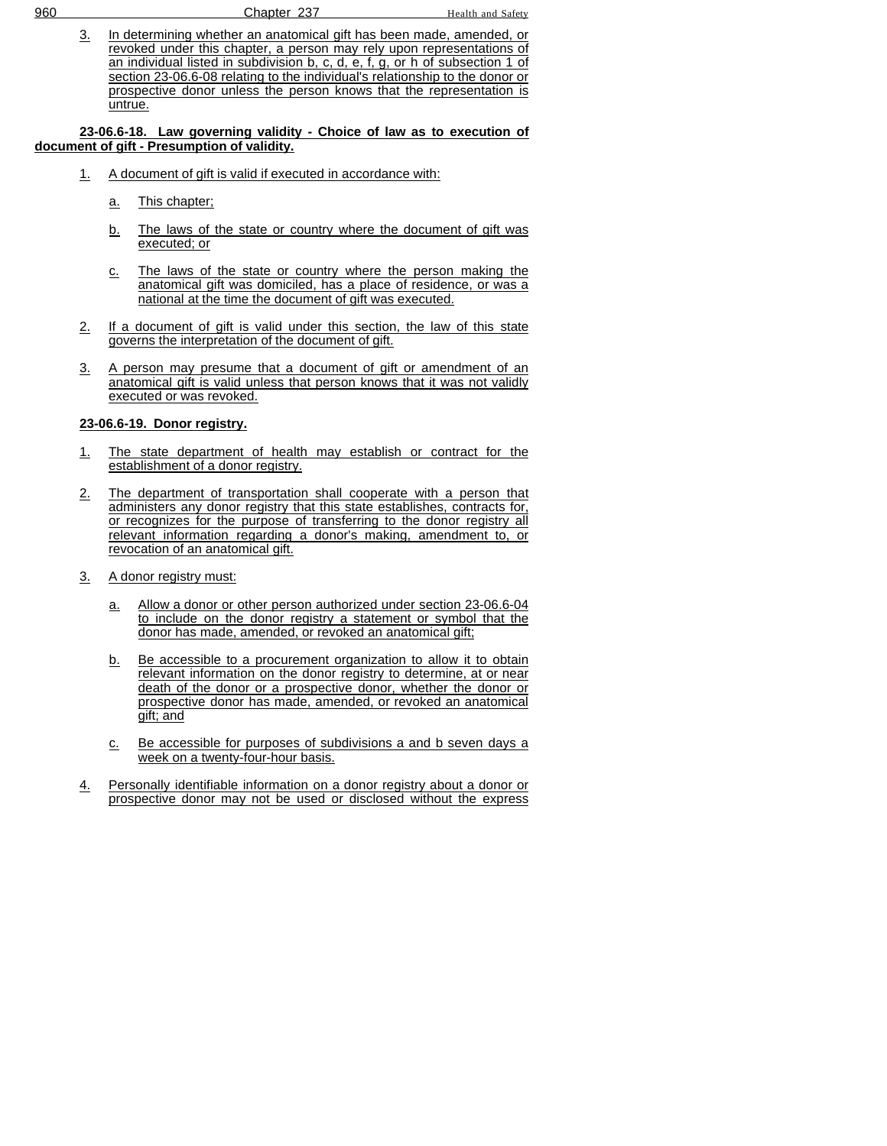3. In determining whether an anatomical gift has been made, amended, or revoked under this chapter, a person may rely upon representations of an individual listed in subdivision b, c, d, e, f, g, or h of subsection 1 of section 23-06.6-08 relating to the individual's relationship to the donor or prospective donor unless the person knows that the representation is untrue.

#### **23-06.6-18. Law governing validity - Choice of law as to execution of document of gift - Presumption of validity.**

- 1. A document of gift is valid if executed in accordance with:
	- a. This chapter;
	- b. The laws of the state or country where the document of gift was executed; or
	- c. The laws of the state or country where the person making the anatomical gift was domiciled, has a place of residence, or was a national at the time the document of gift was executed.
- 2. If a document of gift is valid under this section, the law of this state governs the interpretation of the document of gift.
- 3. A person may presume that a document of gift or amendment of an anatomical gift is valid unless that person knows that it was not validly executed or was revoked.

#### **23-06.6-19. Donor registry.**

- 1. The state department of health may establish or contract for the establishment of a donor registry.
- 2. The department of transportation shall cooperate with a person that administers any donor registry that this state establishes, contracts for, or recognizes for the purpose of transferring to the donor registry all relevant information regarding a donor's making, amendment to, or revocation of an anatomical gift.
- 3. A donor registry must:
	- a. Allow a donor or other person authorized under section 23-06.6-04 to include on the donor registry a statement or symbol that the donor has made, amended, or revoked an anatomical gift;
	- b. Be accessible to a procurement organization to allow it to obtain relevant information on the donor registry to determine, at or near death of the donor or a prospective donor, whether the donor or prospective donor has made, amended, or revoked an anatomical gift; and
	- c. Be accessible for purposes of subdivisions a and b seven days a week on a twenty-four-hour basis.
- 4. Personally identifiable information on a donor registry about a donor or prospective donor may not be used or disclosed without the express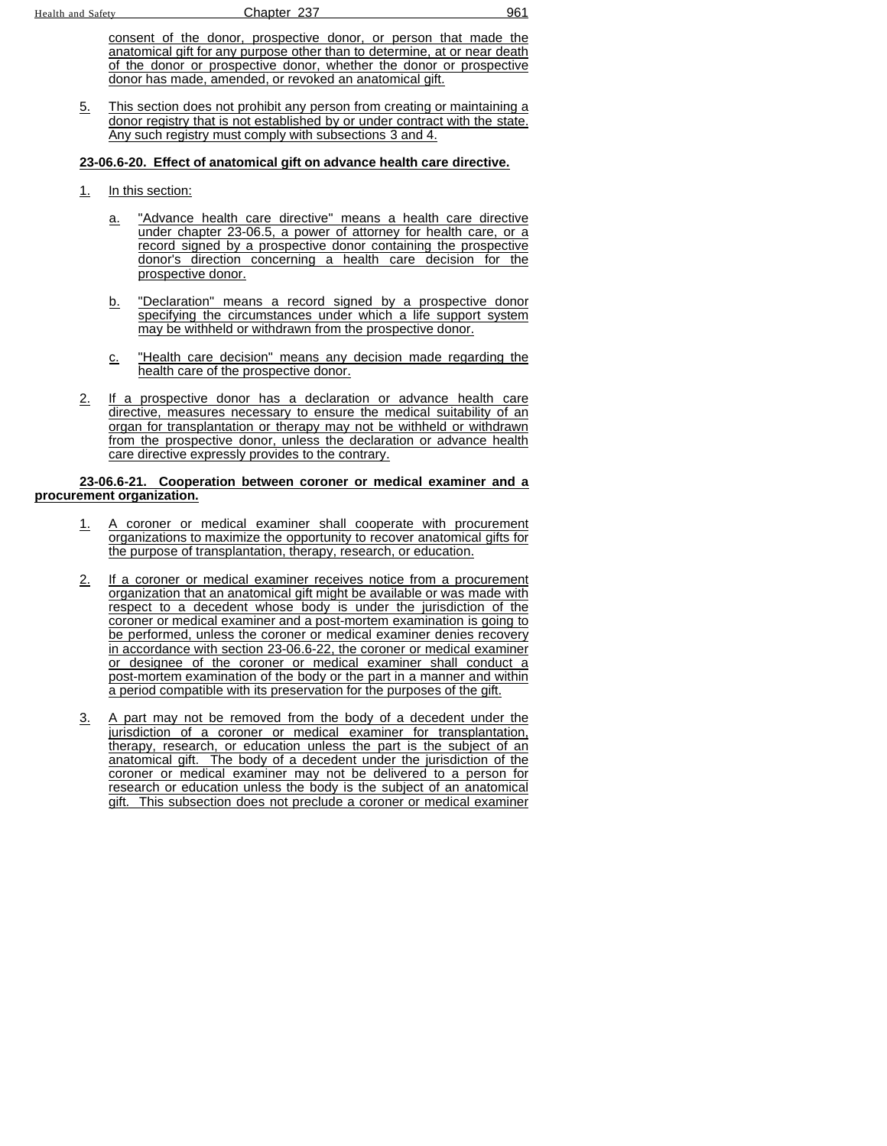consent of the donor, prospective donor, or person that made the anatomical gift for any purpose other than to determine, at or near death of the donor or prospective donor, whether the donor or prospective donor has made, amended, or revoked an anatomical gift.

5. This section does not prohibit any person from creating or maintaining a donor registry that is not established by or under contract with the state. Any such registry must comply with subsections 3 and 4.

#### **23-06.6-20. Effect of anatomical gift on advance health care directive.**

- 1. In this section:
	- a. "Advance health care directive" means a health care directive under chapter 23-06.5, a power of attorney for health care, or a record signed by a prospective donor containing the prospective donor's direction concerning a health care decision for the prospective donor.
	- b. "Declaration" means a record signed by a prospective donor specifying the circumstances under which a life support system may be withheld or withdrawn from the prospective donor.
	- c. "Health care decision" means any decision made regarding the health care of the prospective donor.
- 2. If a prospective donor has a declaration or advance health care directive, measures necessary to ensure the medical suitability of an organ for transplantation or therapy may not be withheld or withdrawn from the prospective donor, unless the declaration or advance health care directive expressly provides to the contrary.

#### **23-06.6-21. Cooperation between coroner or medical examiner and a procurement organization.**

- 1. A coroner or medical examiner shall cooperate with procurement organizations to maximize the opportunity to recover anatomical gifts for the purpose of transplantation, therapy, research, or education.
- 2. If a coroner or medical examiner receives notice from a procurement organization that an anatomical gift might be available or was made with respect to a decedent whose body is under the jurisdiction of the coroner or medical examiner and a post-mortem examination is going to be performed, unless the coroner or medical examiner denies recovery in accordance with section 23-06.6-22, the coroner or medical examiner or designee of the coroner or medical examiner shall conduct a post-mortem examination of the body or the part in a manner and within a period compatible with its preservation for the purposes of the gift.
- 3. A part may not be removed from the body of a decedent under the jurisdiction of a coroner or medical examiner for transplantation, therapy, research, or education unless the part is the subject of an anatomical gift. The body of a decedent under the jurisdiction of the coroner or medical examiner may not be delivered to a person for research or education unless the body is the subject of an anatomical gift. This subsection does not preclude a coroner or medical examiner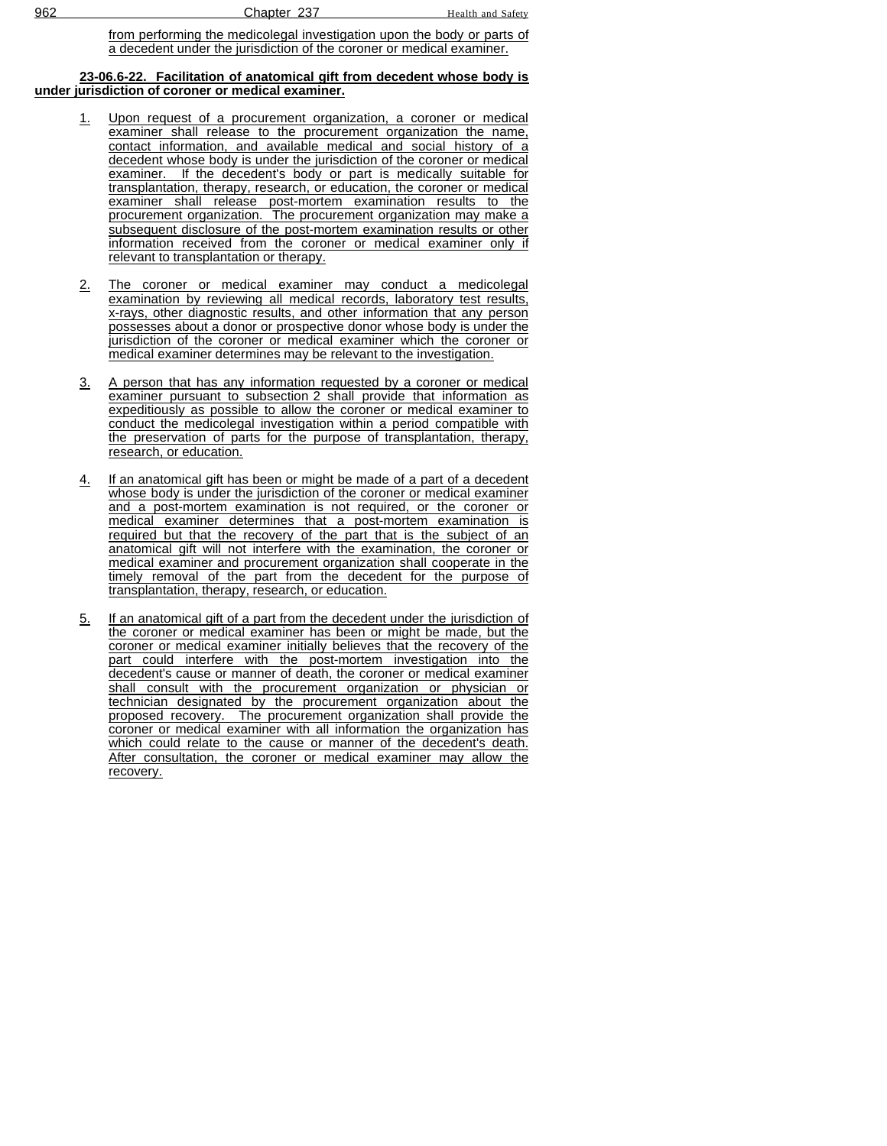from performing the medicolegal investigation upon the body or parts of a decedent under the jurisdiction of the coroner or medical examiner.

#### **23-06.6-22. Facilitation of anatomical gift from decedent whose body is under jurisdiction of coroner or medical examiner.**

- Upon request of a procurement organization, a coroner or medical examiner shall release to the procurement organization the name, contact information, and available medical and social history of a decedent whose body is under the jurisdiction of the coroner or medical examiner. If the decedent's body or part is medically suitable for transplantation, therapy, research, or education, the coroner or medical examiner shall release post-mortem examination results to the procurement organization. The procurement organization may make a subsequent disclosure of the post-mortem examination results or other information received from the coroner or medical examiner only if relevant to transplantation or therapy.
- 2. The coroner or medical examiner may conduct a medicolegal examination by reviewing all medical records, laboratory test results, x-rays, other diagnostic results, and other information that any person possesses about a donor or prospective donor whose body is under the jurisdiction of the coroner or medical examiner which the coroner or medical examiner determines may be relevant to the investigation.
- 3. A person that has any information requested by a coroner or medical examiner pursuant to subsection 2 shall provide that information as expeditiously as possible to allow the coroner or medical examiner to conduct the medicolegal investigation within a period compatible with the preservation of parts for the purpose of transplantation, therapy, research, or education.
- 4. If an anatomical gift has been or might be made of a part of a decedent whose body is under the jurisdiction of the coroner or medical examiner and a post-mortem examination is not required, or the coroner or medical examiner determines that a post-mortem examination is required but that the recovery of the part that is the subject of an anatomical gift will not interfere with the examination, the coroner or medical examiner and procurement organization shall cooperate in the timely removal of the part from the decedent for the purpose of transplantation, therapy, research, or education.
- 5. If an anatomical gift of a part from the decedent under the jurisdiction of the coroner or medical examiner has been or might be made, but the coroner or medical examiner initially believes that the recovery of the part could interfere with the post-mortem investigation into the decedent's cause or manner of death, the coroner or medical examiner shall consult with the procurement organization or physician or technician designated by the procurement organization about the proposed recovery. The procurement organization shall provide the coroner or medical examiner with all information the organization has which could relate to the cause or manner of the decedent's death. After consultation, the coroner or medical examiner may allow the recovery.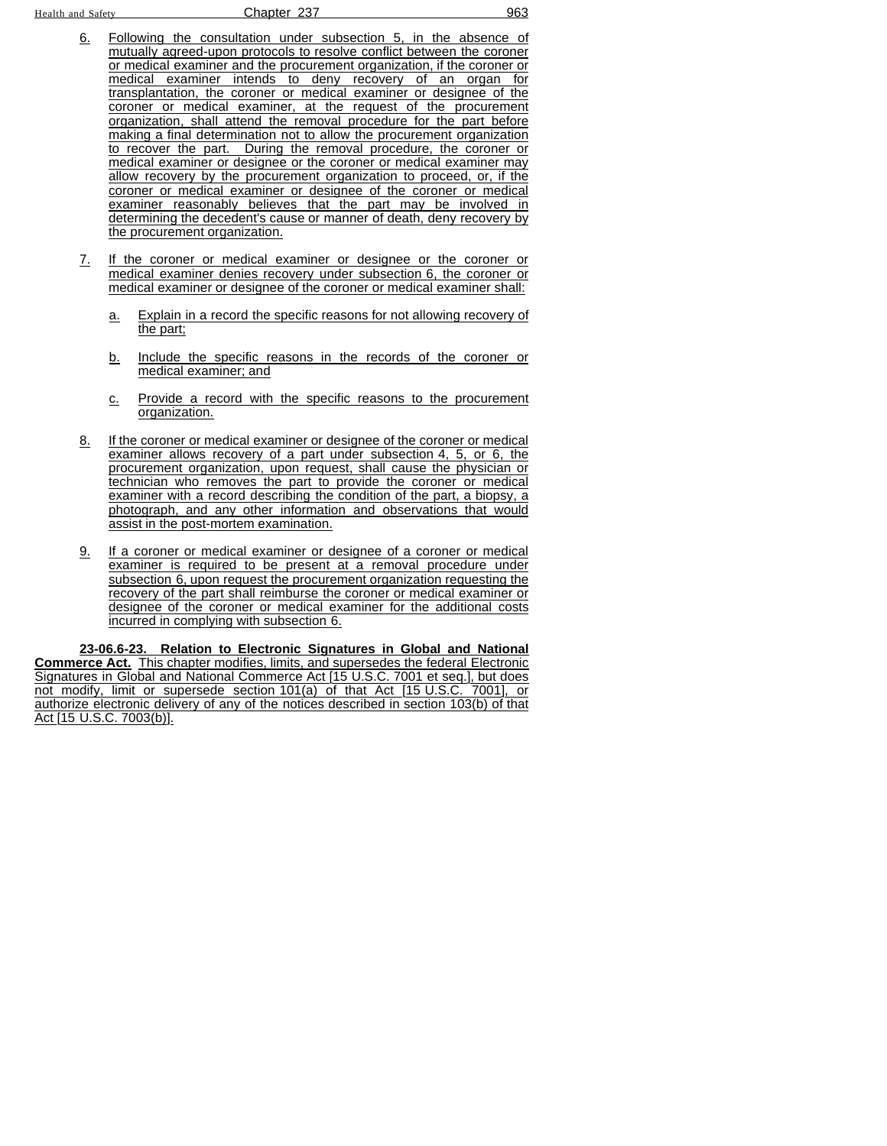- 6. Following the consultation under subsection 5, in the absence of mutually agreed-upon protocols to resolve conflict between the coroner or medical examiner and the procurement organization, if the coroner or medical examiner intends to deny recovery of an organ for transplantation, the coroner or medical examiner or designee of the coroner or medical examiner, at the request of the procurement organization, shall attend the removal procedure for the part before making a final determination not to allow the procurement organization to recover the part. During the removal procedure, the coroner or medical examiner or designee or the coroner or medical examiner may allow recovery by the procurement organization to proceed, or, if the coroner or medical examiner or designee of the coroner or medical examiner reasonably believes that the part may be involved in determining the decedent's cause or manner of death, deny recovery by the procurement organization.
- 7. If the coroner or medical examiner or designee or the coroner or medical examiner denies recovery under subsection 6, the coroner or medical examiner or designee of the coroner or medical examiner shall:
	- a. Explain in a record the specific reasons for not allowing recovery of the part;
	- b. Include the specific reasons in the records of the coroner or medical examiner; and
	- c. Provide a record with the specific reasons to the procurement organization.
- 8. If the coroner or medical examiner or designee of the coroner or medical examiner allows recovery of a part under subsection 4, 5, or 6, the procurement organization, upon request, shall cause the physician or technician who removes the part to provide the coroner or medical examiner with a record describing the condition of the part, a biopsy, a photograph, and any other information and observations that would assist in the post-mortem examination.
- 9. If a coroner or medical examiner or designee of a coroner or medical examiner is required to be present at a removal procedure under subsection 6, upon request the procurement organization requesting the recovery of the part shall reimburse the coroner or medical examiner or designee of the coroner or medical examiner for the additional costs incurred in complying with subsection 6.

**23-06.6-23. Relation to Electronic Signatures in Global and National Commerce Act.** This chapter modifies, limits, and supersedes the federal Electronic Signatures in Global and National Commerce Act [15 U.S.C. 7001 et seq.], but does not modify, limit or supersede section 101(a) of that Act [15 U.S.C. 7001], or authorize electronic delivery of any of the notices described in section 103(b) of that Act [15 U.S.C. 7003(b)].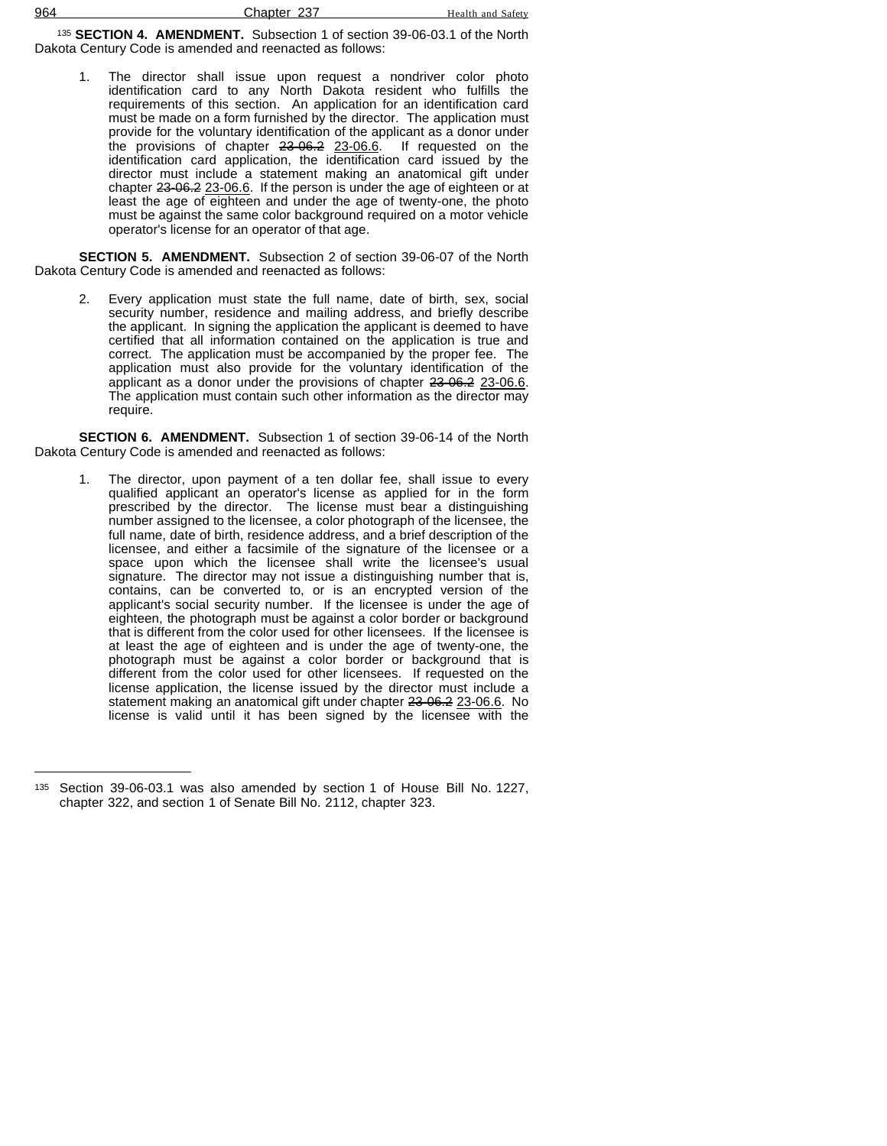<sup>135</sup> **SECTION 4. AMENDMENT.** Subsection 1 of section 39-06-03.1 of the North Dakota Century Code is amended and reenacted as follows:

1. The director shall issue upon request a nondriver color photo identification card to any North Dakota resident who fulfills the requirements of this section. An application for an identification card must be made on a form furnished by the director. The application must provide for the voluntary identification of the applicant as a donor under the provisions of chapter 23-06.2 23-06.6. If requested on the identification card application, the identification card issued by the director must include a statement making an anatomical gift under chapter 23-06.2 23-06.6. If the person is under the age of eighteen or at least the age of eighteen and under the age of twenty-one, the photo must be against the same color background required on a motor vehicle operator's license for an operator of that age.

**SECTION 5. AMENDMENT.** Subsection 2 of section 39-06-07 of the North Dakota Century Code is amended and reenacted as follows:

2. Every application must state the full name, date of birth, sex, social security number, residence and mailing address, and briefly describe the applicant. In signing the application the applicant is deemed to have certified that all information contained on the application is true and correct. The application must be accompanied by the proper fee. The application must also provide for the voluntary identification of the applicant as a donor under the provisions of chapter 23-06.2 23-06.6. The application must contain such other information as the director may require.

**SECTION 6. AMENDMENT.** Subsection 1 of section 39-06-14 of the North Dakota Century Code is amended and reenacted as follows:

1. The director, upon payment of a ten dollar fee, shall issue to every qualified applicant an operator's license as applied for in the form prescribed by the director. The license must bear a distinguishing number assigned to the licensee, a color photograph of the licensee, the full name, date of birth, residence address, and a brief description of the licensee, and either a facsimile of the signature of the licensee or a space upon which the licensee shall write the licensee's usual signature. The director may not issue a distinguishing number that is, contains, can be converted to, or is an encrypted version of the applicant's social security number. If the licensee is under the age of eighteen, the photograph must be against a color border or background that is different from the color used for other licensees. If the licensee is at least the age of eighteen and is under the age of twenty-one, the photograph must be against a color border or background that is different from the color used for other licensees. If requested on the license application, the license issued by the director must include a statement making an anatomical gift under chapter 23-06.2 23-06.6. No license is valid until it has been signed by the licensee with the

<sup>135</sup> Section 39-06-03.1 was also amended by section 1 of House Bill No. 1227, chapter 322, and section 1 of Senate Bill No. 2112, chapter 323.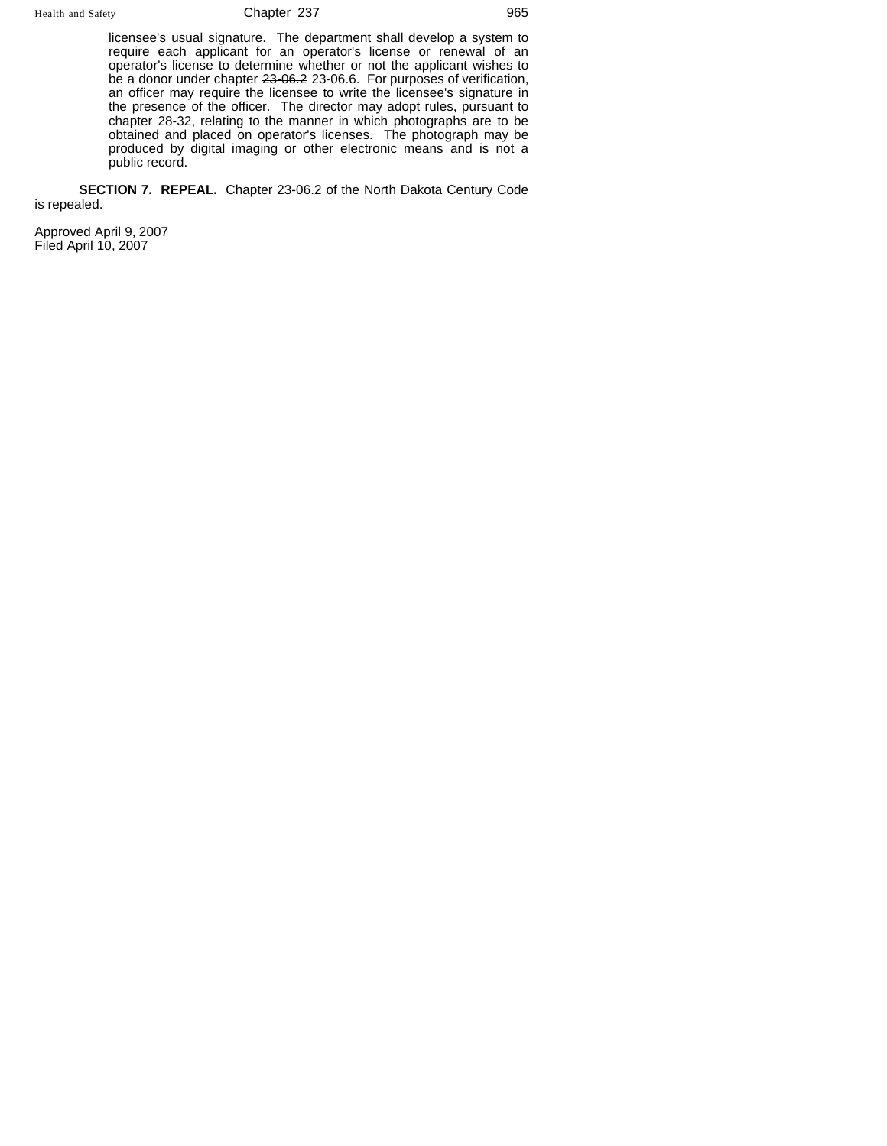licensee's usual signature. The department shall develop a system to require each applicant for an operator's license or renewal of an operator's license to determine whether or not the applicant wishes to be a donor under chapter 23-06.2 23-06.6. For purposes of verification, an officer may require the licensee to write the licensee's signature in the presence of the officer. The director may adopt rules, pursuant to chapter 28-32, relating to the manner in which photographs are to be obtained and placed on operator's licenses. The photograph may be produced by digital imaging or other electronic means and is not a public record.

**SECTION 7. REPEAL.** Chapter 23-06.2 of the North Dakota Century Code is repealed.

Approved April 9, 2007 Filed April 10, 2007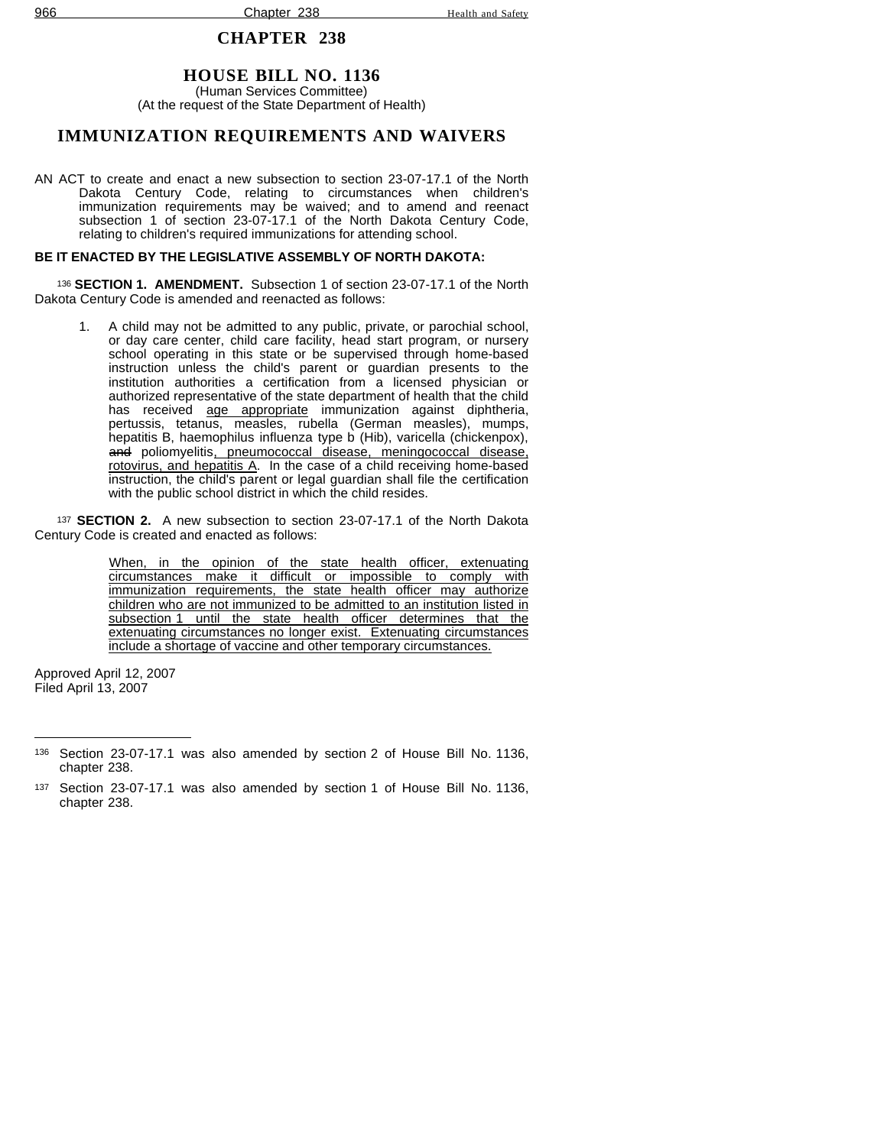# **HOUSE BILL NO. 1136**

(Human Services Committee) (At the request of the State Department of Health)

## **IMMUNIZATION REQUIREMENTS AND WAIVERS**

AN ACT to create and enact a new subsection to section 23-07-17.1 of the North Dakota Century Code, relating to circumstances when children's immunization requirements may be waived; and to amend and reenact subsection 1 of section 23-07-17.1 of the North Dakota Century Code, relating to children's required immunizations for attending school.

### **BE IT ENACTED BY THE LEGISLATIVE ASSEMBLY OF NORTH DAKOTA:**

<sup>136</sup> **SECTION 1. AMENDMENT.** Subsection 1 of section 23-07-17.1 of the North Dakota Century Code is amended and reenacted as follows:

1. A child may not be admitted to any public, private, or parochial school, or day care center, child care facility, head start program, or nursery school operating in this state or be supervised through home-based instruction unless the child's parent or guardian presents to the institution authorities a certification from a licensed physician or authorized representative of the state department of health that the child has received age appropriate immunization against diphtheria, pertussis, tetanus, measles, rubella (German measles), mumps, hepatitis B, haemophilus influenza type b (Hib), varicella (chickenpox), and poliomyelitis, pneumococcal disease, meningococcal disease, rotovirus, and hepatitis A. In the case of a child receiving home-based instruction, the child's parent or legal guardian shall file the certification with the public school district in which the child resides.

<sup>137</sup> **SECTION 2.** A new subsection to section 23-07-17.1 of the North Dakota Century Code is created and enacted as follows:

> When, in the opinion of the state health officer, extenuating circumstances make it difficult or impossible to comply with immunization requirements, the state health officer may authorize children who are not immunized to be admitted to an institution listed in subsection 1 until the state health officer determines that the extenuating circumstances no longer exist. Extenuating circumstances include a shortage of vaccine and other temporary circumstances.

Approved April 12, 2007 Filed April 13, 2007

<sup>136</sup> Section 23-07-17.1 was also amended by section 2 of House Bill No. 1136, chapter 238.

<sup>137</sup> Section 23-07-17.1 was also amended by section 1 of House Bill No. 1136, chapter 238.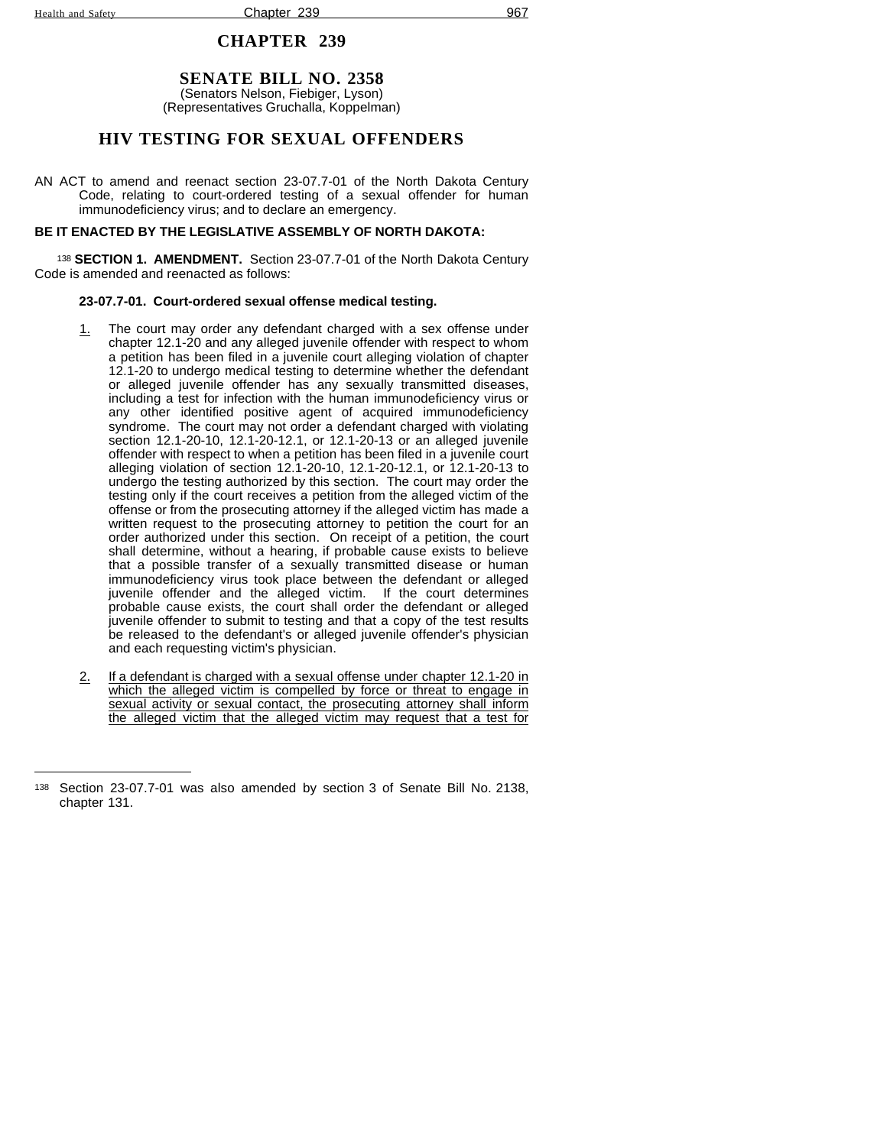# **SENATE BILL NO. 2358**

(Senators Nelson, Fiebiger, Lyson) (Representatives Gruchalla, Koppelman)

### **HIV TESTING FOR SEXUAL OFFENDERS**

AN ACT to amend and reenact section 23-07.7-01 of the North Dakota Century Code, relating to court-ordered testing of a sexual offender for human immunodeficiency virus; and to declare an emergency.

#### **BE IT ENACTED BY THE LEGISLATIVE ASSEMBLY OF NORTH DAKOTA:**

<sup>138</sup> **SECTION 1. AMENDMENT.** Section 23-07.7-01 of the North Dakota Century Code is amended and reenacted as follows:

#### **23-07.7-01. Court-ordered sexual offense medical testing.**

- 1. The court may order any defendant charged with a sex offense under chapter 12.1-20 and any alleged juvenile offender with respect to whom a petition has been filed in a juvenile court alleging violation of chapter 12.1-20 to undergo medical testing to determine whether the defendant or alleged juvenile offender has any sexually transmitted diseases, including a test for infection with the human immunodeficiency virus or any other identified positive agent of acquired immunodeficiency syndrome. The court may not order a defendant charged with violating section 12.1-20-10, 12.1-20-12.1, or 12.1-20-13 or an alleged juvenile offender with respect to when a petition has been filed in a juvenile court alleging violation of section 12.1-20-10, 12.1-20-12.1, or 12.1-20-13 to undergo the testing authorized by this section. The court may order the testing only if the court receives a petition from the alleged victim of the offense or from the prosecuting attorney if the alleged victim has made a written request to the prosecuting attorney to petition the court for an order authorized under this section. On receipt of a petition, the court shall determine, without a hearing, if probable cause exists to believe that a possible transfer of a sexually transmitted disease or human immunodeficiency virus took place between the defendant or alleged juvenile offender and the alleged victim. If the court determines probable cause exists, the court shall order the defendant or alleged juvenile offender to submit to testing and that a copy of the test results be released to the defendant's or alleged juvenile offender's physician and each requesting victim's physician.
- 2. If a defendant is charged with a sexual offense under chapter 12.1-20 in which the alleged victim is compelled by force or threat to engage in sexual activity or sexual contact, the prosecuting attorney shall inform the alleged victim that the alleged victim may request that a test for

<sup>138</sup> Section 23-07.7-01 was also amended by section 3 of Senate Bill No. 2138, chapter 131.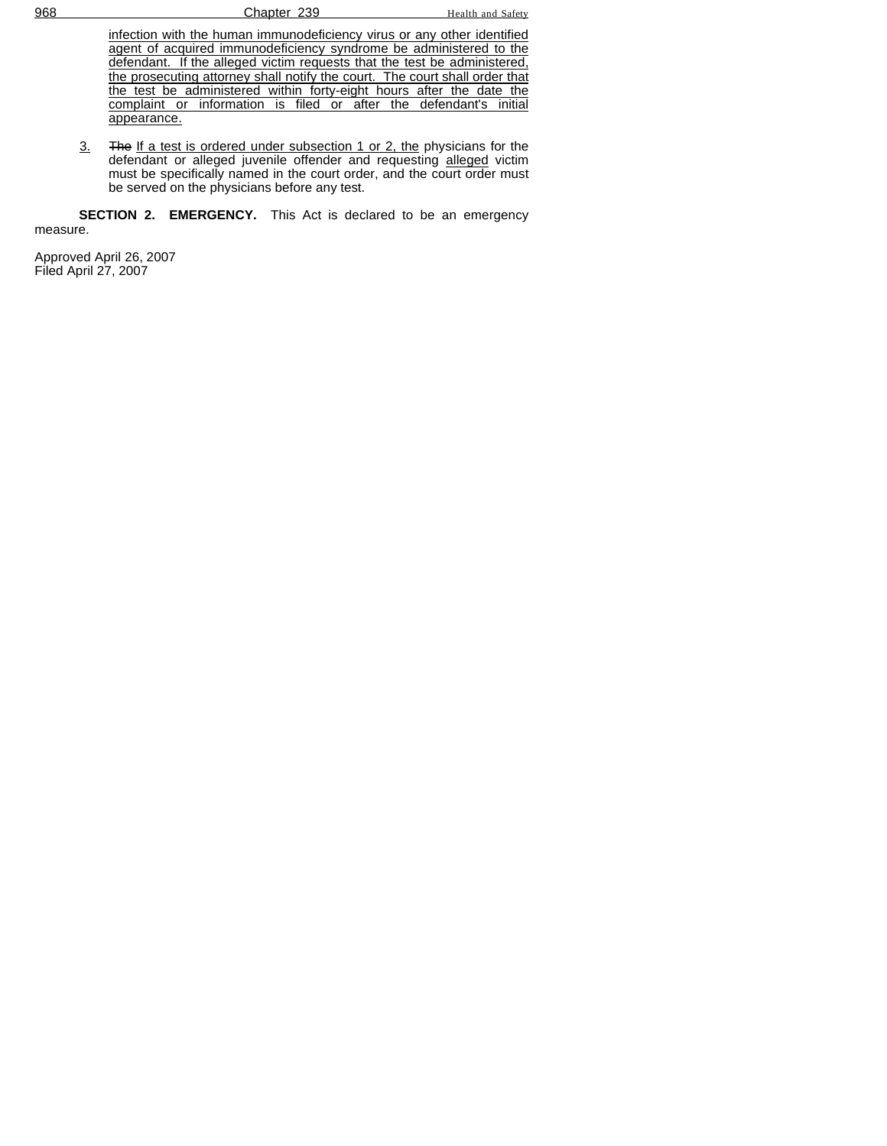infection with the human immunodeficiency virus or any other identified agent of acquired immunodeficiency syndrome be administered to the defendant. If the alleged victim requests that the test be administered, the prosecuting attorney shall notify the court. The court shall order that the test be administered within forty-eight hours after the date the complaint or information is filed or after the defendant's initial appearance.

3. The If a test is ordered under subsection 1 or 2, the physicians for the defendant or alleged juvenile offender and requesting alleged victim must be specifically named in the court order, and the court order must be served on the physicians before any test.

**SECTION 2. EMERGENCY.** This Act is declared to be an emergency measure.

Approved April 26, 2007 Filed April 27, 2007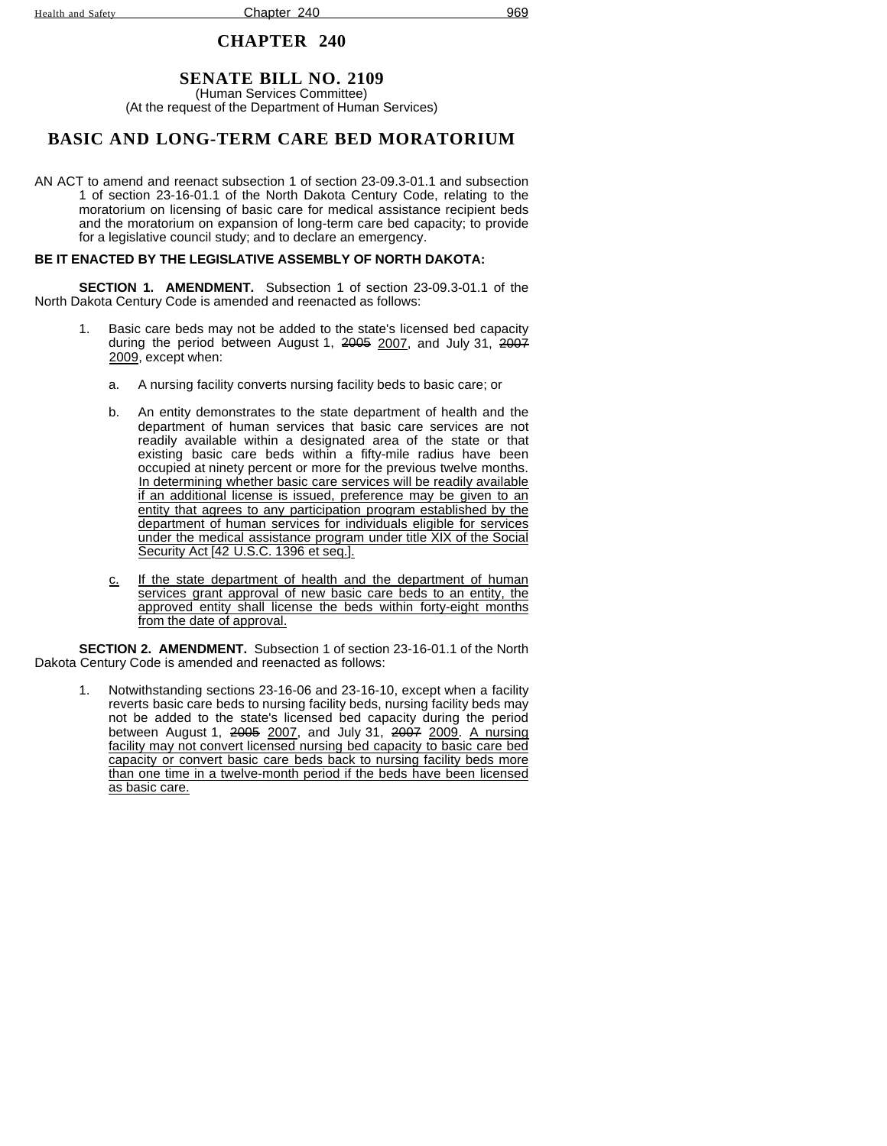### **SENATE BILL NO. 2109**

(Human Services Committee) (At the request of the Department of Human Services)

### **BASIC AND LONG-TERM CARE BED MORATORIUM**

AN ACT to amend and reenact subsection 1 of section 23-09.3-01.1 and subsection 1 of section 23-16-01.1 of the North Dakota Century Code, relating to the moratorium on licensing of basic care for medical assistance recipient beds and the moratorium on expansion of long-term care bed capacity; to provide for a legislative council study; and to declare an emergency.

#### **BE IT ENACTED BY THE LEGISLATIVE ASSEMBLY OF NORTH DAKOTA:**

**SECTION 1. AMENDMENT.** Subsection 1 of section 23-09.3-01.1 of the North Dakota Century Code is amended and reenacted as follows:

- 1. Basic care beds may not be added to the state's licensed bed capacity during the period between August 1, 2005 2007, and July 31, 2007 2009, except when:
	- a. A nursing facility converts nursing facility beds to basic care; or
	- b. An entity demonstrates to the state department of health and the department of human services that basic care services are not readily available within a designated area of the state or that existing basic care beds within a fifty-mile radius have been occupied at ninety percent or more for the previous twelve months. In determining whether basic care services will be readily available if an additional license is issued, preference may be given to an entity that agrees to any participation program established by the department of human services for individuals eligible for services under the medical assistance program under title XIX of the Social Security Act [42 U.S.C. 1396 et seq.].
	- c. If the state department of health and the department of human services grant approval of new basic care beds to an entity, the approved entity shall license the beds within forty-eight months from the date of approval.

**SECTION 2. AMENDMENT.** Subsection 1 of section 23-16-01.1 of the North Dakota Century Code is amended and reenacted as follows:

1. Notwithstanding sections 23-16-06 and 23-16-10, except when a facility reverts basic care beds to nursing facility beds, nursing facility beds may not be added to the state's licensed bed capacity during the period between August 1, 2005 2007, and July 31, 2007 2009. A nursing facility may not convert licensed nursing bed capacity to basic care bed capacity or convert basic care beds back to nursing facility beds more than one time in a twelve-month period if the beds have been licensed as basic care.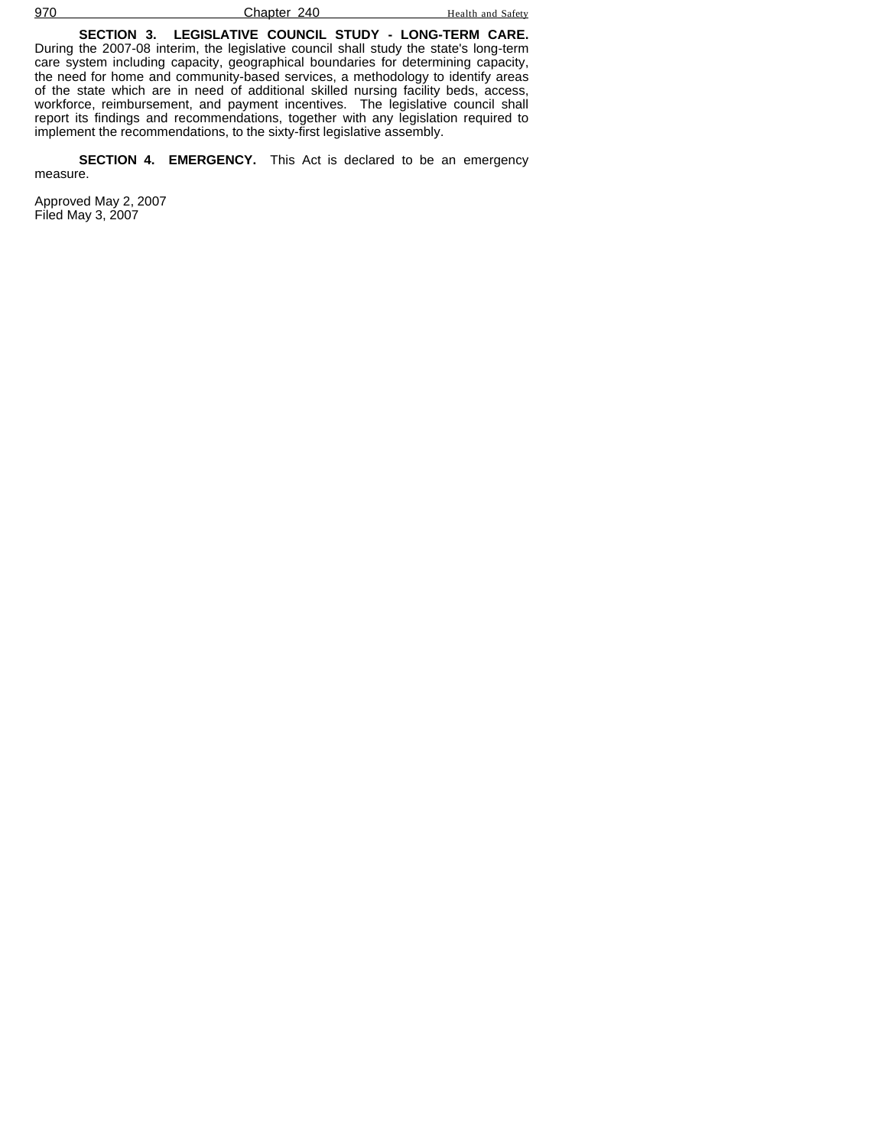970 Chapter 240 Health and Safety

**SECTION 3. LEGISLATIVE COUNCIL STUDY - LONG-TERM CARE.** During the 2007-08 interim, the legislative council shall study the state's long-term care system including capacity, geographical boundaries for determining capacity, the need for home and community-based services, a methodology to identify areas of the state which are in need of additional skilled nursing facility beds, access, workforce, reimbursement, and payment incentives. The legislative council shall report its findings and recommendations, together with any legislation required to implement the recommendations, to the sixty-first legislative assembly.

**SECTION 4. EMERGENCY.** This Act is declared to be an emergency measure.

Approved May 2, 2007 Filed May 3, 2007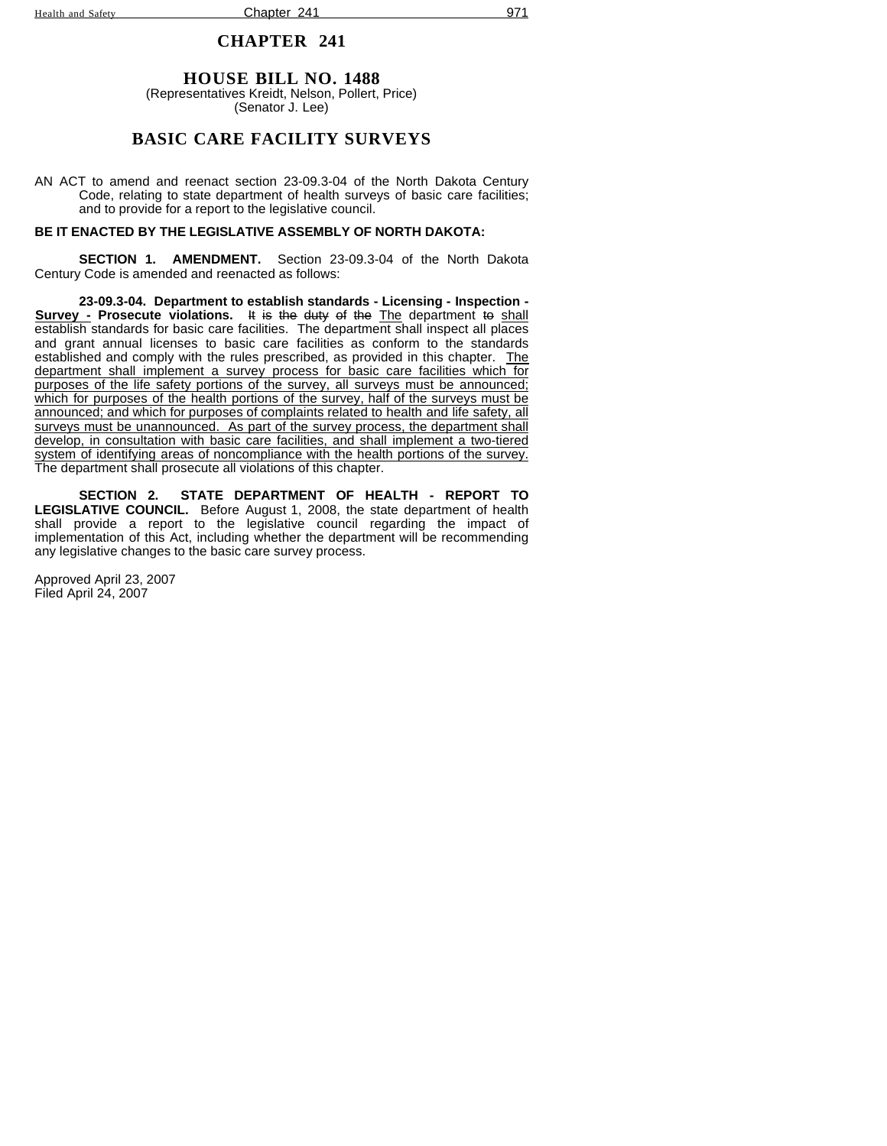### **HOUSE BILL NO. 1488**

(Representatives Kreidt, Nelson, Pollert, Price) (Senator J. Lee)

### **BASIC CARE FACILITY SURVEYS**

AN ACT to amend and reenact section 23-09.3-04 of the North Dakota Century Code, relating to state department of health surveys of basic care facilities; and to provide for a report to the legislative council.

#### **BE IT ENACTED BY THE LEGISLATIVE ASSEMBLY OF NORTH DAKOTA:**

**SECTION 1. AMENDMENT.** Section 23-09.3-04 of the North Dakota Century Code is amended and reenacted as follows:

**23-09.3-04. Department to establish standards - Licensing - Inspection - Survey - Prosecute violations.** It is the duty of the The department to shall establish standards for basic care facilities. The department shall inspect all places and grant annual licenses to basic care facilities as conform to the standards established and comply with the rules prescribed, as provided in this chapter. The department shall implement a survey process for basic care facilities which for purposes of the life safety portions of the survey, all surveys must be announced; which for purposes of the health portions of the survey, half of the surveys must be announced; and which for purposes of complaints related to health and life safety, all surveys must be unannounced. As part of the survey process, the department shall develop, in consultation with basic care facilities, and shall implement a two-tiered system of identifying areas of noncompliance with the health portions of the survey. The department shall prosecute all violations of this chapter.

**SECTION 2. STATE DEPARTMENT OF HEALTH - REPORT TO LEGISLATIVE COUNCIL.** Before August 1, 2008, the state department of health shall provide a report to the legislative council regarding the impact of implementation of this Act, including whether the department will be recommending any legislative changes to the basic care survey process.

Approved April 23, 2007 Filed April 24, 2007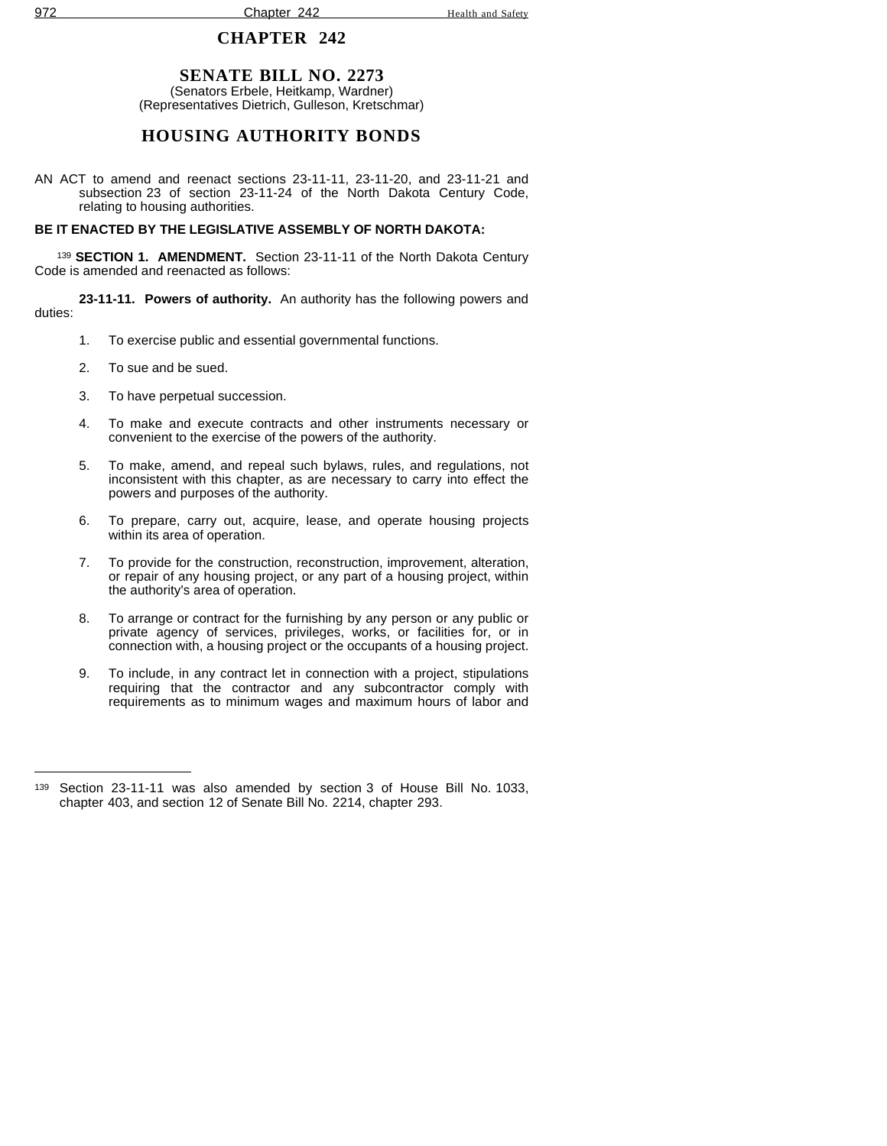## **SENATE BILL NO. 2273**

(Senators Erbele, Heitkamp, Wardner) (Representatives Dietrich, Gulleson, Kretschmar)

## **HOUSING AUTHORITY BONDS**

AN ACT to amend and reenact sections 23-11-11, 23-11-20, and 23-11-21 and subsection 23 of section 23-11-24 of the North Dakota Century Code, relating to housing authorities.

### **BE IT ENACTED BY THE LEGISLATIVE ASSEMBLY OF NORTH DAKOTA:**

<sup>139</sup> **SECTION 1. AMENDMENT.** Section 23-11-11 of the North Dakota Century Code is amended and reenacted as follows:

**23-11-11. Powers of authority.** An authority has the following powers and duties:

- 1. To exercise public and essential governmental functions.
- 2. To sue and be sued.
- 3. To have perpetual succession.
- 4. To make and execute contracts and other instruments necessary or convenient to the exercise of the powers of the authority.
- 5. To make, amend, and repeal such bylaws, rules, and regulations, not inconsistent with this chapter, as are necessary to carry into effect the powers and purposes of the authority.
- 6. To prepare, carry out, acquire, lease, and operate housing projects within its area of operation.
- 7. To provide for the construction, reconstruction, improvement, alteration, or repair of any housing project, or any part of a housing project, within the authority's area of operation.
- 8. To arrange or contract for the furnishing by any person or any public or private agency of services, privileges, works, or facilities for, or in connection with, a housing project or the occupants of a housing project.
- 9. To include, in any contract let in connection with a project, stipulations requiring that the contractor and any subcontractor comply with requirements as to minimum wages and maximum hours of labor and

<sup>139</sup> Section 23-11-11 was also amended by section 3 of House Bill No. 1033, chapter 403, and section 12 of Senate Bill No. 2214, chapter 293.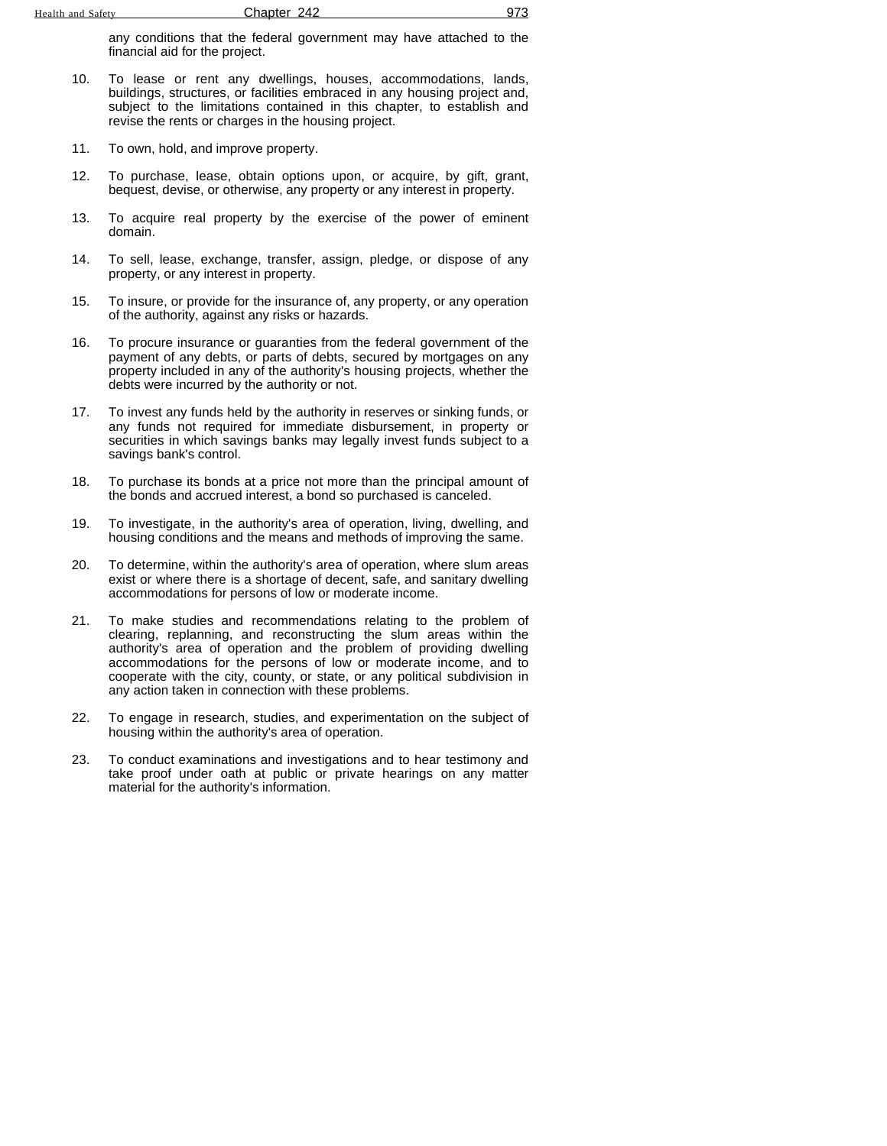any conditions that the federal government may have attached to the financial aid for the project.

- 10. To lease or rent any dwellings, houses, accommodations, lands, buildings, structures, or facilities embraced in any housing project and, subject to the limitations contained in this chapter, to establish and revise the rents or charges in the housing project.
- 11. To own, hold, and improve property.
- 12. To purchase, lease, obtain options upon, or acquire, by gift, grant, bequest, devise, or otherwise, any property or any interest in property.
- 13. To acquire real property by the exercise of the power of eminent domain.
- 14. To sell, lease, exchange, transfer, assign, pledge, or dispose of any property, or any interest in property.
- 15. To insure, or provide for the insurance of, any property, or any operation of the authority, against any risks or hazards.
- 16. To procure insurance or guaranties from the federal government of the payment of any debts, or parts of debts, secured by mortgages on any property included in any of the authority's housing projects, whether the debts were incurred by the authority or not.
- 17. To invest any funds held by the authority in reserves or sinking funds, or any funds not required for immediate disbursement, in property or securities in which savings banks may legally invest funds subject to a savings bank's control.
- 18. To purchase its bonds at a price not more than the principal amount of the bonds and accrued interest, a bond so purchased is canceled.
- 19. To investigate, in the authority's area of operation, living, dwelling, and housing conditions and the means and methods of improving the same.
- 20. To determine, within the authority's area of operation, where slum areas exist or where there is a shortage of decent, safe, and sanitary dwelling accommodations for persons of low or moderate income.
- 21. To make studies and recommendations relating to the problem of clearing, replanning, and reconstructing the slum areas within the authority's area of operation and the problem of providing dwelling accommodations for the persons of low or moderate income, and to cooperate with the city, county, or state, or any political subdivision in any action taken in connection with these problems.
- 22. To engage in research, studies, and experimentation on the subject of housing within the authority's area of operation.
- 23. To conduct examinations and investigations and to hear testimony and take proof under oath at public or private hearings on any matter material for the authority's information.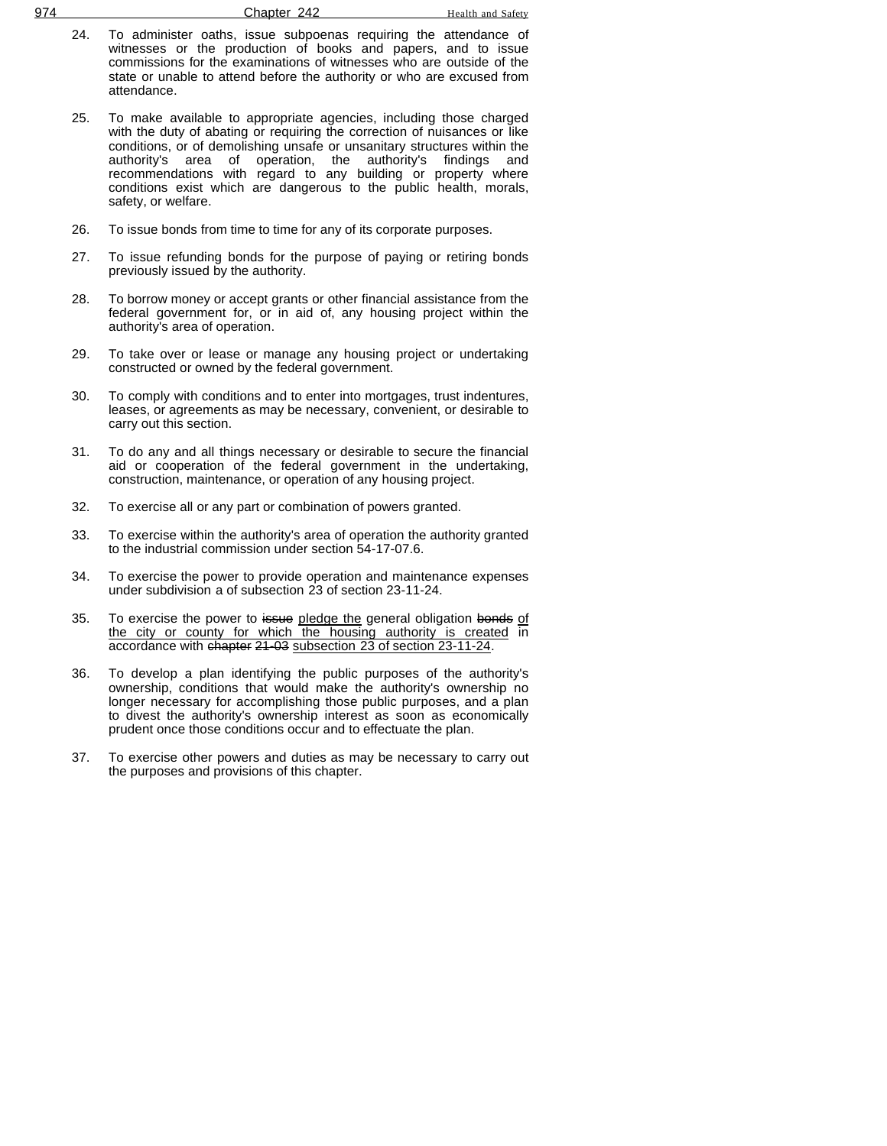- 24. To administer oaths, issue subpoenas requiring the attendance of witnesses or the production of books and papers, and to issue commissions for the examinations of witnesses who are outside of the state or unable to attend before the authority or who are excused from attendance.
- 25. To make available to appropriate agencies, including those charged with the duty of abating or requiring the correction of nuisances or like conditions, or of demolishing unsafe or unsanitary structures within the authority's area of operation, the authority's findings and recommendations with regard to any building or property where conditions exist which are dangerous to the public health, morals, safety, or welfare.
- 26. To issue bonds from time to time for any of its corporate purposes.
- 27. To issue refunding bonds for the purpose of paying or retiring bonds previously issued by the authority.
- 28. To borrow money or accept grants or other financial assistance from the federal government for, or in aid of, any housing project within the authority's area of operation.
- 29. To take over or lease or manage any housing project or undertaking constructed or owned by the federal government.
- 30. To comply with conditions and to enter into mortgages, trust indentures, leases, or agreements as may be necessary, convenient, or desirable to carry out this section.
- 31. To do any and all things necessary or desirable to secure the financial aid or cooperation of the federal government in the undertaking, construction, maintenance, or operation of any housing project.
- 32. To exercise all or any part or combination of powers granted.
- 33. To exercise within the authority's area of operation the authority granted to the industrial commission under section 54-17-07.6.
- 34. To exercise the power to provide operation and maintenance expenses under subdivision a of subsection 23 of section 23-11-24.
- 35. To exercise the power to issue pledge the general obligation bonds of the city or county for which the housing authority is created in accordance with chapter 21-03 subsection 23 of section 23-11-24.
- 36. To develop a plan identifying the public purposes of the authority's ownership, conditions that would make the authority's ownership no longer necessary for accomplishing those public purposes, and a plan to divest the authority's ownership interest as soon as economically prudent once those conditions occur and to effectuate the plan.
- 37. To exercise other powers and duties as may be necessary to carry out the purposes and provisions of this chapter.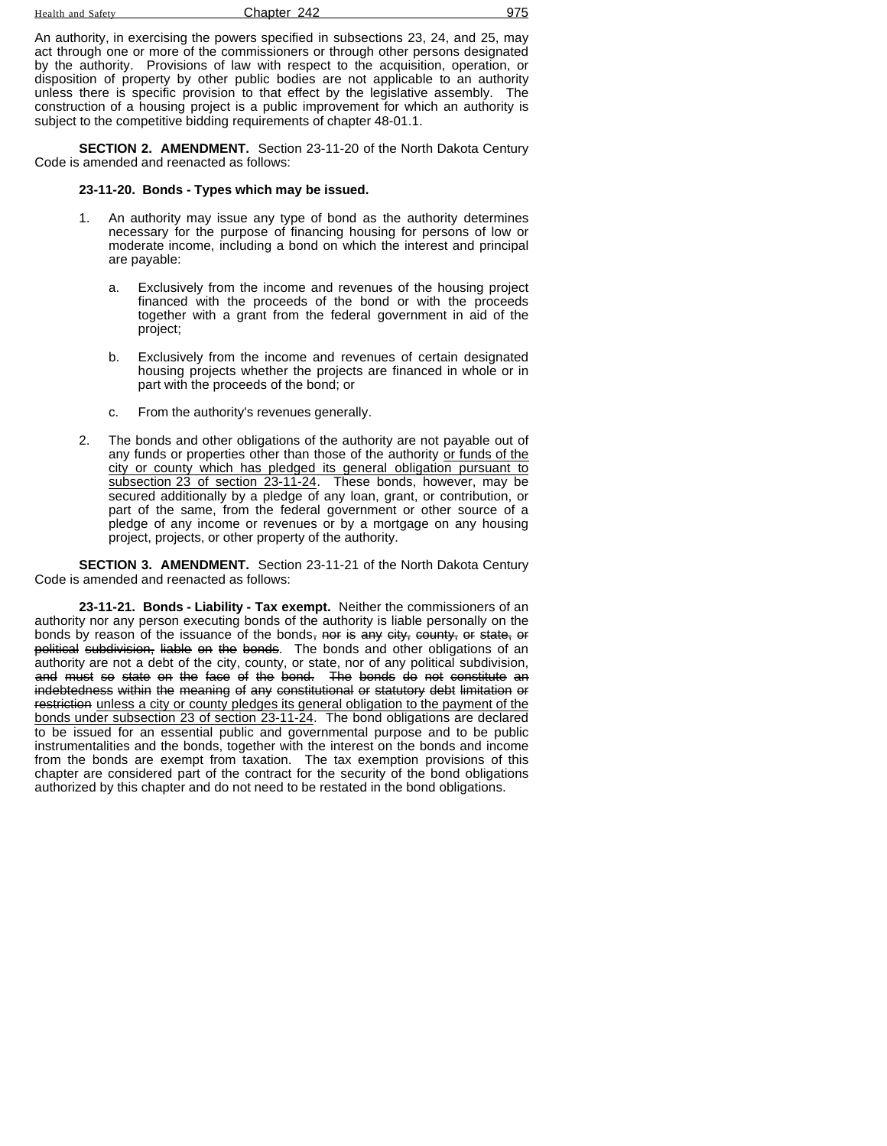| 242<br>Chapter<br>Health and Safety | ヽラー<br>ີ |
|-------------------------------------|----------|
|-------------------------------------|----------|

An authority, in exercising the powers specified in subsections 23, 24, and 25, may act through one or more of the commissioners or through other persons designated by the authority. Provisions of law with respect to the acquisition, operation, or disposition of property by other public bodies are not applicable to an authority unless there is specific provision to that effect by the legislative assembly. The construction of a housing project is a public improvement for which an authority is subject to the competitive bidding requirements of chapter 48-01.1.

**SECTION 2. AMENDMENT.** Section 23-11-20 of the North Dakota Century Code is amended and reenacted as follows:

#### **23-11-20. Bonds - Types which may be issued.**

- 1. An authority may issue any type of bond as the authority determines necessary for the purpose of financing housing for persons of low or moderate income, including a bond on which the interest and principal are payable:
	- a. Exclusively from the income and revenues of the housing project financed with the proceeds of the bond or with the proceeds together with a grant from the federal government in aid of the project;
	- b. Exclusively from the income and revenues of certain designated housing projects whether the projects are financed in whole or in part with the proceeds of the bond; or
	- c. From the authority's revenues generally.
- 2. The bonds and other obligations of the authority are not payable out of any funds or properties other than those of the authority or funds of the city or county which has pledged its general obligation pursuant to subsection 23 of section 23-11-24. These bonds, however, may be secured additionally by a pledge of any loan, grant, or contribution, or part of the same, from the federal government or other source of a pledge of any income or revenues or by a mortgage on any housing project, projects, or other property of the authority.

**SECTION 3. AMENDMENT.** Section 23-11-21 of the North Dakota Century Code is amended and reenacted as follows:

**23-11-21. Bonds - Liability - Tax exempt.** Neither the commissioners of an authority nor any person executing bonds of the authority is liable personally on the bonds by reason of the issuance of the bonds, nor is any city, county, or state, or political subdivision, liable on the bonds. The bonds and other obligations of an authority are not a debt of the city, county, or state, nor of any political subdivision, and must so state on the face of the bond. The bonds do not constitute an indebtedness within the meaning of any constitutional or statutory debt limitation or restriction unless a city or county pledges its general obligation to the payment of the bonds under subsection 23 of section 23-11-24. The bond obligations are declared to be issued for an essential public and governmental purpose and to be public instrumentalities and the bonds, together with the interest on the bonds and income from the bonds are exempt from taxation. The tax exemption provisions of this chapter are considered part of the contract for the security of the bond obligations authorized by this chapter and do not need to be restated in the bond obligations.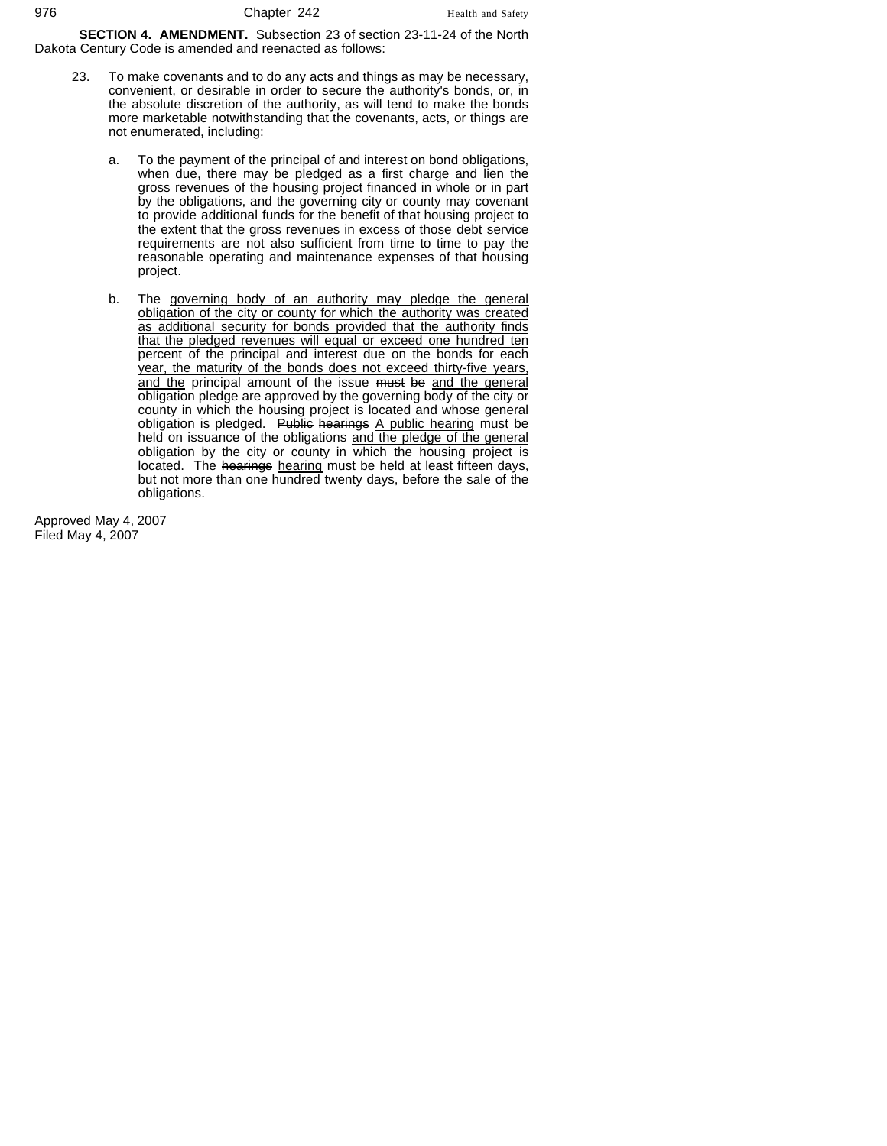| 976 | 242<br>Chapter<br>Health and Safety |
|-----|-------------------------------------|
|     |                                     |

**SECTION 4. AMENDMENT.** Subsection 23 of section 23-11-24 of the North Dakota Century Code is amended and reenacted as follows:

- 23. To make covenants and to do any acts and things as may be necessary, convenient, or desirable in order to secure the authority's bonds, or, in the absolute discretion of the authority, as will tend to make the bonds more marketable notwithstanding that the covenants, acts, or things are not enumerated, including:
	- a. To the payment of the principal of and interest on bond obligations, when due, there may be pledged as a first charge and lien the gross revenues of the housing project financed in whole or in part by the obligations, and the governing city or county may covenant to provide additional funds for the benefit of that housing project to the extent that the gross revenues in excess of those debt service requirements are not also sufficient from time to time to pay the reasonable operating and maintenance expenses of that housing project.
	- b. The governing body of an authority may pledge the general obligation of the city or county for which the authority was created as additional security for bonds provided that the authority finds that the pledged revenues will equal or exceed one hundred ten percent of the principal and interest due on the bonds for each year, the maturity of the bonds does not exceed thirty-five years, and the principal amount of the issue must be and the general obligation pledge are approved by the governing body of the city or county in which the housing project is located and whose general obligation is pledged. Public hearings A public hearing must be held on issuance of the obligations and the pledge of the general obligation by the city or county in which the housing project is located. The hearings hearing must be held at least fifteen days, but not more than one hundred twenty days, before the sale of the obligations.

Approved May 4, 2007 Filed May 4, 2007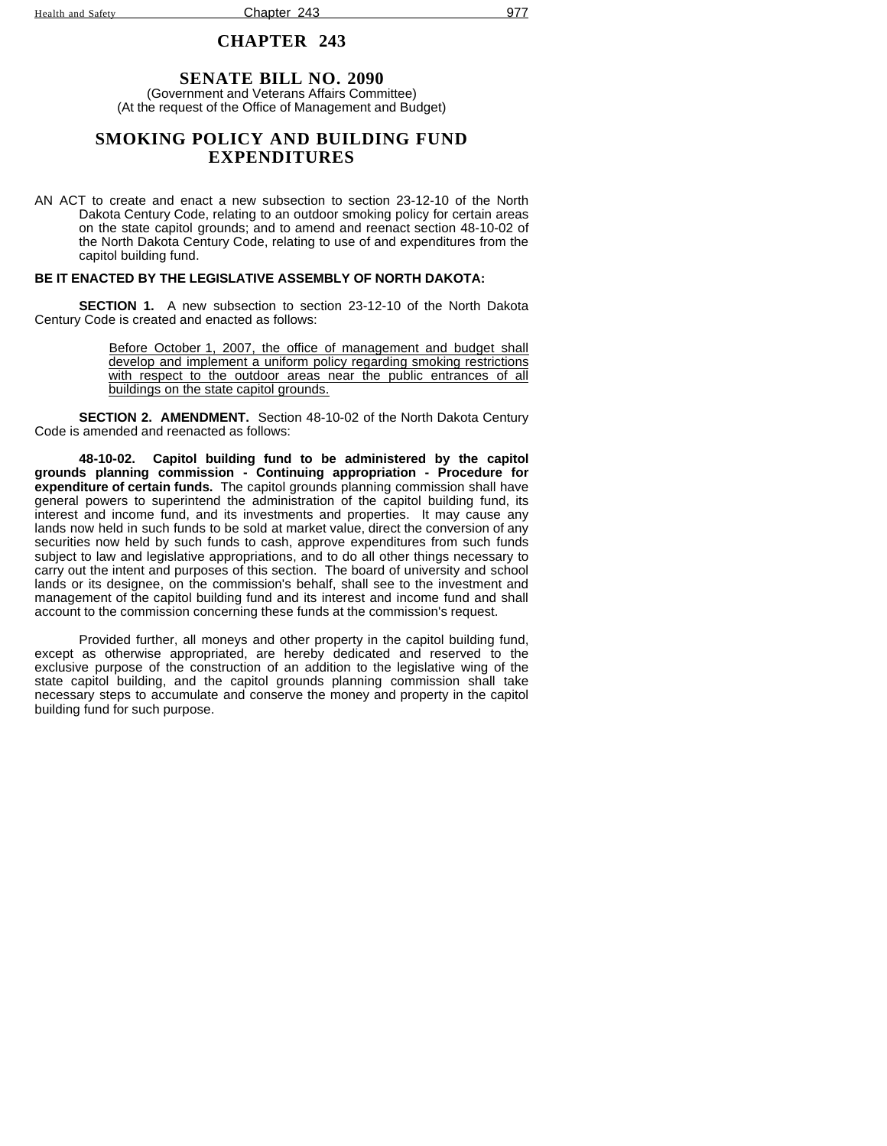### **SENATE BILL NO. 2090**

(Government and Veterans Affairs Committee) (At the request of the Office of Management and Budget)

### **SMOKING POLICY AND BUILDING FUND EXPENDITURES**

AN ACT to create and enact a new subsection to section 23-12-10 of the North Dakota Century Code, relating to an outdoor smoking policy for certain areas on the state capitol grounds; and to amend and reenact section 48-10-02 of the North Dakota Century Code, relating to use of and expenditures from the capitol building fund.

#### **BE IT ENACTED BY THE LEGISLATIVE ASSEMBLY OF NORTH DAKOTA:**

**SECTION 1.** A new subsection to section 23-12-10 of the North Dakota Century Code is created and enacted as follows:

> Before October 1, 2007, the office of management and budget shall develop and implement a uniform policy regarding smoking restrictions with respect to the outdoor areas near the public entrances of all buildings on the state capitol grounds.

**SECTION 2. AMENDMENT.** Section 48-10-02 of the North Dakota Century Code is amended and reenacted as follows:

**48-10-02. Capitol building fund to be administered by the capitol grounds planning commission - Continuing appropriation - Procedure for expenditure of certain funds.** The capitol grounds planning commission shall have general powers to superintend the administration of the capitol building fund, its interest and income fund, and its investments and properties. It may cause any lands now held in such funds to be sold at market value, direct the conversion of any securities now held by such funds to cash, approve expenditures from such funds subject to law and legislative appropriations, and to do all other things necessary to carry out the intent and purposes of this section. The board of university and school lands or its designee, on the commission's behalf, shall see to the investment and management of the capitol building fund and its interest and income fund and shall account to the commission concerning these funds at the commission's request.

Provided further, all moneys and other property in the capitol building fund, except as otherwise appropriated, are hereby dedicated and reserved to the exclusive purpose of the construction of an addition to the legislative wing of the state capitol building, and the capitol grounds planning commission shall take necessary steps to accumulate and conserve the money and property in the capitol building fund for such purpose.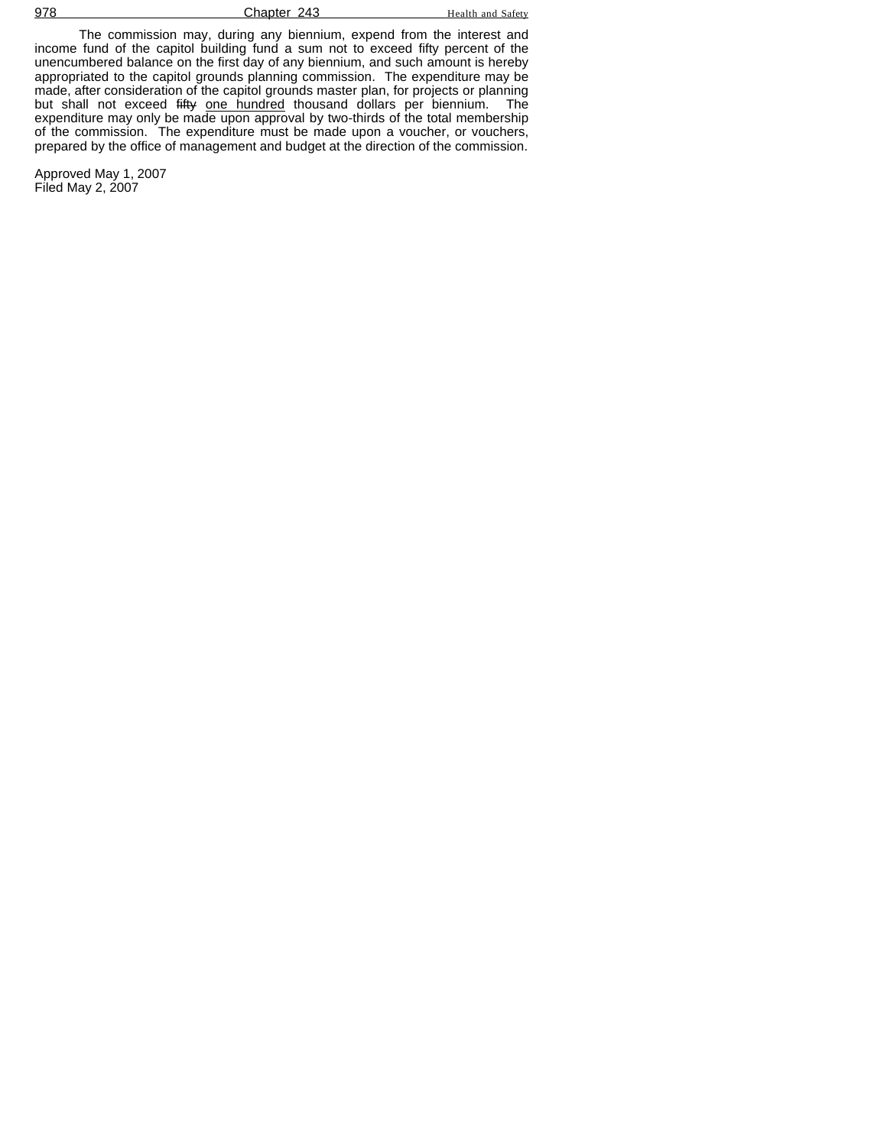The commission may, during any biennium, expend from the interest and income fund of the capitol building fund a sum not to exceed fifty percent of the unencumbered balance on the first day of any biennium, and such amount is hereby appropriated to the capitol grounds planning commission. The expenditure may be made, after consideration of the capitol grounds master plan, for projects or planning but shall not exceed <del>fifty</del> <u>one hundred</u> thousand dollars per biennium. The expenditure may only be made upon approval by two-thirds of the total membership of the commission. The expenditure must be made upon a voucher, or vouchers, prepared by the office of management and budget at the direction of the commission.

Approved May 1, 2007 Filed May 2, 2007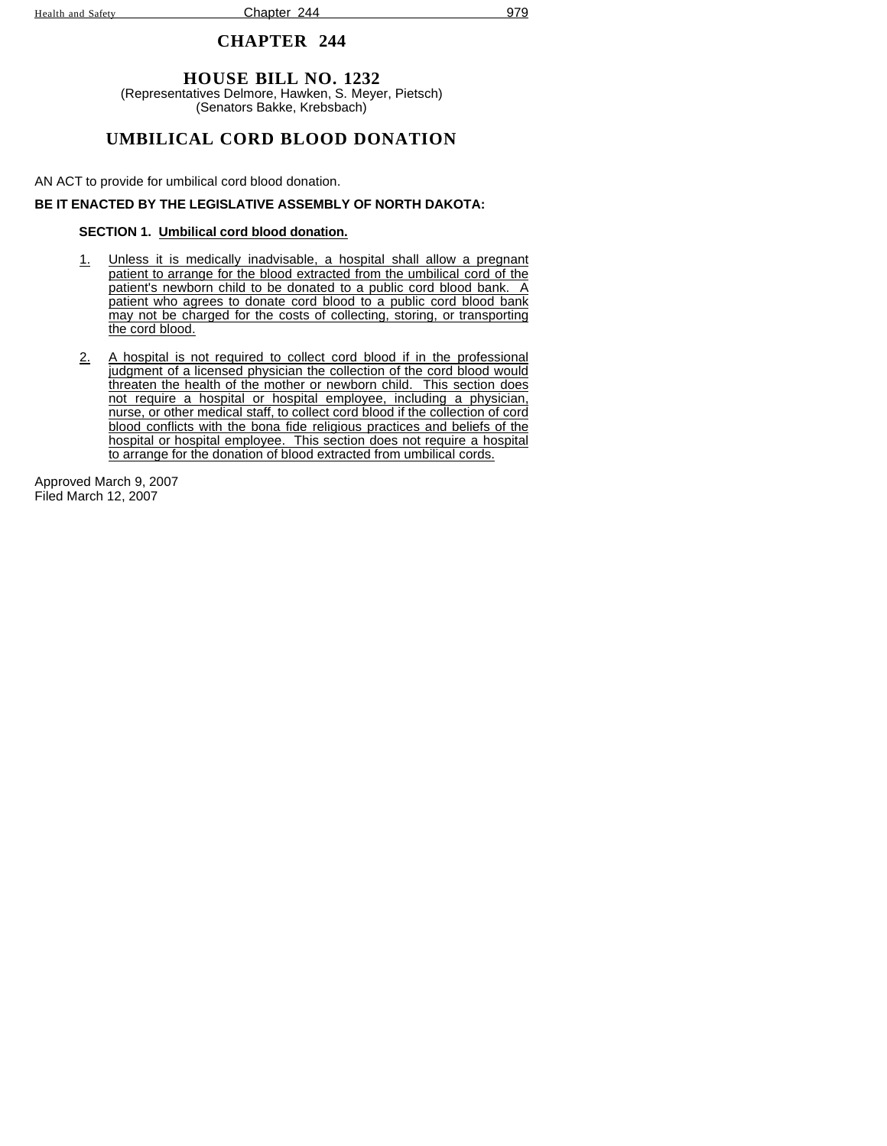### **HOUSE BILL NO. 1232**

(Representatives Delmore, Hawken, S. Meyer, Pietsch) (Senators Bakke, Krebsbach)

### **UMBILICAL CORD BLOOD DONATION**

AN ACT to provide for umbilical cord blood donation.

### **BE IT ENACTED BY THE LEGISLATIVE ASSEMBLY OF NORTH DAKOTA:**

#### **SECTION 1. Umbilical cord blood donation.**

- 1. Unless it is medically inadvisable, a hospital shall allow a pregnant patient to arrange for the blood extracted from the umbilical cord of the patient's newborn child to be donated to a public cord blood bank. A patient who agrees to donate cord blood to a public cord blood bank may not be charged for the costs of collecting, storing, or transporting the cord blood.
- 2. A hospital is not required to collect cord blood if in the professional judgment of a licensed physician the collection of the cord blood would threaten the health of the mother or newborn child. This section does not require a hospital or hospital employee, including a physician, nurse, or other medical staff, to collect cord blood if the collection of cord blood conflicts with the bona fide religious practices and beliefs of the hospital or hospital employee. This section does not require a hospital to arrange for the donation of blood extracted from umbilical cords.

Approved March 9, 2007 Filed March 12, 2007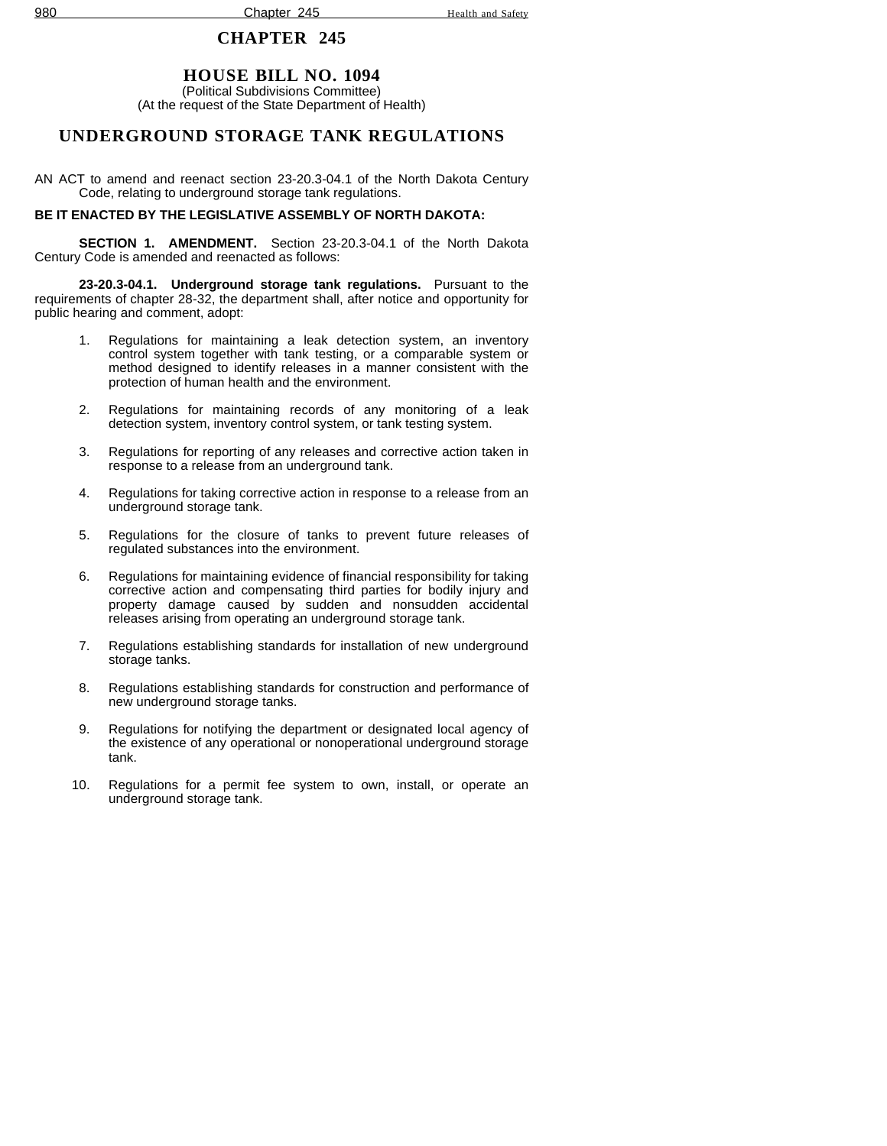## **HOUSE BILL NO. 1094**

(Political Subdivisions Committee) (At the request of the State Department of Health)

## **UNDERGROUND STORAGE TANK REGULATIONS**

AN ACT to amend and reenact section 23-20.3-04.1 of the North Dakota Century Code, relating to underground storage tank regulations.

### **BE IT ENACTED BY THE LEGISLATIVE ASSEMBLY OF NORTH DAKOTA:**

**SECTION 1. AMENDMENT.** Section 23-20.3-04.1 of the North Dakota Century Code is amended and reenacted as follows:

**23-20.3-04.1. Underground storage tank regulations.** Pursuant to the requirements of chapter 28-32, the department shall, after notice and opportunity for public hearing and comment, adopt:

- 1. Regulations for maintaining a leak detection system, an inventory control system together with tank testing, or a comparable system or method designed to identify releases in a manner consistent with the protection of human health and the environment.
- 2. Regulations for maintaining records of any monitoring of a leak detection system, inventory control system, or tank testing system.
- 3. Regulations for reporting of any releases and corrective action taken in response to a release from an underground tank.
- 4. Regulations for taking corrective action in response to a release from an underground storage tank.
- 5. Regulations for the closure of tanks to prevent future releases of regulated substances into the environment.
- 6. Regulations for maintaining evidence of financial responsibility for taking corrective action and compensating third parties for bodily injury and property damage caused by sudden and nonsudden accidental releases arising from operating an underground storage tank.
- 7. Regulations establishing standards for installation of new underground storage tanks.
- 8. Regulations establishing standards for construction and performance of new underground storage tanks.
- 9. Regulations for notifying the department or designated local agency of the existence of any operational or nonoperational underground storage tank.
- 10. Regulations for a permit fee system to own, install, or operate an underground storage tank.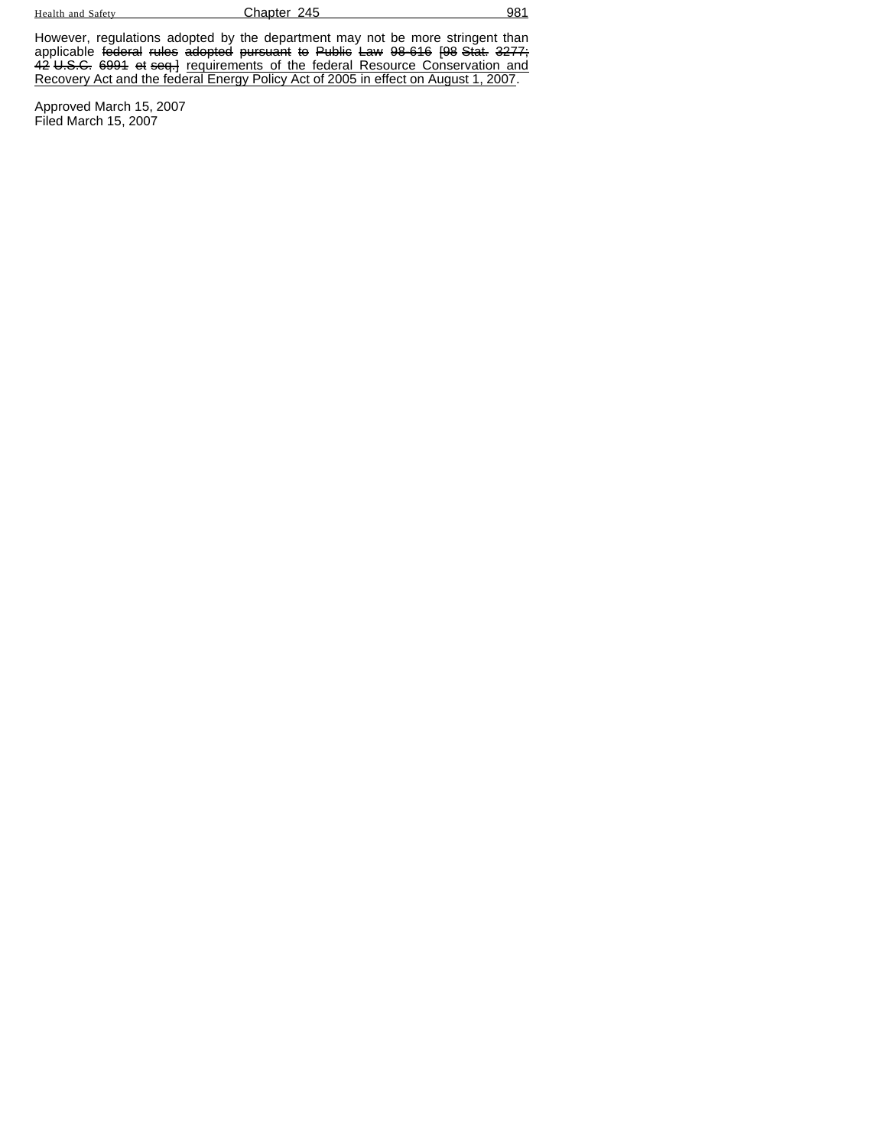However, regulations adopted by the department may not be more stringent than applicable <del>federal rules adopted pursuant</del> <del>to Public Law 98-616 [98 Stat. 3277;</del> 42 U.S.C. 6991 et seq.] requirements of the federal Resource Conservation and Recovery Act and the federal Energy Policy Act of 2005 in effect on August 1, 2007.

Approved March 15, 2007 Filed March 15, 2007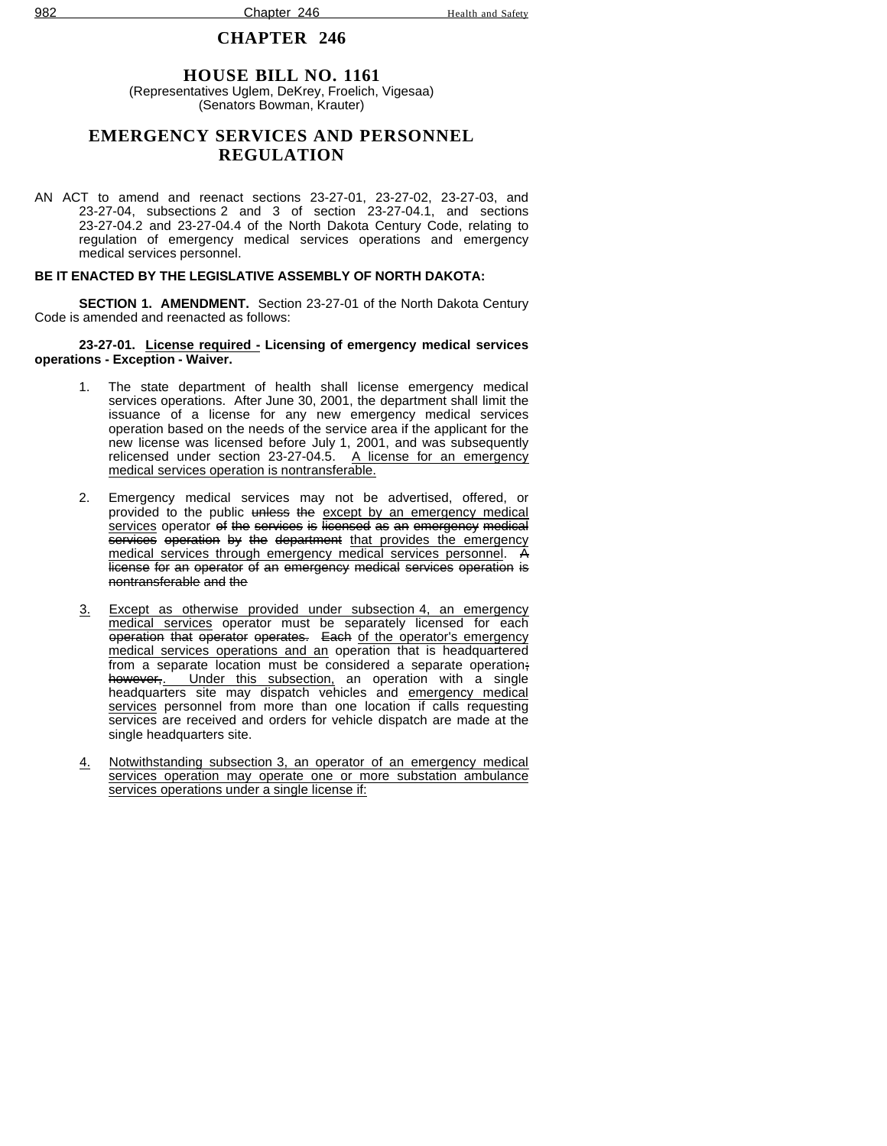## **HOUSE BILL NO. 1161** (Representatives Uglem, DeKrey, Froelich, Vigesaa) (Senators Bowman, Krauter)

## **EMERGENCY SERVICES AND PERSONNEL REGULATION**

AN ACT to amend and reenact sections 23-27-01, 23-27-02, 23-27-03, and 23-27-04, subsections 2 and 3 of section 23-27-04.1, and sections 23-27-04.2 and 23-27-04.4 of the North Dakota Century Code, relating to regulation of emergency medical services operations and emergency medical services personnel.

### **BE IT ENACTED BY THE LEGISLATIVE ASSEMBLY OF NORTH DAKOTA:**

**SECTION 1. AMENDMENT.** Section 23-27-01 of the North Dakota Century Code is amended and reenacted as follows:

#### **23-27-01. License required - Licensing of emergency medical services operations - Exception - Waiver.**

- 1. The state department of health shall license emergency medical services operations. After June 30, 2001, the department shall limit the issuance of a license for any new emergency medical services operation based on the needs of the service area if the applicant for the new license was licensed before July 1, 2001, and was subsequently relicensed under section 23-27-04.5. A license for an emergency medical services operation is nontransferable.
- 2. Emergency medical services may not be advertised, offered, or provided to the public <del>unless the</del> except by an emergency medical services operator of the services is licensed as an emergency medical services operation by the department that provides the emergency medical services through emergency medical services personnel. A license for an operator of an emergency medical services operation is nontransferable and the
- 3. Except as otherwise provided under subsection 4, an emergency medical services operator must be separately licensed for each operation that operator operates. Each of the operator's emergency medical services operations and an operation that is headquartered from a separate location must be considered a separate operation; however,. Under this subsection, an operation with a single headquarters site may dispatch vehicles and emergency medical services personnel from more than one location if calls requesting services are received and orders for vehicle dispatch are made at the single headquarters site.
- Notwithstanding subsection 3, an operator of an emergency medical services operation may operate one or more substation ambulance services operations under a single license if: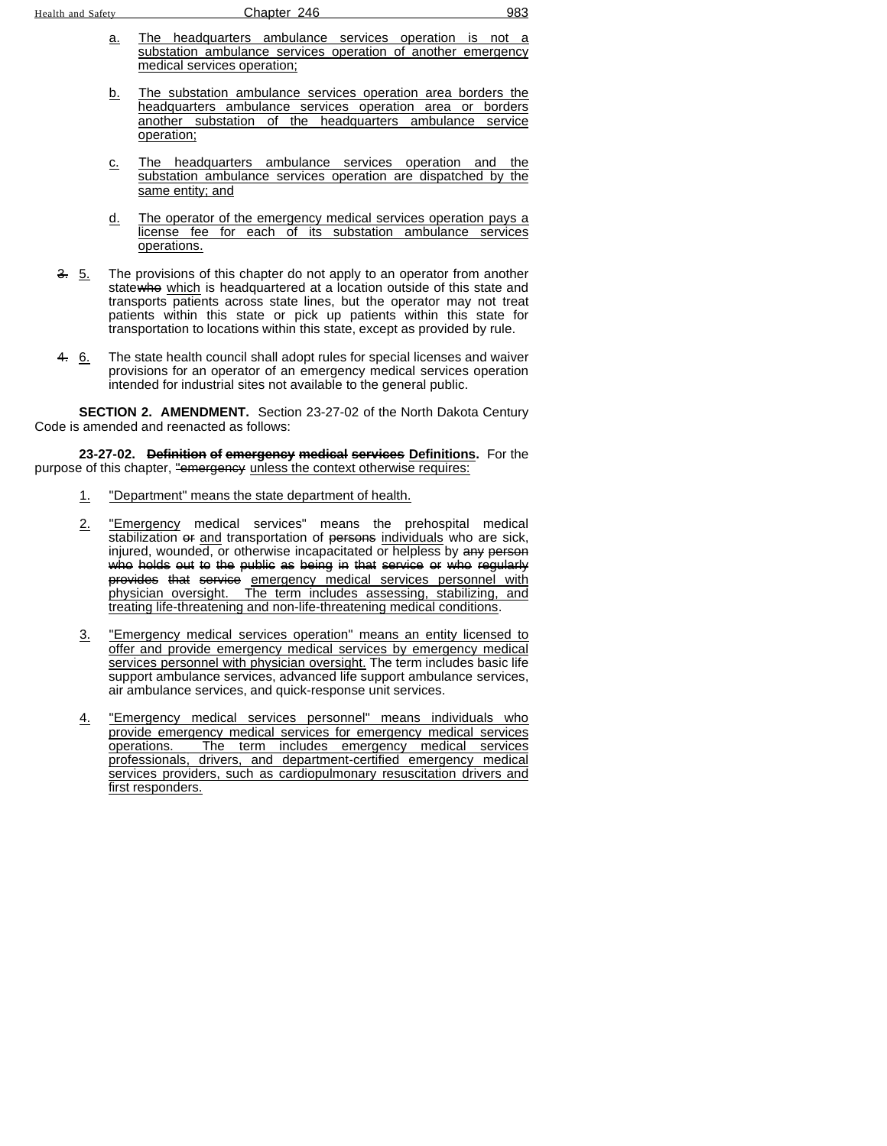- a. The headquarters ambulance services operation is not a substation ambulance services operation of another emergency medical services operation;
- b. The substation ambulance services operation area borders the headquarters ambulance services operation area or borders another substation of the headquarters ambulance service operation;
- c. The headquarters ambulance services operation and the substation ambulance services operation are dispatched by the same entity; and
- d. The operator of the emergency medical services operation pays a license fee for each of its substation ambulance services operations.
- 3. 5. The provisions of this chapter do not apply to an operator from another statewho which is headquartered at a location outside of this state and transports patients across state lines, but the operator may not treat patients within this state or pick up patients within this state for transportation to locations within this state, except as provided by rule.
- 4. 6. The state health council shall adopt rules for special licenses and waiver provisions for an operator of an emergency medical services operation intended for industrial sites not available to the general public.

**SECTION 2. AMENDMENT.** Section 23-27-02 of the North Dakota Century Code is amended and reenacted as follows:

**23-27-02. Definition of emergency medical services Definitions.** For the purpose of this chapter, "emergency unless the context otherwise requires:

- 1. "Department" means the state department of health.
- 2. "Emergency medical services" means the prehospital medical stabilization or and transportation of persons individuals who are sick, injured, wounded, or otherwise incapacitated or helpless by any person who holds out to the public as being in that service or who regularly provides that service emergency medical services personnel with physician oversight. The term includes assessing, stabilizing, and treating life-threatening and non-life-threatening medical conditions.
- 3. "Emergency medical services operation" means an entity licensed to offer and provide emergency medical services by emergency medical services personnel with physician oversight. The term includes basic life support ambulance services, advanced life support ambulance services, air ambulance services, and quick-response unit services.
- 4. "Emergency medical services personnel" means individuals who provide emergency medical services for emergency medical services operations. The term includes emergency medical services professionals, drivers, and department-certified emergency medical services providers, such as cardiopulmonary resuscitation drivers and first responders.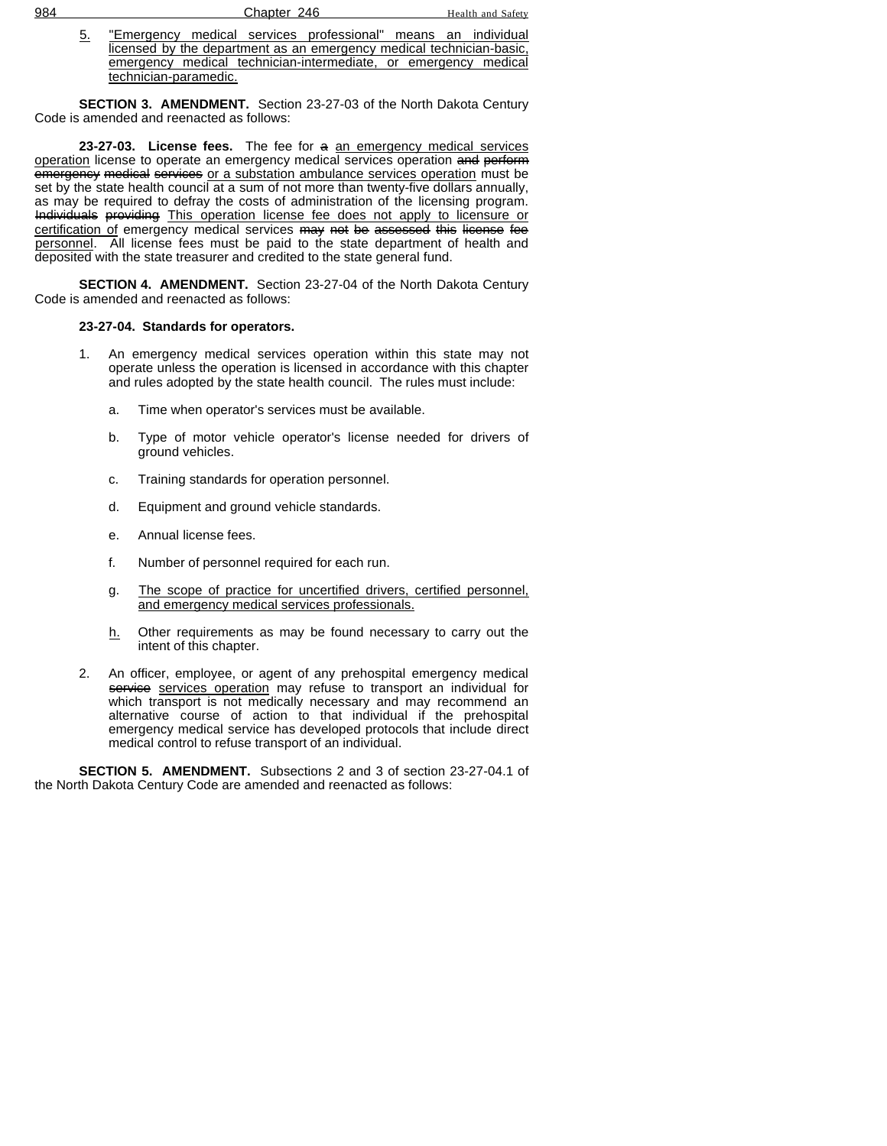| 984<br>Chapter 246<br>Health and Safety |
|-----------------------------------------|
|-----------------------------------------|

5. "Emergency medical services professional" means an individual licensed by the department as an emergency medical technician-basic, emergency medical technician-intermediate, or emergency medical technician-paramedic.

**SECTION 3. AMENDMENT.** Section 23-27-03 of the North Dakota Century Code is amended and reenacted as follows:

**23-27-03. License fees.** The fee for a an emergency medical services operation license to operate an emergency medical services operation and perform emergency medical services or a substation ambulance services operation must be set by the state health council at a sum of not more than twenty-five dollars annually, as may be required to defray the costs of administration of the licensing program. Individuals providing This operation license fee does not apply to licensure or certification of emergency medical services <del>may not be assessed this license</del> fee personnel. All license fees must be paid to the state department of health and deposited with the state treasurer and credited to the state general fund.

**SECTION 4. AMENDMENT.** Section 23-27-04 of the North Dakota Century Code is amended and reenacted as follows:

### **23-27-04. Standards for operators.**

- 1. An emergency medical services operation within this state may not operate unless the operation is licensed in accordance with this chapter and rules adopted by the state health council. The rules must include:
	- a. Time when operator's services must be available.
	- b. Type of motor vehicle operator's license needed for drivers of ground vehicles.
	- c. Training standards for operation personnel.
	- d. Equipment and ground vehicle standards.
	- e. Annual license fees.
	- f. Number of personnel required for each run.
	- g. The scope of practice for uncertified drivers, certified personnel, and emergency medical services professionals.
	- h. Other requirements as may be found necessary to carry out the intent of this chapter.
- 2. An officer, employee, or agent of any prehospital emergency medical service services operation may refuse to transport an individual for which transport is not medically necessary and may recommend an alternative course of action to that individual if the prehospital emergency medical service has developed protocols that include direct medical control to refuse transport of an individual.

**SECTION 5. AMENDMENT.** Subsections 2 and 3 of section 23-27-04.1 of the North Dakota Century Code are amended and reenacted as follows: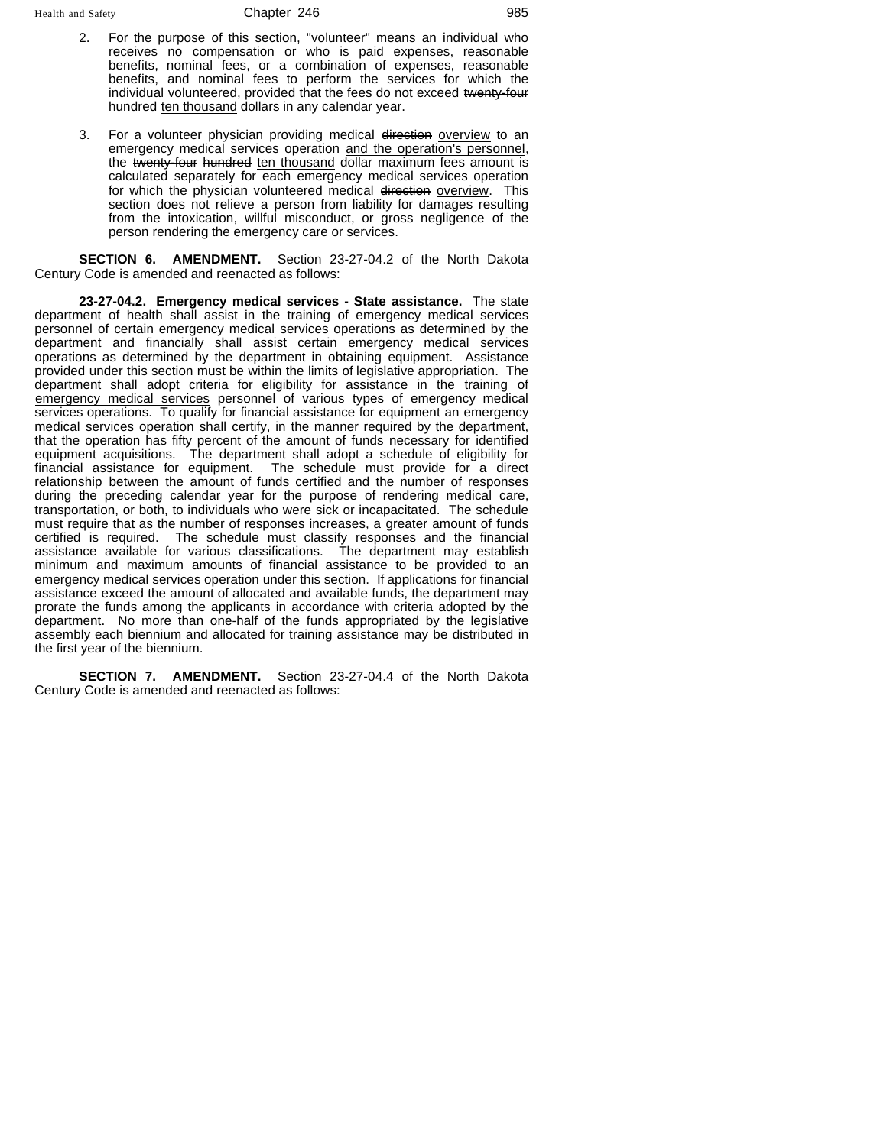- 2. For the purpose of this section, "volunteer" means an individual who receives no compensation or who is paid expenses, reasonable benefits, nominal fees, or a combination of expenses, reasonable benefits, and nominal fees to perform the services for which the individual volunteered, provided that the fees do not exceed twenty-four hundred ten thousand dollars in any calendar year.
- 3. For a volunteer physician providing medical direction overview to an emergency medical services operation and the operation's personnel, the twenty-four hundred ten thousand dollar maximum fees amount is calculated separately for each emergency medical services operation for which the physician volunteered medical direction overview. This section does not relieve a person from liability for damages resulting from the intoxication, willful misconduct, or gross negligence of the person rendering the emergency care or services.

**SECTION 6. AMENDMENT.** Section 23-27-04.2 of the North Dakota Century Code is amended and reenacted as follows:

**23-27-04.2. Emergency medical services - State assistance.** The state department of health shall assist in the training of emergency medical services personnel of certain emergency medical services operations as determined by the department and financially shall assist certain emergency medical services operations as determined by the department in obtaining equipment. Assistance provided under this section must be within the limits of legislative appropriation. The department shall adopt criteria for eligibility for assistance in the training of emergency medical services personnel of various types of emergency medical services operations. To qualify for financial assistance for equipment an emergency medical services operation shall certify, in the manner required by the department, that the operation has fifty percent of the amount of funds necessary for identified equipment acquisitions. The department shall adopt a schedule of eligibility for financial assistance for equipment. The schedule must provide for a direct relationship between the amount of funds certified and the number of responses during the preceding calendar year for the purpose of rendering medical care, transportation, or both, to individuals who were sick or incapacitated. The schedule must require that as the number of responses increases, a greater amount of funds certified is required. The schedule must classify responses and the financial assistance available for various classifications. The department may establish minimum and maximum amounts of financial assistance to be provided to an emergency medical services operation under this section. If applications for financial assistance exceed the amount of allocated and available funds, the department may prorate the funds among the applicants in accordance with criteria adopted by the department. No more than one-half of the funds appropriated by the legislative assembly each biennium and allocated for training assistance may be distributed in the first year of the biennium.

**SECTION 7. AMENDMENT.** Section 23-27-04.4 of the North Dakota Century Code is amended and reenacted as follows: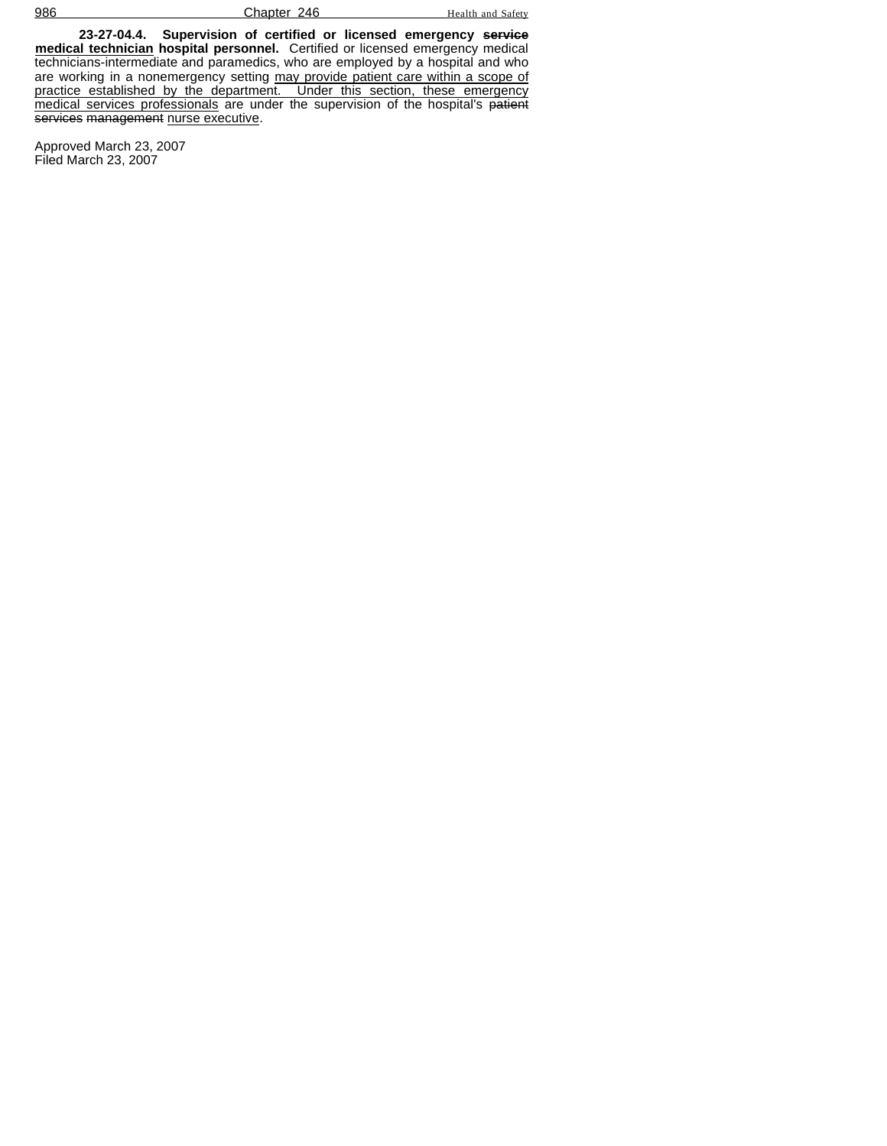**23-27-04.4. Supervision of certified or licensed emergency service medical technician hospital personnel.** Certified or licensed emergency medical technicians-intermediate and paramedics, who are employed by a hospital and who are working in a nonemergency setting may provide patient care within a scope of practice established by the department. Under this section, these emergency medical services professionals are under the supervision of the hospital's <del>patient</del> services management nurse executive.

Approved March 23, 2007 Filed March 23, 2007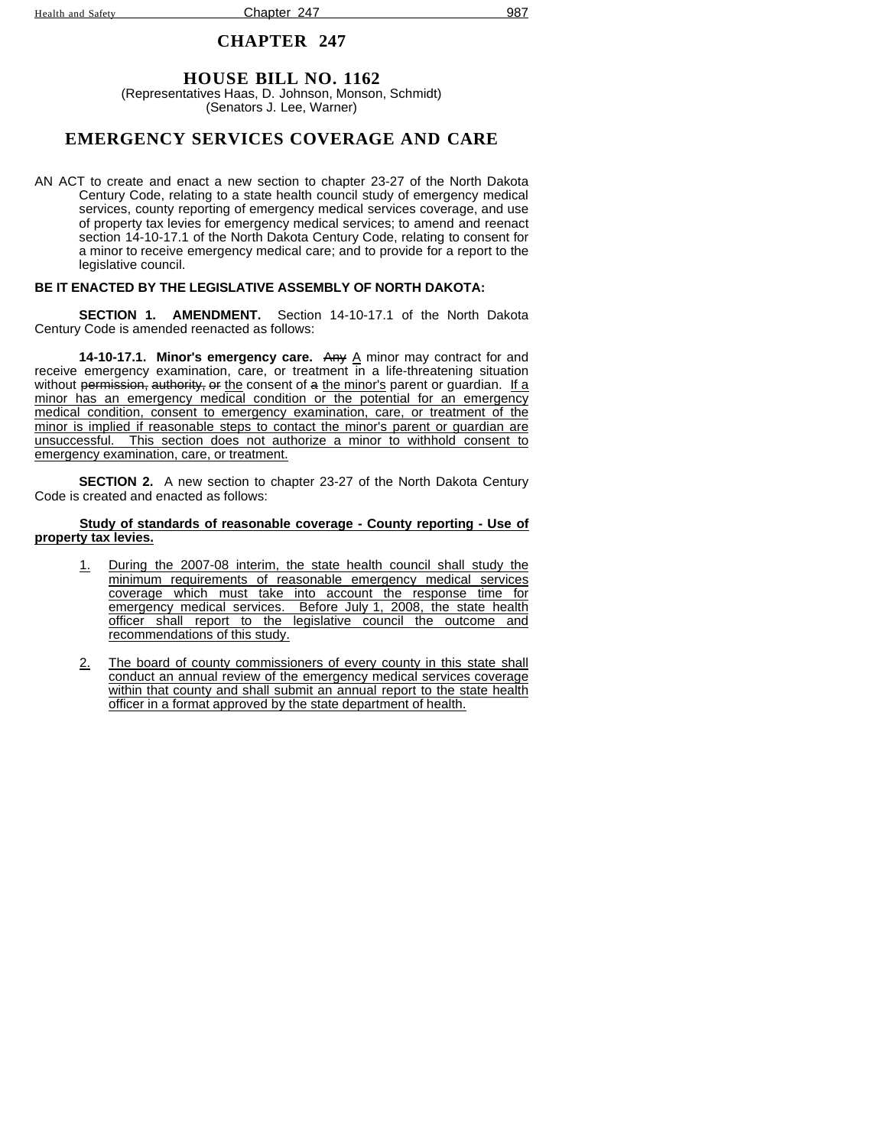### **HOUSE BILL NO. 1162**

(Representatives Haas, D. Johnson, Monson, Schmidt) (Senators J. Lee, Warner)

## **EMERGENCY SERVICES COVERAGE AND CARE**

AN ACT to create and enact a new section to chapter 23-27 of the North Dakota Century Code, relating to a state health council study of emergency medical services, county reporting of emergency medical services coverage, and use of property tax levies for emergency medical services; to amend and reenact section 14-10-17.1 of the North Dakota Century Code, relating to consent for a minor to receive emergency medical care; and to provide for a report to the legislative council.

### **BE IT ENACTED BY THE LEGISLATIVE ASSEMBLY OF NORTH DAKOTA:**

**SECTION 1. AMENDMENT.** Section 14-10-17.1 of the North Dakota Century Code is amended reenacted as follows:

**14-10-17.1. Minor's emergency care.** Any A minor may contract for and receive emergency examination, care, or treatment in a life-threatening situation without permission, authority, or the consent of a the minor's parent or guardian. If a minor has an emergency medical condition or the potential for an emergency medical condition, consent to emergency examination, care, or treatment of the minor is implied if reasonable steps to contact the minor's parent or guardian are unsuccessful. This section does not authorize a minor to withhold consent to emergency examination, care, or treatment.

**SECTION 2.** A new section to chapter 23-27 of the North Dakota Century Code is created and enacted as follows:

#### **Study of standards of reasonable coverage - County reporting - Use of property tax levies.**

- 1. During the 2007-08 interim, the state health council shall study the minimum requirements of reasonable emergency medical services coverage which must take into account the response time for emergency medical services. Before July 1, 2008, the state health officer shall report to the legislative council the outcome and recommendations of this study.
- 2. The board of county commissioners of every county in this state shall conduct an annual review of the emergency medical services coverage within that county and shall submit an annual report to the state health officer in a format approved by the state department of health.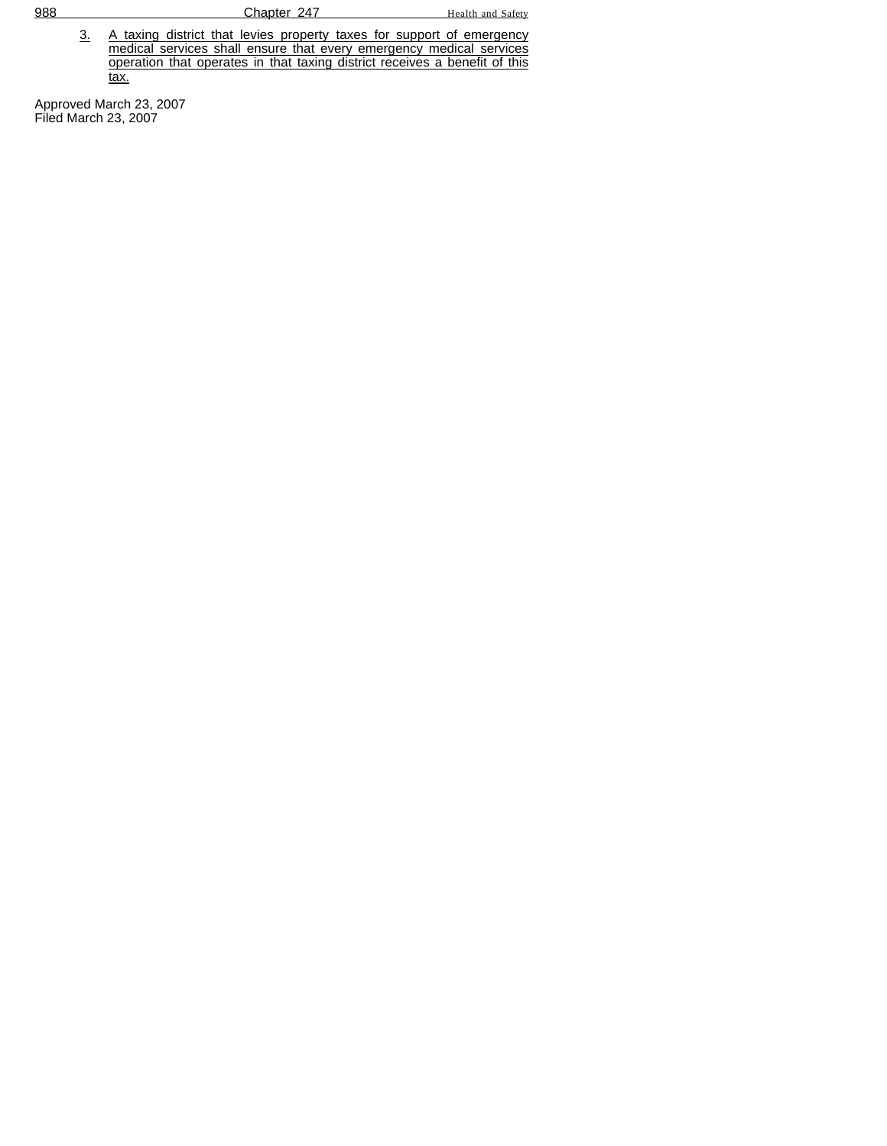3. A taxing district that levies property taxes for support of emergency medical services shall ensure that every emergency medical services operation that operates in that taxing district receives a benefit of this tax.

Approved March 23, 2007 Filed March 23, 2007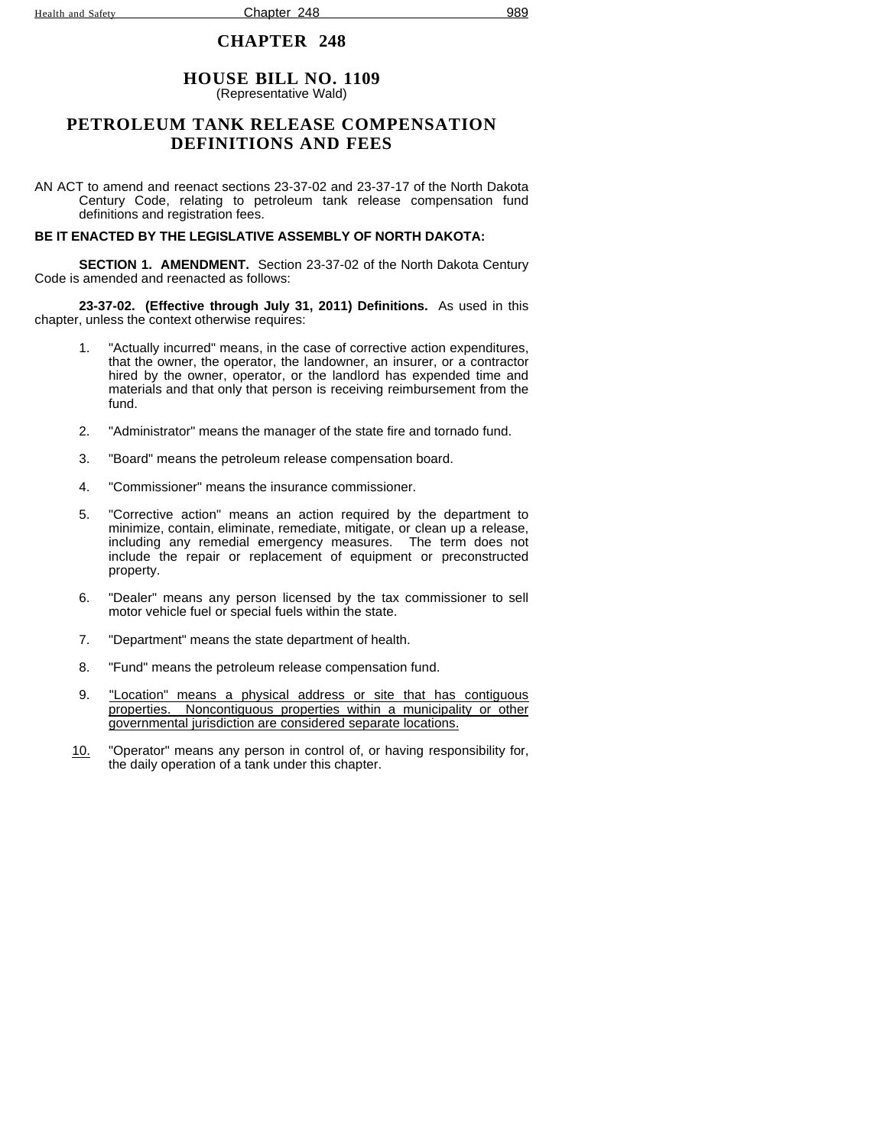# **HOUSE BILL NO. 1109**

(Representative Wald)

## **PETROLEUM TANK RELEASE COMPENSATION DEFINITIONS AND FEES**

AN ACT to amend and reenact sections 23-37-02 and 23-37-17 of the North Dakota Century Code, relating to petroleum tank release compensation fund definitions and registration fees.

#### **BE IT ENACTED BY THE LEGISLATIVE ASSEMBLY OF NORTH DAKOTA:**

**SECTION 1. AMENDMENT.** Section 23-37-02 of the North Dakota Century Code is amended and reenacted as follows:

**23-37-02. (Effective through July 31, 2011) Definitions.** As used in this chapter, unless the context otherwise requires:

- 1. "Actually incurred" means, in the case of corrective action expenditures, that the owner, the operator, the landowner, an insurer, or a contractor hired by the owner, operator, or the landlord has expended time and materials and that only that person is receiving reimbursement from the fund.
- 2. "Administrator" means the manager of the state fire and tornado fund.
- 3. "Board" means the petroleum release compensation board.
- 4. "Commissioner" means the insurance commissioner.
- 5. "Corrective action" means an action required by the department to minimize, contain, eliminate, remediate, mitigate, or clean up a release, including any remedial emergency measures. The term does not include the repair or replacement of equipment or preconstructed property.
- 6. "Dealer" means any person licensed by the tax commissioner to sell motor vehicle fuel or special fuels within the state.
- 7. "Department" means the state department of health.
- 8. "Fund" means the petroleum release compensation fund.
- 9. "Location" means a physical address or site that has contiguous properties. Noncontiguous properties within a municipality or other governmental jurisdiction are considered separate locations.
- 10. "Operator" means any person in control of, or having responsibility for, the daily operation of a tank under this chapter.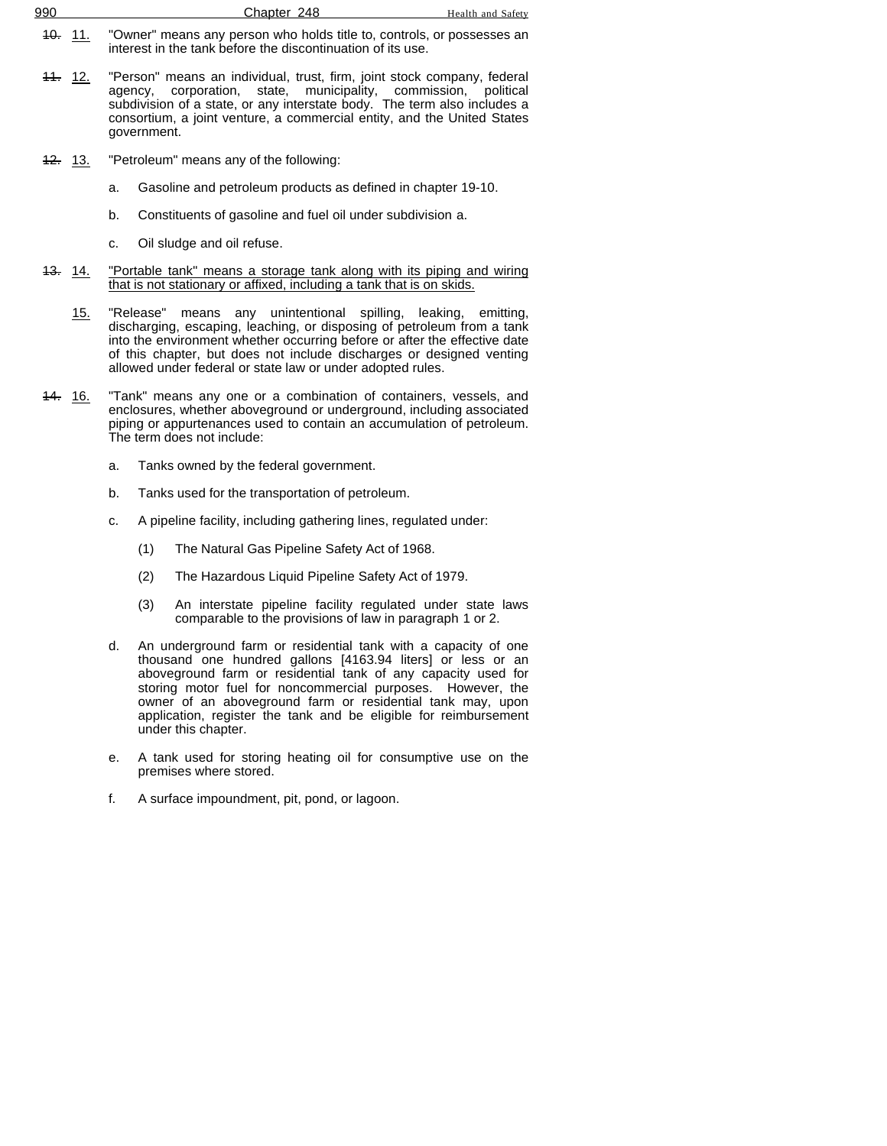| 990 | Chapter 248                                                                                                                                                                                                                                                                                                              | Health and Safety |
|-----|--------------------------------------------------------------------------------------------------------------------------------------------------------------------------------------------------------------------------------------------------------------------------------------------------------------------------|-------------------|
|     | 40. 11. "Owner" means any person who holds title to, controls, or possesses an<br>interest in the tank before the discontinuation of its use.                                                                                                                                                                            |                   |
|     | 44. 12. "Person" means an individual, trust, firm, joint stock company, federal<br>agency, corporation, state, municipality, commission, political<br>subdivision of a state, or any interstate body. The term also includes a<br>consortium, a joint venture, a commercial entity, and the United States<br>government. |                   |

- 42. 13. "Petroleum" means any of the following:
	- a. Gasoline and petroleum products as defined in chapter 19-10.
	- b. Constituents of gasoline and fuel oil under subdivision a.
	- c. Oil sludge and oil refuse.
- 13. 14. "Portable tank" means a storage tank along with its piping and wiring that is not stationary or affixed, including a tank that is on skids.
	- 15. "Release" means any unintentional spilling, leaking, emitting, discharging, escaping, leaching, or disposing of petroleum from a tank into the environment whether occurring before or after the effective date of this chapter, but does not include discharges or designed venting allowed under federal or state law or under adopted rules.
- 14. 16. "Tank" means any one or a combination of containers, vessels, and enclosures, whether aboveground or underground, including associated piping or appurtenances used to contain an accumulation of petroleum. The term does not include:
	- a. Tanks owned by the federal government.
	- b. Tanks used for the transportation of petroleum.
	- c. A pipeline facility, including gathering lines, regulated under:
		- (1) The Natural Gas Pipeline Safety Act of 1968.
		- (2) The Hazardous Liquid Pipeline Safety Act of 1979.
		- (3) An interstate pipeline facility regulated under state laws comparable to the provisions of law in paragraph 1 or 2.
	- d. An underground farm or residential tank with a capacity of one thousand one hundred gallons [4163.94 liters] or less or an aboveground farm or residential tank of any capacity used for storing motor fuel for noncommercial purposes. However, the owner of an aboveground farm or residential tank may, upon application, register the tank and be eligible for reimbursement under this chapter.
	- e. A tank used for storing heating oil for consumptive use on the premises where stored.
	- f. A surface impoundment, pit, pond, or lagoon.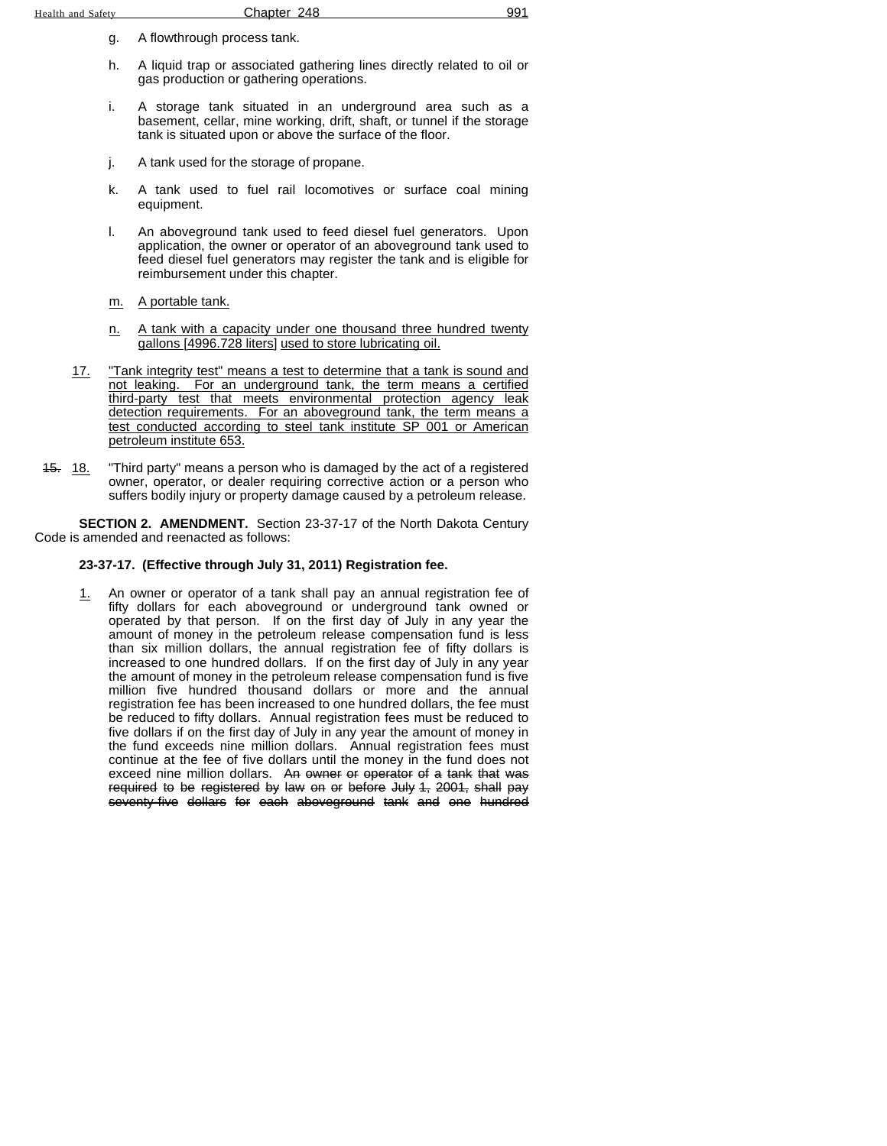- g. A flowthrough process tank.
- h. A liquid trap or associated gathering lines directly related to oil or gas production or gathering operations.
- i. A storage tank situated in an underground area such as a basement, cellar, mine working, drift, shaft, or tunnel if the storage tank is situated upon or above the surface of the floor.
- j. A tank used for the storage of propane.
- k. A tank used to fuel rail locomotives or surface coal mining equipment.
- l. An aboveground tank used to feed diesel fuel generators. Upon application, the owner or operator of an aboveground tank used to feed diesel fuel generators may register the tank and is eligible for reimbursement under this chapter.
- m. A portable tank.
- n. A tank with a capacity under one thousand three hundred twenty gallons [4996.728 liters] used to store lubricating oil.
- 17. "Tank integrity test" means a test to determine that a tank is sound and not leaking. For an underground tank, the term means a certified third-party test that meets environmental protection agency leak detection requirements. For an aboveground tank, the term means a test conducted according to steel tank institute SP 001 or American petroleum institute 653.
- **15.** 18. "Third party" means a person who is damaged by the act of a registered owner, operator, or dealer requiring corrective action or a person who suffers bodily injury or property damage caused by a petroleum release.

**SECTION 2. AMENDMENT.** Section 23-37-17 of the North Dakota Century Code is amended and reenacted as follows:

#### **23-37-17. (Effective through July 31, 2011) Registration fee.**

1. An owner or operator of a tank shall pay an annual registration fee of fifty dollars for each aboveground or underground tank owned or operated by that person. If on the first day of July in any year the amount of money in the petroleum release compensation fund is less than six million dollars, the annual registration fee of fifty dollars is increased to one hundred dollars. If on the first day of July in any year the amount of money in the petroleum release compensation fund is five million five hundred thousand dollars or more and the annual registration fee has been increased to one hundred dollars, the fee must be reduced to fifty dollars. Annual registration fees must be reduced to five dollars if on the first day of July in any year the amount of money in the fund exceeds nine million dollars. Annual registration fees must continue at the fee of five dollars until the money in the fund does not exceed nine million dollars. An owner or operator of a tank that was required to be registered by law on or before July 1, 2001, shall pay seventy-five dollars for each aboveground tank and one hundred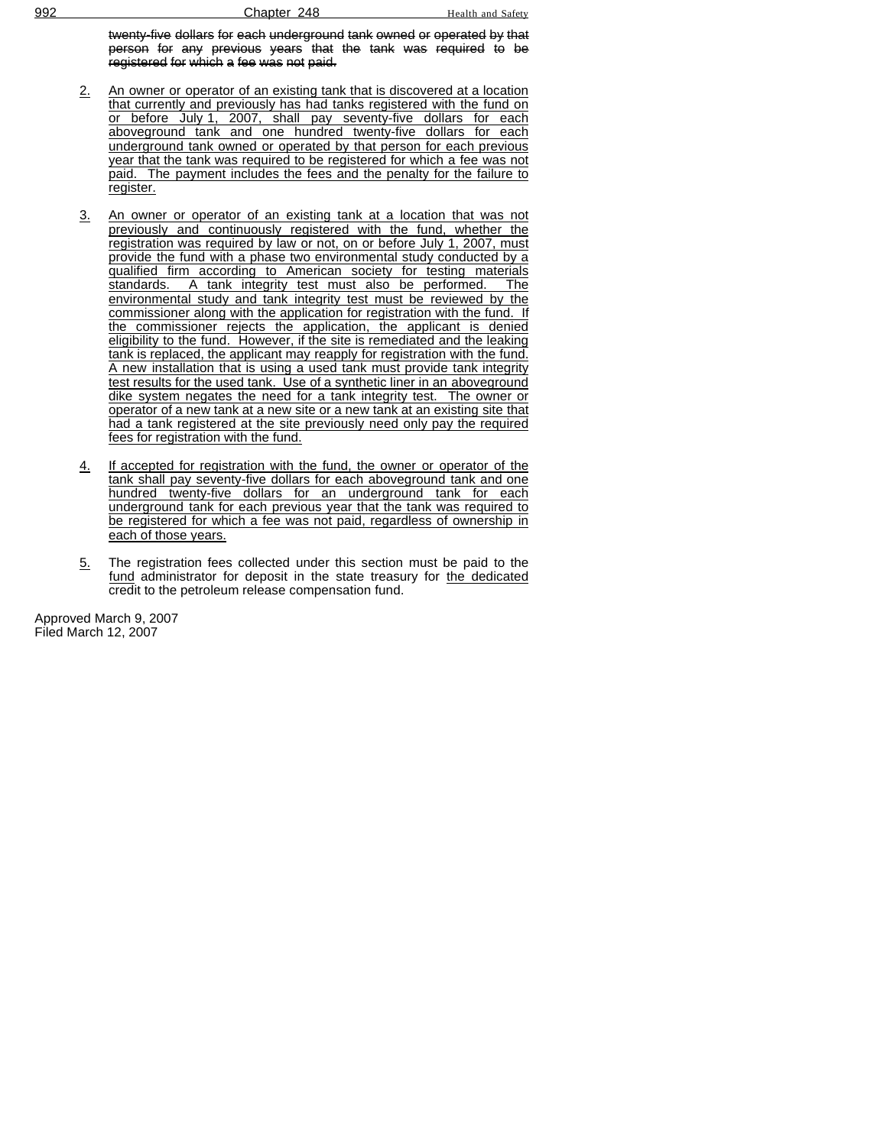twenty-five dollars for each underground tank owned or operated by that person for any previous years that the tank was required to be registered for which a fee was not paid.

- 2. An owner or operator of an existing tank that is discovered at a location that currently and previously has had tanks registered with the fund on or before July 1, 2007, shall pay seventy-five dollars for each aboveground tank and one hundred twenty-five dollars for each underground tank owned or operated by that person for each previous year that the tank was required to be registered for which a fee was not paid. The payment includes the fees and the penalty for the failure to register.
- 3. An owner or operator of an existing tank at a location that was not previously and continuously registered with the fund, whether the registration was required by law or not, on or before July 1, 2007, must provide the fund with a phase two environmental study conducted by a qualified firm according to American society for testing materials standards. A tank integrity test must also be performed. The environmental study and tank integrity test must be reviewed by the commissioner along with the application for registration with the fund. If the commissioner rejects the application, the applicant is denied eligibility to the fund. However, if the site is remediated and the leaking tank is replaced, the applicant may reapply for registration with the fund. A new installation that is using a used tank must provide tank integrity test results for the used tank. Use of a synthetic liner in an aboveground dike system negates the need for a tank integrity test. The owner or operator of a new tank at a new site or a new tank at an existing site that had a tank registered at the site previously need only pay the required fees for registration with the fund.
- 4. If accepted for registration with the fund, the owner or operator of the tank shall pay seventy-five dollars for each aboveground tank and one hundred twenty-five dollars for an underground tank for each underground tank for each previous year that the tank was required to be registered for which a fee was not paid, regardless of ownership in each of those years.
- 5. The registration fees collected under this section must be paid to the fund administrator for deposit in the state treasury for the dedicated credit to the petroleum release compensation fund.

Approved March 9, 2007 Filed March 12, 2007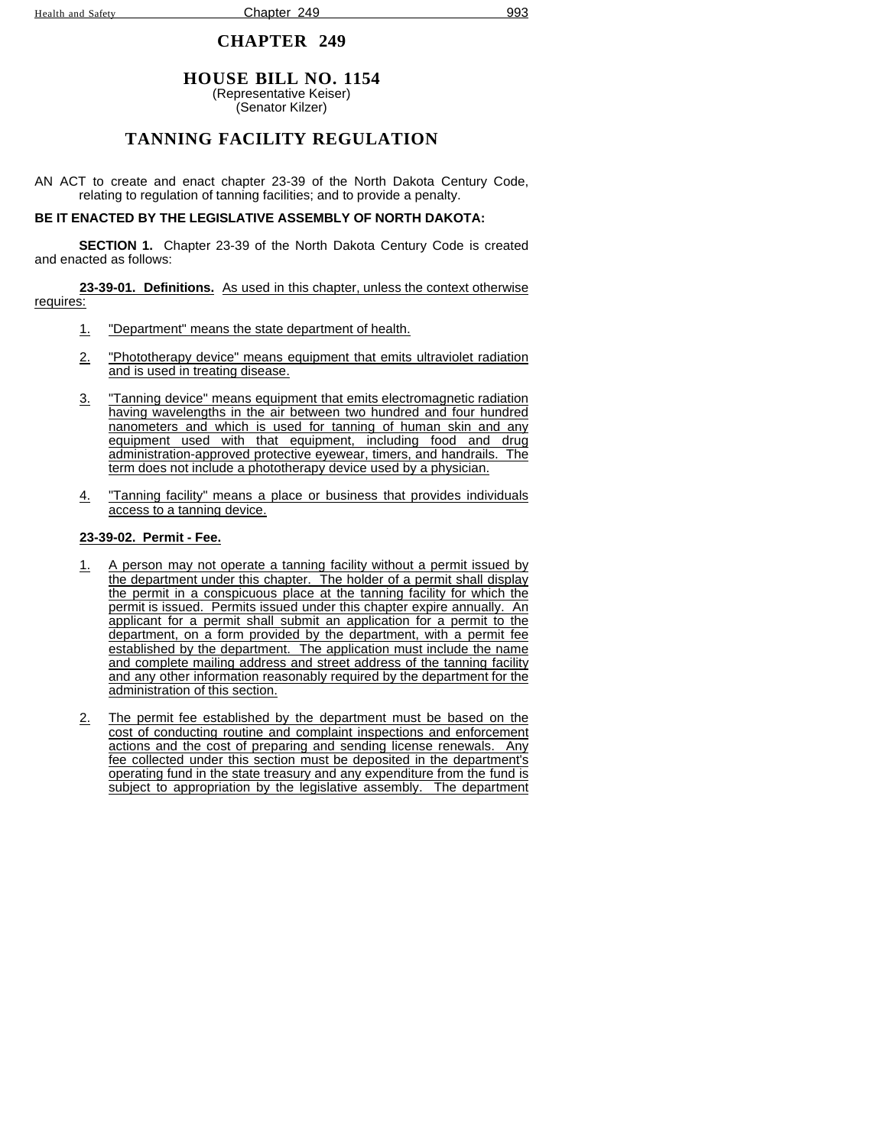## **HOUSE BILL NO. 1154**

(Representative Keiser) (Senator Kilzer)

## **TANNING FACILITY REGULATION**

AN ACT to create and enact chapter 23-39 of the North Dakota Century Code, relating to regulation of tanning facilities; and to provide a penalty.

### **BE IT ENACTED BY THE LEGISLATIVE ASSEMBLY OF NORTH DAKOTA:**

**SECTION 1.** Chapter 23-39 of the North Dakota Century Code is created and enacted as follows:

**23-39-01. Definitions.** As used in this chapter, unless the context otherwise requires:

- 1. "Department" means the state department of health.
- 2. "Phototherapy device" means equipment that emits ultraviolet radiation and is used in treating disease.
- 3. "Tanning device" means equipment that emits electromagnetic radiation having wavelengths in the air between two hundred and four hundred nanometers and which is used for tanning of human skin and any equipment used with that equipment, including food and drug administration-approved protective eyewear, timers, and handrails. The term does not include a phototherapy device used by a physician.
- 4. "Tanning facility" means a place or business that provides individuals access to a tanning device.

#### **23-39-02. Permit - Fee.**

- 1. A person may not operate a tanning facility without a permit issued by the department under this chapter. The holder of a permit shall display the permit in a conspicuous place at the tanning facility for which the permit is issued. Permits issued under this chapter expire annually. An applicant for a permit shall submit an application for a permit to the department, on a form provided by the department, with a permit fee established by the department. The application must include the name and complete mailing address and street address of the tanning facility and any other information reasonably required by the department for the administration of this section.
- 2. The permit fee established by the department must be based on the cost of conducting routine and complaint inspections and enforcement actions and the cost of preparing and sending license renewals. Any fee collected under this section must be deposited in the department's operating fund in the state treasury and any expenditure from the fund is subject to appropriation by the legislative assembly. The department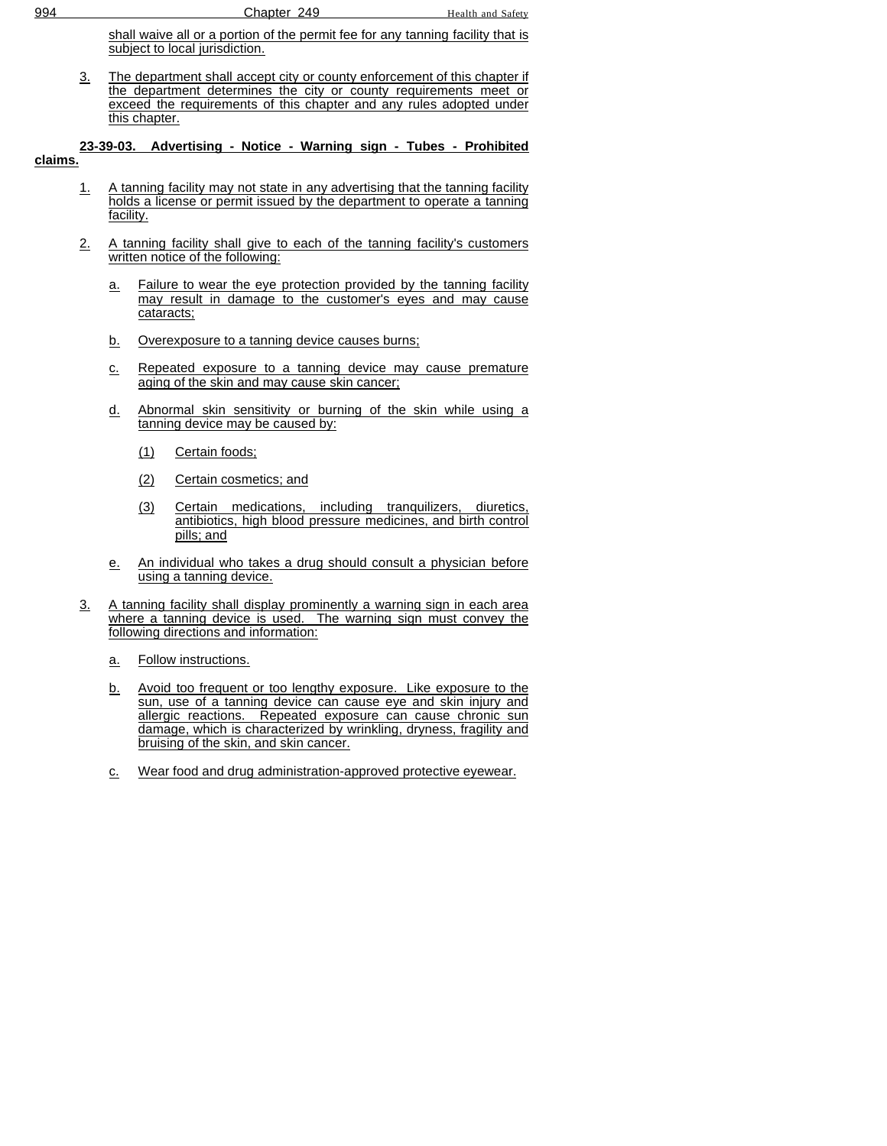shall waive all or a portion of the permit fee for any tanning facility that is subject to local jurisdiction.

3. The department shall accept city or county enforcement of this chapter if the department determines the city or county requirements meet or exceed the requirements of this chapter and any rules adopted under this chapter.

**23-39-03. Advertising - Notice - Warning sign - Tubes - Prohibited claims.**

- 1. A tanning facility may not state in any advertising that the tanning facility holds a license or permit issued by the department to operate a tanning facility.
- 2. A tanning facility shall give to each of the tanning facility's customers written notice of the following:
	- a. Failure to wear the eye protection provided by the tanning facility may result in damage to the customer's eyes and may cause cataracts;
	- b. Overexposure to a tanning device causes burns;
	- c. Repeated exposure to a tanning device may cause premature aging of the skin and may cause skin cancer;
	- d. Abnormal skin sensitivity or burning of the skin while using a tanning device may be caused by:
		- (1) Certain foods;
		- (2) Certain cosmetics; and
		- (3) Certain medications, including tranquilizers, diuretics, antibiotics, high blood pressure medicines, and birth control pills; and
	- e. An individual who takes a drug should consult a physician before using a tanning device.
- 3. A tanning facility shall display prominently a warning sign in each area where a tanning device is used. The warning sign must convey the following directions and information:
	- a. Follow instructions.
	- b. Avoid too frequent or too lengthy exposure. Like exposure to the sun, use of a tanning device can cause eye and skin injury and allergic reactions. Repeated exposure can cause chronic sun damage, which is characterized by wrinkling, dryness, fragility and bruising of the skin, and skin cancer.
	- c. Wear food and drug administration-approved protective eyewear.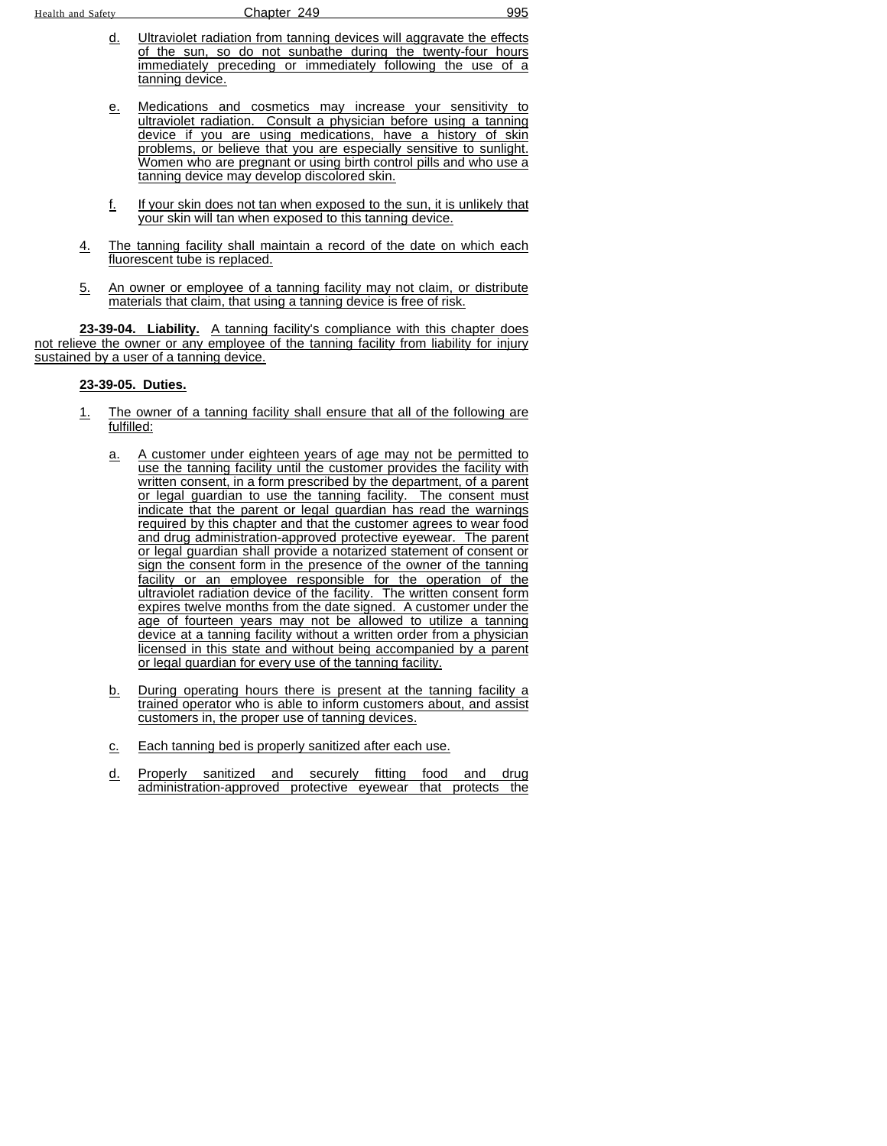- d. Ultraviolet radiation from tanning devices will aggravate the effects of the sun, so do not sunbathe during the twenty-four hours immediately preceding or immediately following the use of a tanning device.
- e. Medications and cosmetics may increase your sensitivity to ultraviolet radiation. Consult a physician before using a tanning device if you are using medications, have a history of skin problems, or believe that you are especially sensitive to sunlight. Women who are pregnant or using birth control pills and who use a tanning device may develop discolored skin.
- f. If your skin does not tan when exposed to the sun, it is unlikely that your skin will tan when exposed to this tanning device.
- 4. The tanning facility shall maintain a record of the date on which each fluorescent tube is replaced.
- 5. An owner or employee of a tanning facility may not claim, or distribute materials that claim, that using a tanning device is free of risk.

**23-39-04. Liability.** A tanning facility's compliance with this chapter does not relieve the owner or any employee of the tanning facility from liability for injury sustained by a user of a tanning device.

#### **23-39-05. Duties.**

- 1. The owner of a tanning facility shall ensure that all of the following are fulfilled:
	- a. A customer under eighteen years of age may not be permitted to use the tanning facility until the customer provides the facility with written consent, in a form prescribed by the department, of a parent or legal guardian to use the tanning facility. The consent must indicate that the parent or legal guardian has read the warnings required by this chapter and that the customer agrees to wear food and drug administration-approved protective eyewear. The parent or legal guardian shall provide a notarized statement of consent or sign the consent form in the presence of the owner of the tanning facility or an employee responsible for the operation of the ultraviolet radiation device of the facility. The written consent form expires twelve months from the date signed. A customer under the age of fourteen years may not be allowed to utilize a tanning device at a tanning facility without a written order from a physician licensed in this state and without being accompanied by a parent or legal guardian for every use of the tanning facility.
	- b. During operating hours there is present at the tanning facility a trained operator who is able to inform customers about, and assist customers in, the proper use of tanning devices.
	- c. Each tanning bed is properly sanitized after each use.
	- d. Properly sanitized and securely fitting food and drug administration-approved protective eyewear that protects the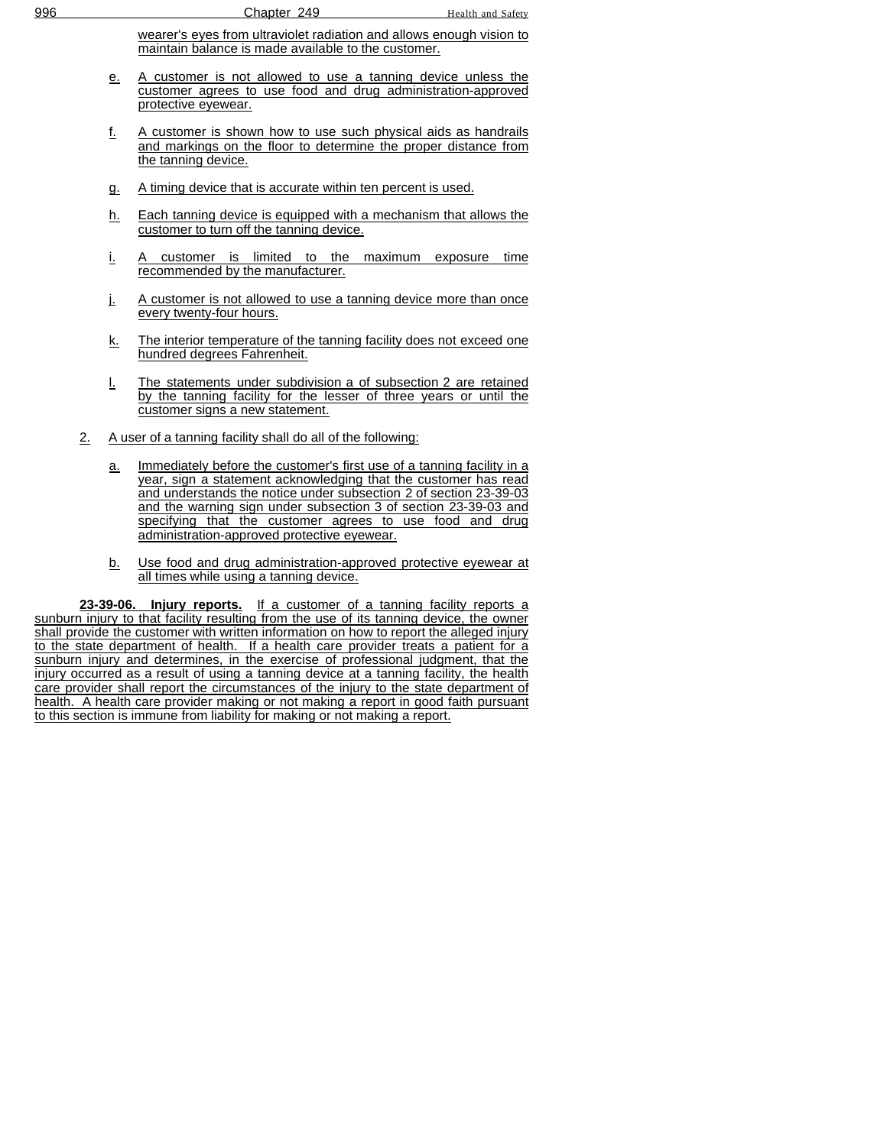wearer's eyes from ultraviolet radiation and allows enough vision to maintain balance is made available to the customer.

- e. A customer is not allowed to use a tanning device unless the customer agrees to use food and drug administration-approved protective eyewear.
- f. A customer is shown how to use such physical aids as handrails and markings on the floor to determine the proper distance from the tanning device.
- g. A timing device that is accurate within ten percent is used.
- h. Each tanning device is equipped with a mechanism that allows the customer to turn off the tanning device.
- i. A customer is limited to the maximum exposure time recommended by the manufacturer.
- j. A customer is not allowed to use a tanning device more than once every twenty-four hours.
- k. The interior temperature of the tanning facility does not exceed one hundred degrees Fahrenheit.
- l. The statements under subdivision a of subsection 2 are retained by the tanning facility for the lesser of three years or until the customer signs a new statement.
- 2. A user of a tanning facility shall do all of the following:
	- a. Immediately before the customer's first use of a tanning facility in a year, sign a statement acknowledging that the customer has read and understands the notice under subsection 2 of section 23-39-03 and the warning sign under subsection 3 of section 23-39-03 and specifying that the customer agrees to use food and drug administration-approved protective eyewear.
	- b. Use food and drug administration-approved protective eyewear at all times while using a tanning device.

**23-39-06. Injury reports.** If a customer of a tanning facility reports a sunburn injury to that facility resulting from the use of its tanning device, the owner shall provide the customer with written information on how to report the alleged injury to the state department of health. If a health care provider treats a patient for a sunburn injury and determines, in the exercise of professional judgment, that the injury occurred as a result of using a tanning device at a tanning facility, the health care provider shall report the circumstances of the injury to the state department of health. A health care provider making or not making a report in good faith pursuant to this section is immune from liability for making or not making a report.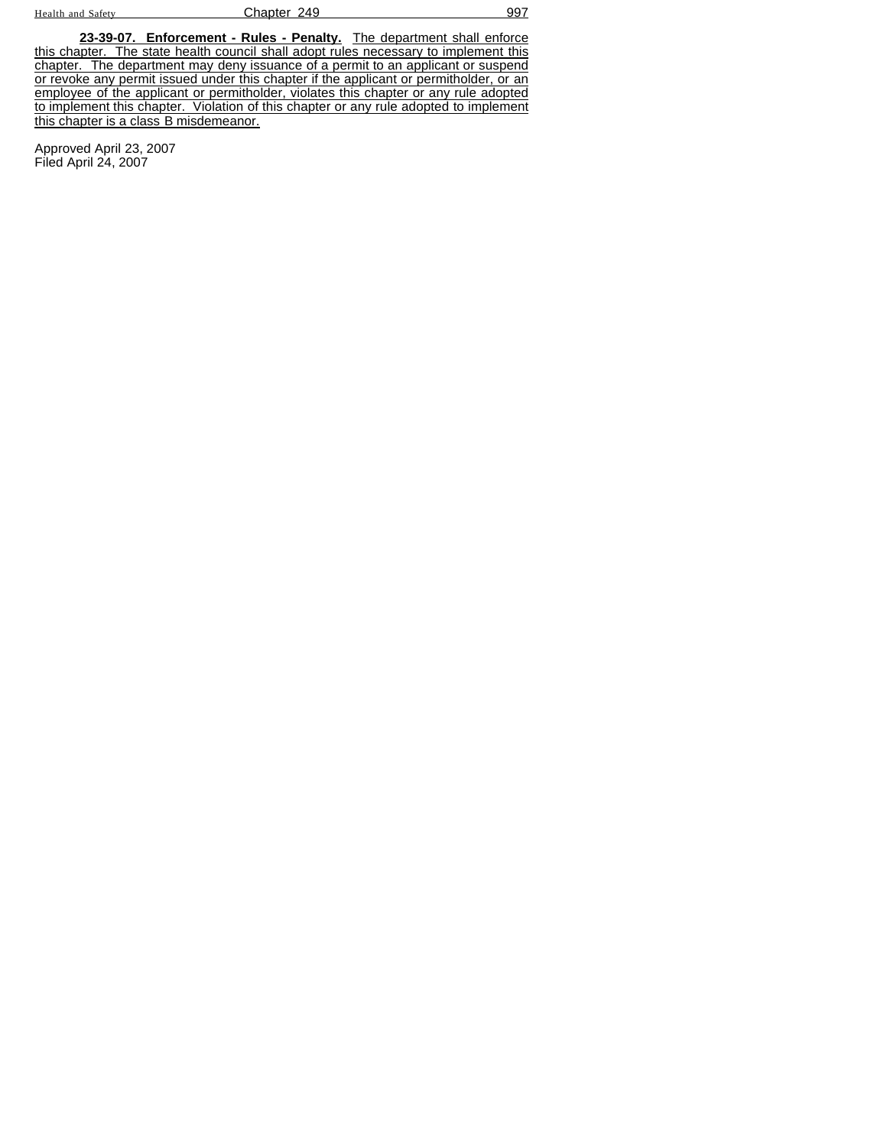**23-39-07. Enforcement - Rules - Penalty.** The department shall enforce this chapter. The state health council shall adopt rules necessary to implement this chapter. The department may deny issuance of a permit to an applicant or suspend or revoke any permit issued under this chapter if the applicant or permitholder, or an employee of the applicant or permitholder, violates this chapter or any rule adopted to implement this chapter. Violation of this chapter or any rule adopted to implement this chapter is a class B misdemeanor.

Approved April 23, 2007 Filed April 24, 2007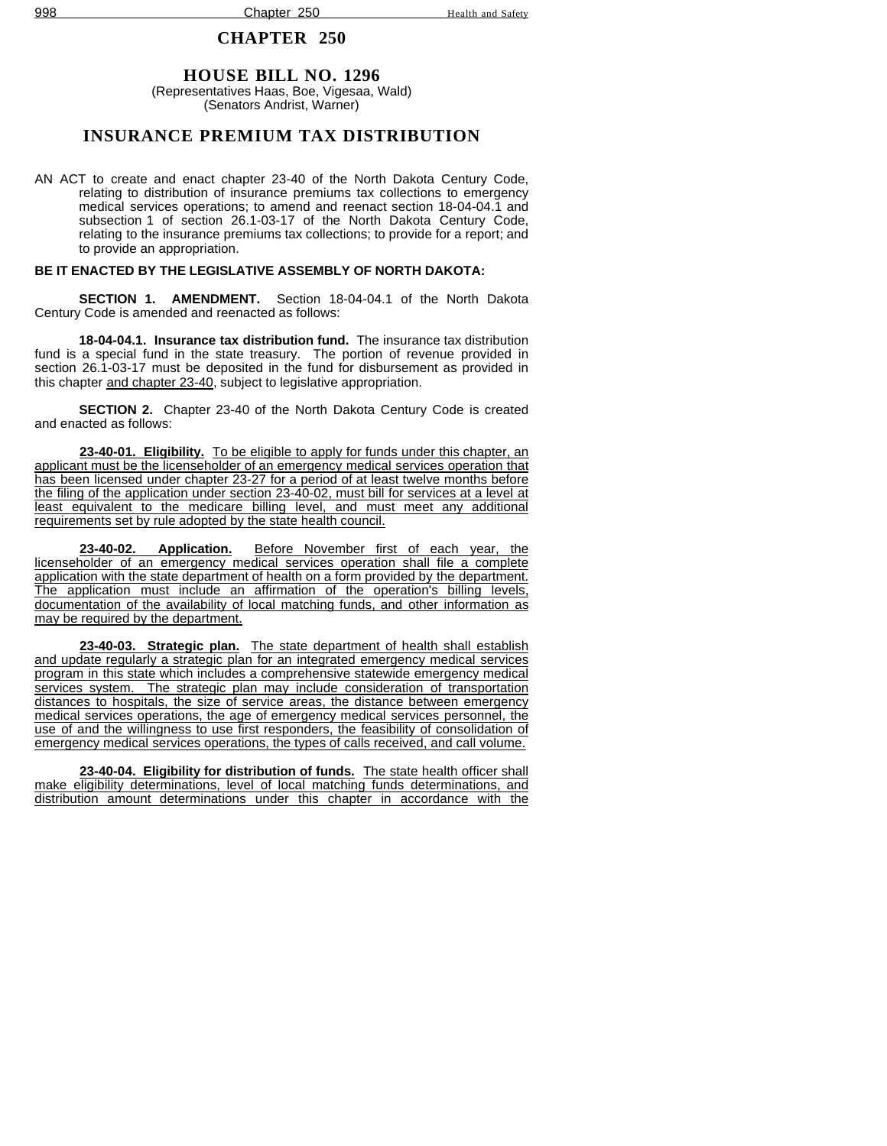# **HOUSE BILL NO. 1296**

(Representatives Haas, Boe, Vigesaa, Wald) (Senators Andrist, Warner)

## **INSURANCE PREMIUM TAX DISTRIBUTION**

AN ACT to create and enact chapter 23-40 of the North Dakota Century Code, relating to distribution of insurance premiums tax collections to emergency medical services operations; to amend and reenact section 18-04-04.1 and subsection 1 of section 26.1-03-17 of the North Dakota Century Code, relating to the insurance premiums tax collections; to provide for a report; and to provide an appropriation.

## **BE IT ENACTED BY THE LEGISLATIVE ASSEMBLY OF NORTH DAKOTA:**

**SECTION 1. AMENDMENT.** Section 18-04-04.1 of the North Dakota Century Code is amended and reenacted as follows:

**18-04-04.1. Insurance tax distribution fund.** The insurance tax distribution fund is a special fund in the state treasury. The portion of revenue provided in section 26.1-03-17 must be deposited in the fund for disbursement as provided in this chapter and chapter 23-40, subject to legislative appropriation.

**SECTION 2.** Chapter 23-40 of the North Dakota Century Code is created and enacted as follows:

**23-40-01. Eligibility.** To be eligible to apply for funds under this chapter, an applicant must be the licenseholder of an emergency medical services operation that has been licensed under chapter 23-27 for a period of at least twelve months before the filing of the application under section 23-40-02, must bill for services at a level at least equivalent to the medicare billing level, and must meet any additional requirements set by rule adopted by the state health council.

**23-40-02. Application.** Before November first of each year, the licenseholder of an emergency medical services operation shall file a complete application with the state department of health on a form provided by the department. The application must include an affirmation of the operation's billing levels, documentation of the availability of local matching funds, and other information as may be required by the department.

**23-40-03. Strategic plan.** The state department of health shall establish and update regularly a strategic plan for an integrated emergency medical services program in this state which includes a comprehensive statewide emergency medical services system. The strategic plan may include consideration of transportation distances to hospitals, the size of service areas, the distance between emergency medical services operations, the age of emergency medical services personnel, the use of and the willingness to use first responders, the feasibility of consolidation of emergency medical services operations, the types of calls received, and call volume.

**23-40-04. Eligibility for distribution of funds.** The state health officer shall make eligibility determinations, level of local matching funds determinations, and distribution amount determinations under this chapter in accordance with the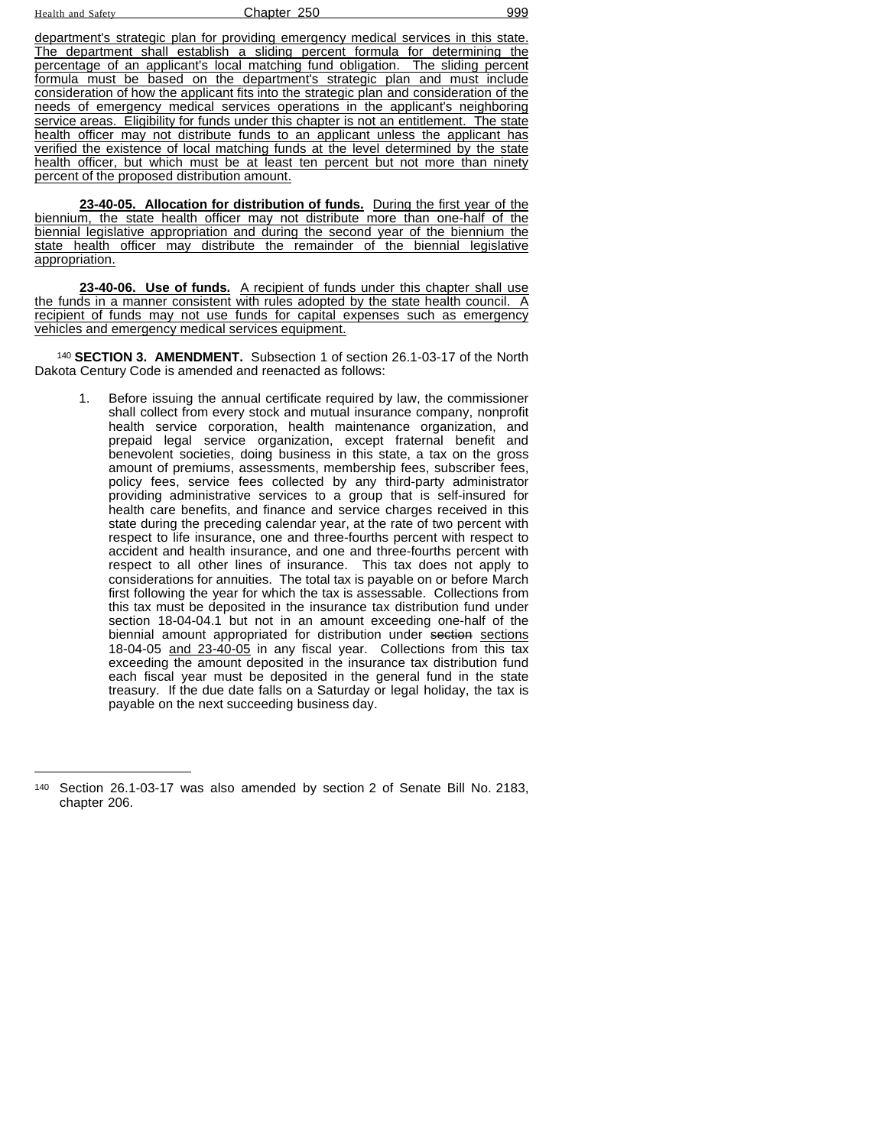Health and Safety **Chapter 250** 999

department's strategic plan for providing emergency medical services in this state. The department shall establish a sliding percent formula for determining the percentage of an applicant's local matching fund obligation. The sliding percent formula must be based on the department's strategic plan and must include consideration of how the applicant fits into the strategic plan and consideration of the needs of emergency medical services operations in the applicant's neighboring service areas. Eligibility for funds under this chapter is not an entitlement. The state health officer may not distribute funds to an applicant unless the applicant has verified the existence of local matching funds at the level determined by the state health officer, but which must be at least ten percent but not more than ninety percent of the proposed distribution amount.

**23-40-05. Allocation for distribution of funds.** During the first year of the biennium, the state health officer may not distribute more than one-half of the biennial legislative appropriation and during the second year of the biennium the state health officer may distribute the remainder of the biennial legislative appropriation.

**23-40-06. Use of funds.** A recipient of funds under this chapter shall use the funds in a manner consistent with rules adopted by the state health council. A recipient of funds may not use funds for capital expenses such as emergency vehicles and emergency medical services equipment.

<sup>140</sup> **SECTION 3. AMENDMENT.** Subsection 1 of section 26.1-03-17 of the North Dakota Century Code is amended and reenacted as follows:

1. Before issuing the annual certificate required by law, the commissioner shall collect from every stock and mutual insurance company, nonprofit health service corporation, health maintenance organization, and prepaid legal service organization, except fraternal benefit and benevolent societies, doing business in this state, a tax on the gross amount of premiums, assessments, membership fees, subscriber fees, policy fees, service fees collected by any third-party administrator providing administrative services to a group that is self-insured for health care benefits, and finance and service charges received in this state during the preceding calendar year, at the rate of two percent with respect to life insurance, one and three-fourths percent with respect to accident and health insurance, and one and three-fourths percent with respect to all other lines of insurance. This tax does not apply to considerations for annuities. The total tax is payable on or before March first following the year for which the tax is assessable. Collections from this tax must be deposited in the insurance tax distribution fund under section 18-04-04.1 but not in an amount exceeding one-half of the biennial amount appropriated for distribution under sections sections 18-04-05 and 23-40-05 in any fiscal year. Collections from this tax exceeding the amount deposited in the insurance tax distribution fund each fiscal year must be deposited in the general fund in the state treasury. If the due date falls on a Saturday or legal holiday, the tax is payable on the next succeeding business day.

<sup>140</sup> Section 26.1-03-17 was also amended by section 2 of Senate Bill No. 2183, chapter 206.